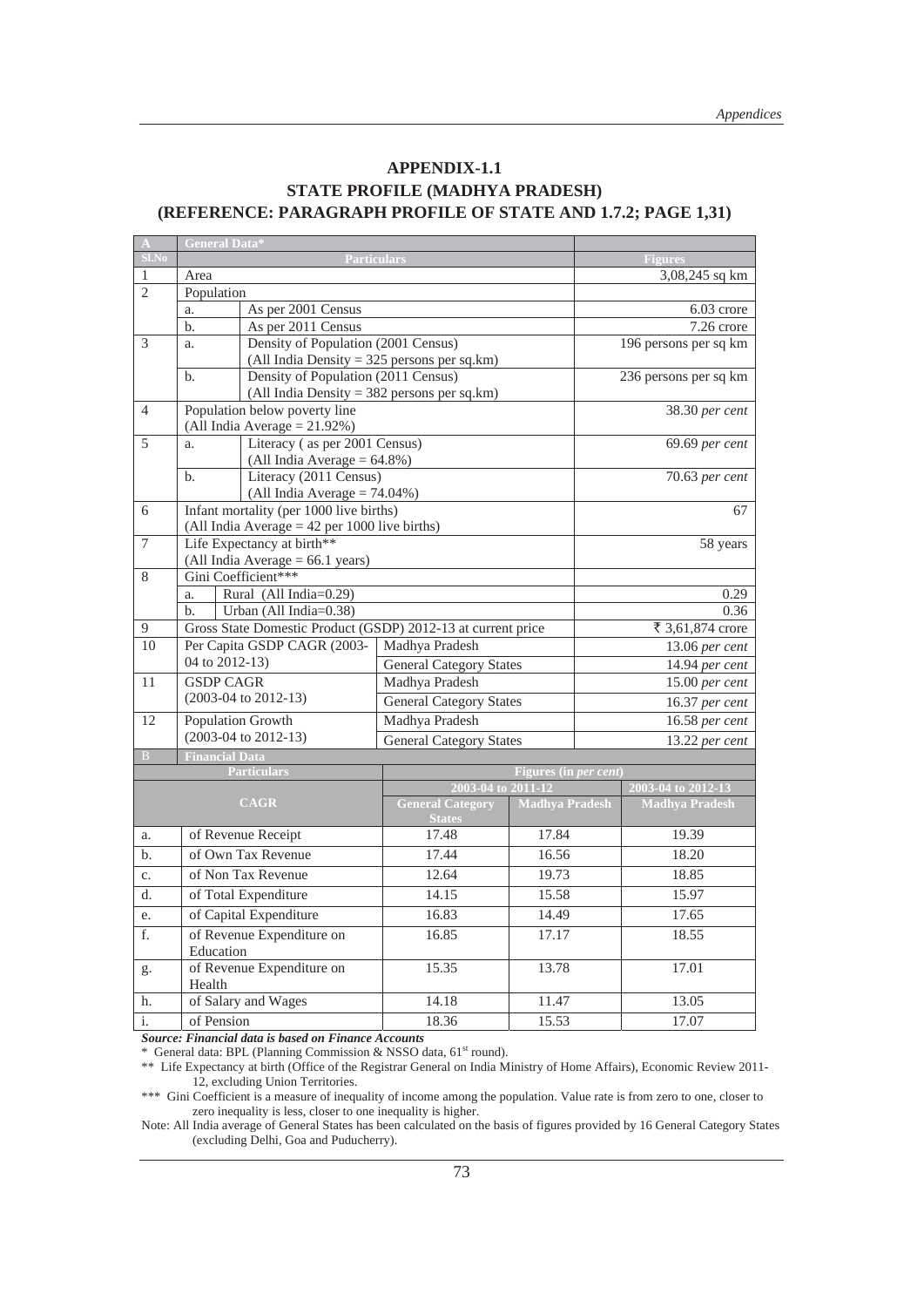#### **APPENDIX-1.1 STATE PROFILE (MADHYA PRADESH) (REFERENCE: PARAGRAPH PROFILE OF STATE AND 1.7.2; PAGE 1,31)**

|                | General Da <u>ta*</u> |                                                                                            |                                          |                               |                       |  |  |
|----------------|-----------------------|--------------------------------------------------------------------------------------------|------------------------------------------|-------------------------------|-----------------------|--|--|
| $Sl$ . No      |                       | <b>Particulars</b>                                                                         |                                          | <b>Figures</b>                |                       |  |  |
| $\mathbf{1}$   | Area                  |                                                                                            |                                          | 3,08,245 sq km                |                       |  |  |
| $\overline{2}$ | Population            |                                                                                            |                                          |                               |                       |  |  |
|                | a.                    | As per 2001 Census                                                                         |                                          | 6.03 crore                    |                       |  |  |
|                | $b$ .                 | As per 2011 Census                                                                         |                                          | 7.26 crore                    |                       |  |  |
| 3              | a.                    | Density of Population (2001 Census)                                                        |                                          | 196 persons per sq km         |                       |  |  |
|                |                       | (All India Density = $325$ persons per sq.km)                                              |                                          |                               |                       |  |  |
|                | $b$                   | Density of Population (2011 Census)                                                        |                                          |                               | 236 persons per sq km |  |  |
|                |                       | (All India Density = $382$ persons per sq.km)                                              |                                          |                               |                       |  |  |
| $\overline{4}$ |                       | Population below poverty line                                                              |                                          |                               | 38.30 per cent        |  |  |
|                |                       | (All India Average = $21.92\%$ )                                                           |                                          |                               |                       |  |  |
| $\overline{5}$ | a.                    | Literacy (as per 2001 Census)                                                              |                                          |                               | 69.69 per cent        |  |  |
|                |                       | (All India Average = $64.8\%$ )                                                            |                                          |                               |                       |  |  |
|                | $b$ .                 | Literacy (2011 Census)                                                                     |                                          |                               | 70.63 per cent        |  |  |
|                |                       | (All India Average = $74.04\%$ )                                                           |                                          |                               |                       |  |  |
| 6              |                       | Infant mortality (per 1000 live births)<br>(All India Average $=$ 42 per 1000 live births) |                                          |                               | 67                    |  |  |
| $\tau$         |                       | Life Expectancy at birth**                                                                 |                                          |                               | 58 years              |  |  |
|                |                       | (All India Average = 66.1 years)                                                           |                                          |                               |                       |  |  |
| 8              |                       | Gini Coefficient***                                                                        |                                          |                               |                       |  |  |
|                | a.                    | Rural (All India=0.29)                                                                     |                                          |                               | 0.29                  |  |  |
|                | $b$                   | Urban (All India=0.38)                                                                     |                                          |                               | 0.36                  |  |  |
| 9              |                       | Gross State Domestic Product (GSDP) 2012-13 at current price                               |                                          |                               | ₹ 3,61,874 crore      |  |  |
| 10             |                       | Per Capita GSDP CAGR (2003-                                                                | Madhya Pradesh                           |                               | 13.06 per cent        |  |  |
|                | 04 to 2012-13)        |                                                                                            | <b>General Category States</b>           |                               | 14.94 per cent        |  |  |
| 11             | <b>GSDP CAGR</b>      |                                                                                            | Madhya Pradesh                           |                               | $15.00$ per cent      |  |  |
|                |                       | $(2003-04$ to $2012-13)$                                                                   | <b>General Category States</b>           |                               | 16.37 per cent        |  |  |
| 12             | Population Growth     |                                                                                            | Madhya Pradesh                           |                               | 16.58 per cent        |  |  |
|                |                       | $(2003-04$ to $2012-13)$                                                                   | <b>General Category States</b>           |                               | 13.22 per cent        |  |  |
| B              | <b>Financial Data</b> |                                                                                            |                                          |                               |                       |  |  |
|                |                       | <b>Particulars</b>                                                                         |                                          | Figures (in <i>per cent</i> ) |                       |  |  |
|                |                       |                                                                                            | 2003-04 to 2011-12                       |                               | 2003-04 to 2012-13    |  |  |
|                |                       | <b>CAGR</b>                                                                                | <b>General Category</b><br><b>States</b> | <b>Madhya Pradesh</b>         | <b>Madhya Pradesh</b> |  |  |
| a.             |                       | of Revenue Receipt                                                                         | 17.48                                    | 17.84                         | 19.39                 |  |  |
| $b$            |                       | of Own Tax Revenue                                                                         | 17.44                                    | 16.56                         | 18.20                 |  |  |
| c.             |                       | of Non Tax Revenue                                                                         | 12.64                                    | 19.73                         | 18.85                 |  |  |
| d.             |                       | of Total Expenditure                                                                       | 14.15                                    | 15.58                         | 15.97                 |  |  |
| e.             |                       | of Capital Expenditure                                                                     | 16.83                                    | 14.49                         | 17.65                 |  |  |
| f.             | Education             | of Revenue Expenditure on                                                                  | 16.85                                    | 17.17                         | 18.55                 |  |  |
| g.             | Health                | of Revenue Expenditure on                                                                  | 15.35                                    | 13.78                         | 17.01                 |  |  |
| h.             |                       | of Salary and Wages                                                                        | 14.18                                    | 11.47                         | 13.05                 |  |  |
| $\mathbf{i}$ . | of Pension            |                                                                                            | 18.36                                    | 15.53                         | 17.07                 |  |  |

**Source: Financial data is based on Finance Accounts**<br>\* General data: BPL (Planning Commission & NSSO data, 61<sup>st</sup> round).

\*\* Life Expectancy at birth (Office of the Registrar General on India Ministry of Home Affairs), Economic Review 2011-12, excluding Union Territories.

\*\*\* Gini Coefficient is a measure of inequality of income among the population. Value rate is from zero to one, closer to zero inequality is less, closer to one inequality is higher.

Note: All India average of General States has been calculated on the basis of figures provided by 16 General Category States (excluding Delhi, Goa and Puducherry).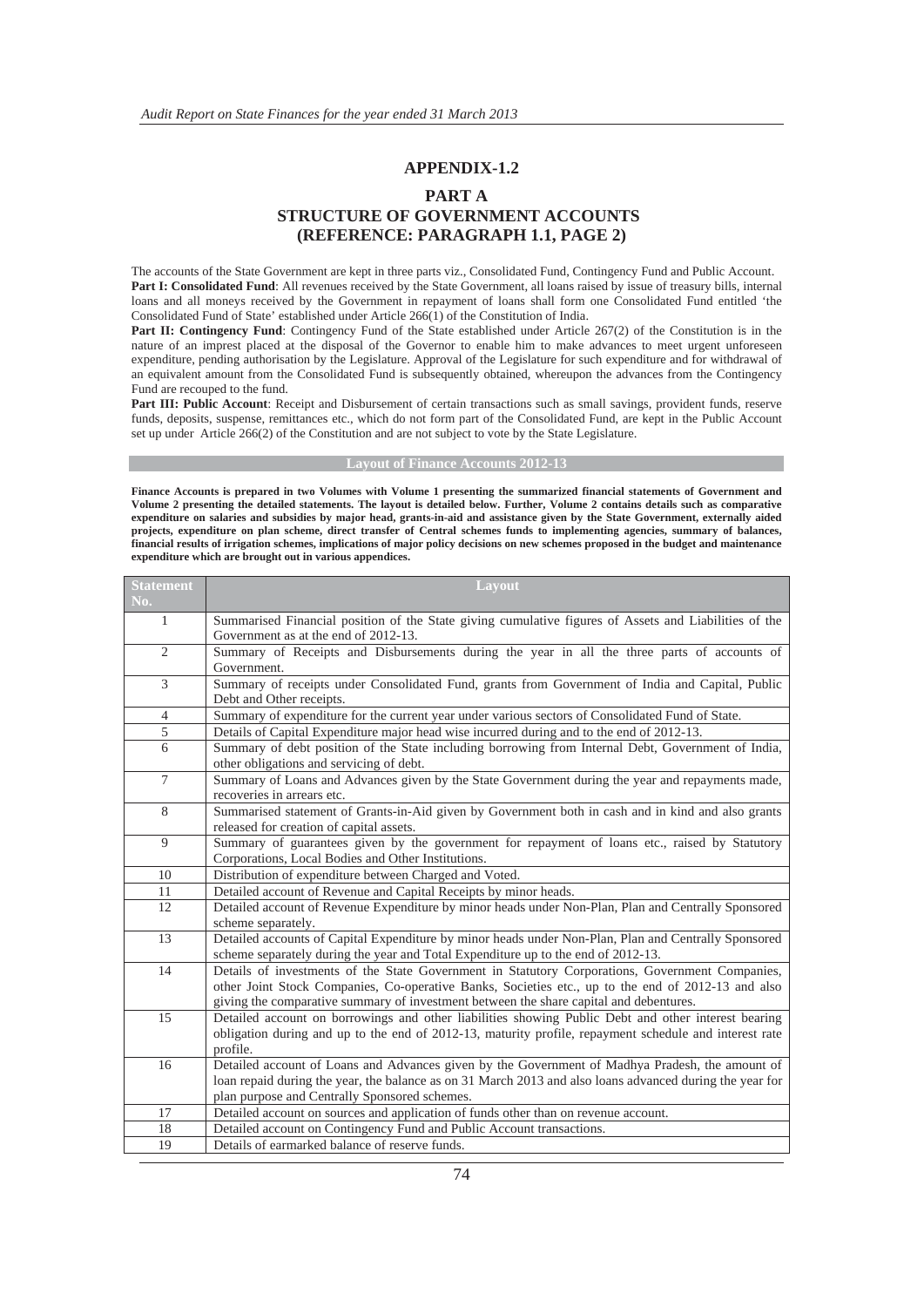#### **APPENDIX-1.2**

#### **PART A STRUCTURE OF GOVERNMENT ACCOUNTS (REFERENCE: PARAGRAPH 1.1, PAGE 2)**

The accounts of the State Government are kept in three parts viz., Consolidated Fund, Contingency Fund and Public Account. **Part I: Consolidated Fund**: All revenues received by the State Government, all loans raised by issue of treasury bills, internal loans and all moneys received by the Government in repayment of loans shall form one Consolidated Fund entitled 'the Consolidated Fund of State' established under Article 266(1) of the Constitution of India.

Part II: Contingency Fund: Contingency Fund of the State established under Article 267(2) of the Constitution is in the nature of an imprest placed at the disposal of the Governor to enable him to make advances to meet urgent unforeseen expenditure, pending authorisation by the Legislature. Approval of the Legislature for such expenditure and for withdrawal of an equivalent amount from the Consolidated Fund is subsequently obtained, whereupon the advances from the Contingency Fund are recouped to the fund.

Part III: Public Account: Receipt and Disbursement of certain transactions such as small savings, provident funds, reserve funds, deposits, suspense, remittances etc., which do not form part of the Consolidated Fund, are kept in the Public Account set up under Article 266(2) of the Constitution and are not subject to vote by the State Legislature.

#### **Layout of Finance Accounts 2012-13**

**Finance Accounts is prepared in two Volumes with Volume 1 presenting the summarized financial statements of Government and Volume 2 presenting the detailed statements. The layout is detailed below. Further, Volume 2 contains details such as comparative expenditure on salaries and subsidies by major head, grants-in-aid and assistance given by the State Government, externally aided projects, expenditure on plan scheme, direct transfer of Central schemes funds to implementing agencies, summary of balances, financial results of irrigation schemes, implications of major policy decisions on new schemes proposed in the budget and maintenance expenditure which are brought out in various appendices.** 

| <b>Statement</b> | Layout                                                                                                                                                                                    |
|------------------|-------------------------------------------------------------------------------------------------------------------------------------------------------------------------------------------|
| No.              |                                                                                                                                                                                           |
| 1                | Summarised Financial position of the State giving cumulative figures of Assets and Liabilities of the                                                                                     |
|                  | Government as at the end of 2012-13.                                                                                                                                                      |
| $\overline{c}$   | Summary of Receipts and Disbursements during the year in all the three parts of accounts of                                                                                               |
|                  | Government.                                                                                                                                                                               |
| 3                | Summary of receipts under Consolidated Fund, grants from Government of India and Capital, Public<br>Debt and Other receipts.                                                              |
| 4                | Summary of expenditure for the current year under various sectors of Consolidated Fund of State.                                                                                          |
| 5                | Details of Capital Expenditure major head wise incurred during and to the end of 2012-13.                                                                                                 |
| 6                | Summary of debt position of the State including borrowing from Internal Debt, Government of India,<br>other obligations and servicing of debt.                                            |
| 7                | Summary of Loans and Advances given by the State Government during the year and repayments made,<br>recoveries in arrears etc.                                                            |
| 8                | Summarised statement of Grants-in-Aid given by Government both in cash and in kind and also grants                                                                                        |
|                  | released for creation of capital assets.                                                                                                                                                  |
| 9                | Summary of guarantees given by the government for repayment of loans etc., raised by Statutory                                                                                            |
|                  | Corporations, Local Bodies and Other Institutions.                                                                                                                                        |
| 10               | Distribution of expenditure between Charged and Voted.                                                                                                                                    |
| 11               | Detailed account of Revenue and Capital Receipts by minor heads.                                                                                                                          |
| 12               | Detailed account of Revenue Expenditure by minor heads under Non-Plan, Plan and Centrally Sponsored<br>scheme separately.                                                                 |
| 13               | Detailed accounts of Capital Expenditure by minor heads under Non-Plan, Plan and Centrally Sponsored<br>scheme separately during the year and Total Expenditure up to the end of 2012-13. |
| 14               | Details of investments of the State Government in Statutory Corporations, Government Companies,                                                                                           |
|                  | other Joint Stock Companies, Co-operative Banks, Societies etc., up to the end of 2012-13 and also                                                                                        |
|                  | giving the comparative summary of investment between the share capital and debentures.                                                                                                    |
| 15               | Detailed account on borrowings and other liabilities showing Public Debt and other interest bearing                                                                                       |
|                  | obligation during and up to the end of 2012-13, maturity profile, repayment schedule and interest rate                                                                                    |
|                  | profile.                                                                                                                                                                                  |
| 16               | Detailed account of Loans and Advances given by the Government of Madhya Pradesh, the amount of                                                                                           |
|                  | loan repaid during the year, the balance as on 31 March 2013 and also loans advanced during the year for                                                                                  |
|                  | plan purpose and Centrally Sponsored schemes.                                                                                                                                             |
| 17               | Detailed account on sources and application of funds other than on revenue account.                                                                                                       |
| 18               | Detailed account on Contingency Fund and Public Account transactions.                                                                                                                     |
| 19               | Details of earmarked balance of reserve funds.                                                                                                                                            |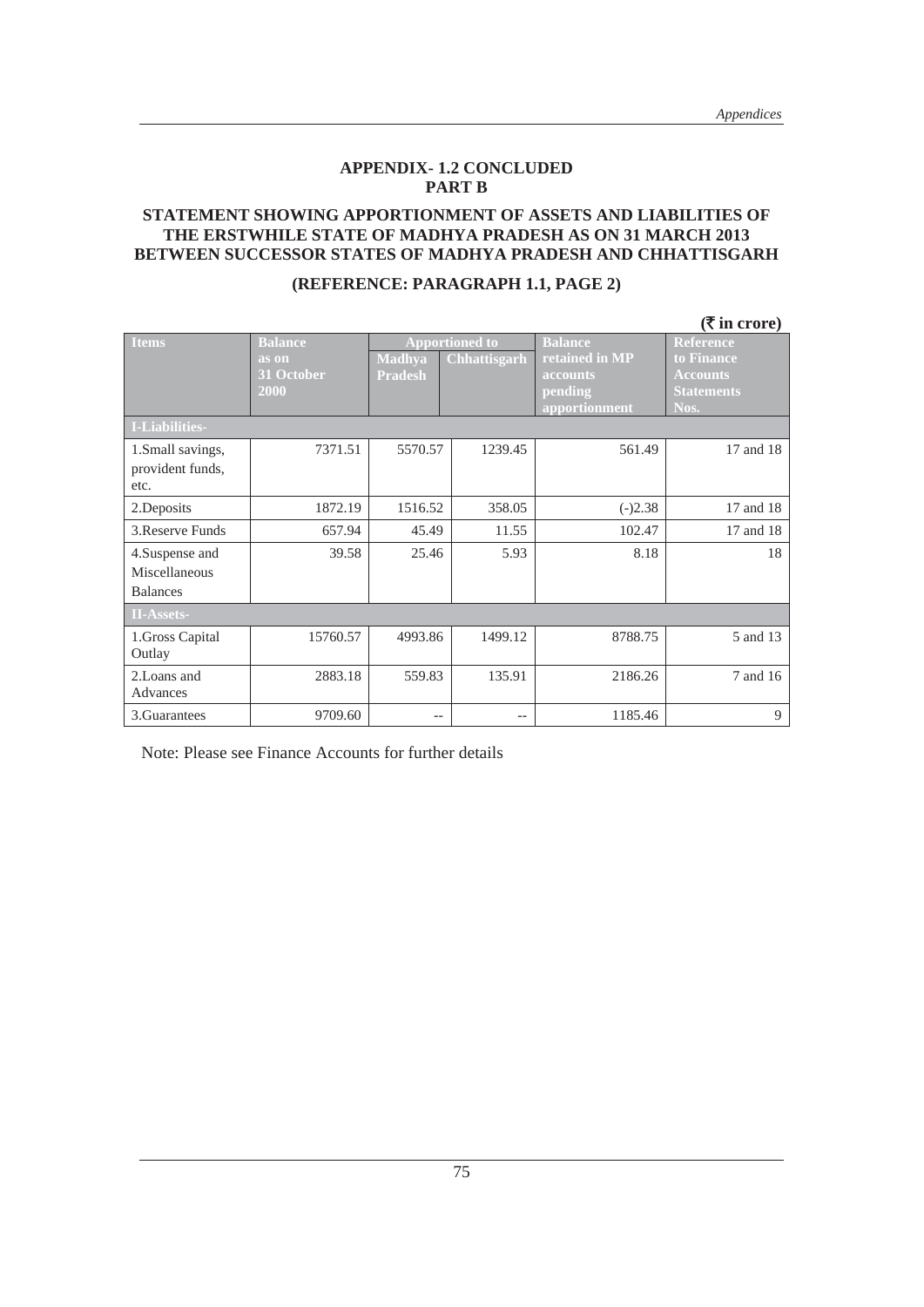#### **APPENDIX- 1.2 CONCLUDED PART B**

#### **STATEMENT SHOWING APPORTIONMENT OF ASSETS AND LIABILITIES OF THE ERSTWHILE STATE OF MADHYA PRADESH AS ON 31 MARCH 2013 BETWEEN SUCCESSOR STATES OF MADHYA PRADESH AND CHHATTISGARH**

|                   |                |                       |              |                | $(\overline{\mathbf{\xi}}$ in crore) |
|-------------------|----------------|-----------------------|--------------|----------------|--------------------------------------|
| <b>Items</b>      | <b>Balance</b> | <b>Apportioned to</b> |              | <b>Balance</b> | <b>Reference</b>                     |
|                   | as on          | <b>Madhya</b>         | Chhattisgarh | retained in MP | to Finance                           |
|                   | 31 October     | <b>Pradesh</b>        |              | accounts       | <b>Accounts</b>                      |
|                   | 2000           |                       |              | pending        | <b>Statements</b>                    |
|                   |                |                       |              | apportionment  | Nos.                                 |
| I-Liabilities-    |                |                       |              |                |                                      |
| 1. Small savings, | 7371.51        | 5570.57               | 1239.45      | 561.49         | 17 and 18                            |
| provident funds,  |                |                       |              |                |                                      |
| etc.              |                |                       |              |                |                                      |
| 2. Deposits       | 1872.19        | 1516.52               | 358.05       | $(-)2.38$      | 17 and 18                            |
| 3. Reserve Funds  | 657.94         | 45.49                 | 11.55        | 102.47         | 17 and 18                            |
| 4. Suspense and   | 39.58          | 25.46                 | 5.93         | 8.18           | 18                                   |
| Miscellaneous     |                |                       |              |                |                                      |
| <b>Balances</b>   |                |                       |              |                |                                      |
| <b>II-Assets-</b> |                |                       |              |                |                                      |
| 1.Gross Capital   | 15760.57       | 4993.86               | 1499.12      | 8788.75        | 5 and 13                             |
| Outlay            |                |                       |              |                |                                      |
| 2. Loans and      | 2883.18        | 559.83                | 135.91       | 2186.26        | 7 and 16                             |
| Advances          |                |                       |              |                |                                      |
| 3. Guarantees     | 9709.60        |                       | --           | 1185.46        | 9                                    |

#### **(REFERENCE: PARAGRAPH 1.1, PAGE 2)**

Note: Please see Finance Accounts for further details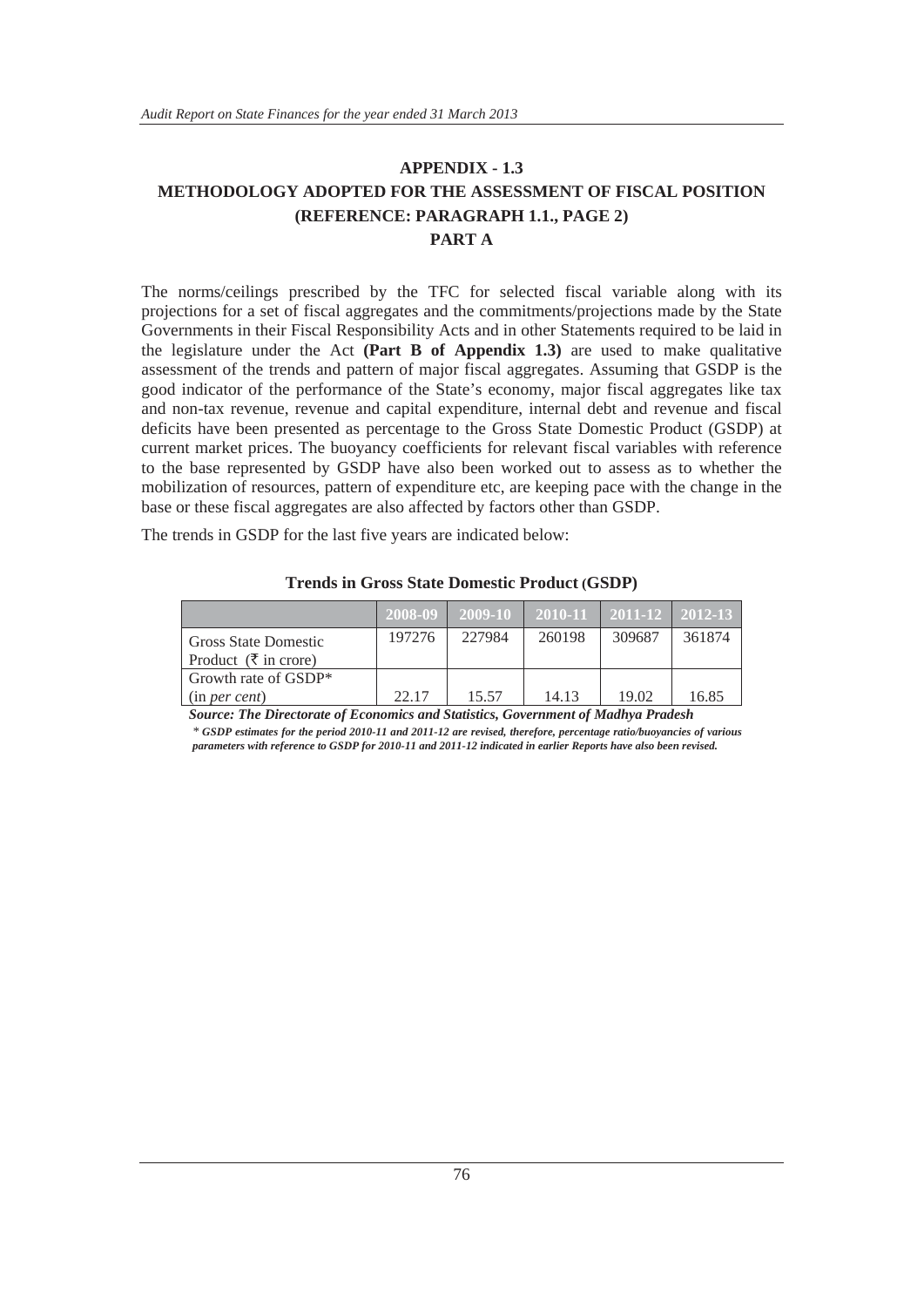#### **APPENDIX - 1.3 METHODOLOGY ADOPTED FOR THE ASSESSMENT OF FISCAL POSITION (REFERENCE: PARAGRAPH 1.1., PAGE 2) PART A**

The norms/ceilings prescribed by the TFC for selected fiscal variable along with its projections for a set of fiscal aggregates and the commitments/projections made by the State Governments in their Fiscal Responsibility Acts and in other Statements required to be laid in the legislature under the Act **(Part B of Appendix 1.3)** are used to make qualitative assessment of the trends and pattern of major fiscal aggregates. Assuming that GSDP is the good indicator of the performance of the State's economy, major fiscal aggregates like tax and non-tax revenue, revenue and capital expenditure, internal debt and revenue and fiscal deficits have been presented as percentage to the Gross State Domestic Product (GSDP) at current market prices. The buoyancy coefficients for relevant fiscal variables with reference to the base represented by GSDP have also been worked out to assess as to whether the mobilization of resources, pattern of expenditure etc, are keeping pace with the change in the base or these fiscal aggregates are also affected by factors other than GSDP.

The trends in GSDP for the last five years are indicated below:

|                                                                     | $12008 - 09$ | 2009-10 | 2010-11 | $2011-12$ 2012-13 |        |
|---------------------------------------------------------------------|--------------|---------|---------|-------------------|--------|
| <b>Gross State Domestic</b><br>Product ( $\overline{\xi}$ in crore) | 197276       | 227984  | 260198  | 309687            | 361874 |
| Growth rate of GSDP*<br>(in per cent)                               | 22.17        | 15.57   | 14.13   | 19.02             | 16.85  |

**Trends in Gross State Domestic Product (GSDP)**

*Source: The Directorate of Economics and Statistics, Government of Madhya Pradesh* 

*\* GSDP estimates for the period 2010-11 and 2011-12 are revised, therefore, percentage ratio/buoyancies of various parameters with reference to GSDP for 2010-11 and 2011-12 indicated in earlier Reports have also been revised.*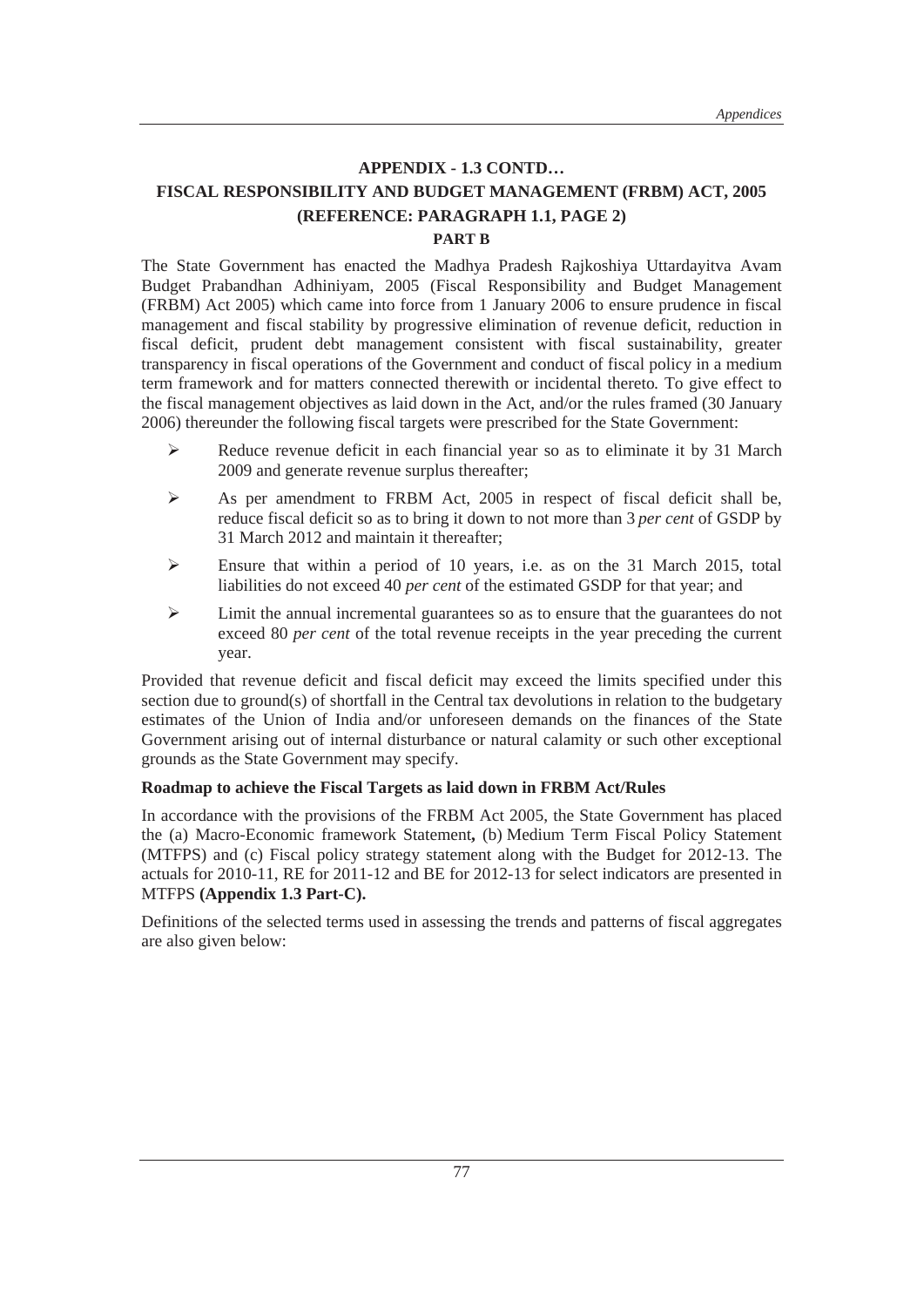#### **APPENDIX - 1.3 CONTD… FISCAL RESPONSIBILITY AND BUDGET MANAGEMENT (FRBM) ACT, 2005 (REFERENCE: PARAGRAPH 1.1, PAGE 2)**

#### **PART B**

The State Government has enacted the Madhya Pradesh Rajkoshiya Uttardayitva Avam Budget Prabandhan Adhiniyam, 2005 (Fiscal Responsibility and Budget Management (FRBM) Act 2005) which came into force from 1 January 2006 to ensure prudence in fiscal management and fiscal stability by progressive elimination of revenue deficit, reduction in fiscal deficit, prudent debt management consistent with fiscal sustainability, greater transparency in fiscal operations of the Government and conduct of fiscal policy in a medium term framework and for matters connected therewith or incidental thereto*.* To give effect to the fiscal management objectives as laid down in the Act, and/or the rules framed (30 January 2006) thereunder the following fiscal targets were prescribed for the State Government:

- $\triangleright$  Reduce revenue deficit in each financial year so as to eliminate it by 31 March 2009 and generate revenue surplus thereafter;
- ¾ As per amendment to FRBM Act, 2005 in respect of fiscal deficit shall be, reduce fiscal deficit so as to bring it down to not more than 3 *per cent* of GSDP by 31 March 2012 and maintain it thereafter;
- $\triangleright$  Ensure that within a period of 10 years, i.e. as on the 31 March 2015, total liabilities do not exceed 40 *per cent* of the estimated GSDP for that year; and
- $\triangleright$  Limit the annual incremental guarantees so as to ensure that the guarantees do not exceed 80 *per cent* of the total revenue receipts in the year preceding the current year.

Provided that revenue deficit and fiscal deficit may exceed the limits specified under this section due to ground(s) of shortfall in the Central tax devolutions in relation to the budgetary estimates of the Union of India and/or unforeseen demands on the finances of the State Government arising out of internal disturbance or natural calamity or such other exceptional grounds as the State Government may specify.

#### **Roadmap to achieve the Fiscal Targets as laid down in FRBM Act/Rules**

In accordance with the provisions of the FRBM Act 2005, the State Government has placed the (a) Macro-Economic framework Statement**,** (b) Medium Term Fiscal Policy Statement (MTFPS) and (c) Fiscal policy strategy statement along with the Budget for 2012-13. The actuals for 2010-11, RE for 2011-12 and BE for 2012-13 for select indicators are presented in MTFPS **(Appendix 1.3 Part-C).**

Definitions of the selected terms used in assessing the trends and patterns of fiscal aggregates are also given below: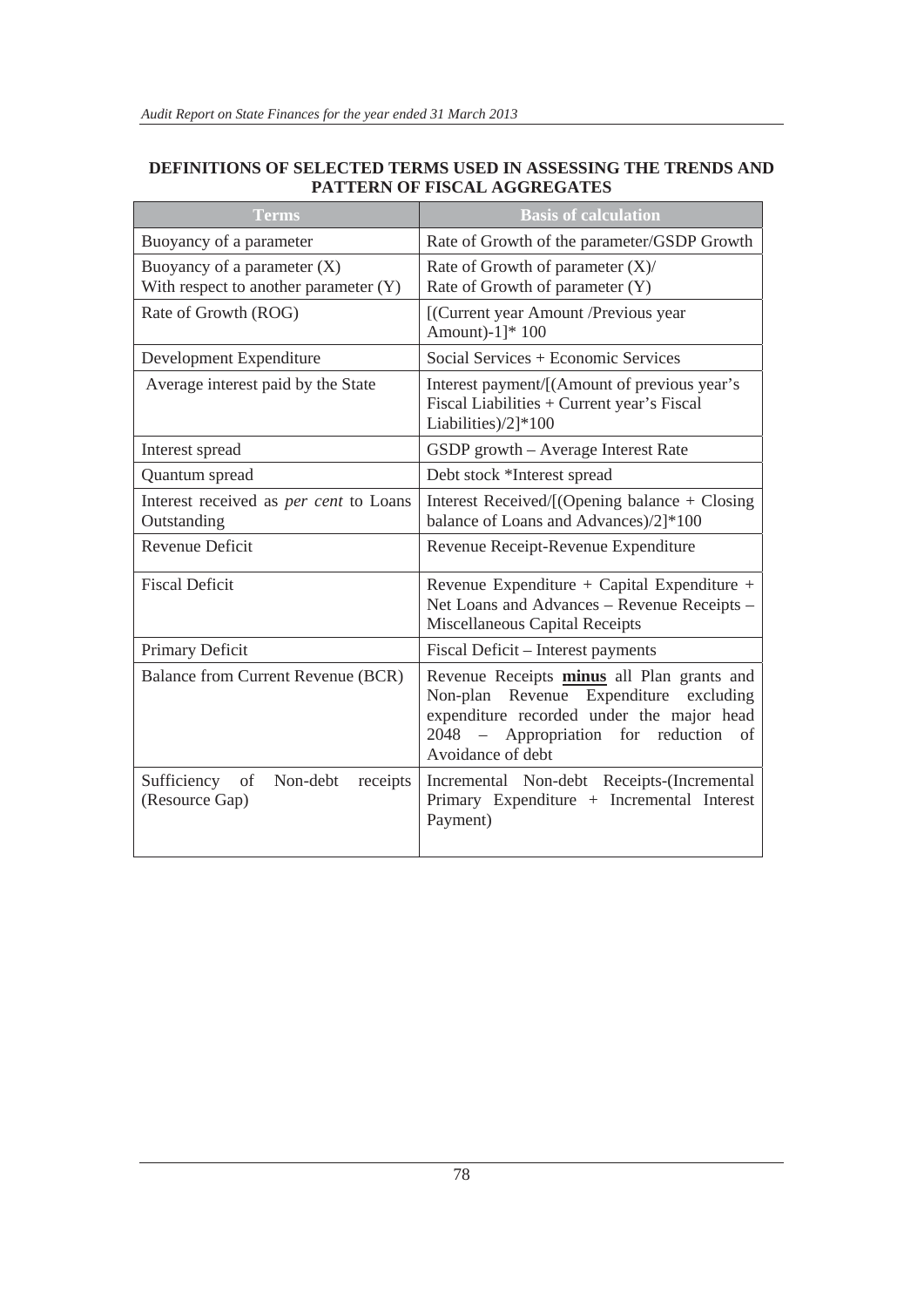#### **DEFINITIONS OF SELECTED TERMS USED IN ASSESSING THE TRENDS AND PATTERN OF FISCAL AGGREGATES**

| <b>Terms</b>                                                             | <b>Basis of calculation</b>                                                                                                                                                                              |  |  |
|--------------------------------------------------------------------------|----------------------------------------------------------------------------------------------------------------------------------------------------------------------------------------------------------|--|--|
| Buoyancy of a parameter                                                  | Rate of Growth of the parameter/GSDP Growth                                                                                                                                                              |  |  |
| Buoyancy of a parameter $(X)$<br>With respect to another parameter $(Y)$ | Rate of Growth of parameter $(X)$ /<br>Rate of Growth of parameter (Y)                                                                                                                                   |  |  |
| Rate of Growth (ROG)                                                     | [(Current year Amount /Previous year<br>Amount)-1]* 100                                                                                                                                                  |  |  |
| Development Expenditure                                                  | Social Services + Economic Services                                                                                                                                                                      |  |  |
| Average interest paid by the State                                       | Interest payment/[(Amount of previous year's<br>Fiscal Liabilities + Current year's Fiscal<br>Liabilities)/2]*100                                                                                        |  |  |
| Interest spread                                                          | GSDP growth - Average Interest Rate                                                                                                                                                                      |  |  |
| Quantum spread                                                           | Debt stock *Interest spread                                                                                                                                                                              |  |  |
| Interest received as <i>per cent</i> to Loans<br>Outstanding             | Interest Received/[(Opening balance + Closing<br>balance of Loans and Advances)/2]*100                                                                                                                   |  |  |
| <b>Revenue Deficit</b>                                                   | Revenue Receipt-Revenue Expenditure                                                                                                                                                                      |  |  |
| <b>Fiscal Deficit</b>                                                    | Revenue Expenditure + Capital Expenditure +<br>Net Loans and Advances - Revenue Receipts -<br><b>Miscellaneous Capital Receipts</b>                                                                      |  |  |
| Primary Deficit                                                          | Fiscal Deficit – Interest payments                                                                                                                                                                       |  |  |
| Balance from Current Revenue (BCR)                                       | Revenue Receipts minus all Plan grants and<br>Non-plan Revenue Expenditure<br>excluding<br>expenditure recorded under the major head<br>2048 - Appropriation<br>for reduction<br>of<br>Avoidance of debt |  |  |
| Sufficiency<br>Non-debt<br>of<br>receipts<br>(Resource Gap)              | Incremental Non-debt Receipts-(Incremental<br>Primary Expenditure + Incremental Interest<br>Payment)                                                                                                     |  |  |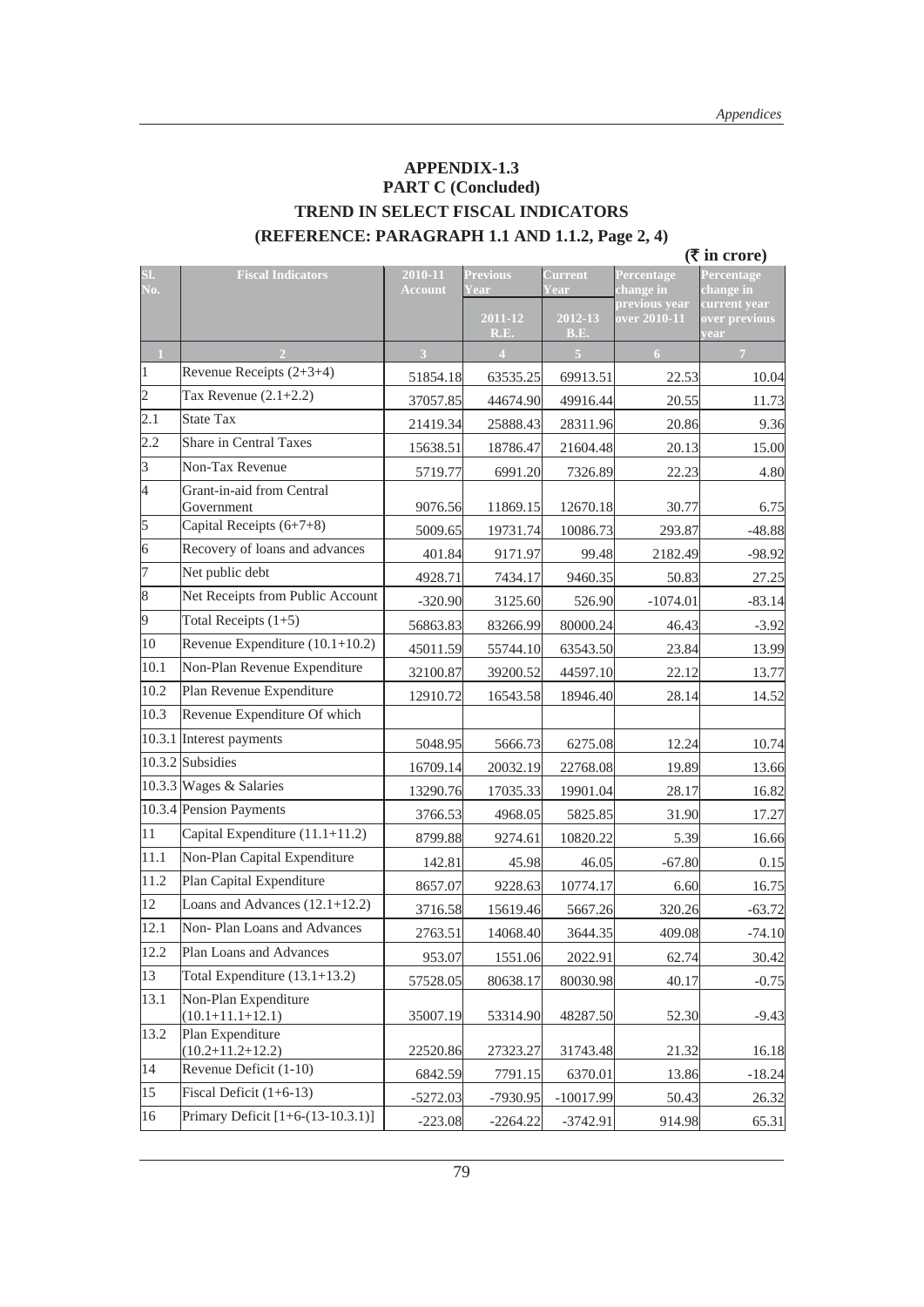#### **APPENDIX-1.3 PART C (Concluded) TREND IN SELECT FISCAL INDICATORS (REFERENCE: PARAGRAPH 1.1 AND 1.1.2, Page 2, 4)**

 **(**` **in crore)**

| SI.<br>No.              | <b>Fiscal Indicators</b>                       | 2010-11<br><b>Account</b> | <b>Previous</b><br>Year | <b>Current</b><br>ear | Percentage<br>change in       | Percentage<br>change in               |
|-------------------------|------------------------------------------------|---------------------------|-------------------------|-----------------------|-------------------------------|---------------------------------------|
|                         |                                                |                           | 2011-12<br>R.E.         | 2012-13<br>B.E.       | previous year<br>over 2010-11 | current year<br>over previous<br>year |
| $\overline{1}$          |                                                | $\overline{\mathbf{3}}$   | $\overline{4}$          | $\overline{5}$        | 6                             | $\overline{7}$                        |
| $\vert$ 1               | Revenue Receipts $(2+3+4)$                     | 51854.18                  | 63535.25                | 69913.51              | 22.53                         | 10.04                                 |
| $\vert$ 2               | Tax Revenue $(2.1+2.2)$                        | 37057.85                  | 44674.90                | 49916.44              | 20.55                         | 11.73                                 |
| $\overline{2.1}$        | <b>State Tax</b>                               | 21419.34                  | 25888.43                | 28311.96              | 20.86                         | 9.36                                  |
| 2.2                     | <b>Share in Central Taxes</b>                  | 15638.51                  | 18786.47                | 21604.48              | 20.13                         | 15.00                                 |
| $\overline{\mathbf{3}}$ | Non-Tax Revenue                                | 5719.77                   | 6991.20                 | 7326.89               | 22.23                         | 4.80                                  |
| 4                       | Grant-in-aid from Central<br>Government        | 9076.56                   | 11869.15                | 12670.18              | 30.77                         | 6.75                                  |
| $\vert$ 5               | Capital Receipts (6+7+8)                       | 5009.65                   | 19731.74                | 10086.73              | 293.87                        | $-48.88$                              |
| $\vert 6 \vert$         | Recovery of loans and advances                 | 401.84                    | 9171.97                 | 99.48                 | 2182.49                       | $-98.92$                              |
| 7                       | Net public debt                                | 4928.71                   | 7434.17                 | 9460.35               | 50.83                         | 27.25                                 |
| $\sqrt{8}$              | Net Receipts from Public Account               | $-320.90$                 | 3125.60                 | 526.90                | $-1074.01$                    | $-83.14$                              |
| $\vert$ 9               | Total Receipts $(1+5)$                         | 56863.83                  | 83266.99                | 80000.24              | 46.43                         | $-3.92$                               |
| $ 10\rangle$            | Revenue Expenditure (10.1+10.2)                | 45011.59                  | 55744.10                | 63543.50              | 23.84                         | 13.99                                 |
| 10.1                    | Non-Plan Revenue Expenditure                   | 32100.87                  | 39200.52                | 44597.10              | 22.12                         | 13.77                                 |
| 10.2                    | Plan Revenue Expenditure                       | 12910.72                  | 16543.58                | 18946.40              | 28.14                         | 14.52                                 |
| 10.3                    | Revenue Expenditure Of which                   |                           |                         |                       |                               |                                       |
|                         | 10.3.1 Interest payments                       | 5048.95                   | 5666.73                 | 6275.08               | 12.24                         | 10.74                                 |
|                         | $10.3.2$ Subsidies                             | 16709.14                  | 20032.19                | 22768.08              | 19.89                         | 13.66                                 |
|                         | 10.3.3 Wages & Salaries                        | 13290.76                  | 17035.33                | 19901.04              | 28.17                         | 16.82                                 |
|                         | 10.3.4 Pension Payments                        | 3766.53                   | 4968.05                 | 5825.85               | 31.90                         | 17.27                                 |
| 11                      | Capital Expenditure (11.1+11.2)                | 8799.88                   | 9274.61                 | 10820.22              | 5.39                          | 16.66                                 |
| 11.1                    | Non-Plan Capital Expenditure                   | 142.81                    | 45.98                   | 46.05                 | $-67.80$                      | 0.15                                  |
| 11.2                    | Plan Capital Expenditure                       | 8657.07                   | 9228.63                 | 10774.17              | 6.60                          | 16.75                                 |
| 12                      | Loans and Advances $(12.1+12.2)$               | 3716.58                   | 15619.46                | 5667.26               | 320.26                        | $-63.72$                              |
| 12.1                    | Non-Plan Loans and Advances                    | 2763.51                   | 14068.40                | 3644.35               | 409.08                        | $-74.10$                              |
| 12.2                    | Plan Loans and Advances                        | 953.07                    | 1551.06                 | 2022.91               | 62.74                         | 30.42                                 |
| 13                      | Total Expenditure $(13.1+13.2)$                | 57528.05                  | 80638.17                | 80030.98              | 40.17                         | $-0.75$                               |
| 13.1                    | Non-Plan Expenditure<br>$(10.1 + 11.1 + 12.1)$ | 35007.19                  | 53314.90                | 48287.50              | 52.30                         | $-9.43$                               |
| 13.2                    | Plan Expenditure<br>$(10.2+11.2+12.2)$         | 22520.86                  | 27323.27                | 31743.48              | 21.32                         | 16.18                                 |
| 14                      | Revenue Deficit (1-10)                         | 6842.59                   | 7791.15                 | 6370.01               | 13.86                         | $-18.24$                              |
| $ 15\rangle$            | Fiscal Deficit $(1+6-13)$                      | $-5272.03$                | -7930.95                | $-10017.99$           | 50.43                         | 26.32                                 |
| 16                      | Primary Deficit $[1+6-(13-10.3.1)]$            | $-223.08$                 | $-2264.22$              | $-3742.91$            | 914.98                        | 65.31                                 |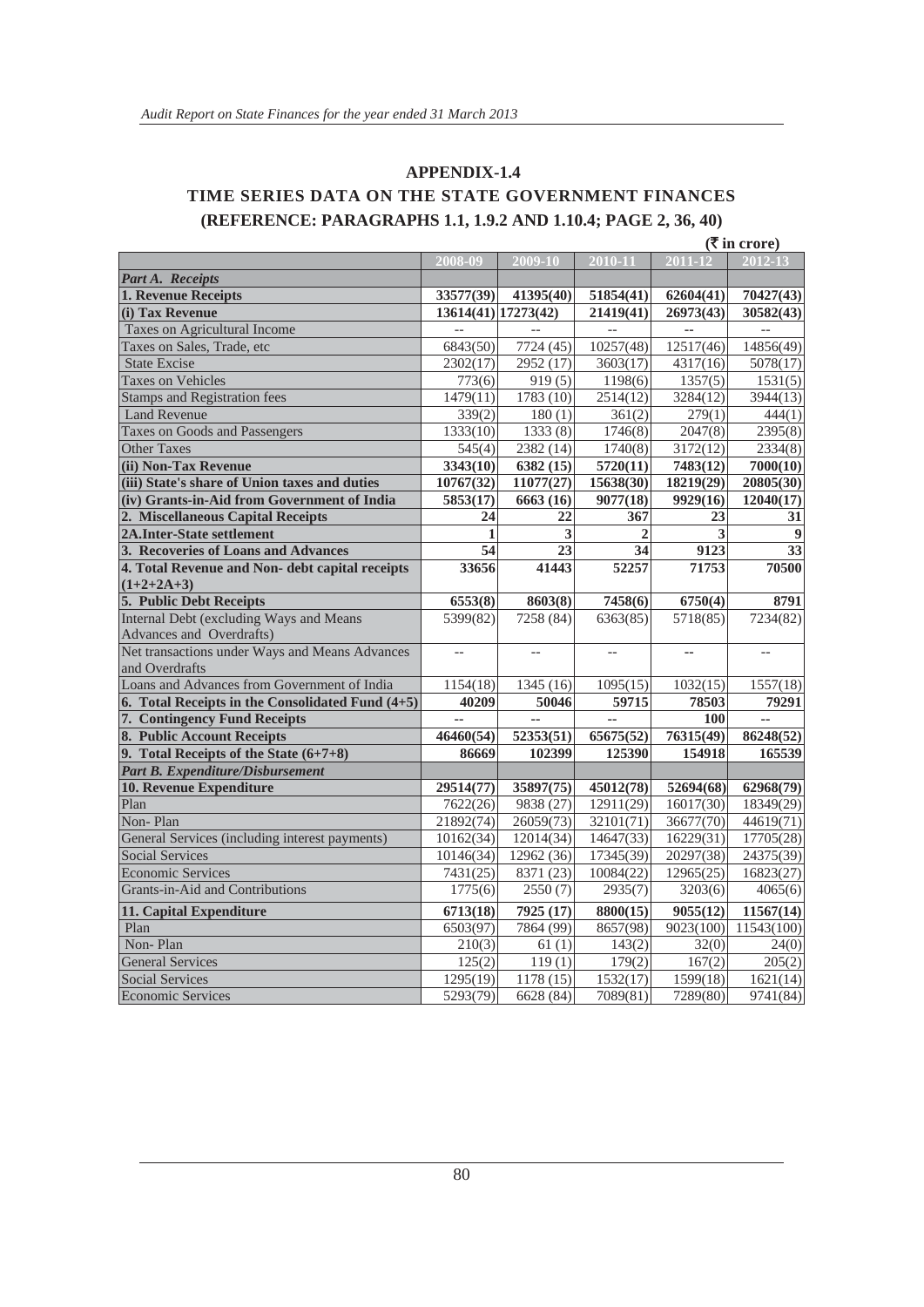#### **APPENDIX-1.4 TIME SERIES DATA ON THE STATE GOVERNMENT FINANCES (REFERENCE: PARAGRAPHS 1.1, 1.9.2 AND 1.10.4; PAGE 2, 36, 40)**

|                                                  |                       |                        |                 |           | $(\overline{\mathbf{\mathsf{F}}}$ in crore) |
|--------------------------------------------------|-----------------------|------------------------|-----------------|-----------|---------------------------------------------|
|                                                  | 2008-09               | 2009-10                | $2010 - 11$     | 2011-12   | $2012 - 13$                                 |
| Part A. Receipts                                 |                       |                        |                 |           |                                             |
| 1. Revenue Receipts                              | 33577(39)             | 41395(40)              | 51854(41)       | 62604(41) | 70427(43)                                   |
| (i) Tax Revenue                                  | 13614(41) 17273(42)   |                        | 21419(41)       | 26973(43) | 30582(43)                                   |
| Taxes on Agricultural Income                     |                       |                        |                 |           |                                             |
| Taxes on Sales, Trade, etc                       | 6843(50)              | 7724 (45)              | 10257(48)       | 12517(46) | 14856(49)                                   |
| <b>State Excise</b>                              | 2302(17)              | 2952 (17)              | 3603(17)        | 4317(16)  | 5078(17)                                    |
| <b>Taxes on Vehicles</b>                         | 773(6)                | 919(5)                 | 1198(6)         | 1357(5)   | 1531(5)                                     |
| <b>Stamps and Registration fees</b>              | 1479(11)              | 1783 (10)              | 2514(12)        | 3284(12)  | 3944(13)                                    |
| <b>Land Revenue</b>                              | 339(2)                | 180(1)                 | 361(2)          | 279(1)    | 444(1)                                      |
| Taxes on Goods and Passengers                    | 1333(10)              | 1333(8)                | 1746(8)         | 2047(8)   | 2395(8)                                     |
| <b>Other Taxes</b>                               | 545(4)                | 2382 (14)              | 1740(8)         | 3172(12)  | 2334(8)                                     |
| (ii) Non-Tax Revenue                             | 3343(10)              | 6382 (15)              | 5720(11)        | 7483(12)  | 7000(10)                                    |
| (iii) State's share of Union taxes and duties    | 10767(32)             | 11077(27)              | 15638(30)       | 18219(29) | 20805(30)                                   |
| (iv) Grants-in-Aid from Government of India      | 5853(17)              | 6663 (16)              | 9077(18)        | 9929(16)  | 12040(17)                                   |
| 2. Miscellaneous Capital Receipts                | 24                    | 22                     | 367             | 23        | 31                                          |
| <b>2A.Inter-State settlement</b>                 | 1                     | 3                      | $\overline{2}$  | 3         | $\boldsymbol{9}$                            |
| 3. Recoveries of Loans and Advances              | $\overline{54}$       | $\overline{23}$        | $\overline{34}$ | 9123      | $\overline{33}$                             |
| 4. Total Revenue and Non- debt capital receipts  | 33656                 | 41443                  | 52257           | 71753     | 70500                                       |
| $(1+2+2A+3)$                                     |                       |                        |                 |           |                                             |
| 5. Public Debt Receipts                          | 6553(8)               | 8603(8)                | 7458(6)         | 6750(4)   | 8791                                        |
| Internal Debt (excluding Ways and Means          | 5399(82)              | 7258 (84)              | 6363(85)        | 5718(85)  | 7234(82)                                    |
| Advances and Overdrafts)                         |                       |                        |                 |           |                                             |
| Net transactions under Ways and Means Advances   | $-$                   | $\overline{a}$         |                 |           | $-$                                         |
| and Overdrafts                                   |                       |                        |                 |           |                                             |
| Loans and Advances from Government of India      | 1154(18)              | 1345 (16)              | 1095(15)        | 1032(15)  | 1557(18)                                    |
| 6. Total Receipts in the Consolidated Fund (4+5) | 40209                 | 50046                  | 59715           | 78503     | 79291                                       |
| 7. Contingency Fund Receipts                     |                       | ă.                     |                 | 100       | ä.                                          |
| 8. Public Account Receipts                       | 46460(54)             | $\overline{52353(51)}$ | 65675(52)       | 76315(49) | 86248(52)                                   |
| 9. Total Receipts of the State (6+7+8)           | 86669                 | 102399                 | 125390          | 154918    | 165539                                      |
| Part B. Expenditure/Disbursement                 |                       |                        |                 |           |                                             |
| 10. Revenue Expenditure                          | 29514(77)             | 35897(75)              | 45012(78)       | 52694(68) | 62968(79)                                   |
| Plan                                             | 7622(26)              | 9838 (27)              | 12911(29)       | 16017(30) | 18349(29)                                   |
| Non-Plan                                         | 21892(74)             | 26059(73)              | 32101(71)       | 36677(70) | 44619(71)                                   |
| General Services (including interest payments)   | 10162(34)             | 12014(34)              | 14647(33)       | 16229(31) | 17705(28)                                   |
| <b>Social Services</b>                           | 10146(34)             | 12962 (36)             | 17345(39)       | 20297(38) | 24375(39)                                   |
| <b>Economic Services</b>                         | 7431(25)              | 8371 (23)              | 10084(22)       | 12965(25) | 16823(27)                                   |
| Grants-in-Aid and Contributions                  | $\overline{1}$ 775(6) | 2550(7)                | 2935(7)         | 3203(6)   | 4065(6)                                     |
| 11. Capital Expenditure                          | 6713(18)              | 7925 (17)              | 8800(15)        | 9055(12)  | 11567(14)                                   |
| Plan                                             | 6503(97)              | 7864 (99)              | 8657(98)        | 9023(100) | 11543(100)                                  |
| Non-Plan                                         | 210(3)                | 61(1)                  | 143(2)          | 32(0)     | 24(0)                                       |
| <b>General Services</b>                          | 125(2)                | 119(1)                 | 179(2)          | 167(2)    | 205(2)                                      |
| <b>Social Services</b>                           | 1295(19)              | 1178(15)               | 1532(17)        | 1599(18)  | 1621(14)                                    |
| <b>Economic Services</b>                         | 5293(79)              | 6628 (84)              | 7089(81)        | 7289(80)  | 9741(84)                                    |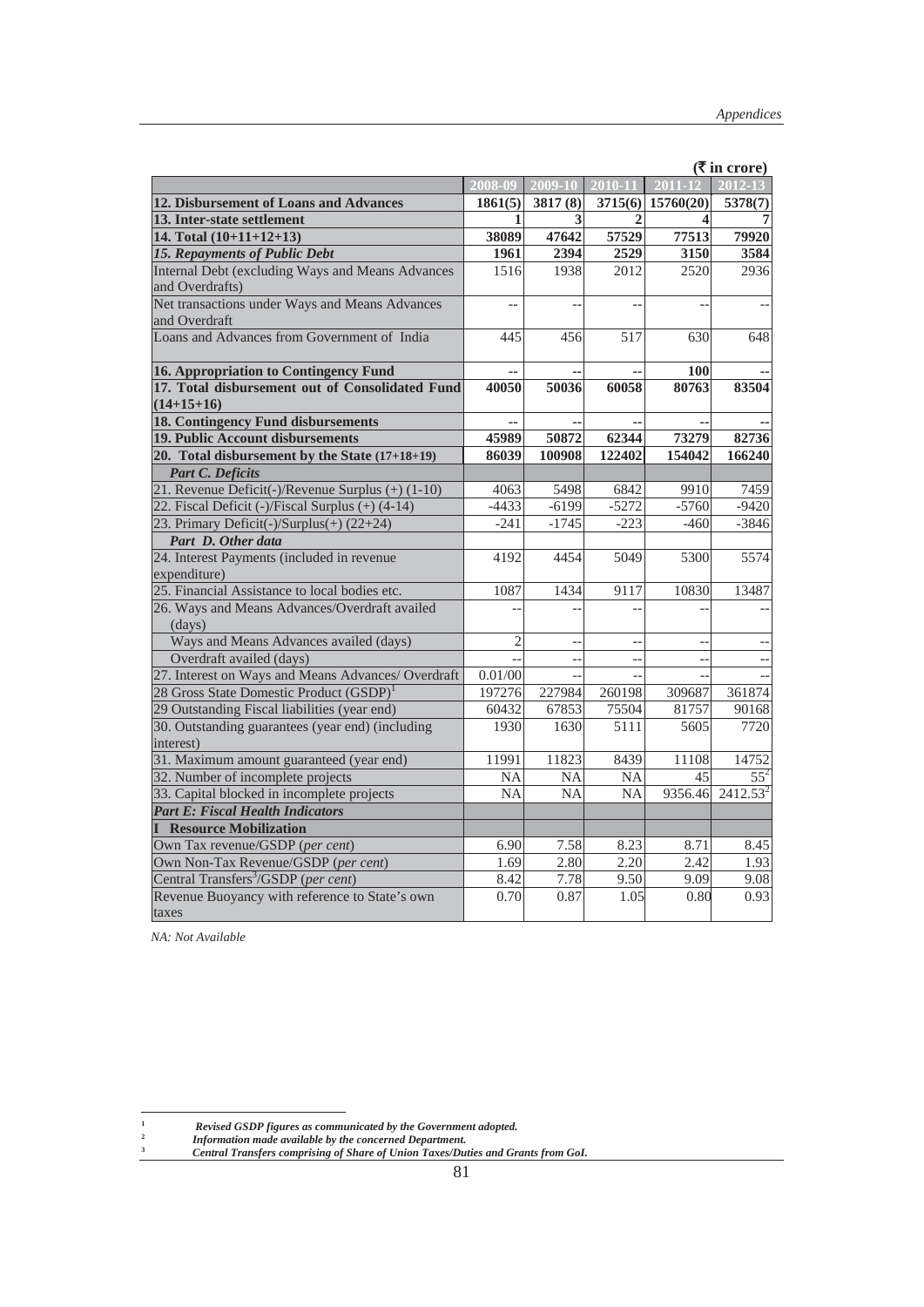|                                                     |                |                          |                          |                          | $(5 \text{ in } \text{core})$ |
|-----------------------------------------------------|----------------|--------------------------|--------------------------|--------------------------|-------------------------------|
|                                                     | 2008-09        | 2009-10                  | 2010-11                  | $\overline{2011-12}$     | 2012-13                       |
| 12. Disbursement of Loans and Advances              | 1861(5)        | 3817 (8)                 |                          | $3715(6)$ 15760(20)      | 5378(7)                       |
| 13. Inter-state settlement                          | 1              | 3                        | 2                        | 4                        |                               |
| 14. Total $(10+11+12+13)$                           | 38089          | 47642                    | 57529                    | 77513                    | 79920                         |
| 15. Repayments of Public Debt                       | 1961           | 2394                     | 2529                     | 3150                     | 3584                          |
| Internal Debt (excluding Ways and Means Advances    | 1516           | 1938                     | 2012                     | 2520                     | 2936                          |
| and Overdrafts)                                     |                |                          |                          |                          |                               |
| Net transactions under Ways and Means Advances      |                |                          | $\overline{\phantom{a}}$ | $\overline{\phantom{a}}$ |                               |
| and Overdraft                                       |                |                          |                          |                          |                               |
| Loans and Advances from Government of India         | 445            | 456                      | 517                      | 630                      | 648                           |
| 16. Appropriation to Contingency Fund               |                |                          |                          | 100                      |                               |
| 17. Total disbursement out of Consolidated Fund     | 40050          | 50036                    | 60058                    | 80763                    | 83504                         |
| $(14+15+16)$                                        |                |                          |                          |                          |                               |
| <b>18. Contingency Fund disbursements</b>           |                |                          |                          |                          |                               |
| 19. Public Account disbursements                    | 45989          | 50872                    | 62344                    | 73279                    | 82736                         |
| 20. Total disbursement by the State $(17+18+19)$    | 86039          | 100908                   | 122402                   | 154042                   | 166240                        |
| <b>Part C. Deficits</b>                             |                |                          |                          |                          |                               |
| 21. Revenue Deficit(-)/Revenue Surplus (+) (1-10)   | 4063           | 5498                     | 6842                     | 9910                     | 7459                          |
| 22. Fiscal Deficit (-)/Fiscal Surplus (+) (4-14)    | $-4433$        | $-6199$                  | $-5272$                  | $-5760$                  | $-9420$                       |
| 23. Primary Deficit(-)/Surplus(+) (22+24)           | $-241$         | $-1745$                  | $-223$                   | $-460$                   | $-3846$                       |
| Part D. Other data                                  |                |                          |                          |                          |                               |
| 24. Interest Payments (included in revenue          | 4192           | 4454                     | 5049                     | 5300                     | 5574                          |
| expenditure)                                        |                |                          |                          |                          |                               |
| 25. Financial Assistance to local bodies etc.       | 1087           | 1434                     | 9117                     | 10830                    | 13487                         |
| 26. Ways and Means Advances/Overdraft availed       |                |                          |                          |                          |                               |
| (days)                                              |                |                          |                          |                          |                               |
| Ways and Means Advances availed (days)              | $\overline{2}$ | $\overline{\phantom{a}}$ | $\overline{a}$           | $\overline{\phantom{a}}$ |                               |
| Overdraft availed (days)                            |                | $\overline{a}$           | $\overline{a}$           | $\overline{\phantom{a}}$ |                               |
| 27. Interest on Ways and Means Advances/ Overdraft  | 0.01/00        | $\overline{a}$           | $\overline{a}$           |                          |                               |
| 28 Gross State Domestic Product (GSDP) <sup>1</sup> | 197276         | 227984                   | 260198                   | 309687                   | 361874                        |
| 29 Outstanding Fiscal liabilities (year end)        | 60432          | 67853                    | 75504                    | 81757                    | 90168                         |
| 30. Outstanding guarantees (year end) (including    | 1930           | 1630                     | 5111                     | 5605                     | 7720                          |
| interest)                                           |                |                          |                          |                          |                               |
| 31. Maximum amount guaranteed (year end)            | 11991          | 11823                    | 8439                     | 11108                    | 14752                         |
| 32. Number of incomplete projects                   | <b>NA</b>      | <b>NA</b>                | <b>NA</b>                | 45                       | $55^2$                        |
| 33. Capital blocked in incomplete projects          | <b>NA</b>      | <b>NA</b>                | <b>NA</b>                | 9356.46                  | $2412.53^2$                   |
| <b>Part E: Fiscal Health Indicators</b>             |                |                          |                          |                          |                               |
| <b>Resource Mobilization</b>                        |                |                          |                          |                          |                               |
| Own Tax revenue/GSDP (per cent)                     | 6.90           | 7.58                     | 8.23                     | 8.71                     | 8.45                          |
| Own Non-Tax Revenue/GSDP (per cent)                 | 1.69           | 2.80                     | 2.20                     | 2.42                     | 1.93                          |
| Central Transfers <sup>3</sup> /GSDP (per cent)     | 8.42           | 7.78                     | 9.50                     | 9.09                     | 9.08                          |
| Revenue Buoyancy with reference to State's own      | 0.70           | 0.87                     | 1.05                     | 0.80                     | 0.93                          |
| taxes                                               |                |                          |                          |                          |                               |

**(**` **in crore)** 

 *NA: Not Available*

**1**

*Revised GSDP figures as communicated by the Government adopted.* **<sup>2</sup>** *Information made available by the concerned Department.*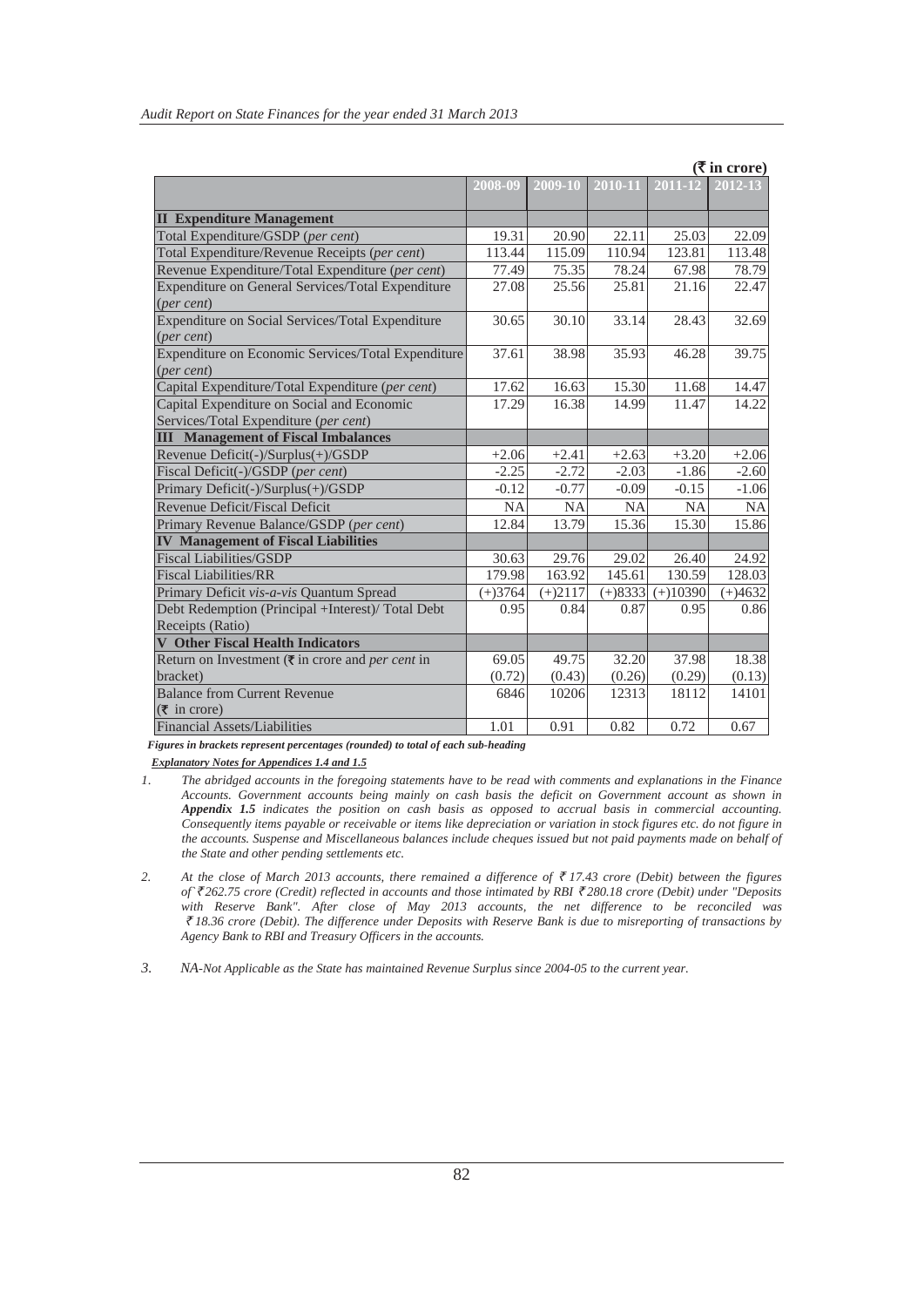|                                                                          |           |           |             |            | $(\bar{\mathbf{\mathsf{I}}})$ in crore) |
|--------------------------------------------------------------------------|-----------|-----------|-------------|------------|-----------------------------------------|
|                                                                          | 2008-09   | 2009-10   | $2010 - 11$ | 2011-12    | 2012-13                                 |
|                                                                          |           |           |             |            |                                         |
| <b>II</b> Expenditure Management                                         |           |           |             |            |                                         |
| Total Expenditure/GSDP (per cent)                                        | 19.31     | 20.90     | 22.11       | 25.03      | 22.09                                   |
| Total Expenditure/Revenue Receipts (per cent)                            | 113.44    | 115.09    | 110.94      | 123.81     | 113.48                                  |
| Revenue Expenditure/Total Expenditure (per cent)                         | 77.49     | 75.35     | 78.24       | 67.98      | 78.79                                   |
| Expenditure on General Services/Total Expenditure                        | 27.08     | 25.56     | 25.81       | 21.16      | 22.47                                   |
| (per cent)                                                               |           |           |             |            |                                         |
| Expenditure on Social Services/Total Expenditure                         | 30.65     | 30.10     | 33.14       | 28.43      | 32.69                                   |
| (per cent)                                                               |           |           |             |            |                                         |
| Expenditure on Economic Services/Total Expenditure                       | 37.61     | 38.98     | 35.93       | 46.28      | 39.75                                   |
| $(\text{per cent})$                                                      |           |           |             |            |                                         |
| Capital Expenditure/Total Expenditure (per cent)                         | 17.62     | 16.63     | 15.30       | 11.68      | 14.47                                   |
| Capital Expenditure on Social and Economic                               | 17.29     | 16.38     | 14.99       | 11.47      | 14.22                                   |
| Services/Total Expenditure (per cent)                                    |           |           |             |            |                                         |
| <b>III</b> Management of Fiscal Imbalances                               |           |           |             |            |                                         |
| Revenue Deficit(-)/Surplus(+)/GSDP                                       | $+2.06$   | $+2.41$   | $+2.63$     | $+3.20$    | $+2.06$                                 |
| Fiscal Deficit(-)/GSDP (per cent)                                        | $-2.25$   | $-2.72$   | $-2.03$     | $-1.86$    | $-2.60$                                 |
| Primary Deficit(-)/Surplus(+)/GSDP                                       | $-0.12$   | $-0.77$   | $-0.09$     | $-0.15$    | $-1.06$                                 |
| Revenue Deficit/Fiscal Deficit                                           | <b>NA</b> | <b>NA</b> | <b>NA</b>   | <b>NA</b>  | <b>NA</b>                               |
| Primary Revenue Balance/GSDP (per cent)                                  | 12.84     | 13.79     | 15.36       | 15.30      | 15.86                                   |
| <b>IV Management of Fiscal Liabilities</b>                               |           |           |             |            |                                         |
| <b>Fiscal Liabilities/GSDP</b>                                           | 30.63     | 29.76     | 29.02       | 26.40      | 24.92                                   |
| <b>Fiscal Liabilities/RR</b>                                             | 179.98    | 163.92    | 145.61      | 130.59     | 128.03                                  |
| Primary Deficit vis-a-vis Quantum Spread                                 | $(+)3764$ | $(+)2117$ | $(+)8333$   | $(+)10390$ | $(+)4632$                               |
| Debt Redemption (Principal +Interest)/ Total Debt                        | 0.95      | 0.84      | 0.87        | 0.95       | 0.86                                    |
| Receipts (Ratio)                                                         |           |           |             |            |                                         |
| <b>V</b> Other Fiscal Health Indicators                                  |           |           |             |            |                                         |
| Return on Investment ( $\overline{\tau}$ in crore and <i>per cent</i> in | 69.05     | 49.75     | 32.20       | 37.98      | 18.38                                   |
| bracket)                                                                 | (0.72)    | (0.43)    | (0.26)      | (0.29)     | (0.13)                                  |
| <b>Balance from Current Revenue</b>                                      | 6846      | 10206     | 12313       | 18112      | 14101                                   |
| $(\overline{\mathbf{\overline{z}}}$ in crore)                            |           |           |             |            |                                         |
| <b>Financial Assets/Liabilities</b>                                      | 1.01      | 0.91      | 0.82        | 0.72       | 0.67                                    |

*Figures in brackets represent percentages (rounded) to total of each sub-heading*

 *Explanatory Notes for Appendices 1.4 and 1.5*

- *1*. *The abridged accounts in the foregoing statements have to be read with comments and explanations in the Finance Accounts. Government accounts being mainly on cash basis the deficit on Government account as shown in Appendix 1.5 indicates the position on cash basis as opposed to accrual basis in commercial accounting. Consequently items payable or receivable or items like depreciation or variation in stock figures etc. do not figure in the accounts. Suspense and Miscellaneous balances include cheques issued but not paid payments made on behalf of the State and other pending settlements etc.*
- 2. At the close of March 2013 accounts, there remained a difference of  $\bar{\tau}$  17.43 crore (Debit) between the figures *of`*` *262.75 crore (Credit) reflected in accounts and those intimated by RBI* ` *280.18 crore (Debit) under "Deposits with Reserve Bank". After close of May 2013 accounts, the net difference to be reconciled was*  ` *18.36 crore (Debit). The difference under Deposits with Reserve Bank is due to misreporting of transactions by Agency Bank to RBI and Treasury Officers in the accounts.*

*3. NA-Not Applicable as the State has maintained Revenue Surplus since 2004-05 to the current year.*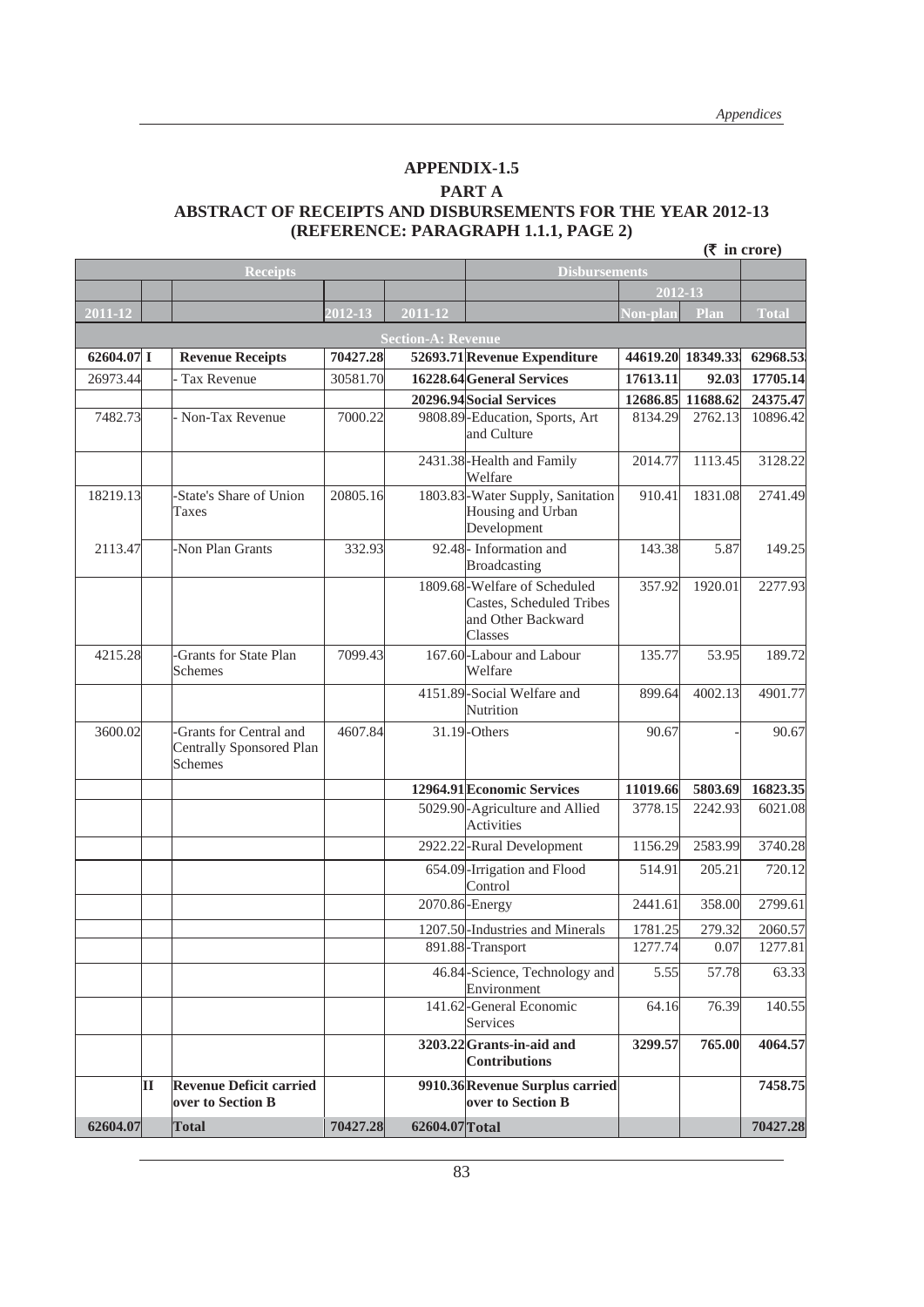#### **APPENDIX-1.5**

#### **PART A**

#### **ABSTRACT OF RECEIPTS AND DISBURSEMENTS FOR THE YEAR 2012-13 (REFERENCE: PARAGRAPH 1.1.1, PAGE 2)**

|              |   |                                                                |          |                           |                                                                                                  |                  |                   | $(\bar{\bar{\mathbf{x}}}$ in crore) |
|--------------|---|----------------------------------------------------------------|----------|---------------------------|--------------------------------------------------------------------------------------------------|------------------|-------------------|-------------------------------------|
|              |   | <b>Receipts</b>                                                |          |                           | <b>Disbursements</b>                                                                             |                  |                   |                                     |
|              |   |                                                                |          |                           |                                                                                                  | $2012 - 13$      |                   |                                     |
| 2011-12      |   |                                                                | 2012-13  | 2011-12                   |                                                                                                  | <u> Von-plan</u> | Plan              | <b>Total</b>                        |
|              |   |                                                                |          | <b>Section-A: Revenue</b> |                                                                                                  |                  |                   |                                     |
| $62604.07$ I |   | <b>Revenue Receipts</b>                                        | 70427.28 |                           | 52693.71 Revenue Expenditure                                                                     |                  | 44619.20 18349.33 | 62968.53                            |
| 26973.44     |   | Tax Revenue                                                    | 30581.70 |                           | 16228.64 General Services                                                                        | 17613.11         | 92.03             | 17705.14                            |
|              |   |                                                                |          |                           | 20296.94 Social Services                                                                         | 12686.85         | 11688.62          | 24375.47                            |
| 7482.73      |   | - Non-Tax Revenue                                              | 7000.22  |                           | 9808.89-Education, Sports, Art<br>and Culture                                                    | 8134.29          | 2762.13           | 10896.42                            |
|              |   |                                                                |          |                           | 2431.38-Health and Family<br>Welfare                                                             | 2014.77          | 1113.45           | 3128.22                             |
| 18219.13     |   | -State's Share of Union<br>Taxes                               | 20805.16 |                           | 1803.83-Water Supply, Sanitation<br>Housing and Urban<br>Development                             | 910.41           | 1831.08           | 2741.49                             |
| 2113.47      |   | -Non Plan Grants                                               | 332.93   |                           | 92.48- Information and<br>Broadcasting                                                           | 143.38           | 5.87              | 149.25                              |
|              |   |                                                                |          |                           | 1809.68-Welfare of Scheduled<br><b>Castes, Scheduled Tribes</b><br>and Other Backward<br>Classes | 357.92           | 1920.01           | 2277.93                             |
| 4215.28      |   | -Grants for State Plan<br>Schemes                              | 7099.43  |                           | 167.60-Labour and Labour<br>Welfare                                                              | 135.77           | 53.95             | 189.72                              |
|              |   |                                                                |          |                           | 4151.89-Social Welfare and<br>Nutrition                                                          | 899.64           | 4002.13           | 4901.77                             |
| 3600.02      |   | -Grants for Central and<br>Centrally Sponsored Plan<br>Schemes | 4607.84  |                           | $31.19$ -Others                                                                                  | 90.67            |                   | 90.67                               |
|              |   |                                                                |          |                           | 12964.91 Economic Services                                                                       | 11019.66         | 5803.69           | 16823.35                            |
|              |   |                                                                |          |                           | 5029.90-Agriculture and Allied<br><b>Activities</b>                                              | 3778.15          | 2242.93           | 6021.08                             |
|              |   |                                                                |          |                           | 2922.22-Rural Development                                                                        | 1156.29          | 2583.99           | 3740.28                             |
|              |   |                                                                |          |                           | 654.09-Irrigation and Flood<br>Control                                                           | 514.91           | 205.21            | 720.12                              |
|              |   |                                                                |          |                           | 2070.86 - Energy                                                                                 | 2441.61          | 358.00            | 2799.61                             |
|              |   |                                                                |          |                           | 1207.50-Industries and Minerals                                                                  | 1781.25          | 279.32            | 2060.57                             |
|              |   |                                                                |          |                           | 891.88-Transport                                                                                 | 1277.74          | 0.07              | 1277.81                             |
|              |   |                                                                |          |                           | 46.84-Science, Technology and<br>Environment                                                     | 5.55             | 57.78             | 63.33                               |
|              |   |                                                                |          |                           | 141.62-General Economic<br>Services                                                              | 64.16            | 76.39             | 140.55                              |
|              |   |                                                                |          |                           | 3203.22 Grants-in-aid and<br><b>Contributions</b>                                                | 3299.57          | 765.00            | 4064.57                             |
|              | П | <b>Revenue Deficit carried</b><br>over to Section B            |          |                           | 9910.36 Revenue Surplus carried<br>over to Section B                                             |                  |                   | 7458.75                             |
| 62604.07     |   | Total                                                          | 70427.28 | 62604.07 Total            |                                                                                                  |                  |                   | 70427.28                            |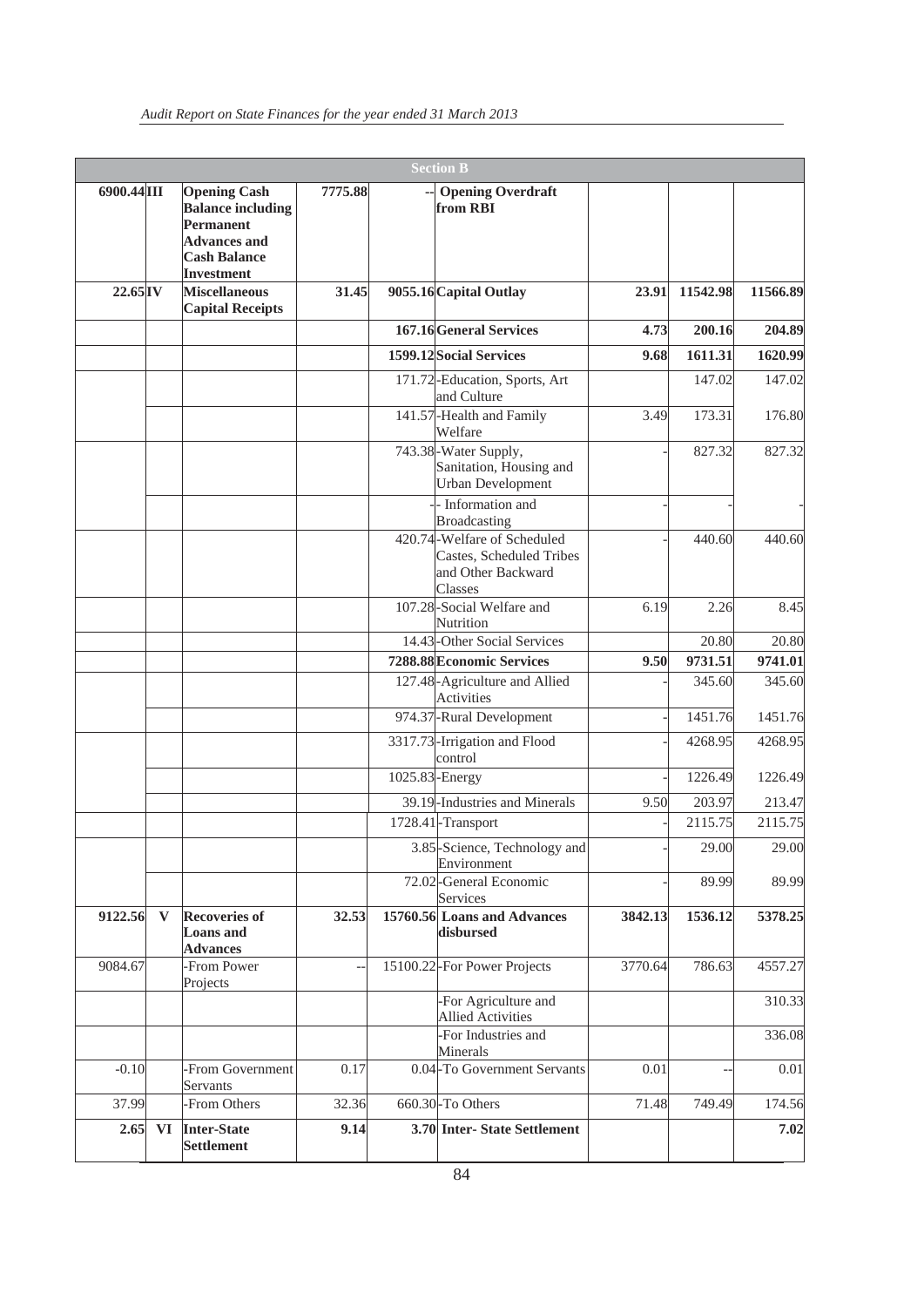|                       |    |                                                                                                                                 |         | <b>Section B</b>                                                                         |         |                   |                   |
|-----------------------|----|---------------------------------------------------------------------------------------------------------------------------------|---------|------------------------------------------------------------------------------------------|---------|-------------------|-------------------|
| 6900.44 III           |    | <b>Opening Cash</b><br><b>Balance including</b><br>Permanent<br><b>Advances and</b><br><b>Cash Balance</b><br><b>Investment</b> | 7775.88 | <b>Opening Overdraft</b><br>from RBI                                                     |         |                   |                   |
| $22.65$ <sup>IV</sup> |    | <b>Miscellaneous</b><br><b>Capital Receipts</b>                                                                                 | 31.45   | 9055.16 Capital Outlay                                                                   | 23.91   | 11542.98          | 11566.89          |
|                       |    |                                                                                                                                 |         | 167.16 General Services                                                                  | 4.73    | 200.16            | 204.89            |
|                       |    |                                                                                                                                 |         | 1599.12 Social Services                                                                  | 9.68    | 1611.31           | 1620.99           |
|                       |    |                                                                                                                                 |         | 171.72-Education, Sports, Art<br>and Culture                                             |         | 147.02            | 147.02            |
|                       |    |                                                                                                                                 |         | 141.57-Health and Family<br>Welfare                                                      | 3.49    | 173.31            | 176.80            |
|                       |    |                                                                                                                                 |         | 743.38-Water Supply,<br>Sanitation, Housing and<br><b>Urban Development</b>              |         | 827.32            | 827.32            |
|                       |    |                                                                                                                                 |         | - Information and<br><b>Broadcasting</b>                                                 |         |                   |                   |
|                       |    |                                                                                                                                 |         | 420.74-Welfare of Scheduled<br>Castes, Scheduled Tribes<br>and Other Backward<br>Classes |         | 440.60            | 440.60            |
|                       |    |                                                                                                                                 |         | 107.28-Social Welfare and<br>Nutrition                                                   | 6.19    | 2.26              | 8.45              |
|                       |    |                                                                                                                                 |         | 14.43-Other Social Services                                                              |         | 20.80             | 20.80             |
|                       |    |                                                                                                                                 |         | 7288.88 Economic Services<br>127.48-Agriculture and Allied                               | 9.50    | 9731.51<br>345.60 | 9741.01<br>345.60 |
|                       |    |                                                                                                                                 |         | <b>Activities</b>                                                                        |         |                   |                   |
|                       |    |                                                                                                                                 |         | 974.37-Rural Development                                                                 |         | 1451.76           | 1451.76           |
|                       |    |                                                                                                                                 |         | 3317.73-Irrigation and Flood<br>control                                                  |         | 4268.95           | 4268.95           |
|                       |    |                                                                                                                                 |         | 1025.83-Energy                                                                           |         | 1226.49           | 1226.49           |
|                       |    |                                                                                                                                 |         | 39.19-Industries and Minerals                                                            | 9.50    | 203.97            | 213.47            |
|                       |    |                                                                                                                                 |         | 1728.41-Transport                                                                        |         | 2115.75           | 2115.75           |
|                       |    |                                                                                                                                 |         | 3.85-Science, Technology and<br>Environment                                              |         | 29.00             | 29.00             |
|                       |    |                                                                                                                                 |         | 72.02-General Economic<br>Services                                                       |         | 89.99             | 89.99             |
| 9122.56               | V  | <b>Recoveries of</b><br><b>Loans</b> and<br><b>Advances</b>                                                                     | 32.53   | 15760.56 Loans and Advances<br>disbursed                                                 | 3842.13 | 1536.12           | 5378.25           |
| 9084.67               |    | -From Power<br>Projects                                                                                                         |         | 15100.22-For Power Projects                                                              | 3770.64 | 786.63            | 4557.27           |
|                       |    |                                                                                                                                 |         | -For Agriculture and<br><b>Allied Activities</b>                                         |         |                   | 310.33            |
|                       |    |                                                                                                                                 |         | -For Industries and<br>Minerals                                                          |         |                   | 336.08            |
| $-0.10$               |    | -From Government<br>Servants                                                                                                    | 0.17    | 0.04-To Government Servants                                                              | 0.01    |                   | 0.01              |
| 37.99                 |    | -From Others                                                                                                                    | 32.36   | 660.30-To Others                                                                         | 71.48   | 749.49            | 174.56            |
| 2.65                  | VI | Inter-State<br><b>Settlement</b>                                                                                                | 9.14    | 3.70 Inter-State Settlement                                                              |         |                   | 7.02              |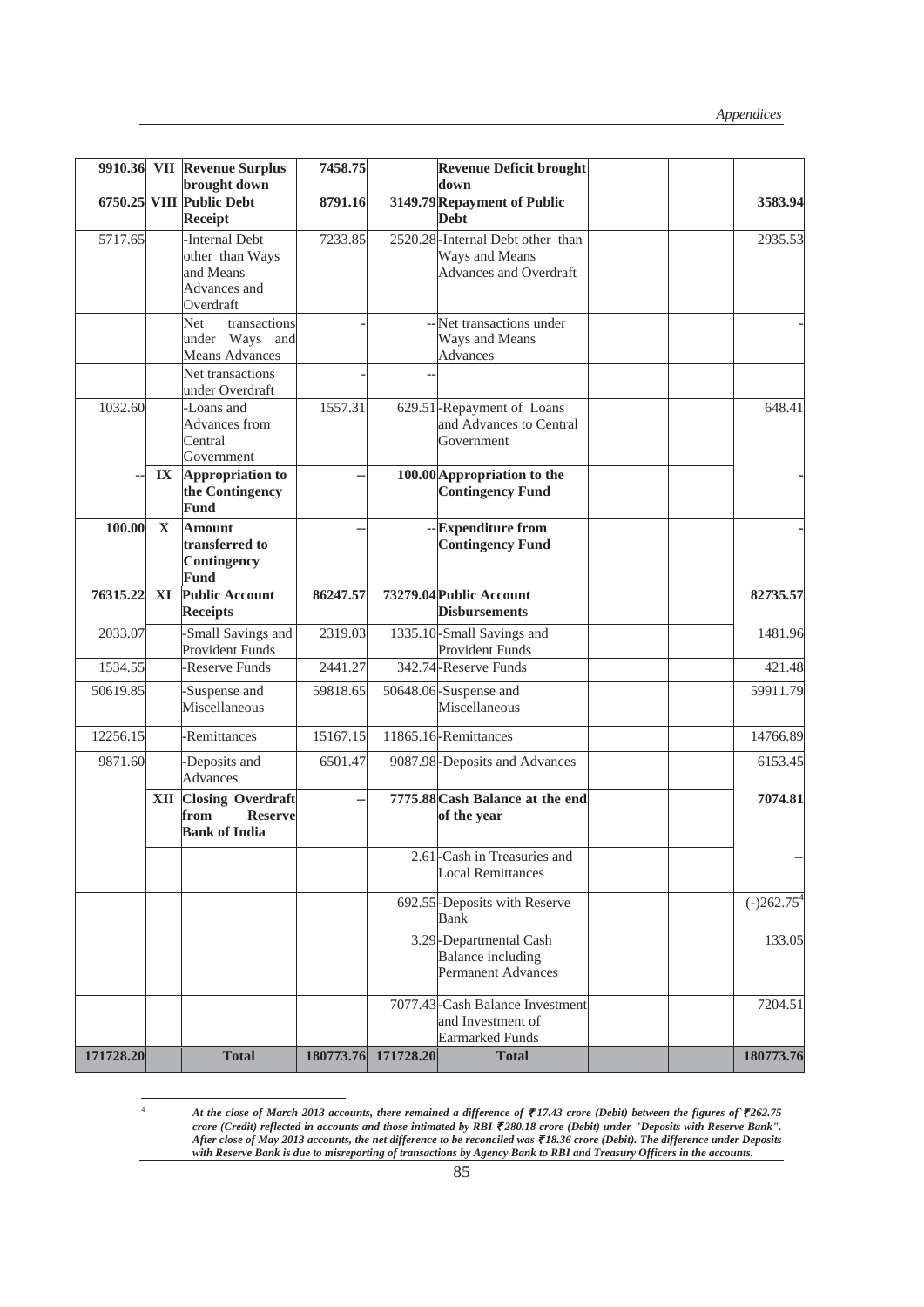|           |                         | 9910.36 VII Revenue Surplus                                                 | 7458.75  |                     | <b>Revenue Deficit brought</b>                                                                              |              |
|-----------|-------------------------|-----------------------------------------------------------------------------|----------|---------------------|-------------------------------------------------------------------------------------------------------------|--------------|
|           |                         | brought down                                                                |          |                     | down                                                                                                        |              |
|           |                         | 6750.25 VIII Public Debt<br>Receipt                                         | 8791.16  |                     | 3149.79 Repayment of Public<br><b>Debt</b>                                                                  | 3583.94      |
| 5717.65   |                         | -Internal Debt<br>other than Ways<br>and Means<br>Advances and<br>Overdraft | 7233.85  |                     | 2520.28-Internal Debt other than<br>Ways and Means<br>Advances and Overdraft                                | 2935.53      |
|           |                         | Net<br>transactions<br>under Ways and<br>Means Advances<br>Net transactions |          |                     | -- Net transactions under<br>Ways and Means<br><b>Advances</b>                                              |              |
| 1032.60   |                         | under Overdraft<br>-Loans and<br>Advances from<br>Central<br>Government     | 1557.31  |                     | 629.51-Repayment of Loans<br>and Advances to Central<br>Government                                          | 648.41       |
|           | $\mathbf{I} \mathbf{X}$ | Appropriation to<br>the Contingency<br><b>Fund</b>                          |          |                     | 100.00 Appropriation to the<br><b>Contingency Fund</b>                                                      |              |
| 100.00    | $\mathbf X$             | <b>Amount</b><br>transferred to<br>Contingency<br>Fund                      |          |                     | -- Expenditure from<br><b>Contingency Fund</b>                                                              |              |
| 76315.22  | XI                      | <b>Public Account</b><br><b>Receipts</b>                                    | 86247.57 |                     | 73279.04 Public Account<br><b>Disbursements</b>                                                             | 82735.57     |
| 2033.07   |                         | -Small Savings and<br>Provident Funds                                       | 2319.03  |                     | 1335.10-Small Savings and<br>Provident Funds                                                                | 1481.96      |
| 1534.55   |                         | Reserve Funds                                                               | 2441.27  |                     | 342.74-Reserve Funds                                                                                        | 421.48       |
| 50619.85  |                         | -Suspense and<br>Miscellaneous                                              | 59818.65 |                     | 50648.06-Suspense and<br>Miscellaneous                                                                      | 59911.79     |
| 12256.15  |                         | -Remittances                                                                | 15167.15 |                     | 11865.16-Remittances                                                                                        | 14766.89     |
| 9871.60   |                         | -Deposits and<br>Advances                                                   | 6501.47  |                     | 9087.98-Deposits and Advances                                                                               | 6153.45      |
|           | XII                     | <b>Closing Overdraft</b><br>from<br><b>Reserve</b><br><b>Bank of India</b>  |          |                     | 7775.88 Cash Balance at the end<br>of the year<br>2.61 - Cash in Treasuries and<br><b>Local Remittances</b> | 7074.81      |
|           |                         |                                                                             |          |                     |                                                                                                             |              |
|           |                         |                                                                             |          |                     | 692.55-Deposits with Reserve<br><b>Bank</b>                                                                 | $(-)262.754$ |
|           |                         |                                                                             |          |                     | 3.29-Departmental Cash<br>Balance including<br>Permanent Advances                                           | 133.05       |
|           |                         |                                                                             |          |                     | 7077.43-Cash Balance Investment<br>and Investment of<br><b>Earmarked Funds</b>                              | 7204.51      |
| 171728.20 |                         | <b>Total</b>                                                                |          | 180773.76 171728.20 | <b>Total</b>                                                                                                | 180773.76    |

 *At the close of March 2013 accounts, there remained a difference of* ` *17.43 crore (Debit) between the figures of`*` *262.75 crore (Credit) reflected in accounts and those intimated by RBI ₹280.18 crore (Debit) under "Deposits with Reserve Bank". After close of May 2013 accounts, the net difference to be reconciled was* ` *18.36 crore (Debit). The difference under Deposits with Reserve Bank is due to misreporting of transactions by Agency Bank to RBI and Treasury Officers in the accounts.*

4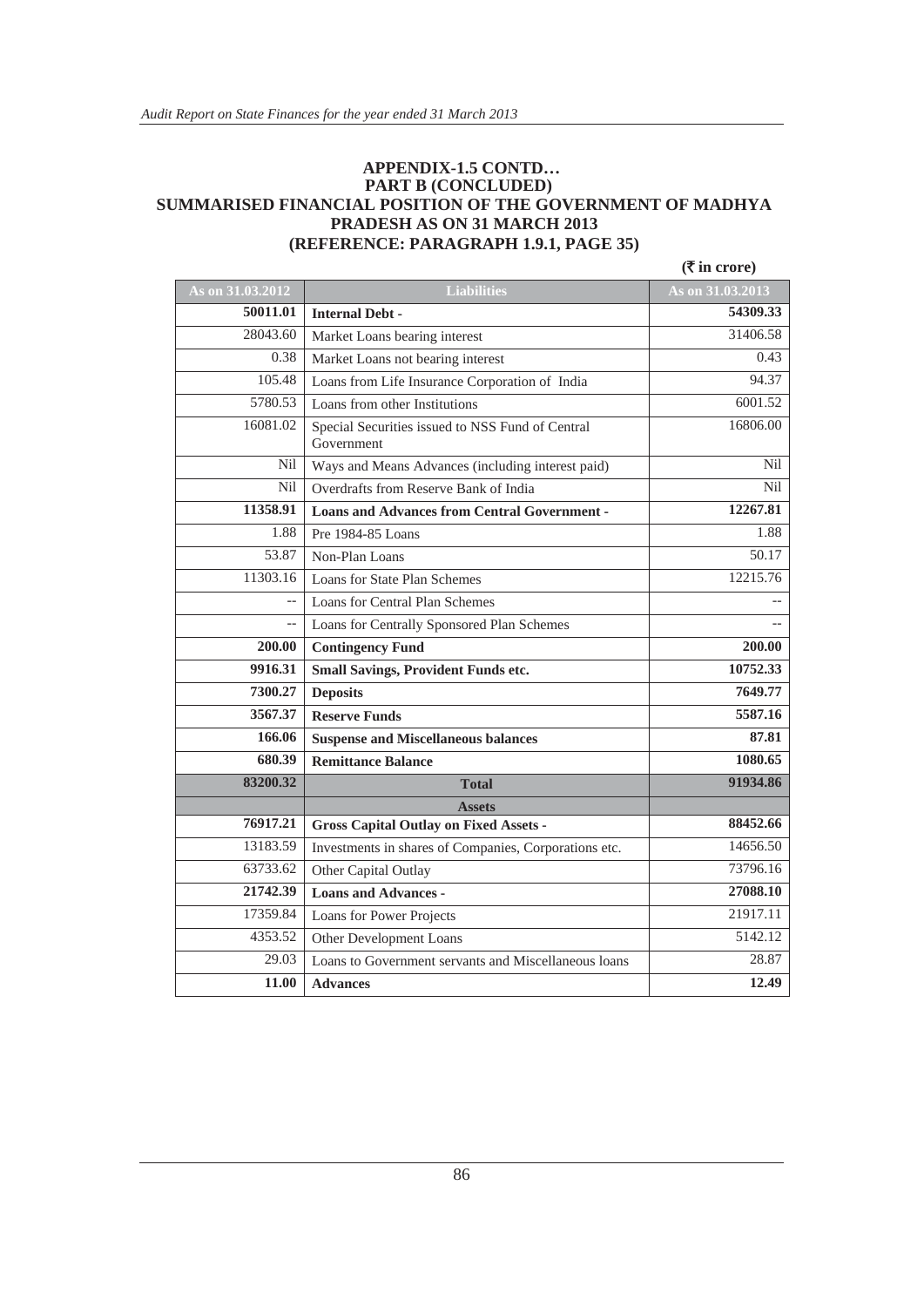#### **APPENDIX-1.5 CONTD… PART B (CONCLUDED) SUMMARISED FINANCIAL POSITION OF THE GOVERNMENT OF MADHYA PRADESH AS ON 31 MARCH 2013 (REFERENCE: PARAGRAPH 1.9.1, PAGE 35)**

|                  |                                                                | $(\overline{\mathbf{\mathsf{F}}}$ in crore) |
|------------------|----------------------------------------------------------------|---------------------------------------------|
| As on 31.03.2012 | <b>Liabilities</b>                                             | As on 31.03.2013                            |
| 50011.01         | <b>Internal Debt -</b>                                         | 54309.33                                    |
| 28043.60         | Market Loans bearing interest                                  | 31406.58                                    |
| 0.38             | Market Loans not bearing interest                              | 0.43                                        |
| 105.48           | Loans from Life Insurance Corporation of India                 | 94.37                                       |
| 5780.53          | Loans from other Institutions                                  | 6001.52                                     |
| 16081.02         | Special Securities issued to NSS Fund of Central<br>Government | 16806.00                                    |
| Nil              | Ways and Means Advances (including interest paid)              | Nil                                         |
| Nil              | Overdrafts from Reserve Bank of India                          | <b>Nil</b>                                  |
| 11358.91         | <b>Loans and Advances from Central Government -</b>            | 12267.81                                    |
| 1.88             | Pre 1984-85 Loans                                              | 1.88                                        |
| 53.87            | Non-Plan Loans                                                 | 50.17                                       |
| 11303.16         | Loans for State Plan Schemes                                   | 12215.76                                    |
| $\overline{a}$   | Loans for Central Plan Schemes                                 |                                             |
| $-$              | Loans for Centrally Sponsored Plan Schemes                     |                                             |
| 200.00           | <b>Contingency Fund</b>                                        | 200.00                                      |
| 9916.31          | <b>Small Savings, Provident Funds etc.</b>                     | 10752.33                                    |
| 7300.27          | <b>Deposits</b>                                                | 7649.77                                     |
| 3567.37          | <b>Reserve Funds</b>                                           | 5587.16                                     |
| 166.06           | <b>Suspense and Miscellaneous balances</b>                     | 87.81                                       |
| 680.39           | <b>Remittance Balance</b>                                      | 1080.65                                     |
| 83200.32         | <b>Total</b>                                                   | 91934.86                                    |
|                  | <b>Assets</b>                                                  |                                             |
| 76917.21         | <b>Gross Capital Outlay on Fixed Assets -</b>                  | 88452.66                                    |
| 13183.59         | Investments in shares of Companies, Corporations etc.          | 14656.50                                    |
| 63733.62         | Other Capital Outlay                                           | 73796.16                                    |
| 21742.39         | <b>Loans and Advances -</b>                                    | 27088.10                                    |
| 17359.84         | Loans for Power Projects                                       | 21917.11                                    |
| 4353.52          | Other Development Loans                                        | 5142.12                                     |
| 29.03            | Loans to Government servants and Miscellaneous loans           | 28.87                                       |
| 11.00            | <b>Advances</b>                                                | 12.49                                       |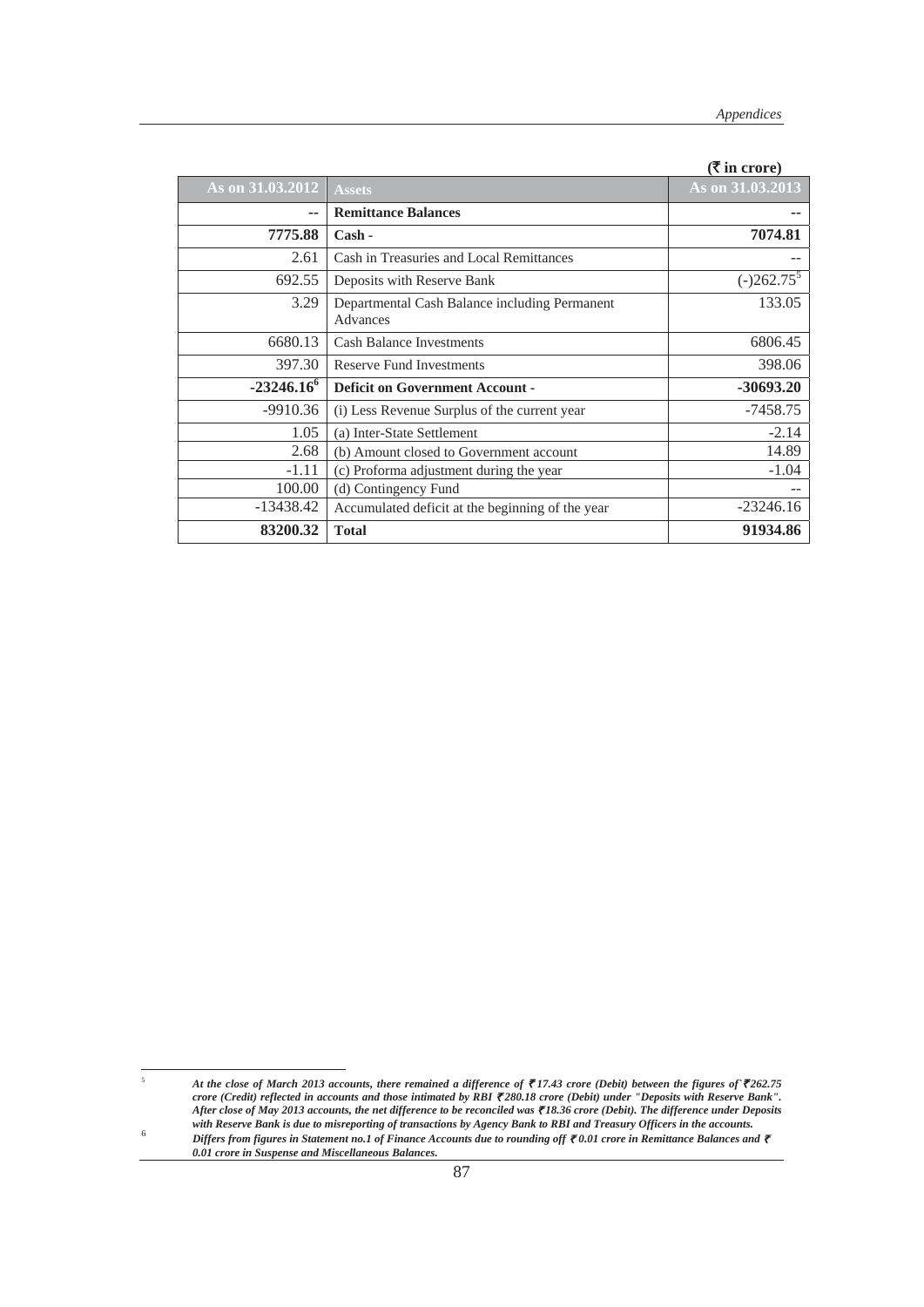|                     |                                                           | $\mathbf{u}$ in croic) |
|---------------------|-----------------------------------------------------------|------------------------|
| As on 31.03.2012    | <b>Assets</b>                                             | As on 31.03.2013       |
| --                  | <b>Remittance Balances</b>                                |                        |
| 7775.88             | $Cash -$                                                  | 7074.81                |
| 2.61                | Cash in Treasuries and Local Remittances                  |                        |
| 692.55              | Deposits with Reserve Bank                                | $(-)262.75^5$          |
| 3.29                | Departmental Cash Balance including Permanent<br>Advances | 133.05                 |
| 6680.13             | <b>Cash Balance Investments</b>                           | 6806.45                |
| 397.30              | <b>Reserve Fund Investments</b>                           | 398.06                 |
| $-23246.16^{\circ}$ | <b>Deficit on Government Account -</b>                    | $-30693.20$            |
| $-9910.36$          | (i) Less Revenue Surplus of the current year              | $-7458.75$             |
| 1.05                | (a) Inter-State Settlement                                | $-2.14$                |
| 2.68                | (b) Amount closed to Government account                   | 14.89                  |
| $-1.11$             | (c) Proforma adjustment during the year                   | $-1.04$                |
| 100.00              | (d) Contingency Fund                                      |                        |
| -13438.42           | Accumulated deficit at the beginning of the year          | $-23246.16$            |
| 83200.32            | <b>Total</b>                                              | 91934.86               |

**(**` **in crore)**

5

*At the close of March 2013 accounts, there remained a difference of ₹17.43 crore (Debit) between the figures of ₹262.75 crore (Credit) reflected in accounts and those intimated by RBI ₹280.18 crore (Debit) under "Deposits with Reserve Bank". After close of May 2013 accounts, the net difference to be reconciled was* ` *18.36 crore (Debit). The difference under Deposits with Reserve Bank is due to misreporting of transactions by Agency Bank to RBI and Treasury Officers in the accounts. Differs from figures in Statement no.1 of Finance Accounts due to rounding off* ` *0.01 crore in Remittance Balances and* ` *0.01 crore in Suspense and Miscellaneous Balances.*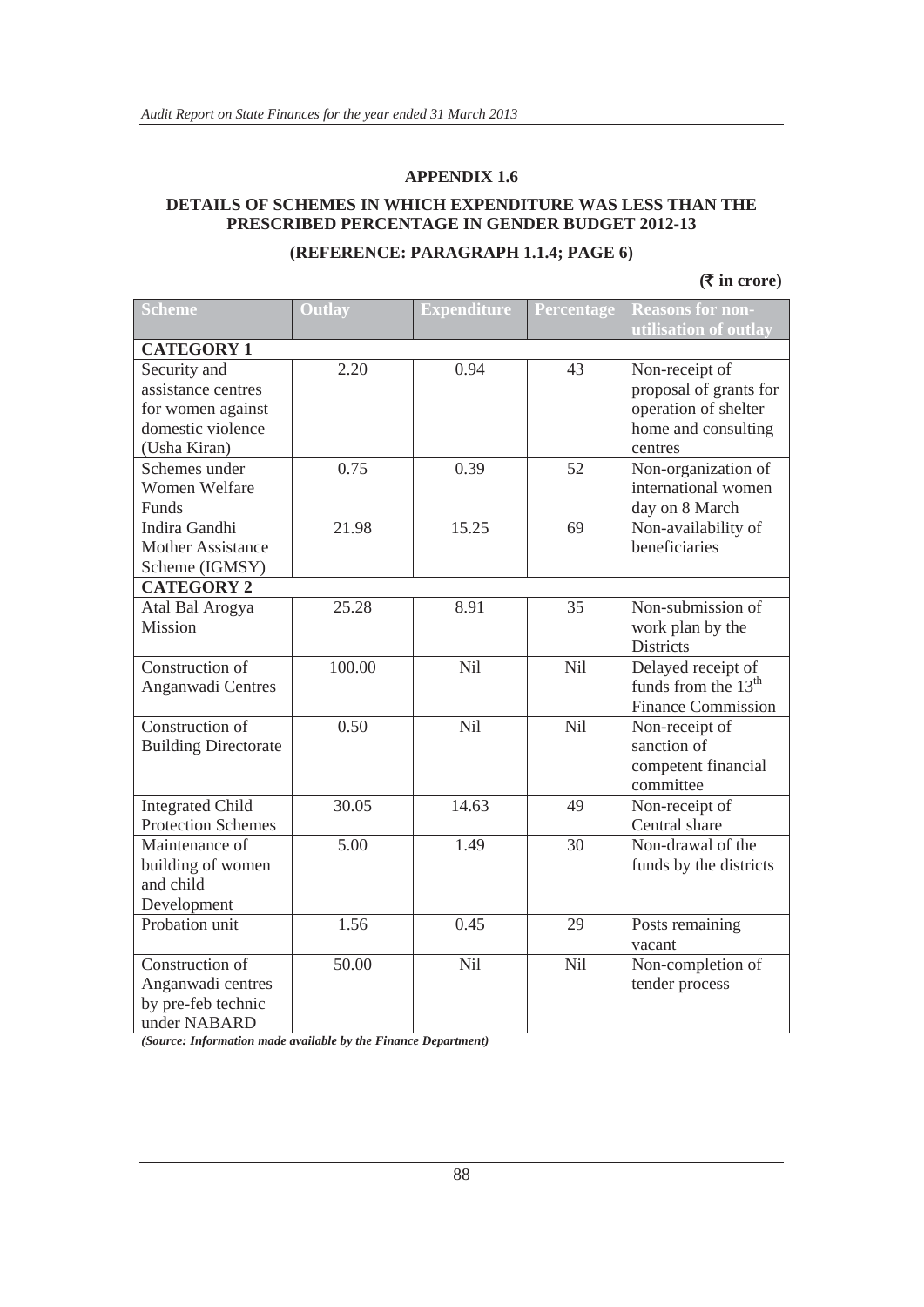#### **DETAILS OF SCHEMES IN WHICH EXPENDITURE WAS LESS THAN THE PRESCRIBED PERCENTAGE IN GENDER BUDGET 2012-13**

#### **(REFERENCE: PARAGRAPH 1.1.4; PAGE 6)**

**(**` **in crore)**

| <b>Scheme</b>               | <b>Outlay</b> | <b>Expenditure</b> | Percentage | <b>Reasons for non-</b>         |
|-----------------------------|---------------|--------------------|------------|---------------------------------|
|                             |               |                    |            | utilisation of outlay           |
| <b>CATEGORY 1</b>           |               |                    |            |                                 |
| Security and                | 2.20          | 0.94               | 43         | Non-receipt of                  |
| assistance centres          |               |                    |            | proposal of grants for          |
| for women against           |               |                    |            | operation of shelter            |
| domestic violence           |               |                    |            | home and consulting             |
| (Usha Kiran)                |               |                    |            | centres                         |
| Schemes under               | 0.75          | 0.39               | 52         | Non-organization of             |
| <b>Women Welfare</b>        |               |                    |            | international women             |
| Funds                       |               |                    |            | day on 8 March                  |
| Indira Gandhi               | 21.98         | 15.25              | 69         | Non-availability of             |
| <b>Mother Assistance</b>    |               |                    |            | beneficiaries                   |
| Scheme (IGMSY)              |               |                    |            |                                 |
| <b>CATEGORY 2</b>           |               |                    |            |                                 |
| Atal Bal Arogya             | 25.28         | 8.91               | 35         | Non-submission of               |
| Mission                     |               |                    |            | work plan by the                |
|                             |               |                    |            | <b>Districts</b>                |
| Construction of             | 100.00        | Nil                | Nil        | Delayed receipt of              |
| Anganwadi Centres           |               |                    |            | funds from the 13 <sup>th</sup> |
|                             |               |                    |            | <b>Finance Commission</b>       |
| Construction of             | 0.50          | Nil                | Nil        | Non-receipt of                  |
| <b>Building Directorate</b> |               |                    |            | sanction of                     |
|                             |               |                    |            | competent financial             |
|                             |               |                    |            | committee                       |
| <b>Integrated Child</b>     | 30.05         | 14.63              | 49         | Non-receipt of                  |
| <b>Protection Schemes</b>   |               |                    |            | Central share                   |
| Maintenance of              | 5.00          | 1.49               | 30         | Non-drawal of the               |
| building of women           |               |                    |            | funds by the districts          |
| and child                   |               |                    |            |                                 |
| Development                 |               |                    |            |                                 |
| Probation unit              | 1.56          | 0.45               | 29         | Posts remaining                 |
|                             |               |                    |            | vacant                          |
| Construction of             | 50.00         | Nil                | Nil        | Non-completion of               |
| Anganwadi centres           |               |                    |            | tender process                  |
| by pre-feb technic          |               |                    |            |                                 |
| under NABARD                |               |                    |            |                                 |

*(Source: Information made available by the Finance Department)*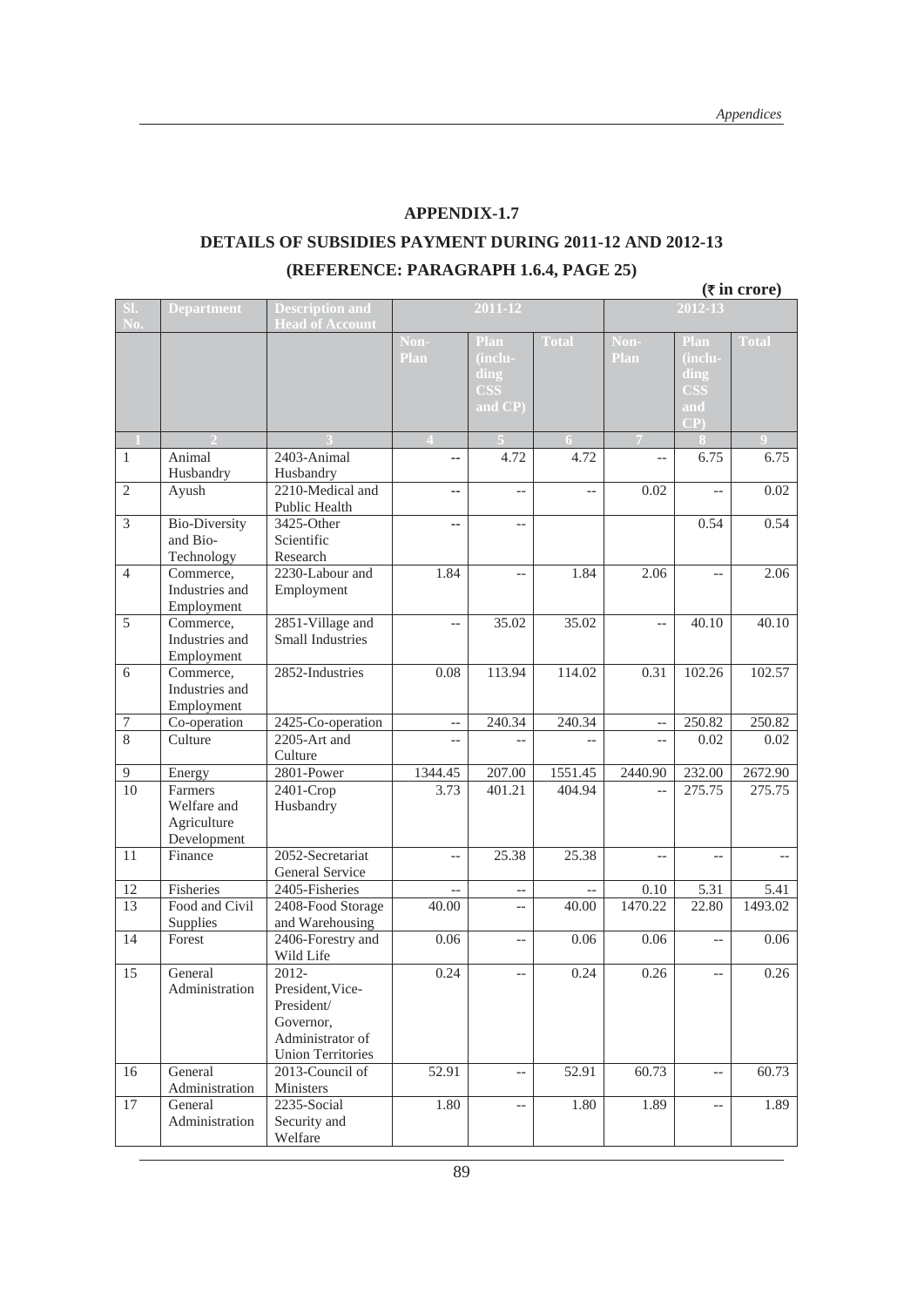#### **APPENDIX-1.7**

#### **DETAILS OF SUBSIDIES PAYMENT DURING 2011-12 AND 2012-13 (REFERENCE: PARAGRAPH 1.6.4, PAGE 25)**

|                  |                                                      |                                                                                                      |                           |                                                  |              |                          |                                                               | $(\overline{\tau}$ in crore) |
|------------------|------------------------------------------------------|------------------------------------------------------------------------------------------------------|---------------------------|--------------------------------------------------|--------------|--------------------------|---------------------------------------------------------------|------------------------------|
| SI.<br>No.       | <b>Department</b>                                    | <b>Description and</b><br><b>Head of Account</b>                                                     |                           | 2011-12                                          |              |                          | $2012 - 13$                                                   |                              |
|                  |                                                      |                                                                                                      | Non-<br>Plan              | Plan<br>(inclu-<br>ding<br><b>CSS</b><br>and CP) | <b>Total</b> | Non-<br>Plan             | Plan<br>(inclu-<br>ding<br><b>CSS</b><br>and<br>$\mathbf{CP}$ | <b>Total</b>                 |
|                  |                                                      |                                                                                                      | $\boldsymbol{\varLambda}$ |                                                  | 6            | $\overline{7}$           |                                                               | 0                            |
| $\mathbf{1}$     | Animal<br>Husbandry                                  | 2403-Animal<br>Husbandry                                                                             | --                        | 4.72                                             | 4.72         | $-$                      | 6.75                                                          | 6.75                         |
| $\overline{2}$   | Ayush                                                | 2210-Medical and<br>Public Health                                                                    | --                        | $-$                                              | $-$          | 0.02                     | $-$                                                           | 0.02                         |
| $\overline{3}$   | <b>Bio-Diversity</b><br>and Bio-<br>Technology       | 3425-Other<br>Scientific<br>Research                                                                 | --                        | $-$                                              |              |                          | 0.54                                                          | 0.54                         |
| $\overline{4}$   | Commerce,<br>Industries and<br>Employment            | 2230-Labour and<br>Employment                                                                        | 1.84                      | $\overline{a}$                                   | 1.84         | 2.06                     | $\overline{a}$                                                | 2.06                         |
| $\overline{5}$   | Commerce,<br>Industries and<br>Employment            | 2851-Village and<br><b>Small Industries</b>                                                          | $-$                       | 35.02                                            | 35.02        | $-$                      | 40.10                                                         | 40.10                        |
| 6                | Commerce,<br>Industries and<br>Employment            | 2852-Industries                                                                                      | 0.08                      | 113.94                                           | 114.02       | 0.31                     | 102.26                                                        | 102.57                       |
| $\boldsymbol{7}$ | Co-operation                                         | 2425-Co-operation                                                                                    | $\qquad \qquad -$         | 240.34                                           | 240.34       | $\overline{\phantom{a}}$ | 250.82                                                        | 250.82                       |
| $\overline{8}$   | Culture                                              | 2205-Art and<br>Culture                                                                              | $-$                       |                                                  |              | $-$                      | 0.02                                                          | 0.02                         |
| 9                | Energy                                               | 2801-Power                                                                                           | 1344.45                   | 207.00                                           | 1551.45      | 2440.90                  | 232.00                                                        | 2672.90                      |
| 10               | Farmers<br>Welfare and<br>Agriculture<br>Development | 2401-Crop<br>Husbandry                                                                               | 3.73                      | 401.21                                           | 404.94       | $\overline{a}$           | 275.75                                                        | 275.75                       |
| 11               | Finance                                              | 2052-Secretariat<br>General Service                                                                  | $-$                       | 25.38                                            | 25.38        |                          |                                                               |                              |
| 12               | Fisheries                                            | 2405-Fisheries                                                                                       | $\overline{\phantom{a}}$  | $-\!$ –                                          |              | 0.10                     | 5.31                                                          | 5.41                         |
| 13               | Food and Civil<br>Supplies                           | 2408-Food Storage<br>and Warehousing                                                                 | 40.00                     | $\overline{\phantom{a}}$                         | 40.00        | 1470.22                  | 22.80                                                         | 1493.02                      |
| 14               | Forest                                               | 2406-Forestry and<br>Wild Life                                                                       | 0.06                      | $-\,-$                                           | 0.06         | 0.06                     | $-$                                                           | 0.06                         |
| 15               | General<br>Administration                            | 2012-<br>President, Vice-<br>President/<br>Governor,<br>Administrator of<br><b>Union Territories</b> | 0.24                      | $-\, -$                                          | 0.24         | 0.26                     | $-$                                                           | 0.26                         |
| 16               | General<br>Administration                            | 2013-Council of<br>Ministers                                                                         | 52.91                     | $\overline{\phantom{m}}$                         | 52.91        | 60.73                    | $-$                                                           | 60.73                        |
| 17               | General<br>Administration                            | 2235-Social<br>Security and<br>Welfare                                                               | 1.80                      | $-\,-$                                           | 1.80         | 1.89                     | $-$                                                           | 1.89                         |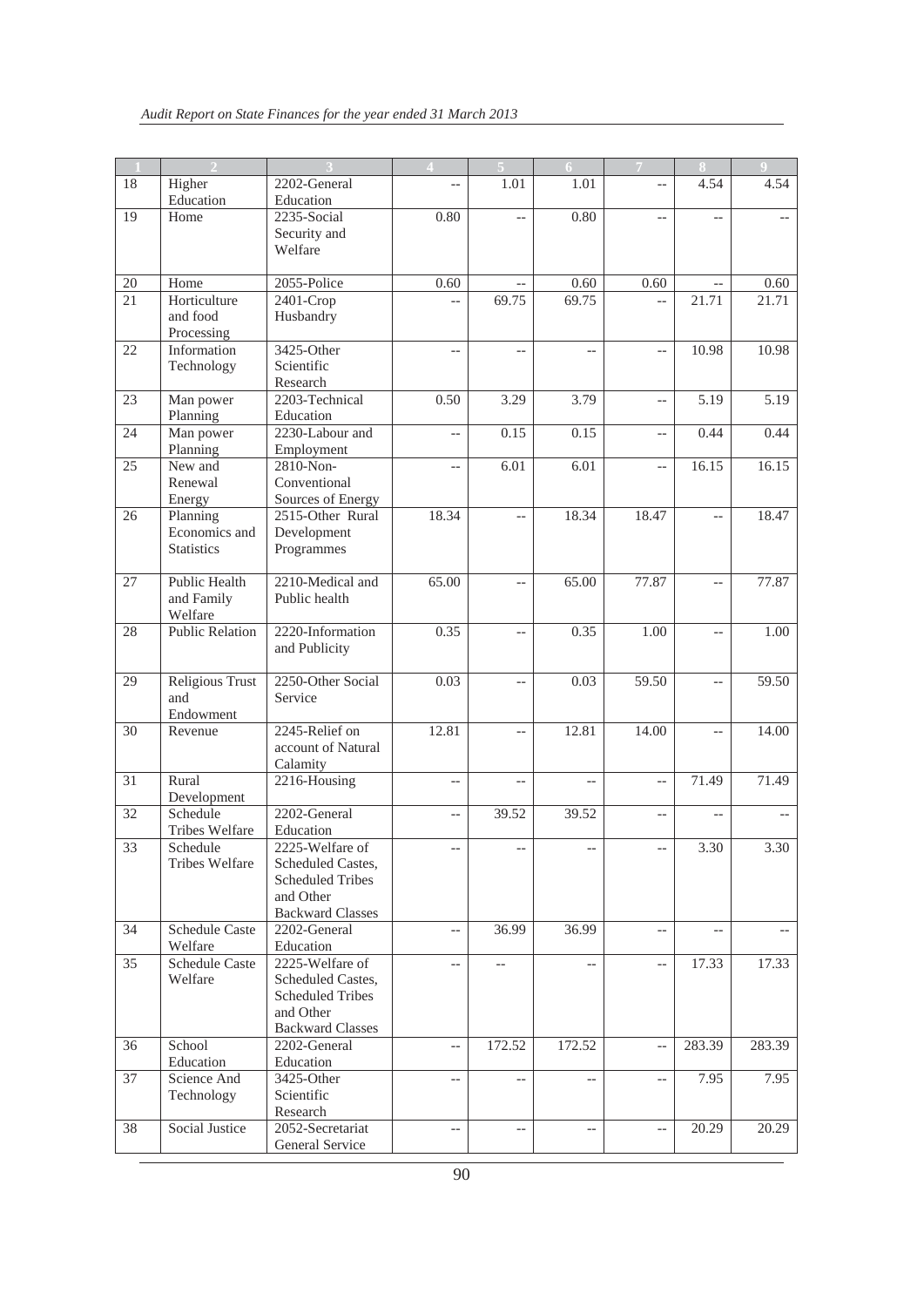| -1              |                                    |                                      | z                        |                          | 6                        |                          | $\bf 8$                  | $\overline{9}$ |
|-----------------|------------------------------------|--------------------------------------|--------------------------|--------------------------|--------------------------|--------------------------|--------------------------|----------------|
| 18              | Higher                             | 2202-General                         | $-$                      | 1.01                     | 1.01                     | $\overline{a}$           | 4.54                     | 4.54           |
|                 | Education                          | Education                            |                          |                          |                          |                          |                          |                |
| 19              | Home                               | 2235-Social                          | 0.80                     | $\overline{a}$           | 0.80                     | $\overline{a}$           |                          |                |
|                 |                                    | Security and                         |                          |                          |                          |                          |                          |                |
|                 |                                    | Welfare                              |                          |                          |                          |                          |                          |                |
|                 |                                    |                                      |                          |                          |                          |                          |                          |                |
| $20\,$          | Home                               | 2055-Police                          | 0.60                     |                          | 0.60                     | 0.60                     |                          | 0.60           |
| 21              | Horticulture<br>and food           | 2401-Crop                            |                          | 69.75                    | 69.75                    |                          | 21.71                    | 21.71          |
|                 | Processing                         | Husbandry                            |                          |                          |                          |                          |                          |                |
| 22              | Information                        | 3425-Other                           | $-$                      | $-$                      | $-$                      | $-$                      | 10.98                    | 10.98          |
|                 | Technology                         | Scientific                           |                          |                          |                          |                          |                          |                |
|                 |                                    | Research                             |                          |                          |                          |                          |                          |                |
| 23              | Man power                          | 2203-Technical                       | 0.50                     | 3.29                     | 3.79                     | $\overline{\phantom{a}}$ | 5.19                     | 5.19           |
|                 | Planning                           | Education                            |                          |                          |                          |                          |                          |                |
| 24              | Man power                          | 2230-Labour and                      | $-$                      | 0.15                     | 0.15                     | $\overline{\phantom{a}}$ | 0.44                     | 0.44           |
|                 | Planning                           | Employment                           |                          |                          |                          |                          |                          |                |
| 25              | New and                            | 2810-Non-                            | $-$                      | 6.01                     | 6.01                     | $-$                      | 16.15                    | 16.15          |
|                 | Renewal                            | Conventional                         |                          |                          |                          |                          |                          |                |
|                 | Energy                             | Sources of Energy                    |                          |                          |                          |                          |                          |                |
| 26              | Planning                           | 2515-Other Rural                     | 18.34                    | $-$                      | 18.34                    | 18.47                    | $\overline{a}$           | 18.47          |
|                 | Economics and<br><b>Statistics</b> | Development<br>Programmes            |                          |                          |                          |                          |                          |                |
|                 |                                    |                                      |                          |                          |                          |                          |                          |                |
| 27              | Public Health                      | 2210-Medical and                     | 65.00                    |                          | 65.00                    | 77.87                    |                          | 77.87          |
|                 | and Family                         | Public health                        |                          |                          |                          |                          |                          |                |
|                 | Welfare                            |                                      |                          |                          |                          |                          |                          |                |
| 28              | <b>Public Relation</b>             | 2220-Information                     | 0.35                     | $\overline{a}$           | 0.35                     | 1.00                     | $\overline{a}$           | 1.00           |
|                 |                                    | and Publicity                        |                          |                          |                          |                          |                          |                |
|                 |                                    |                                      |                          |                          |                          |                          |                          |                |
| 29              | Religious Trust                    | 2250-Other Social                    | 0.03                     | $-$                      | 0.03                     | 59.50                    | $\overline{\phantom{a}}$ | 59.50          |
|                 | and                                | Service                              |                          |                          |                          |                          |                          |                |
|                 | Endowment                          |                                      |                          |                          |                          |                          |                          |                |
| 30              | Revenue                            | 2245-Relief on<br>account of Natural | 12.81                    |                          | 12.81                    | 14.00                    |                          | 14.00          |
|                 |                                    | Calamity                             |                          |                          |                          |                          |                          |                |
| 31              | Rural                              | 2216-Housing                         | $\overline{\phantom{a}}$ | $\overline{\phantom{a}}$ | $\overline{\phantom{a}}$ | $\overline{a}$           | 71.49                    | 71.49          |
|                 | Development                        |                                      |                          |                          |                          |                          |                          |                |
| $\overline{32}$ | Schedule                           | 2202-General                         | $\overline{a}$           | 39.52                    | 39.52                    | $\overline{\phantom{a}}$ |                          |                |
|                 | <b>Tribes Welfare</b>              | Education                            |                          |                          |                          |                          |                          |                |
| 33              | Schedule                           | 2225-Welfare of                      | $\overline{\phantom{a}}$ | --                       | $\overline{\phantom{a}}$ | $-$                      | 3.30                     | 3.30           |
|                 | Tribes Welfare                     | Scheduled Castes,                    |                          |                          |                          |                          |                          |                |
|                 |                                    | <b>Scheduled Tribes</b>              |                          |                          |                          |                          |                          |                |
|                 |                                    | and Other                            |                          |                          |                          |                          |                          |                |
|                 |                                    | <b>Backward Classes</b>              |                          |                          |                          |                          |                          |                |
| 34              | <b>Schedule Caste</b>              | 2202-General                         | $-\,-$                   | 36.99                    | 36.99                    | $\overline{\phantom{a}}$ | $-$                      | $- -$          |
| 35              | Welfare<br><b>Schedule Caste</b>   | Education<br>2225-Welfare of         |                          |                          |                          |                          |                          | 17.33          |
|                 | Welfare                            | Scheduled Castes,                    | $-$                      |                          |                          | $-$                      | 17.33                    |                |
|                 |                                    | <b>Scheduled Tribes</b>              |                          |                          |                          |                          |                          |                |
|                 |                                    | and Other                            |                          |                          |                          |                          |                          |                |
|                 |                                    | <b>Backward Classes</b>              |                          |                          |                          |                          |                          |                |
| 36              | School                             | 2202-General                         | $-$                      | 172.52                   | 172.52                   | $\overline{\phantom{a}}$ | 283.39                   | 283.39         |
|                 | Education                          | Education                            |                          |                          |                          |                          |                          |                |
| 37              | Science And                        | 3425-Other                           | $\overline{\phantom{a}}$ | $-$                      | $\overline{\phantom{a}}$ | $\overline{\phantom{a}}$ | 7.95                     | 7.95           |
|                 | Technology                         | Scientific                           |                          |                          |                          |                          |                          |                |
|                 |                                    | Research                             |                          |                          |                          |                          |                          |                |
| 38              | Social Justice                     | 2052-Secretariat                     | $-$                      | $-$                      | --                       | $\overline{\phantom{a}}$ | 20.29                    | 20.29          |
|                 |                                    | General Service                      |                          |                          |                          |                          |                          |                |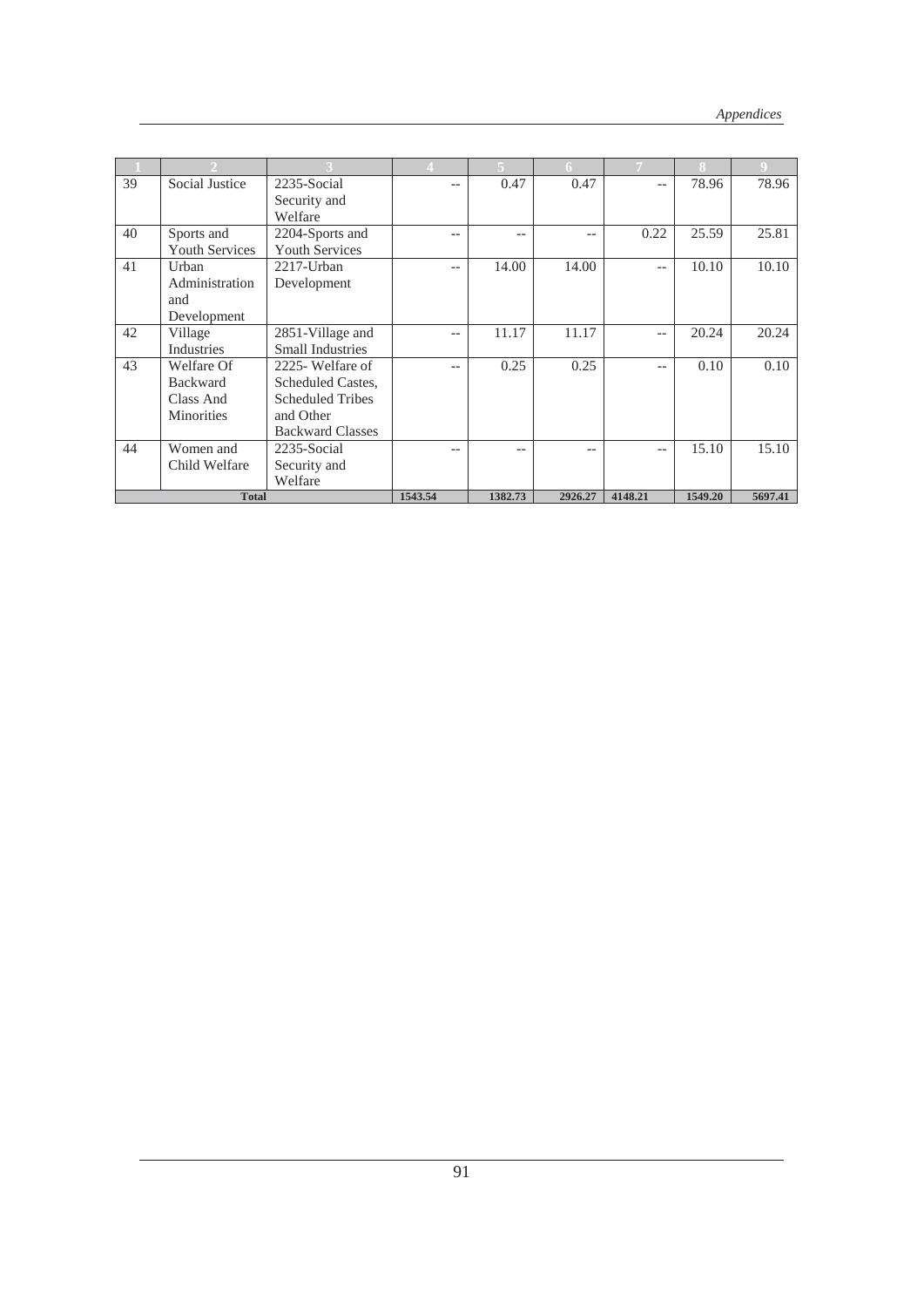|    |                       |                         |         |         | 6.      |         | Я       |         |
|----|-----------------------|-------------------------|---------|---------|---------|---------|---------|---------|
| 39 | Social Justice        | 2235-Social             | $-$     | 0.47    | 0.47    | $-$     | 78.96   | 78.96   |
|    |                       | Security and            |         |         |         |         |         |         |
|    |                       | Welfare                 |         |         |         |         |         |         |
| 40 | Sports and            | 2204-Sports and         | $-$     | $-$     | --      | 0.22    | 25.59   | 25.81   |
|    | <b>Youth Services</b> | <b>Youth Services</b>   |         |         |         |         |         |         |
| 41 | Urban                 | $2217$ -Urban           | $-$     | 14.00   | 14.00   | $-\,-$  | 10.10   | 10.10   |
|    | Administration        | Development             |         |         |         |         |         |         |
|    | and                   |                         |         |         |         |         |         |         |
|    | Development           |                         |         |         |         |         |         |         |
| 42 | Village               | 2851-Village and        | $-$     | 11.17   | 11.17   | $-$     | 20.24   | 20.24   |
|    | <b>Industries</b>     | <b>Small Industries</b> |         |         |         |         |         |         |
| 43 | Welfare Of            | 2225- Welfare of        | $-$     | 0.25    | 0.25    | $-$     | 0.10    | 0.10    |
|    | <b>Backward</b>       | Scheduled Castes,       |         |         |         |         |         |         |
|    | Class And             | <b>Scheduled Tribes</b> |         |         |         |         |         |         |
|    | <b>Minorities</b>     | and Other               |         |         |         |         |         |         |
|    |                       | <b>Backward Classes</b> |         |         |         |         |         |         |
| 44 | Women and             | 2235-Social             | $-$     | --      | --      | $- -$   | 15.10   | 15.10   |
|    | Child Welfare         | Security and            |         |         |         |         |         |         |
|    |                       | Welfare                 |         |         |         |         |         |         |
|    | <b>Total</b>          |                         | 1543.54 | 1382.73 | 2926.27 | 4148.21 | 1549.20 | 5697.41 |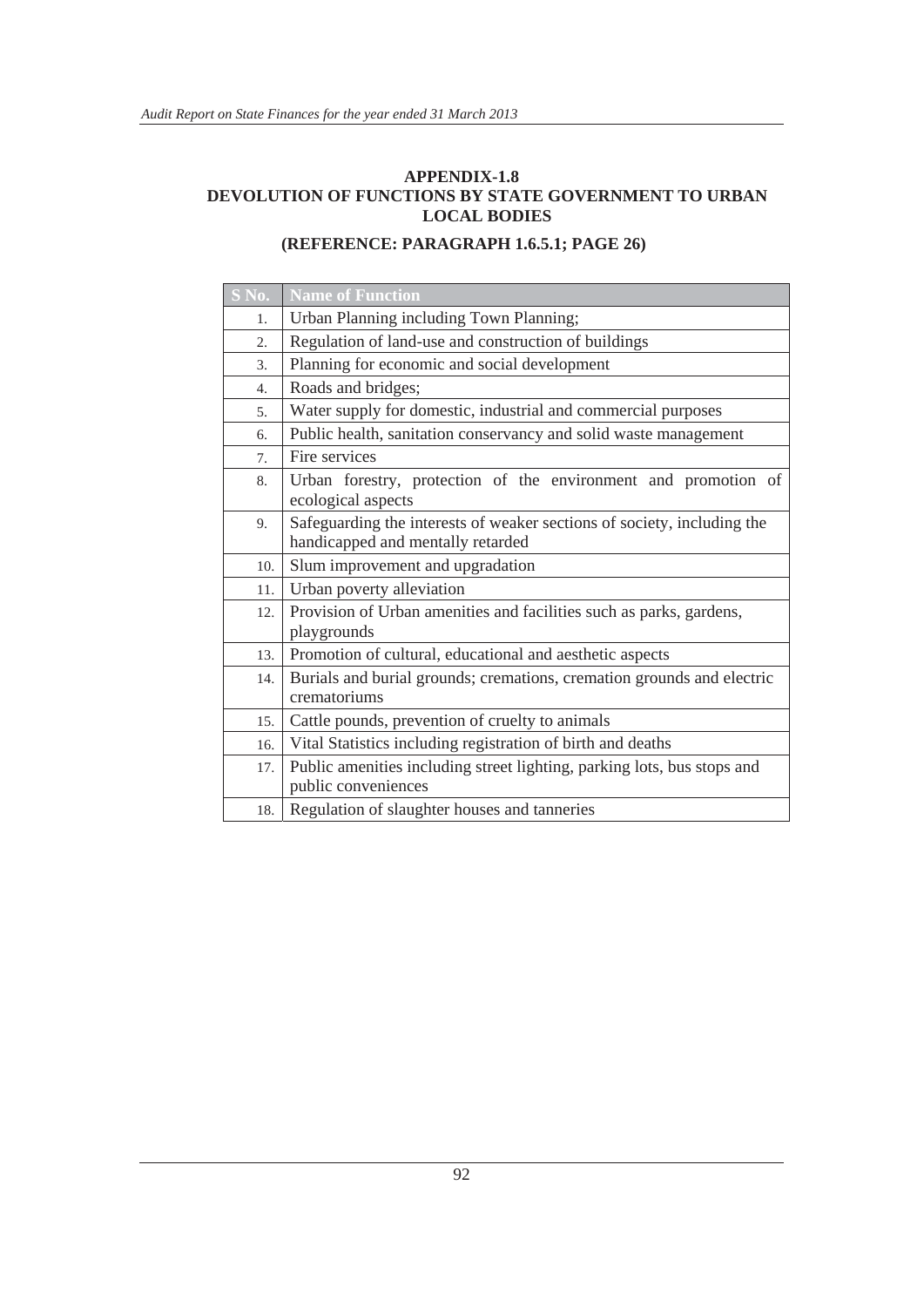#### **APPENDIX-1.8 DEVOLUTION OF FUNCTIONS BY STATE GOVERNMENT TO URBAN LOCAL BODIES**

#### **(REFERENCE: PARAGRAPH 1.6.5.1; PAGE 26)**

| S No.            | <b>Name of Function</b>                                                                                      |
|------------------|--------------------------------------------------------------------------------------------------------------|
| 1.               | Urban Planning including Town Planning;                                                                      |
| 2.               | Regulation of land-use and construction of buildings                                                         |
| 3.               | Planning for economic and social development                                                                 |
| $\overline{4}$ . | Roads and bridges;                                                                                           |
| 5.               | Water supply for domestic, industrial and commercial purposes                                                |
| 6.               | Public health, sanitation conservancy and solid waste management                                             |
| 7.               | Fire services                                                                                                |
| 8.               | Urban forestry, protection of the environment and promotion of<br>ecological aspects                         |
| 9.               | Safeguarding the interests of weaker sections of society, including the<br>handicapped and mentally retarded |
| 10.              | Slum improvement and upgradation                                                                             |
| 11.              | Urban poverty alleviation                                                                                    |
| 12.              | Provision of Urban amenities and facilities such as parks, gardens,<br>playgrounds                           |
| 13.              | Promotion of cultural, educational and aesthetic aspects                                                     |
| 14.              | Burials and burial grounds; cremations, cremation grounds and electric                                       |
|                  | crematoriums                                                                                                 |
| 15.              | Cattle pounds, prevention of cruelty to animals                                                              |
| 16.              | Vital Statistics including registration of birth and deaths                                                  |
| 17.              | Public amenities including street lighting, parking lots, bus stops and<br>public conveniences               |
| 18.              | Regulation of slaughter houses and tanneries                                                                 |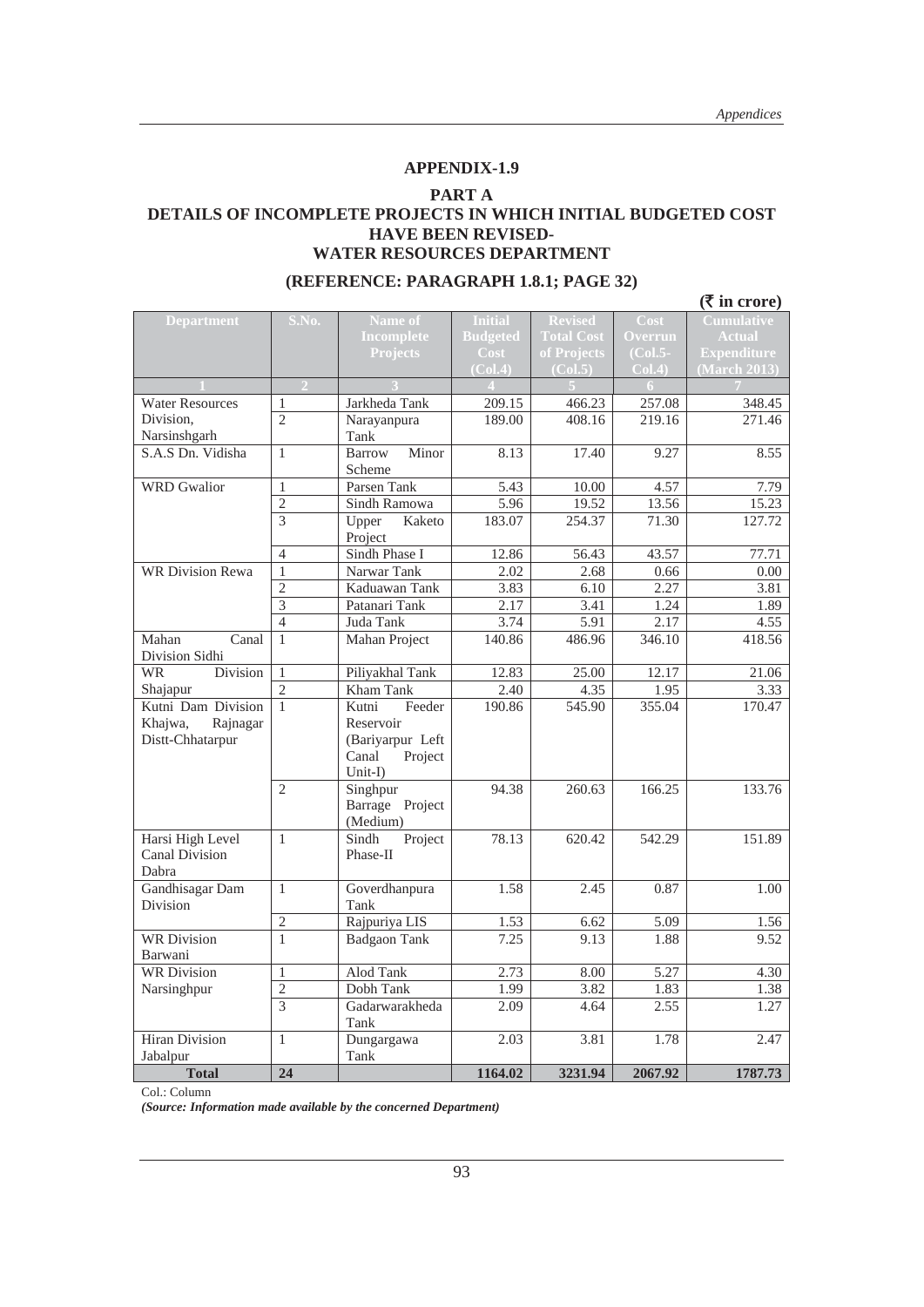#### **APPENDIX-1.9**

#### **PART A**

#### **DETAILS OF INCOMPLETE PROJECTS IN WHICH INITIAL BUDGETED COST HAVE BEEN REVISED-WATER RESOURCES DEPARTMENT**

|                                |                                  |                            |                 |                   |                   | $(\bar{\bar{\mathbf{x}}}$ in crore) |  |
|--------------------------------|----------------------------------|----------------------------|-----------------|-------------------|-------------------|-------------------------------------|--|
| <b>Department</b>              | S.No.                            | Name of                    | <b>Initial</b>  | <b>Revised</b>    | Cost              | <b>Cumulative</b>                   |  |
|                                |                                  | <b>Incomplete</b>          | <b>Budgeted</b> | <b>Total Cost</b> | <b>Overrun</b>    | <b>Actual</b>                       |  |
|                                |                                  | <b>Projects</b>            | <b>Cost</b>     | of Projects       | $(Col.5-$         | <b>Expenditure</b>                  |  |
|                                |                                  |                            | (Col.4)         | (Col.5)           | Col.4)            | (March 2013)                        |  |
|                                | $\overline{\mathcal{L}}$         |                            | $\Delta$        |                   | 6                 |                                     |  |
| <b>Water Resources</b>         | $\mathbf{1}$                     | Jarkheda Tank              | 209.15          | 466.23            | 257.08            | 348.45                              |  |
| Division,                      | $\overline{2}$                   | Narayanpura                | 189.00          | 408.16            | 219.16            | 271.46                              |  |
| Narsinshgarh                   |                                  | Tank                       |                 |                   |                   |                                     |  |
| S.A.S Dn. Vidisha              | $\mathbf{1}$                     | Minor<br><b>Barrow</b>     | 8.13            | 17.40             | 9.27              | 8.55                                |  |
|                                |                                  | Scheme                     |                 |                   |                   |                                     |  |
| <b>WRD</b> Gwalior             | $\mathbf{1}$                     | Parsen Tank                | 5.43            | 10.00             | 4.57              | 7.79                                |  |
|                                | $\overline{2}$<br>$\overline{3}$ | Sindh Ramowa               | 5.96            | 19.52<br>254.37   | 13.56<br>71.30    | 15.23                               |  |
|                                |                                  | Upper<br>Kaketo<br>Project | 183.07          |                   |                   | 127.72                              |  |
|                                | $\overline{4}$                   | Sindh Phase I              | 12.86           | 56.43             | 43.57             | 77.71                               |  |
| <b>WR Division Rewa</b>        | $\mathbf{1}$                     | Narwar Tank                | 2.02            | 2.68              | 0.66              | 0.00                                |  |
|                                | $\overline{2}$                   | Kaduawan Tank              | 3.83            | 6.10              | 2.27              | 3.81                                |  |
|                                | 3                                | Patanari Tank              | 2.17            | 3.41              | 1.24              | 1.89                                |  |
|                                | $\overline{4}$                   | Juda Tank                  | 3.74            | 5.91              | 2.17              | 4.55                                |  |
| Mahan<br>Canal                 | $\mathbf{1}$                     | Mahan Project              | 140.86          | 486.96            | 346.10            | 418.56                              |  |
| Division Sidhi                 |                                  |                            |                 |                   |                   |                                     |  |
| Division<br><b>WR</b>          | $\mathbf{1}$                     | Piliyakhal Tank            | 12.83           | 25.00             | 12.17             | 21.06                               |  |
| Shajapur                       | $\overline{c}$                   | Kham Tank                  | 2.40            | 4.35              | 1.95              | 3.33                                |  |
| Kutni Dam Division             | $\mathbf{1}$                     | Kutni<br>Feeder            | 190.86          | 545.90            | 355.04            | 170.47                              |  |
| Khajwa,<br>Rajnagar            |                                  | Reservoir                  |                 |                   |                   |                                     |  |
| Distt-Chhatarpur               |                                  | (Bariyarpur Left           |                 |                   |                   |                                     |  |
|                                |                                  | Canal<br>Project           |                 |                   |                   |                                     |  |
|                                |                                  | Unit-I)                    |                 |                   |                   |                                     |  |
|                                | $\overline{c}$                   | Singhpur                   | 94.38           | 260.63            | 166.25            | 133.76                              |  |
|                                |                                  | Barrage Project            |                 |                   |                   |                                     |  |
|                                |                                  | (Medium)                   |                 |                   |                   |                                     |  |
| Harsi High Level               | $\mathbf{1}$                     | Sindh<br>Project           | 78.13           | 620.42            | 542.29            | 151.89                              |  |
| <b>Canal Division</b><br>Dabra |                                  | Phase-II                   |                 |                   |                   |                                     |  |
| Gandhisagar Dam                | $\mathbf{1}$                     | Goverdhanpura              | 1.58            | 2.45              | 0.87              | 1.00                                |  |
| <b>Division</b>                |                                  | Tank                       |                 |                   |                   |                                     |  |
|                                | $\sqrt{2}$                       | Rajpuriya LIS              | 1.53            | 6.62              | 5.09              | 1.56                                |  |
| <b>WR Division</b>             | $\mathbf{1}$                     | <b>Badgaon Tank</b>        | 7.25            | 9.13              | 1.88              | 9.52                                |  |
| Barwani                        |                                  |                            |                 |                   |                   |                                     |  |
| <b>WR Division</b>             | $\mathbf{1}$                     | <b>Alod Tank</b>           | 2.73            | 8.00              | $\overline{5.27}$ | 4.30                                |  |
| Narsinghpur                    | $\overline{2}$                   | Dobh Tank                  | 1.99            | 3.82              | 1.83              | 1.38                                |  |
|                                | 3                                | Gadarwarakheda             | 2.09            | 4.64              | 2.55              | 1.27                                |  |
|                                |                                  | Tank                       |                 |                   |                   |                                     |  |
| <b>Hiran Division</b>          | $\mathbf{1}$                     | Dungargawa                 | 2.03            | 3.81              | 1.78              | 2.47                                |  |
| Jabalpur                       |                                  | Tank                       |                 |                   |                   |                                     |  |
| <b>Total</b>                   | 24                               |                            | 1164.02         | 3231.94           | 2067.92           | 1787.73                             |  |

#### **(REFERENCE: PARAGRAPH 1.8.1; PAGE 32)**

Col.: Column

*(Source: Information made available by the concerned Department)*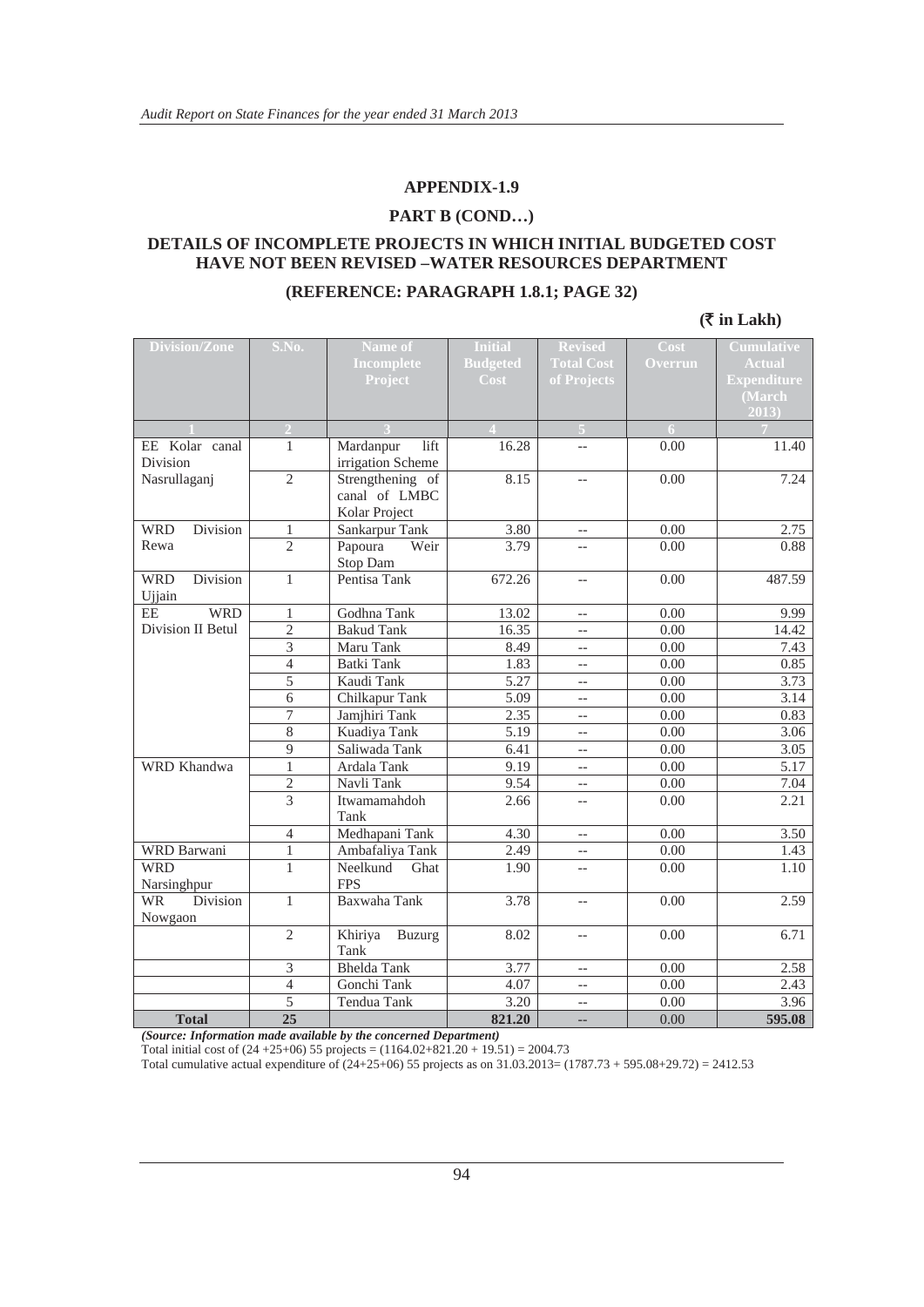#### **APPENDIX-1.9**

#### **PART B (COND…)**

#### **DETAILS OF INCOMPLETE PROJECTS IN WHICH INITIAL BUDGETED COST HAVE NOT BEEN REVISED –WATER RESOURCES DEPARTMENT**

#### **(REFERENCE: PARAGRAPH 1.8.1; PAGE 32)**

#### **(**` **in Lakh)**

| <b>Division/Zone</b>   | S.No.<br>Name of               |                                   | <b>Initial</b>  | <b>Revised</b>    | Cost         | <b>Cumulative</b>  |
|------------------------|--------------------------------|-----------------------------------|-----------------|-------------------|--------------|--------------------|
|                        |                                | <b>Incomplete</b>                 | <b>Budgeted</b> | <b>Total Cost</b> | Overrun      | <b>Actual</b>      |
|                        |                                | Project                           | Cost            | of Projects       |              | <b>Expenditure</b> |
|                        |                                |                                   |                 |                   |              | (March             |
|                        |                                |                                   |                 |                   |              | 2013               |
|                        | $\overline{2}$                 |                                   |                 | 5                 | 6            |                    |
| EE Kolar canal         | 1                              | Mardanpur<br>lift                 | 16.28           | $-$               | 0.00         | 11.40              |
| Division               |                                | irrigation Scheme                 |                 |                   |              |                    |
| Nasrullaganj           | $\overline{2}$                 | Strengthening of                  | 8.15            | $\overline{a}$    | 0.00         | 7.24               |
|                        |                                | canal of LMBC                     |                 |                   |              |                    |
| Division<br><b>WRD</b> |                                | Kolar Project                     | 3.80            |                   |              |                    |
| Rewa                   | $\mathbf{1}$<br>$\overline{2}$ | Sankarpur Tank<br>Papoura<br>Weir | 3.79            | $-$<br>$-$        | 0.00<br>0.00 | 2.75<br>0.88       |
|                        |                                | Stop Dam                          |                 |                   |              |                    |
| <b>WRD</b><br>Division | $\mathbf{1}$                   | Pentisa Tank                      | 672.26          | $-$               | 0.00         | 487.59             |
| Ujjain                 |                                |                                   |                 |                   |              |                    |
| <b>WRD</b><br>$\rm EE$ | $\mathbf{1}$                   | Godhna Tank                       | 13.02           | $\overline{a}$    | 0.00         | 9.99               |
| Division II Betul      | $\overline{2}$                 | <b>Bakud Tank</b>                 | 16.35           | $\overline{a}$    | 0.00         | 14.42              |
|                        | 3                              | Maru Tank                         | 8.49            | $-$               | 0.00         | 7.43               |
|                        | $\overline{4}$                 | <b>Batki Tank</b>                 | 1.83            | $\overline{a}$    | 0.00         | 0.85               |
|                        | 5                              | Kaudi Tank                        | 5.27            | $\overline{a}$    | 0.00         | 3.73               |
|                        | 6                              | Chilkapur Tank                    | 5.09            | $-$               | 0.00         | 3.14               |
|                        | 7                              | Jamjhiri Tank                     | 2.35            | $\overline{a}$    | 0.00         | 0.83               |
|                        | $\overline{8}$                 | Kuadiya Tank                      | 5.19            | $-$               | 0.00         | 3.06               |
|                        | 9                              | Saliwada Tank                     | 6.41            | $-$               | 0.00         | 3.05               |
| WRD Khandwa            | $\mathbf{1}$                   | Ardala Tank                       | 9.19            | $\overline{a}$    | 0.00         | 5.17               |
|                        | $\overline{c}$                 | Navli Tank                        | 9.54            | $\overline{a}$    | $0.00\,$     | 7.04               |
|                        | 3                              | Itwamamahdoh                      | 2.66            | $-$               | 0.00         | 2.21               |
|                        |                                | Tank                              |                 |                   |              |                    |
|                        | $\overline{4}$                 | Medhapani Tank                    | 4.30            | $-$               | 0.00         | 3.50               |
| WRD Barwani            | $\mathbf{1}$                   | Ambafaliya Tank                   | 2.49            | $-$               | 0.00         | 1.43               |
| <b>WRD</b>             | $\mathbf{1}$                   | Neelkund<br>Ghat                  | 1.90            | $\overline{a}$    | 0.00         | 1.10               |
| Narsinghpur            |                                | <b>FPS</b>                        |                 |                   |              |                    |
| Division<br><b>WR</b>  | $\mathbf{1}$                   | Baxwaha Tank                      | 3.78            | $-$               | 0.00         | 2.59               |
| Nowgaon                |                                |                                   |                 |                   |              |                    |
|                        | $\overline{2}$                 | Khiriya<br><b>Buzurg</b>          | 8.02            | $-$               | 0.00         | 6.71               |
|                        |                                | Tank                              |                 |                   |              |                    |
|                        | 3                              | <b>Bhelda Tank</b>                | 3.77            | $-$               | 0.00         | 2.58               |
|                        | 4                              | Gonchi Tank                       | 4.07            | $\overline{a}$    | 0.00         | 2.43               |
|                        | $\overline{5}$                 | Tendua Tank                       | 3.20            | $\overline{a}$    | 0.00         | 3.96               |
| <b>Total</b>           | $\overline{25}$                |                                   | 821.20          | $-$               | 0.00         | 595.08             |

*(Source: Information made available by the concerned Department)* 

Total initial cost of  $(24 + 25 + 06)$  55 projects =  $(1164.02 + 821.20 + 19.51) = 2004.73$ 

Total cumulative actual expenditure of (24+25+06) 55 projects as on 31.03.2013= (1787.73 + 595.08+29.72) = 2412.53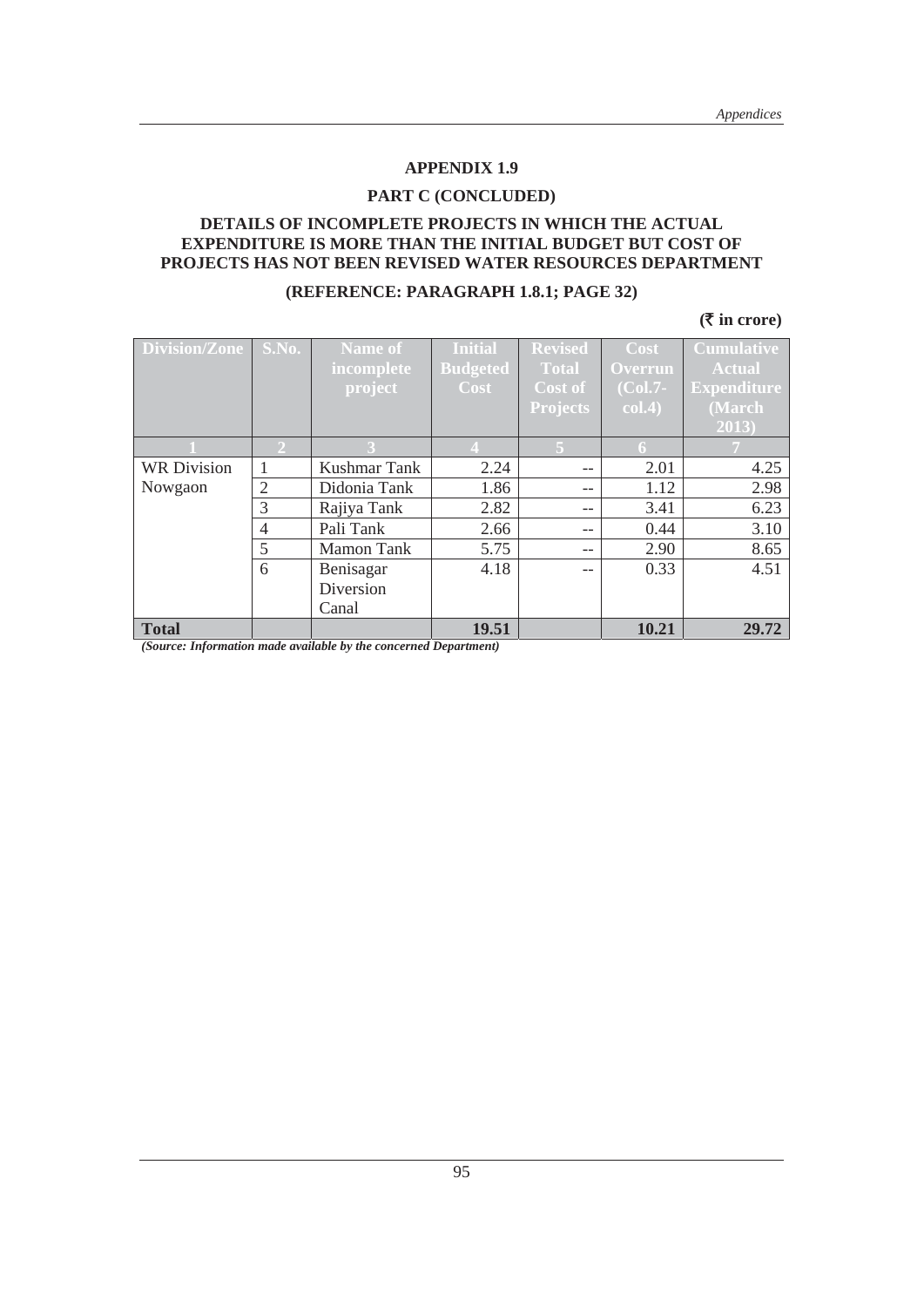#### **PART C (CONCLUDED)**

#### **DETAILS OF INCOMPLETE PROJECTS IN WHICH THE ACTUAL EXPENDITURE IS MORE THAN THE INITIAL BUDGET BUT COST OF PROJECTS HAS NOT BEEN REVISED WATER RESOURCES DEPARTMENT**

#### **(REFERENCE: PARAGRAPH 1.8.1; PAGE 32)**

#### **(**` **in crore)**

| <b>Division/Zone</b> | S.No.          | <b>Name of</b>    | <b>Initial</b>  | <b>Revised</b>  | Cost           | <b>Cumulative</b>  |
|----------------------|----------------|-------------------|-----------------|-----------------|----------------|--------------------|
|                      |                | incomplete        | <b>Budgeted</b> | <b>Total</b>    | <b>Overrun</b> | <b>Actual</b>      |
|                      |                | project           | Cost            | Cost of         | $(Col.7-$      | <b>Expenditure</b> |
|                      |                |                   |                 | <b>Projects</b> | col.4)         | (March             |
|                      |                |                   |                 |                 |                | 2013)              |
|                      |                |                   |                 | 5.              | 6              |                    |
| <b>WR Division</b>   | 1              | Kushmar Tank      | 2.24            | --              | 2.01           | 4.25               |
| Nowgaon              | $\overline{2}$ | Didonia Tank      | 1.86            | $ -$            | 1.12           | 2.98               |
|                      | 3              | Rajiya Tank       | 2.82            | $- -$           | 3.41           | 6.23               |
|                      | $\overline{4}$ | Pali Tank         | 2.66            | $ -$            | 0.44           | 3.10               |
|                      | 5              | <b>Mamon Tank</b> | 5.75            | --              | 2.90           | 8.65               |
|                      | 6              | Benisagar         | 4.18            |                 | 0.33           | 4.51               |
|                      |                | Diversion         |                 |                 |                |                    |
|                      |                | Canal             |                 |                 |                |                    |
| <b>Total</b>         |                |                   | 19.51           |                 | 10.21          | 29.72              |

*(Source: Information made available by the concerned Department)*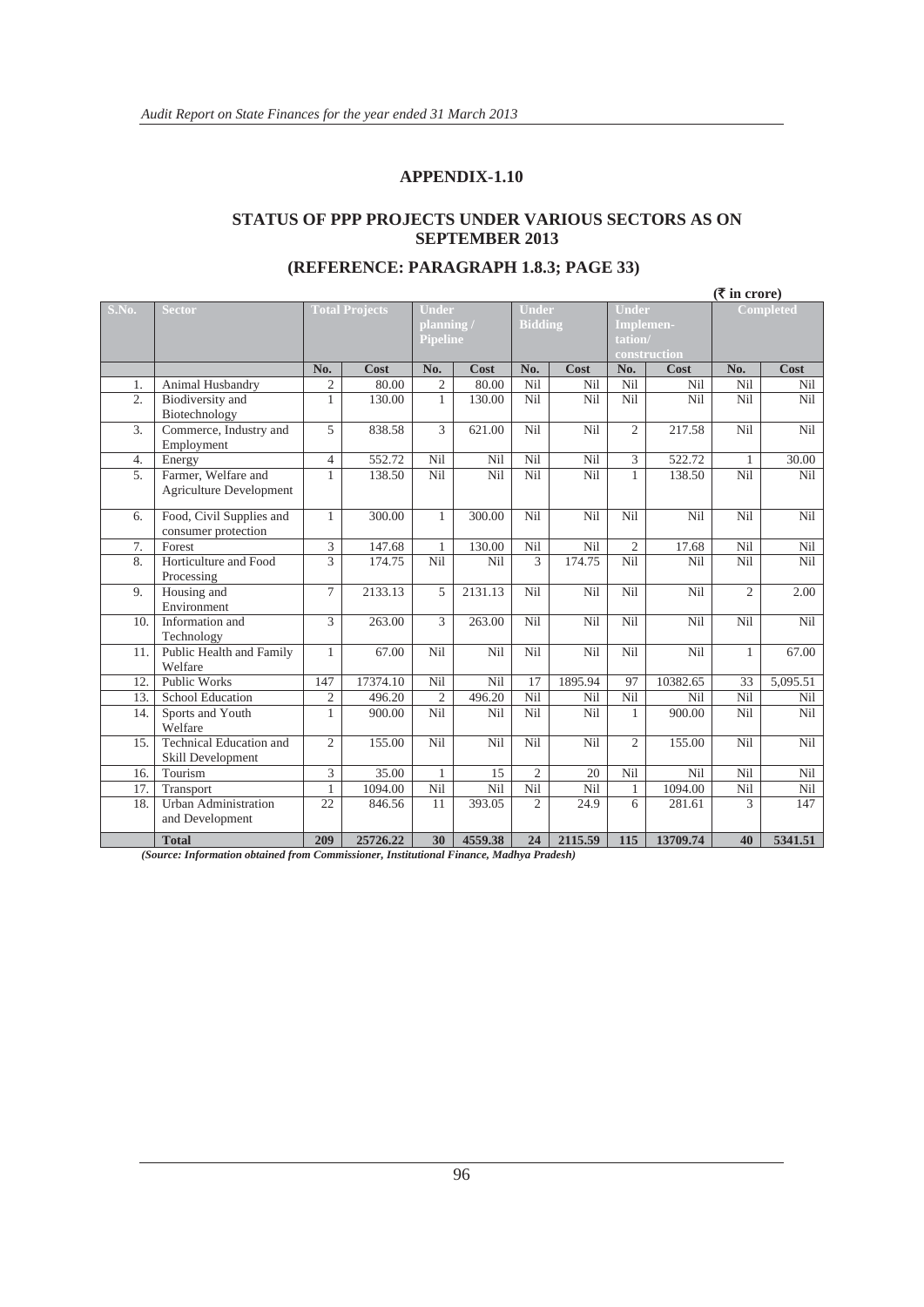#### **APPENDIX-1.10**

#### **STATUS OF PPP PROJECTS UNDER VARIOUS SECTORS AS ON SEPTEMBER 2013**

|       |                                                       |                |                       |                |                                       |                 |                                                                               |                 |                 | $(\overline{\mathbf{\mathsf{F}}}$ in crore) |                 |
|-------|-------------------------------------------------------|----------------|-----------------------|----------------|---------------------------------------|-----------------|-------------------------------------------------------------------------------|-----------------|-----------------|---------------------------------------------|-----------------|
| S.No. | <b>Sector</b>                                         |                | <b>Total Projects</b> |                | Under<br>planning/<br><b>Pipeline</b> |                 | <b>Under</b><br><b>Under</b><br><b>Bidding</b><br><b>Implemen-</b><br>tation/ |                 | construction    | <b>Completed</b>                            |                 |
|       |                                                       | No.            | Cost                  | No.            | Cost                                  | No.             | Cost                                                                          | No.             | Cost            | No.                                         | <b>Cost</b>     |
| 1.    | Animal Husbandry                                      | 2              | 80.00                 | $\overline{c}$ | 80.00                                 | Nil             | Nil                                                                           | Nil             | N <sub>il</sub> | <b>Nil</b>                                  | Nil             |
| 2.    | Biodiversity and<br>Biotechnology                     | 1              | 130.00                | $\mathbf{1}$   | 130.00                                | <b>Nil</b>      | Nil                                                                           | N <sub>il</sub> | Nil             | <b>Nil</b>                                  | <b>Nil</b>      |
| 3.    | Commerce, Industry and<br>Employment                  | 5              | 838.58                | 3              | 621.00                                | <b>Nil</b>      | Nil                                                                           | $\overline{2}$  | 217.58          | Nil                                         | Nil             |
| 4.    | Energy                                                | $\overline{4}$ | 552.72                | Nil            | Nil                                   | Nil             | Nil                                                                           | 3               | 522.72          | $\mathbf{1}$                                | 30.00           |
| 5.    | Farmer, Welfare and<br><b>Agriculture Development</b> | 1              | 138.50                | Nil            | Nil                                   | Nil             | Nil                                                                           | $\mathbf{1}$    | 138.50          | Nil                                         | Nil             |
| 6.    | Food, Civil Supplies and<br>consumer protection       | 1              | 300.00                | 1              | 300.00                                | Nil             | Nil                                                                           | Nil             | Nil             | Nil                                         | Nil             |
| 7.    | Forest                                                | 3              | 147.68                | $\mathbf{1}$   | 130.00                                | Nil             | Nil                                                                           | $\overline{2}$  | 17.68           | Nil                                         | Nil             |
| 8.    | Horticulture and Food<br>Processing                   | 3              | 174.75                | Nil            | Nil                                   | 3               | 174.75                                                                        | Nil             | Nil             | Nil                                         | Nil             |
| 9.    | Housing and<br>Environment                            | $\tau$         | 2133.13               | 5              | 2131.13                               | <b>Nil</b>      | Nil                                                                           | Nil             | Nil             | $\overline{2}$                              | 2.00            |
| 10.   | Information and<br>Technology                         | 3              | 263.00                | 3              | 263.00                                | Nil             | Nil                                                                           | Nil             | Nil             | Nil                                         | Nil             |
| 11.   | Public Health and Family<br>Welfare                   | 1              | 67.00                 | Nil            | Nil                                   | Nil             | Nil                                                                           | Nil             | N <sub>il</sub> | $\mathbf{1}$                                | 67.00           |
| 12.   | <b>Public Works</b>                                   | 147            | 17374.10              | Nil            | Nil                                   | 17              | 1895.94                                                                       | 97              | 10382.65        | 33                                          | 5,095.51        |
| 13.   | <b>School Education</b>                               | $\overline{c}$ | 496.20                | $\overline{2}$ | 496.20                                | N <sub>il</sub> | Nil                                                                           | Nil             | Nil             | Nil                                         | Nil             |
| 14.   | Sports and Youth<br>Welfare                           | 1              | 900.00                | Nil            | Nil                                   | Nil             | Nil                                                                           | 1               | 900.00          | Nil                                         | Nil             |
| 15.   | <b>Technical Education and</b><br>Skill Development   | $\overline{2}$ | 155.00                | Nil            | Nil                                   | Nil             | Nil                                                                           | $\overline{2}$  | 155.00          | Nil                                         | Nil             |
| 16.   | Tourism                                               | 3              | 35.00                 | 1              | 15                                    | $\overline{2}$  | 20                                                                            | Nil             | Nil             | Nil                                         | N <sub>il</sub> |
| 17.   | Transport                                             | 1              | 1094.00               | Nil            | Nil                                   | Nil             | Nil                                                                           | $\mathbf{1}$    | 1094.00         | Nil                                         | Nil             |
| 18.   | <b>Urban Administration</b><br>and Development        | 22             | 846.56                | 11             | 393.05                                | $\overline{2}$  | 24.9                                                                          | 6               | 281.61          | 3                                           | 147             |
|       | <b>Total</b>                                          | 209            | 25726.22              | 30             | 4559.38                               | 24              | 2115.59                                                                       | 115             | 13709.74        | 40                                          | 5341.51         |

#### **(REFERENCE: PARAGRAPH 1.8.3; PAGE 33)**

*(Source: Information obtained from Commissioner, Institutional Finance, Madhya Pradesh)*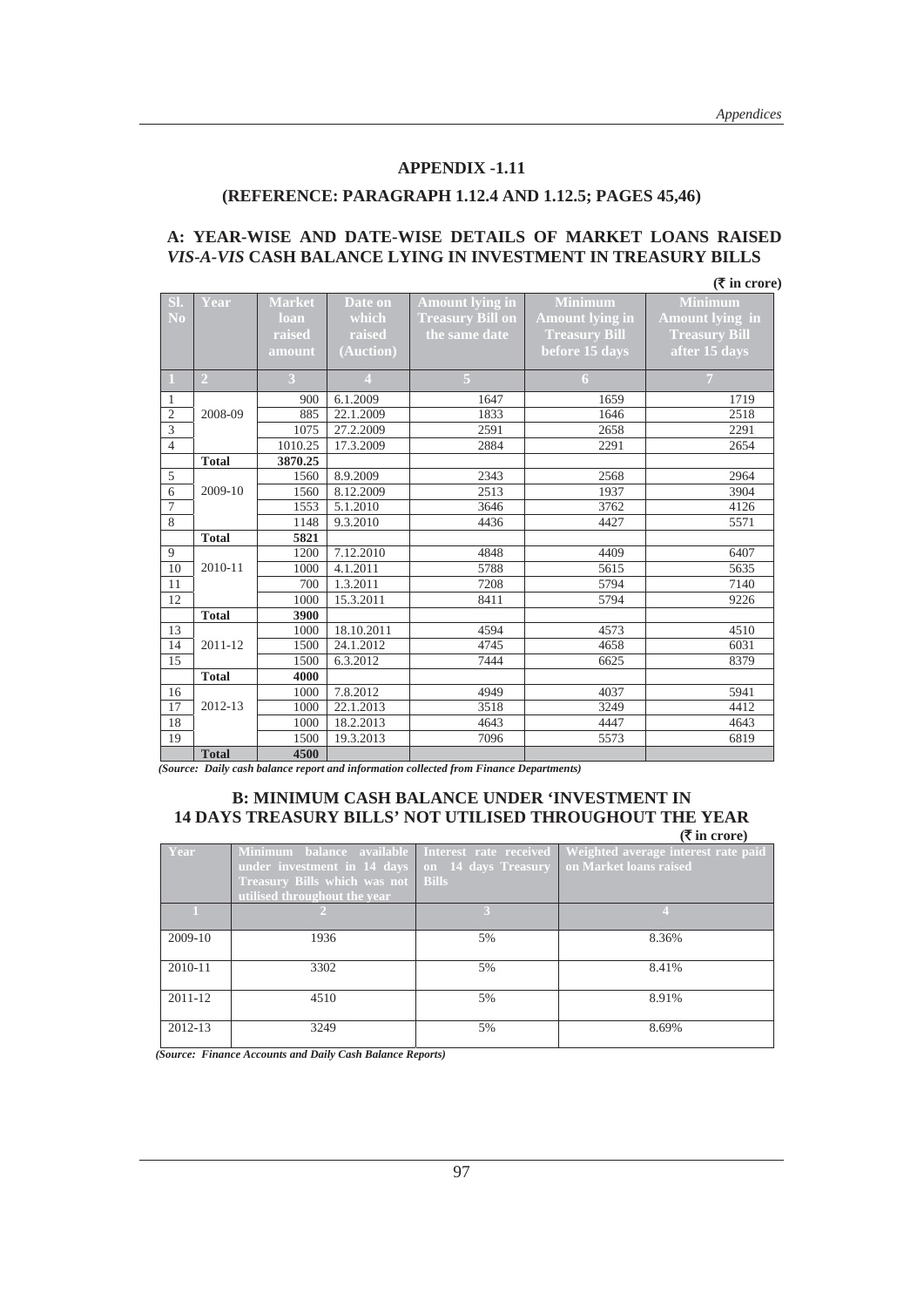#### **APPENDIX -1.11**

#### **(REFERENCE: PARAGRAPH 1.12.4 AND 1.12.5; PAGES 45,46)**

#### **A: YEAR-WISE AND DATE-WISE DETAILS OF MARKET LOANS RAISED**  *VIS-A-VIS* **CASH BALANCE LYING IN INVESTMENT IN TREASURY BILLS**

|                |                |               |                |                         |                        | $(\overline{\mathbf{\overline{\zeta}}}$ in crore) |
|----------------|----------------|---------------|----------------|-------------------------|------------------------|---------------------------------------------------|
| SI.            | Year           | <b>Market</b> | Date on        | <b>Amount lying in</b>  | <b>Minimum</b>         | <b>Minimum</b>                                    |
| N <sub>0</sub> |                | loan          | which          | <b>Treasury Bill on</b> | <b>Amount lying in</b> | <b>Amount lying in</b>                            |
|                |                | raised        | raised         | the same date           | <b>Treasury Bill</b>   | <b>Treasury Bill</b>                              |
|                |                | amount        | (Auction)      |                         | before 15 days         | after 15 days                                     |
|                |                |               |                |                         |                        |                                                   |
| $\mathbf{1}$   | $\overline{2}$ | 3             | $\overline{4}$ | $\overline{5}$          | 6                      | $\overline{7}$                                    |
| $\mathbf{1}$   |                | 900           | 6.1.2009       | 1647                    | 1659                   | 1719                                              |
| $\mathfrak{2}$ | 2008-09        | 885           | 22.1.2009      | 1833                    | 1646                   | 2518                                              |
| 3              |                | 1075          | 27.2.2009      | 2591                    | 2658                   | 2291                                              |
| $\overline{4}$ |                | 1010.25       | 17.3.2009      | 2884                    | 2291                   | 2654                                              |
|                | <b>Total</b>   | 3870.25       |                |                         |                        |                                                   |
| 5              |                | 1560          | 8.9.2009       | 2343                    | 2568                   | 2964                                              |
| 6              | 2009-10        | 1560          | 8.12.2009      | 2513                    | 1937                   | 3904                                              |
| 7              |                | 1553          | 5.1.2010       | 3646                    | 3762                   | 4126                                              |
| 8              |                | 1148          | 9.3.2010       | 4436                    | 4427                   | 5571                                              |
|                | <b>Total</b>   | 5821          |                |                         |                        |                                                   |
| 9              |                | 1200          | 7.12.2010      | 4848                    | 4409                   | 6407                                              |
| 10             | 2010-11        | 1000          | 4.1.2011       | 5788                    | 5615                   | 5635                                              |
| 11             |                | 700           | 1.3.2011       | 7208                    | 5794                   | 7140                                              |
| 12             |                | 1000          | 15.3.2011      | 8411                    | 5794                   | 9226                                              |
|                | <b>Total</b>   | 3900          |                |                         |                        |                                                   |
| 13             |                | 1000          | 18.10.2011     | 4594                    | 4573                   | 4510                                              |
| 14             | 2011-12        | 1500          | 24.1.2012      | 4745                    | 4658                   | 6031                                              |
| 15             |                | 1500          | 6.3.2012       | 7444                    | 6625                   | 8379                                              |
|                | <b>Total</b>   | 4000          |                |                         |                        |                                                   |
| 16             |                | 1000          | 7.8.2012       | 4949                    | 4037                   | 5941                                              |
| 17             | 2012-13        | 1000          | 22.1.2013      | 3518                    | 3249                   | 4412                                              |
| 18             |                | 1000          | 18.2.2013      | 4643                    | 4447                   | 4643                                              |
| 19             |                | 1500          | 19.3.2013      | 7096                    | 5573                   | 6819                                              |
|                | <b>Total</b>   | 4500          |                |                         |                        |                                                   |

 *(Source: Daily cash balance report and information collected from Finance Departments)* 

#### **B: MINIMUM CASH BALANCE UNDER 'INVESTMENT IN 14 DAYS TREASURY BILLS' NOT UTILISED THROUGHOUT THE YEAR (**` **in crore)**

|         |                                                                                                                                                                     |              | , ,                                                           |
|---------|---------------------------------------------------------------------------------------------------------------------------------------------------------------------|--------------|---------------------------------------------------------------|
| Year    | Minimum balance available Interest rate received<br>under investment in 14 days on 14 days Treasury<br>Treasury Bills which was not<br>utilised throughout the year | <b>Bills</b> | Weighted average interest rate paid<br>on Market loans raised |
|         |                                                                                                                                                                     |              |                                                               |
| 2009-10 | 1936                                                                                                                                                                | 5%           | 8.36%                                                         |
| 2010-11 | 3302                                                                                                                                                                | 5%           | 8.41%                                                         |
| 2011-12 | 4510                                                                                                                                                                | 5%           | 8.91%                                                         |
| 2012-13 | 3249                                                                                                                                                                | 5%           | 8.69%                                                         |

 *(Source: Finance Accounts and Daily Cash Balance Reports)*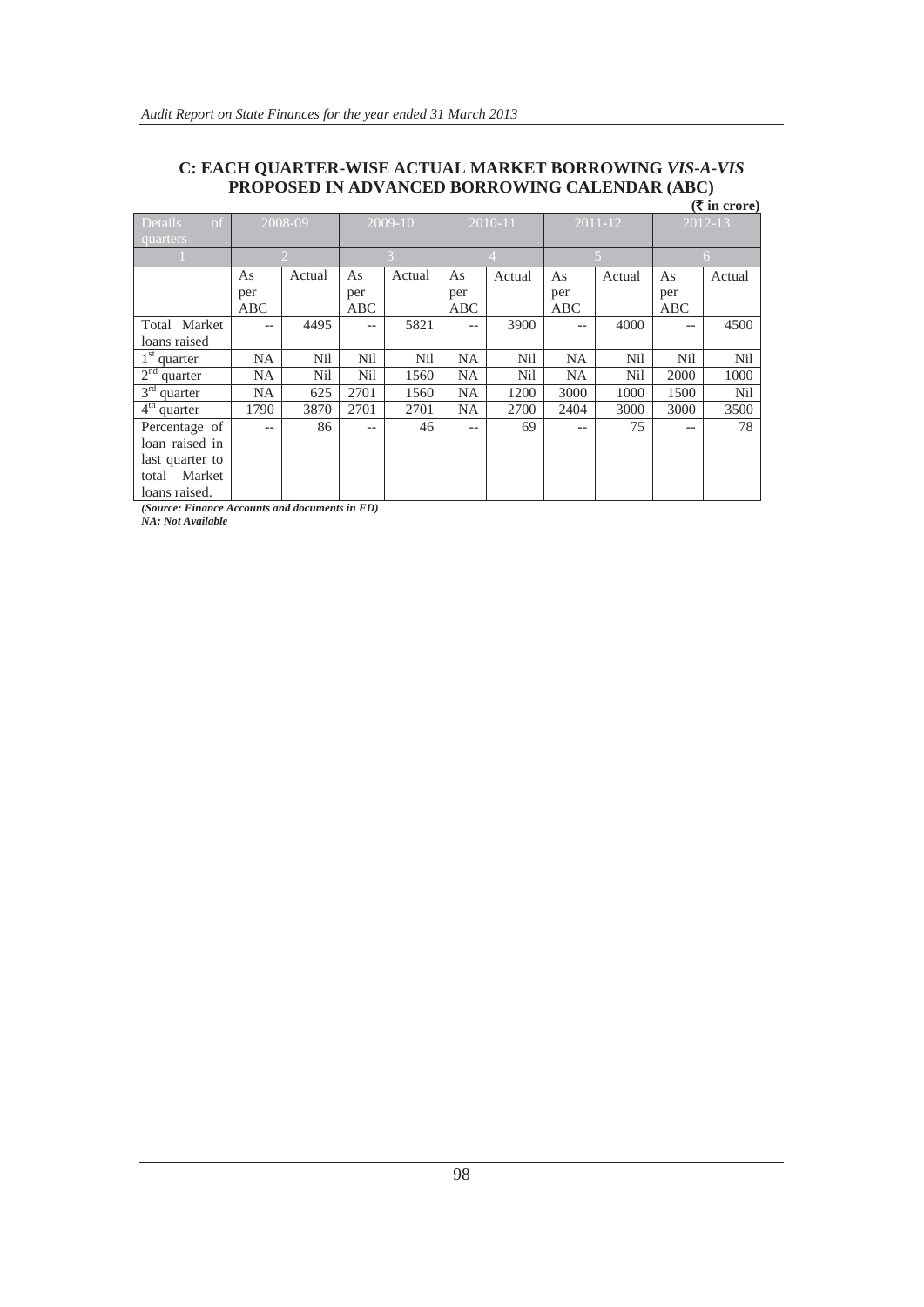#### **C: EACH QUARTER-WISE ACTUAL MARKET BORROWING** *VIS-A-VIS* **PROPOSED IN ADVANCED BORROWING CALENDAR (ABC)**

|                                         | $(\bar{\bar{\mathbf{x}}}$ in crore) |                             |                   |                                            |           |                |           |             |                   |                 |  |
|-----------------------------------------|-------------------------------------|-----------------------------|-------------------|--------------------------------------------|-----------|----------------|-----------|-------------|-------------------|-----------------|--|
| Details<br>$\sigma$ f                   |                                     | 2008-09                     | 2009-10           |                                            |           | 2010-11        |           | $2011 - 12$ |                   | 2012-13         |  |
| quarters                                |                                     |                             |                   |                                            |           |                |           |             |                   |                 |  |
|                                         |                                     | $\mathcal{D}_{\mathcal{L}}$ |                   | $\overline{\mathcal{E}}$<br>$\overline{4}$ |           | $\overline{5}$ |           | 6           |                   |                 |  |
|                                         | As                                  | Actual                      | As                | Actual                                     | As        | Actual         | As        | Actual      | As                | Actual          |  |
|                                         | per                                 |                             | per               |                                            | per       |                | per       |             | per               |                 |  |
|                                         | <b>ABC</b>                          |                             | ABC               |                                            | ABC       |                | ABC       |             | ABC               |                 |  |
| Total Market                            | --                                  | 4495                        | $\qquad \qquad -$ | 5821                                       | $-$       | 3900           | $- -$     | 4000        | $\qquad \qquad -$ | 4500            |  |
| loans raised                            |                                     |                             |                   |                                            |           |                |           |             |                   |                 |  |
| $1st$ quarter                           | <b>NA</b>                           | Nil                         | <b>Nil</b>        | N <sub>il</sub>                            | <b>NA</b> | Nil            | <b>NA</b> | <b>Nil</b>  | <b>Nil</b>        | <b>Nil</b>      |  |
| 2 <sup>nd</sup><br><sup>d</sup> quarter | <b>NA</b>                           | Nil                         | Nil               | 1560                                       | <b>NA</b> | Nil            | <b>NA</b> | Nil         | 2000              | 1000            |  |
| $3rd$ quarter                           | <b>NA</b>                           | 625                         | 2701              | 1560                                       | <b>NA</b> | 1200           | 3000      | 1000        | 1500              | N <sub>il</sub> |  |
| $4th$ quarter                           | 1790                                | 3870                        | 2701              | 2701                                       | <b>NA</b> | 2700           | 2404      | 3000        | 3000              | 3500            |  |
| Percentage of                           | $- -$                               | 86                          | --                | 46                                         | $-$       | 69             | $- -$     | 75          | $- -$             | 78              |  |
| loan raised in                          |                                     |                             |                   |                                            |           |                |           |             |                   |                 |  |
| last quarter to                         |                                     |                             |                   |                                            |           |                |           |             |                   |                 |  |
| total Market                            |                                     |                             |                   |                                            |           |                |           |             |                   |                 |  |
| loans raised.                           |                                     |                             |                   |                                            |           |                |           |             |                   |                 |  |

*(Source: Finance Accounts and documents in FD)* 

*NA: Not Available*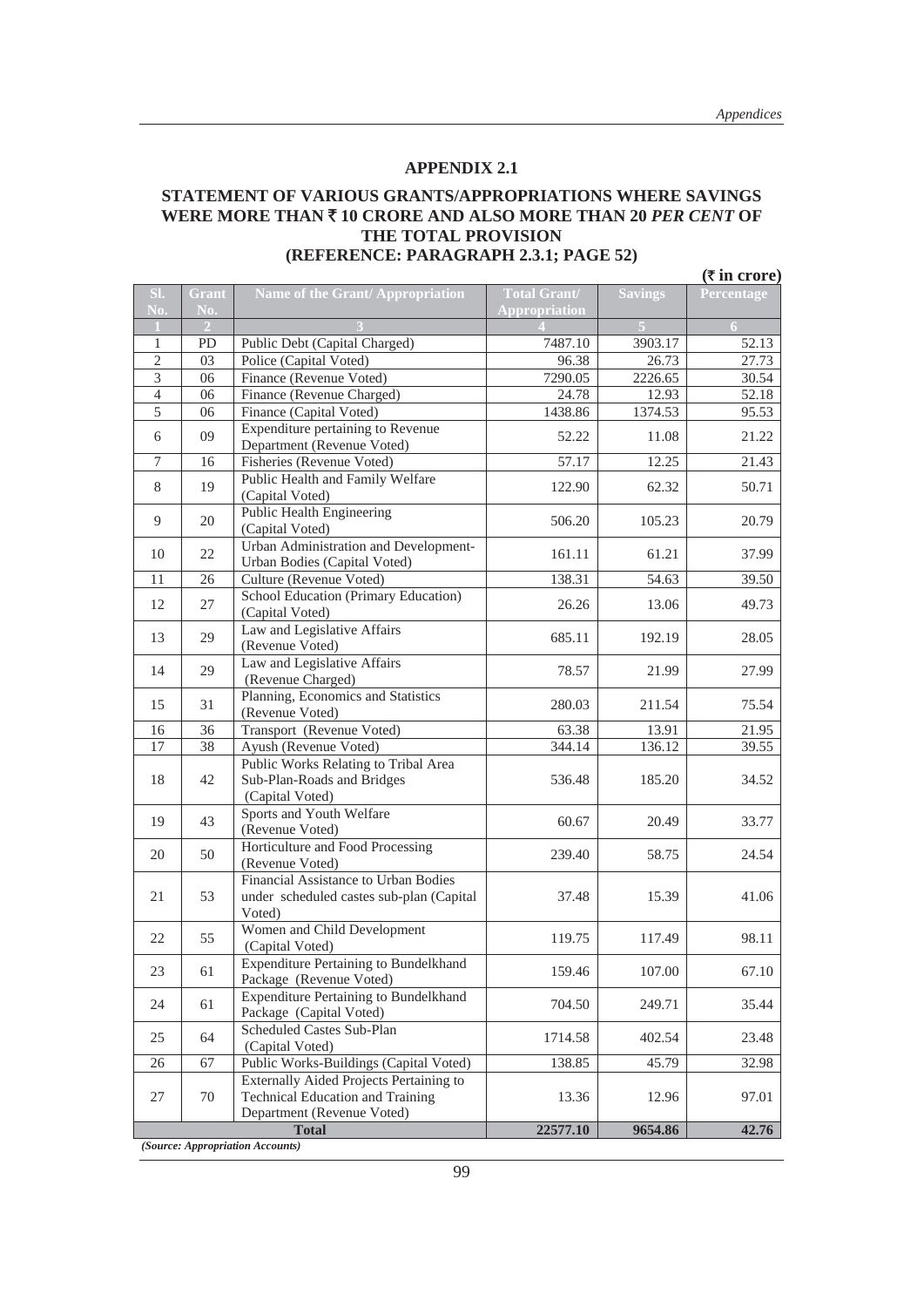#### **STATEMENT OF VARIOUS GRANTS/APPROPRIATIONS WHERE SAVINGS WERE MORE THAN** ` **10 CRORE AND ALSO MORE THAN 20** *PER CENT* **OF THE TOTAL PROVISION (REFERENCE: PARAGRAPH 2.3.1; PAGE 52)**

| $(\overline{\tau}$ in crore)     |                |                                                                                                                  |                                             |                |            |  |  |
|----------------------------------|----------------|------------------------------------------------------------------------------------------------------------------|---------------------------------------------|----------------|------------|--|--|
| SI.<br>No.                       | Grant<br>No.   | Name of the Grant/Appropriation                                                                                  | <b>Total Grant/</b><br><b>Appropriation</b> | <b>Savings</b> | Percentage |  |  |
| $\blacksquare$                   | $\overline{2}$ |                                                                                                                  |                                             |                |            |  |  |
| $\mathbf{1}$                     | <b>PD</b>      | Public Debt (Capital Charged)                                                                                    | 7487.10                                     | 3903.17        | 52.13      |  |  |
| $\overline{c}$                   | 03             | Police (Capital Voted)                                                                                           | 96.38                                       | 26.73          | 27.73      |  |  |
| 3                                | 06             | Finance (Revenue Voted)                                                                                          | 7290.05                                     | 2226.65        | 30.54      |  |  |
| $\overline{4}$<br>$\overline{5}$ | 06<br>06       | Finance (Revenue Charged)                                                                                        | 24.78                                       | 12.93          | 52.18      |  |  |
|                                  |                | Finance (Capital Voted)<br>Expenditure pertaining to Revenue                                                     | 1438.86                                     | 1374.53        | 95.53      |  |  |
| 6                                | 09             | Department (Revenue Voted)                                                                                       | 52.22                                       | 11.08          | 21.22      |  |  |
| 7                                | 16             | Fisheries (Revenue Voted)                                                                                        | 57.17                                       | 12.25          | 21.43      |  |  |
| 8                                | 19             | Public Health and Family Welfare<br>(Capital Voted)                                                              | 122.90                                      | 62.32          | 50.71      |  |  |
| 9                                | 20             | Public Health Engineering<br>(Capital Voted)                                                                     | 506.20                                      | 105.23         | 20.79      |  |  |
| 10                               | 22             | Urban Administration and Development-<br>Urban Bodies (Capital Voted)                                            | 161.11                                      | 61.21          | 37.99      |  |  |
| 11                               | 26             | Culture (Revenue Voted)                                                                                          | 138.31                                      | 54.63          | 39.50      |  |  |
| 12                               | 27             | School Education (Primary Education)<br>(Capital Voted)                                                          | 26.26                                       | 13.06          | 49.73      |  |  |
| 13                               | 29             | Law and Legislative Affairs<br>(Revenue Voted)                                                                   | 685.11                                      | 192.19         | 28.05      |  |  |
| 14                               | 29             | Law and Legislative Affairs<br>(Revenue Charged)                                                                 | 78.57                                       | 21.99          | 27.99      |  |  |
| 15                               | 31             | Planning, Economics and Statistics<br>(Revenue Voted)                                                            | 280.03                                      | 211.54         | 75.54      |  |  |
| 16                               | 36             | Transport (Revenue Voted)                                                                                        | 63.38                                       | 13.91          | 21.95      |  |  |
| 17                               | 38             | Ayush (Revenue Voted)                                                                                            | 344.14                                      | 136.12         | 39.55      |  |  |
| 18                               | 42             | Public Works Relating to Tribal Area<br>Sub-Plan-Roads and Bridges<br>(Capital Voted)                            | 536.48                                      | 185.20         | 34.52      |  |  |
| 19                               | 43             | Sports and Youth Welfare<br>(Revenue Voted)                                                                      | 60.67                                       | 20.49          | 33.77      |  |  |
| 20                               | 50             | Horticulture and Food Processing<br>(Revenue Voted)                                                              | 239.40                                      | 58.75          | 24.54      |  |  |
| 21                               | 53             | Financial Assistance to Urban Bodies<br>under scheduled castes sub-plan (Capital<br>Voted)                       | 37.48                                       | 15.39          | 41.06      |  |  |
| 22                               | 55             | Women and Child Development<br>(Capital Voted)                                                                   | 119.75                                      | 117.49         | 98.11      |  |  |
| 23                               | 61             | <b>Expenditure Pertaining to Bundelkhand</b><br>Package (Revenue Voted)                                          | 159.46                                      | 107.00         | 67.10      |  |  |
| 24                               | 61             | <b>Expenditure Pertaining to Bundelkhand</b><br>Package (Capital Voted)                                          | 704.50                                      | 249.71         | 35.44      |  |  |
| 25                               | 64             | Scheduled Castes Sub-Plan<br>(Capital Voted)                                                                     | 1714.58                                     | 402.54         | 23.48      |  |  |
| 26                               | 67             | Public Works-Buildings (Capital Voted)                                                                           | 138.85                                      | 45.79          | 32.98      |  |  |
| 27                               | 70             | Externally Aided Projects Pertaining to<br><b>Technical Education and Training</b><br>Department (Revenue Voted) | 13.36                                       | 12.96          | 97.01      |  |  |
|                                  |                | <b>Total</b>                                                                                                     | 22577.10                                    | 9654.86        | 42.76      |  |  |
|                                  |                | (Source: Appropriation Accounts)                                                                                 |                                             |                |            |  |  |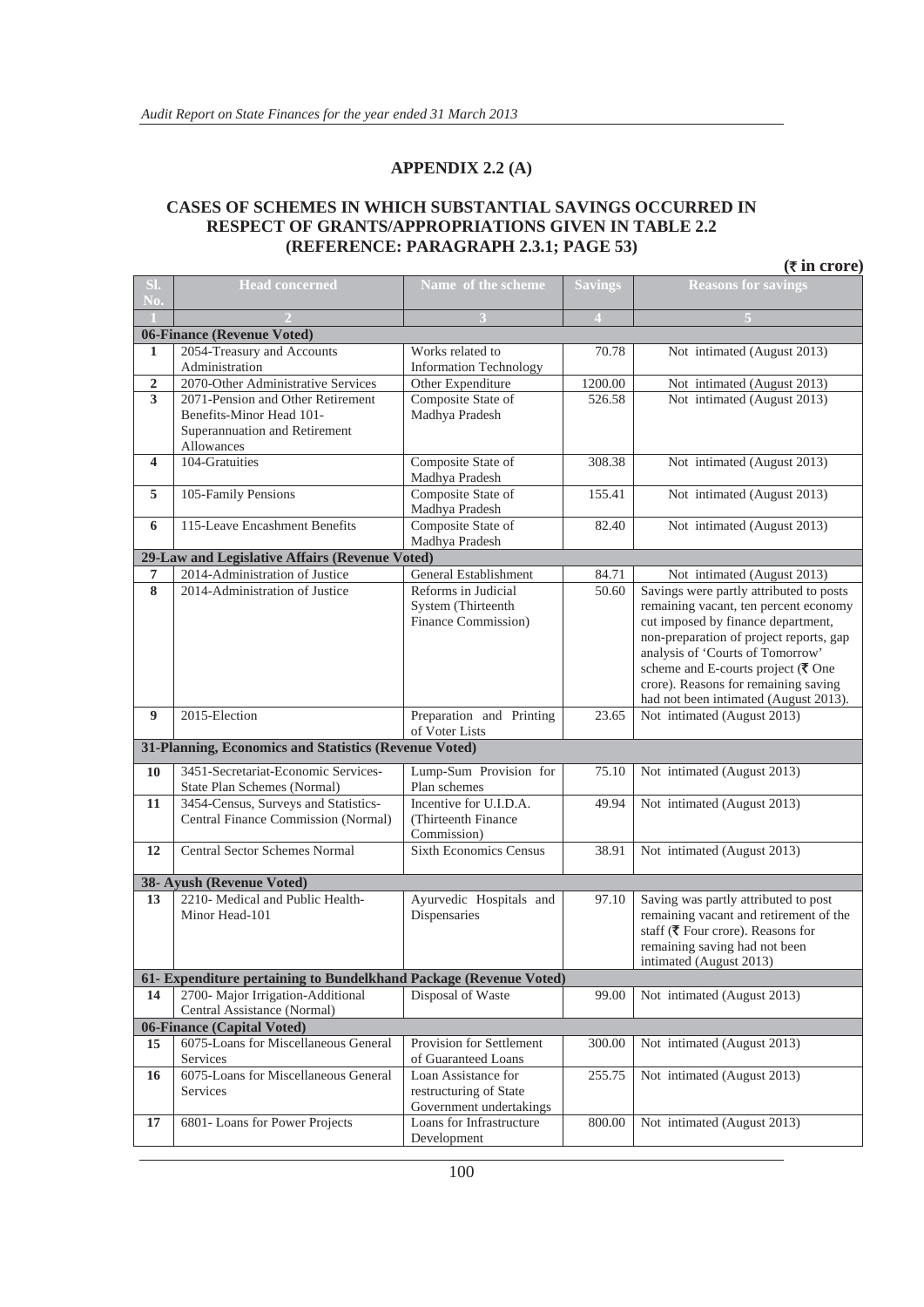#### **APPENDIX 2.2 (A)**

#### **CASES OF SCHEMES IN WHICH SUBSTANTIAL SAVINGS OCCURRED IN RESPECT OF GRANTS/APPROPRIATIONS GIVEN IN TABLE 2.2 (REFERENCE: PARAGRAPH 2.3.1; PAGE 53)**

|                | $(\overline{\tau}$ in crore)                                                |                                                                          |                |                                                                                                                                                                                                                                                                                                                                                              |  |  |  |  |
|----------------|-----------------------------------------------------------------------------|--------------------------------------------------------------------------|----------------|--------------------------------------------------------------------------------------------------------------------------------------------------------------------------------------------------------------------------------------------------------------------------------------------------------------------------------------------------------------|--|--|--|--|
| SI.            | <b>Head concerned</b>                                                       | Name of the scheme                                                       | <b>Savings</b> | <b>Reasons for savings</b>                                                                                                                                                                                                                                                                                                                                   |  |  |  |  |
| No.            |                                                                             |                                                                          |                |                                                                                                                                                                                                                                                                                                                                                              |  |  |  |  |
|                |                                                                             | 3                                                                        | $\overline{4}$ |                                                                                                                                                                                                                                                                                                                                                              |  |  |  |  |
|                | 06-Finance (Revenue Voted)                                                  |                                                                          |                |                                                                                                                                                                                                                                                                                                                                                              |  |  |  |  |
| 1              | 2054-Treasury and Accounts<br>Administration                                | Works related to<br><b>Information Technology</b>                        | 70.78          | Not intimated (August 2013)                                                                                                                                                                                                                                                                                                                                  |  |  |  |  |
| $\overline{2}$ | 2070-Other Administrative Services                                          | Other Expenditure                                                        | 1200.00        | Not intimated (August 2013)                                                                                                                                                                                                                                                                                                                                  |  |  |  |  |
| 3              | 2071-Pension and Other Retirement                                           | Composite State of                                                       | 526.58         | Not intimated (August 2013)                                                                                                                                                                                                                                                                                                                                  |  |  |  |  |
|                | Benefits-Minor Head 101-<br>Superannuation and Retirement<br>Allowances     | Madhya Pradesh                                                           |                |                                                                                                                                                                                                                                                                                                                                                              |  |  |  |  |
| 4              | 104-Gratuities                                                              | Composite State of<br>Madhya Pradesh                                     | 308.38         | Not intimated (August 2013)                                                                                                                                                                                                                                                                                                                                  |  |  |  |  |
| 5              | 105-Family Pensions                                                         | Composite State of<br>Madhya Pradesh                                     | 155.41         | Not intimated (August 2013)                                                                                                                                                                                                                                                                                                                                  |  |  |  |  |
| 6              | 115-Leave Encashment Benefits                                               | Composite State of<br>Madhya Pradesh                                     | 82.40          | Not intimated (August 2013)                                                                                                                                                                                                                                                                                                                                  |  |  |  |  |
|                | 29-Law and Legislative Affairs (Revenue Voted)                              |                                                                          |                |                                                                                                                                                                                                                                                                                                                                                              |  |  |  |  |
| 7              | 2014-Administration of Justice                                              | General Establishment                                                    | 84.71          | Not intimated (August 2013)                                                                                                                                                                                                                                                                                                                                  |  |  |  |  |
| 8              | 2014-Administration of Justice                                              | Reforms in Judicial<br>System (Thirteenth<br>Finance Commission)         | 50.60          | Savings were partly attributed to posts<br>remaining vacant, ten percent economy<br>cut imposed by finance department,<br>non-preparation of project reports, gap<br>analysis of 'Courts of Tomorrow'<br>scheme and E-courts project $(\overline{\mathbf{\mathsf{z}}})$ One<br>crore). Reasons for remaining saving<br>had not been intimated (August 2013). |  |  |  |  |
| 9              | 2015-Election                                                               | Preparation and Printing<br>of Voter Lists                               | 23.65          | Not intimated (August 2013)                                                                                                                                                                                                                                                                                                                                  |  |  |  |  |
|                | 31-Planning, Economics and Statistics (Revenue Voted)                       |                                                                          |                |                                                                                                                                                                                                                                                                                                                                                              |  |  |  |  |
| 10             | 3451-Secretariat-Economic Services-                                         | Lump-Sum Provision for                                                   | 75.10          | Not intimated (August 2013)                                                                                                                                                                                                                                                                                                                                  |  |  |  |  |
|                | State Plan Schemes (Normal)                                                 | Plan schemes                                                             |                |                                                                                                                                                                                                                                                                                                                                                              |  |  |  |  |
| 11             | 3454-Census, Surveys and Statistics-<br>Central Finance Commission (Normal) | Incentive for U.I.D.A.<br>(Thirteenth Finance<br>Commission)             | 49.94          | Not intimated (August 2013)                                                                                                                                                                                                                                                                                                                                  |  |  |  |  |
| 12             | <b>Central Sector Schemes Normal</b>                                        | <b>Sixth Economics Census</b>                                            | 38.91          | Not intimated (August 2013)                                                                                                                                                                                                                                                                                                                                  |  |  |  |  |
|                | 38- Ayush (Revenue Voted)                                                   |                                                                          |                |                                                                                                                                                                                                                                                                                                                                                              |  |  |  |  |
| 13             | 2210- Medical and Public Health-<br>Minor Head-101                          | Ayurvedic Hospitals and<br>Dispensaries                                  | 97.10          | Saving was partly attributed to post<br>remaining vacant and retirement of the<br>staff ( $\overline{\mathbf{\mathcal{R}}}$ Four crore). Reasons for<br>remaining saving had not been<br>intimated (August 2013)                                                                                                                                             |  |  |  |  |
|                | 61- Expenditure pertaining to Bundelkhand Package (Revenue Voted)           |                                                                          |                |                                                                                                                                                                                                                                                                                                                                                              |  |  |  |  |
| 14             | 2700- Major Irrigation-Additional                                           | Disposal of Waste                                                        | 99.00          | Not intimated (August 2013)                                                                                                                                                                                                                                                                                                                                  |  |  |  |  |
|                | Central Assistance (Normal)<br>06-Finance (Capital Voted)                   |                                                                          |                |                                                                                                                                                                                                                                                                                                                                                              |  |  |  |  |
| 15             | 6075-Loans for Miscellaneous General                                        | Provision for Settlement                                                 | 300.00         | Not intimated (August 2013)                                                                                                                                                                                                                                                                                                                                  |  |  |  |  |
|                | Services                                                                    | of Guaranteed Loans                                                      |                |                                                                                                                                                                                                                                                                                                                                                              |  |  |  |  |
| 16             | 6075-Loans for Miscellaneous General<br>Services                            | Loan Assistance for<br>restructuring of State<br>Government undertakings | 255.75         | Not intimated (August 2013)                                                                                                                                                                                                                                                                                                                                  |  |  |  |  |
| 17             | 6801-Loans for Power Projects                                               | Loans for Infrastructure<br>Development                                  | 800.00         | Not intimated (August 2013)                                                                                                                                                                                                                                                                                                                                  |  |  |  |  |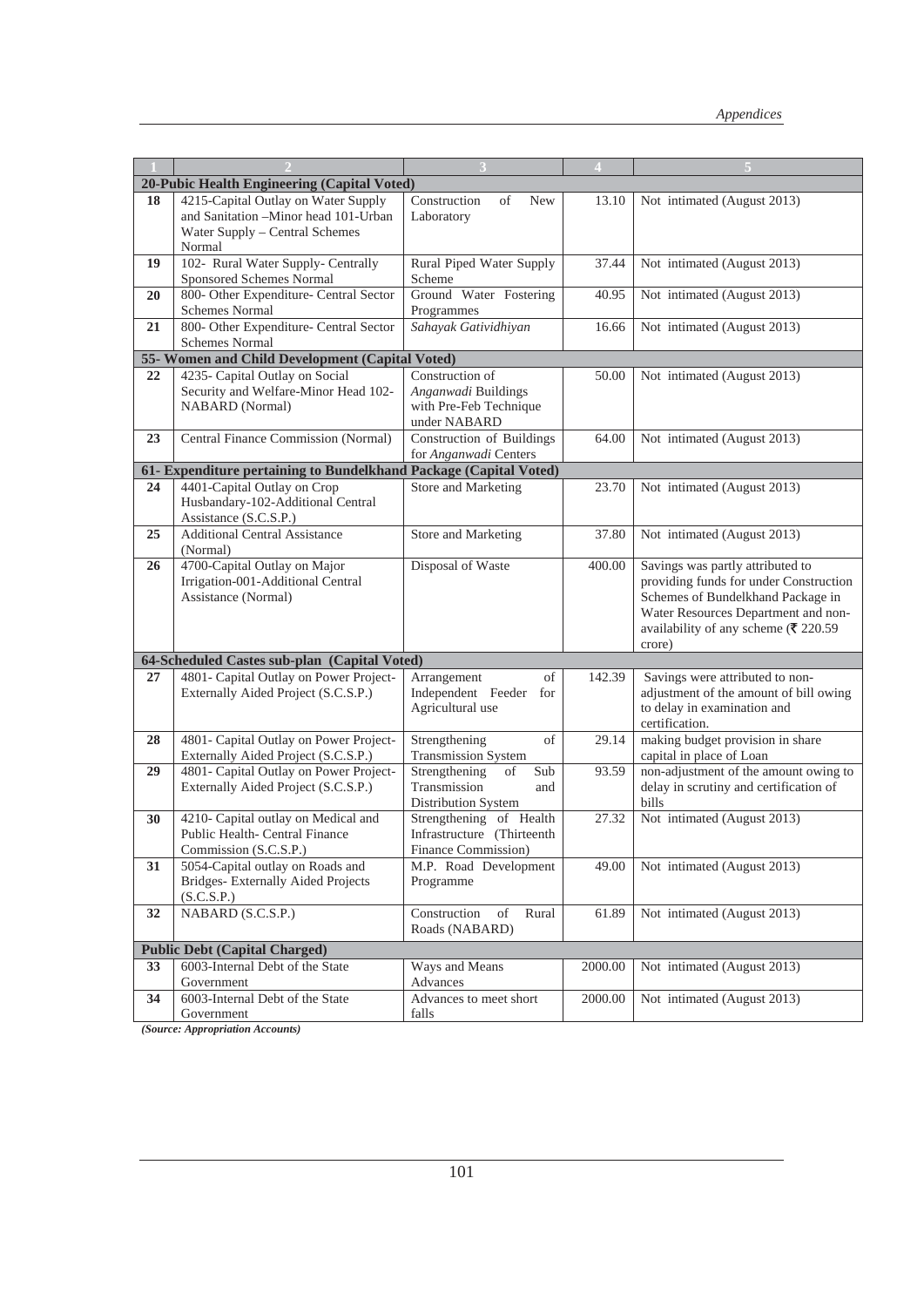|    |                                                                                                                         |                                                                                  | $\overline{4}$ |                                                                                                                                                                                                                                   |
|----|-------------------------------------------------------------------------------------------------------------------------|----------------------------------------------------------------------------------|----------------|-----------------------------------------------------------------------------------------------------------------------------------------------------------------------------------------------------------------------------------|
|    | 20-Pubic Health Engineering (Capital Voted)                                                                             |                                                                                  |                |                                                                                                                                                                                                                                   |
| 18 | 4215-Capital Outlay on Water Supply<br>and Sanitation -Minor head 101-Urban<br>Water Supply - Central Schemes<br>Normal | Construction<br>of<br>New<br>Laboratory                                          | 13.10          | Not intimated (August 2013)                                                                                                                                                                                                       |
| 19 | 102- Rural Water Supply- Centrally<br>Sponsored Schemes Normal                                                          | Rural Piped Water Supply<br>Scheme                                               | 37.44          | Not intimated (August 2013)                                                                                                                                                                                                       |
| 20 | 800- Other Expenditure- Central Sector<br>Schemes Normal                                                                | Ground Water Fostering<br>Programmes                                             | 40.95          | Not intimated (August 2013)                                                                                                                                                                                                       |
| 21 | 800- Other Expenditure- Central Sector<br><b>Schemes Normal</b>                                                         | Sahayak Gatividhiyan                                                             | 16.66          | Not intimated (August 2013)                                                                                                                                                                                                       |
|    | 55- Women and Child Development (Capital Voted)                                                                         |                                                                                  |                |                                                                                                                                                                                                                                   |
| 22 | 4235- Capital Outlay on Social<br>Security and Welfare-Minor Head 102-<br><b>NABARD</b> (Normal)                        | Construction of<br>Anganwadi Buildings<br>with Pre-Feb Technique<br>under NABARD | 50.00          | Not intimated (August 2013)                                                                                                                                                                                                       |
| 23 | Central Finance Commission (Normal)                                                                                     | Construction of Buildings<br>for Anganwadi Centers                               | 64.00          | Not intimated (August 2013)                                                                                                                                                                                                       |
|    | 61- Expenditure pertaining to Bundelkhand Package (Capital Voted)                                                       |                                                                                  |                |                                                                                                                                                                                                                                   |
| 24 | 4401-Capital Outlay on Crop<br>Husbandary-102-Additional Central<br>Assistance (S.C.S.P.)                               | Store and Marketing                                                              | 23.70          | Not intimated (August 2013)                                                                                                                                                                                                       |
| 25 | <b>Additional Central Assistance</b><br>(Normal)                                                                        | Store and Marketing                                                              | 37.80          | Not intimated (August 2013)                                                                                                                                                                                                       |
| 26 | 4700-Capital Outlay on Major<br>Irrigation-001-Additional Central<br>Assistance (Normal)                                | Disposal of Waste                                                                | 400.00         | Savings was partly attributed to<br>providing funds for under Construction<br>Schemes of Bundelkhand Package in<br>Water Resources Department and non-<br>availability of any scheme ( $\overline{\mathfrak{F}}$ 220.59<br>crore) |
|    | 64-Scheduled Castes sub-plan (Capital Voted)                                                                            |                                                                                  |                |                                                                                                                                                                                                                                   |
| 27 | 4801- Capital Outlay on Power Project-<br>Externally Aided Project (S.C.S.P.)                                           | Arrangement<br>of<br>Independent Feeder for<br>Agricultural use                  | 142.39         | Savings were attributed to non-<br>adjustment of the amount of bill owing<br>to delay in examination and<br>certification.                                                                                                        |
| 28 | 4801- Capital Outlay on Power Project-<br>Externally Aided Project (S.C.S.P.)                                           | Strengthening<br>of<br><b>Transmission System</b>                                | 29.14          | making budget provision in share<br>capital in place of Loan                                                                                                                                                                      |
| 29 | 4801- Capital Outlay on Power Project-<br>Externally Aided Project (S.C.S.P.)                                           | Strengthening<br>οf<br>Sub<br>Transmission<br>and<br>Distribution System         | 93.59          | non-adjustment of the amount owing to<br>delay in scrutiny and certification of<br>bills                                                                                                                                          |
| 30 | 4210- Capital outlay on Medical and<br>Public Health- Central Finance<br>Commission (S.C.S.P.)                          | Strengthening of Health<br>Infrastructure (Thirteenth<br>Finance Commission)     | 27.32          | Not intimated (August 2013)                                                                                                                                                                                                       |
| 31 | 5054-Capital outlay on Roads and<br>Bridges-Externally Aided Projects<br>(S.C.S.P.)                                     | M.P. Road Development<br>Programme                                               | 49.00          | Not intimated (August 2013)                                                                                                                                                                                                       |
| 32 | $NABARD$ $(S.C.S.P.)$                                                                                                   | Construction<br>of<br>Rural<br>Roads (NABARD)                                    | 61.89          | Not intimated (August 2013)                                                                                                                                                                                                       |
|    | <b>Public Debt (Capital Charged)</b>                                                                                    |                                                                                  |                |                                                                                                                                                                                                                                   |
| 33 | 6003-Internal Debt of the State<br>Government                                                                           | Ways and Means<br>Advances                                                       | 2000.00        | Not intimated (August 2013)                                                                                                                                                                                                       |
| 34 | 6003-Internal Debt of the State<br>Government                                                                           | Advances to meet short<br>falls                                                  | 2000.00        | Not intimated (August 2013)                                                                                                                                                                                                       |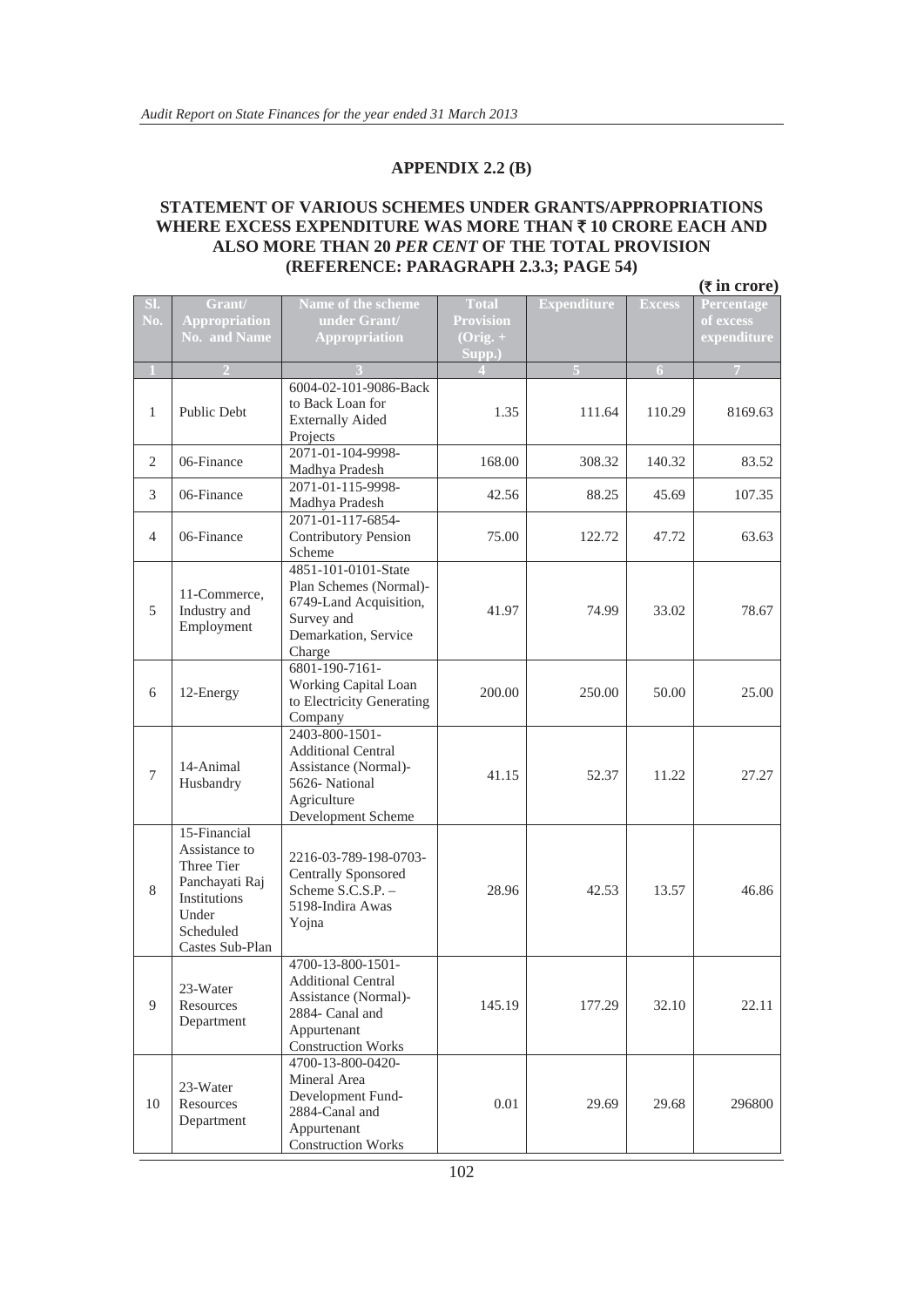#### **APPENDIX 2.2 (B)**

#### **STATEMENT OF VARIOUS SCHEMES UNDER GRANTS/APPROPRIATIONS WHERE EXCESS EXPENDITURE WAS MORE THAN ₹ 10 CRORE EACH AND ALSO MORE THAN 20** *PER CENT* **OF THE TOTAL PROVISION (REFERENCE: PARAGRAPH 2.3.3; PAGE 54)**

|                  |                                                                                                                        |                                                                                                                                       |                                                            |                    |                | $(\overline{\tau}$ in crore)           |
|------------------|------------------------------------------------------------------------------------------------------------------------|---------------------------------------------------------------------------------------------------------------------------------------|------------------------------------------------------------|--------------------|----------------|----------------------------------------|
| SI.<br>No.       | Grant/<br><b>Appropriation</b><br><b>No. and Name</b>                                                                  | Name of the scheme<br>under Grant/<br><b>Appropriation</b>                                                                            | <b>Total</b><br><b>Provision</b><br>$(Orig. + )$<br>Supp.) | <b>Expenditure</b> | <b>Excess</b>  | Percentage<br>of excess<br>expenditure |
| $1\,$            | $\overline{2}$                                                                                                         |                                                                                                                                       |                                                            |                    | $\overline{6}$ | $\overline{7}$                         |
| $\mathbf{1}$     | <b>Public Debt</b>                                                                                                     | 6004-02-101-9086-Back<br>to Back Loan for<br><b>Externally Aided</b><br>Projects                                                      | 1.35                                                       | 111.64             | 110.29         | 8169.63                                |
| 2                | 06-Finance                                                                                                             | 2071-01-104-9998-<br>Madhya Pradesh                                                                                                   | 168.00                                                     | 308.32             | 140.32         | 83.52                                  |
| 3                | 06-Finance                                                                                                             | 2071-01-115-9998-<br>Madhya Pradesh                                                                                                   | 42.56                                                      | 88.25              | 45.69          | 107.35                                 |
| $\overline{4}$   | 06-Finance                                                                                                             | 2071-01-117-6854-<br><b>Contributory Pension</b><br>Scheme                                                                            | 75.00                                                      | 122.72             | 47.72          | 63.63                                  |
| 5                | 11-Commerce.<br>Industry and<br>Employment                                                                             | 4851-101-0101-State<br>Plan Schemes (Normal)-<br>6749-Land Acquisition,<br>Survey and<br>Demarkation, Service<br>Charge               | 41.97                                                      | 74.99              | 33.02          | 78.67                                  |
| 6                | 12-Energy                                                                                                              | 6801-190-7161-<br>Working Capital Loan<br>to Electricity Generating<br>Company                                                        | 200.00                                                     | 250.00             | 50.00          | 25.00                                  |
| $\boldsymbol{7}$ | 14-Animal<br>Husbandry                                                                                                 | 2403-800-1501-<br><b>Additional Central</b><br>Assistance (Normal)-<br>5626-National<br>Agriculture<br>Development Scheme             | 41.15                                                      | 52.37              | 11.22          | 27.27                                  |
| $8\,$            | 15-Financial<br>Assistance to<br>Three Tier<br>Panchayati Raj<br>Institutions<br>Under<br>Scheduled<br>Castes Sub-Plan | 2216-03-789-198-0703-<br><b>Centrally Sponsored</b><br>Scheme S.C.S.P. -<br>5198-Indira Awas<br>Yojna                                 | 28.96                                                      | 42.53              | 13.57          | 46.86                                  |
| 9                | 23-Water<br>Resources<br>Department                                                                                    | 4700-13-800-1501-<br><b>Additional Central</b><br>Assistance (Normal)-<br>2884- Canal and<br>Appurtenant<br><b>Construction Works</b> | 145.19                                                     | 177.29             | 32.10          | 22.11                                  |
| 10               | 23-Water<br>Resources<br>Department                                                                                    | 4700-13-800-0420-<br>Mineral Area<br>Development Fund-<br>2884-Canal and<br>Appurtenant<br><b>Construction Works</b>                  | 0.01                                                       | 29.69              | 29.68          | 296800                                 |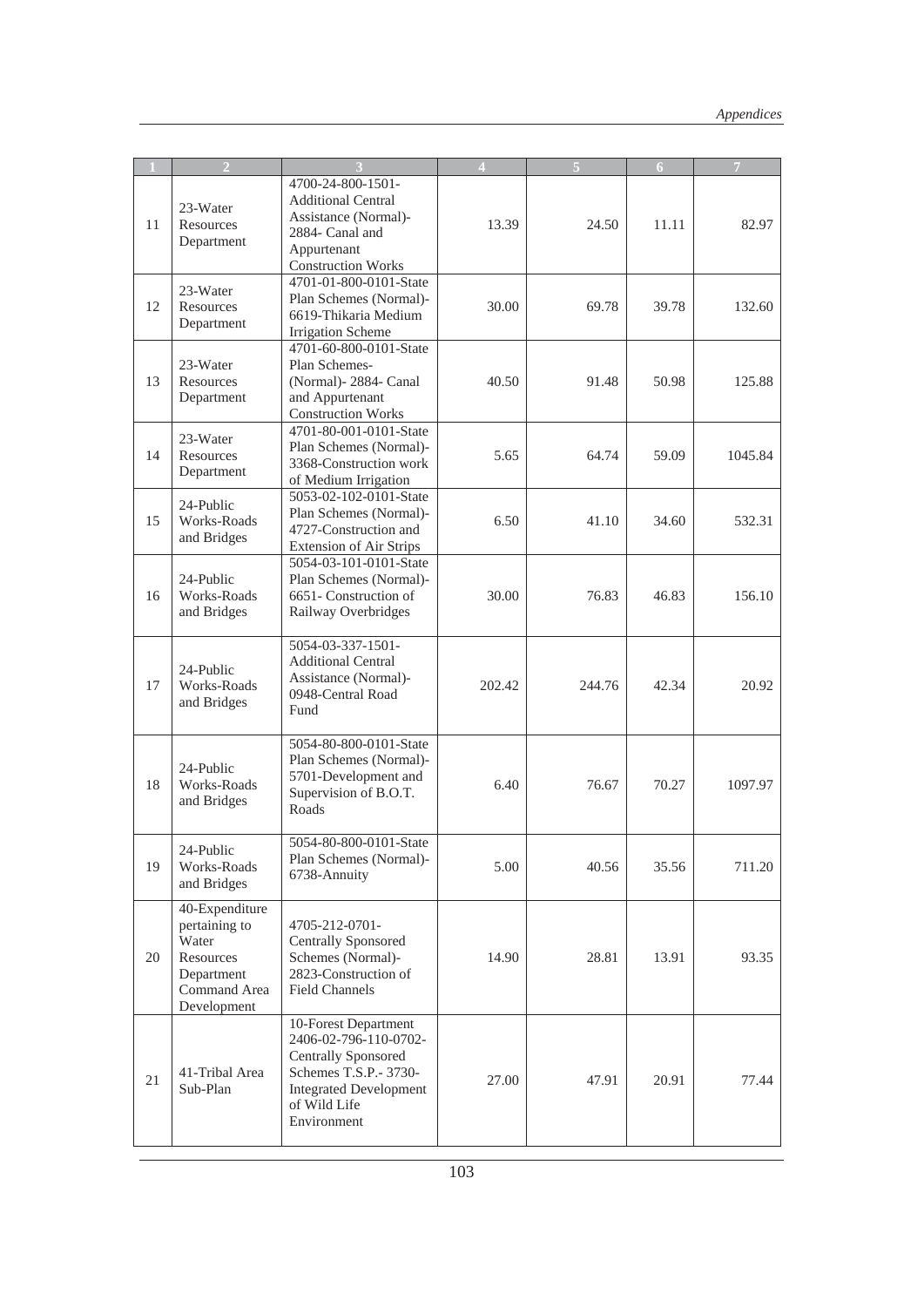|    | $\overline{2}$                                                                                     |                                                                                                                                                                      | 4      |        | 6     | 7       |
|----|----------------------------------------------------------------------------------------------------|----------------------------------------------------------------------------------------------------------------------------------------------------------------------|--------|--------|-------|---------|
| 11 | 23-Water<br>Resources<br>Department                                                                | 4700-24-800-1501-<br><b>Additional Central</b><br>Assistance (Normal)-<br>2884- Canal and<br>Appurtenant<br><b>Construction Works</b>                                | 13.39  | 24.50  | 11.11 | 82.97   |
| 12 | 23-Water<br>Resources<br>Department                                                                | 4701-01-800-0101-State<br>Plan Schemes (Normal)-<br>6619-Thikaria Medium<br><b>Irrigation Scheme</b>                                                                 | 30.00  | 69.78  | 39.78 | 132.60  |
| 13 | 23-Water<br>Resources<br>Department                                                                | 4701-60-800-0101-State<br>Plan Schemes-<br>(Normal)-2884- Canal<br>and Appurtenant<br><b>Construction Works</b>                                                      | 40.50  | 91.48  | 50.98 | 125.88  |
| 14 | 23-Water<br>Resources<br>Department                                                                | 4701-80-001-0101-State<br>Plan Schemes (Normal)-<br>3368-Construction work<br>of Medium Irrigation                                                                   | 5.65   | 64.74  | 59.09 | 1045.84 |
| 15 | 24-Public<br>Works-Roads<br>and Bridges                                                            | 5053-02-102-0101-State<br>Plan Schemes (Normal)-<br>4727-Construction and<br><b>Extension of Air Strips</b>                                                          | 6.50   | 41.10  | 34.60 | 532.31  |
| 16 | 24-Public<br>Works-Roads<br>and Bridges                                                            | 5054-03-101-0101-State<br>Plan Schemes (Normal)-<br>6651- Construction of<br>Railway Overbridges                                                                     | 30.00  | 76.83  | 46.83 | 156.10  |
| 17 | 24-Public<br>Works-Roads<br>and Bridges                                                            | 5054-03-337-1501-<br><b>Additional Central</b><br>Assistance (Normal)-<br>0948-Central Road<br>Fund                                                                  | 202.42 | 244.76 | 42.34 | 20.92   |
| 18 | 24-Public<br>Works-Roads<br>and Bridges                                                            | 5054-80-800-0101-State<br>Plan Schemes (Normal)-<br>5701-Development and<br>Supervision of B.O.T.<br>Roads                                                           | 6.40   | 76.67  | 70.27 | 1097.97 |
| 19 | 24-Public<br>Works-Roads<br>and Bridges                                                            | 5054-80-800-0101-State<br>Plan Schemes (Normal)-<br>6738-Annuity                                                                                                     | 5.00   | 40.56  | 35.56 | 711.20  |
| 20 | 40-Expenditure<br>pertaining to<br>Water<br>Resources<br>Department<br>Command Area<br>Development | 4705-212-0701-<br><b>Centrally Sponsored</b><br>Schemes (Normal)-<br>2823-Construction of<br><b>Field Channels</b>                                                   | 14.90  | 28.81  | 13.91 | 93.35   |
| 21 | 41-Tribal Area<br>Sub-Plan                                                                         | 10-Forest Department<br>2406-02-796-110-0702-<br><b>Centrally Sponsored</b><br>Schemes T.S.P.- 3730-<br><b>Integrated Development</b><br>of Wild Life<br>Environment | 27.00  | 47.91  | 20.91 | 77.44   |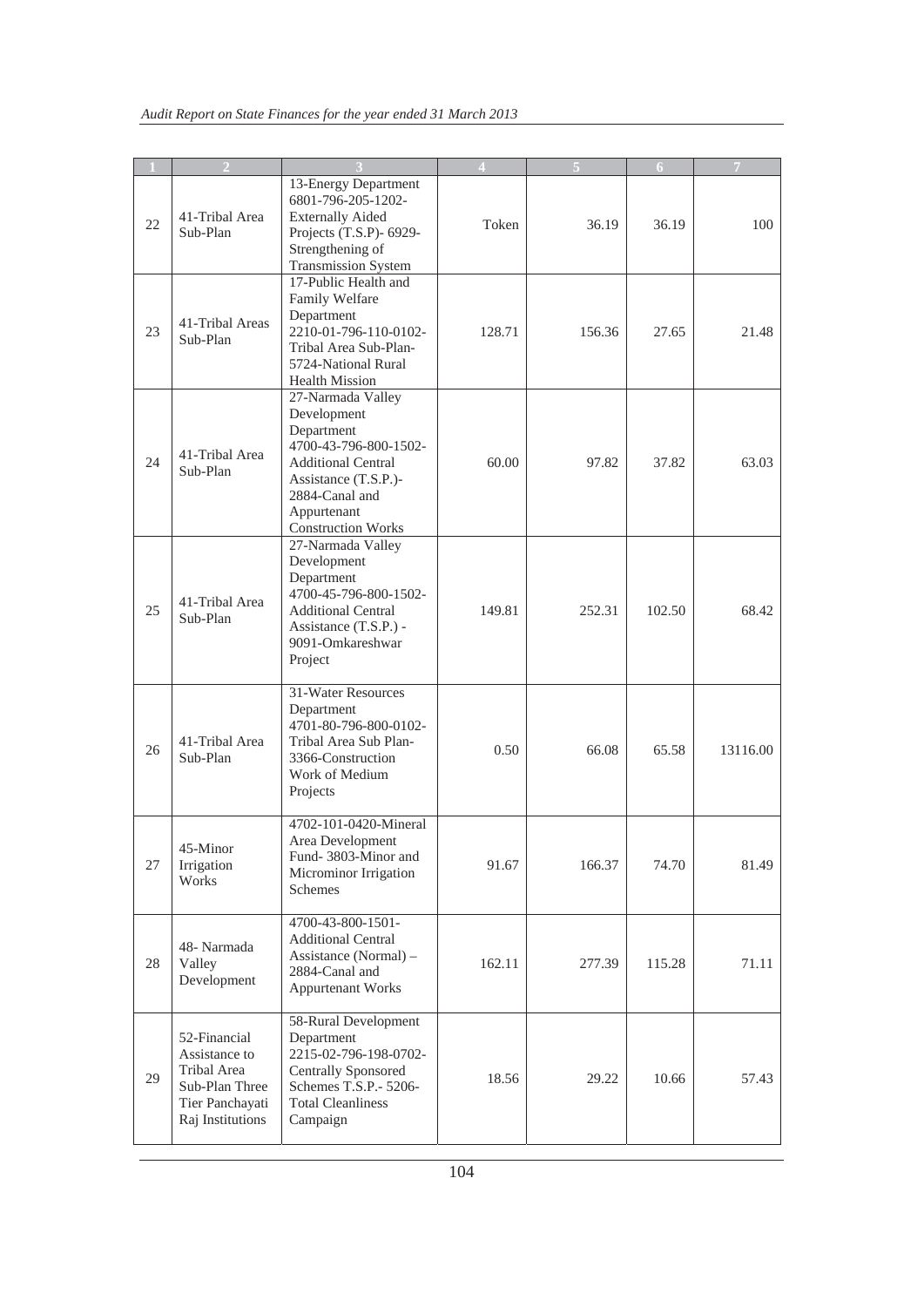|    |                                                                                                       |                                                                                                                                                                                            |        |        | 6      | $\overline{7}$ |
|----|-------------------------------------------------------------------------------------------------------|--------------------------------------------------------------------------------------------------------------------------------------------------------------------------------------------|--------|--------|--------|----------------|
| 22 | 41-Tribal Area<br>Sub-Plan                                                                            | 13-Energy Department<br>6801-796-205-1202-<br><b>Externally Aided</b><br>Projects (T.S.P)- 6929-<br>Strengthening of<br><b>Transmission System</b>                                         | Token  | 36.19  | 36.19  | 100            |
| 23 | 41-Tribal Areas<br>Sub-Plan                                                                           | 17-Public Health and<br>Family Welfare<br>Department<br>2210-01-796-110-0102-<br>Tribal Area Sub-Plan-<br>5724-National Rural<br><b>Health Mission</b>                                     | 128.71 | 156.36 | 27.65  | 21.48          |
| 24 | 41-Tribal Area<br>Sub-Plan                                                                            | 27-Narmada Valley<br>Development<br>Department<br>4700-43-796-800-1502-<br><b>Additional Central</b><br>Assistance (T.S.P.)-<br>2884-Canal and<br>Appurtenant<br><b>Construction Works</b> | 60.00  | 97.82  | 37.82  | 63.03          |
| 25 | 41-Tribal Area<br>Sub-Plan                                                                            | 27-Narmada Valley<br>Development<br>Department<br>4700-45-796-800-1502-<br><b>Additional Central</b><br>Assistance (T.S.P.) -<br>9091-Omkareshwar<br>Project                               | 149.81 | 252.31 | 102.50 | 68.42          |
| 26 | 41-Tribal Area<br>Sub-Plan                                                                            | 31-Water Resources<br>Department<br>4701-80-796-800-0102-<br>Tribal Area Sub Plan-<br>3366-Construction<br>Work of Medium<br>Projects                                                      | 0.50   | 66.08  | 65.58  | 13116.00       |
| 27 | 45-Minor<br>Irrigation<br>Works                                                                       | 4702-101-0420-Mineral<br>Area Development<br>Fund-3803-Minor and<br>Microminor Irrigation<br>Schemes                                                                                       | 91.67  | 166.37 | 74.70  | 81.49          |
| 28 | 48- Narmada<br>Valley<br>Development                                                                  | 4700-43-800-1501-<br><b>Additional Central</b><br>Assistance (Normal) -<br>2884-Canal and<br><b>Appurtenant Works</b>                                                                      | 162.11 | 277.39 | 115.28 | 71.11          |
| 29 | 52-Financial<br>Assistance to<br>Tribal Area<br>Sub-Plan Three<br>Tier Panchayati<br>Raj Institutions | 58-Rural Development<br>Department<br>2215-02-796-198-0702-<br><b>Centrally Sponsored</b><br>Schemes T.S.P.- 5206-<br><b>Total Cleanliness</b><br>Campaign                                 | 18.56  | 29.22  | 10.66  | 57.43          |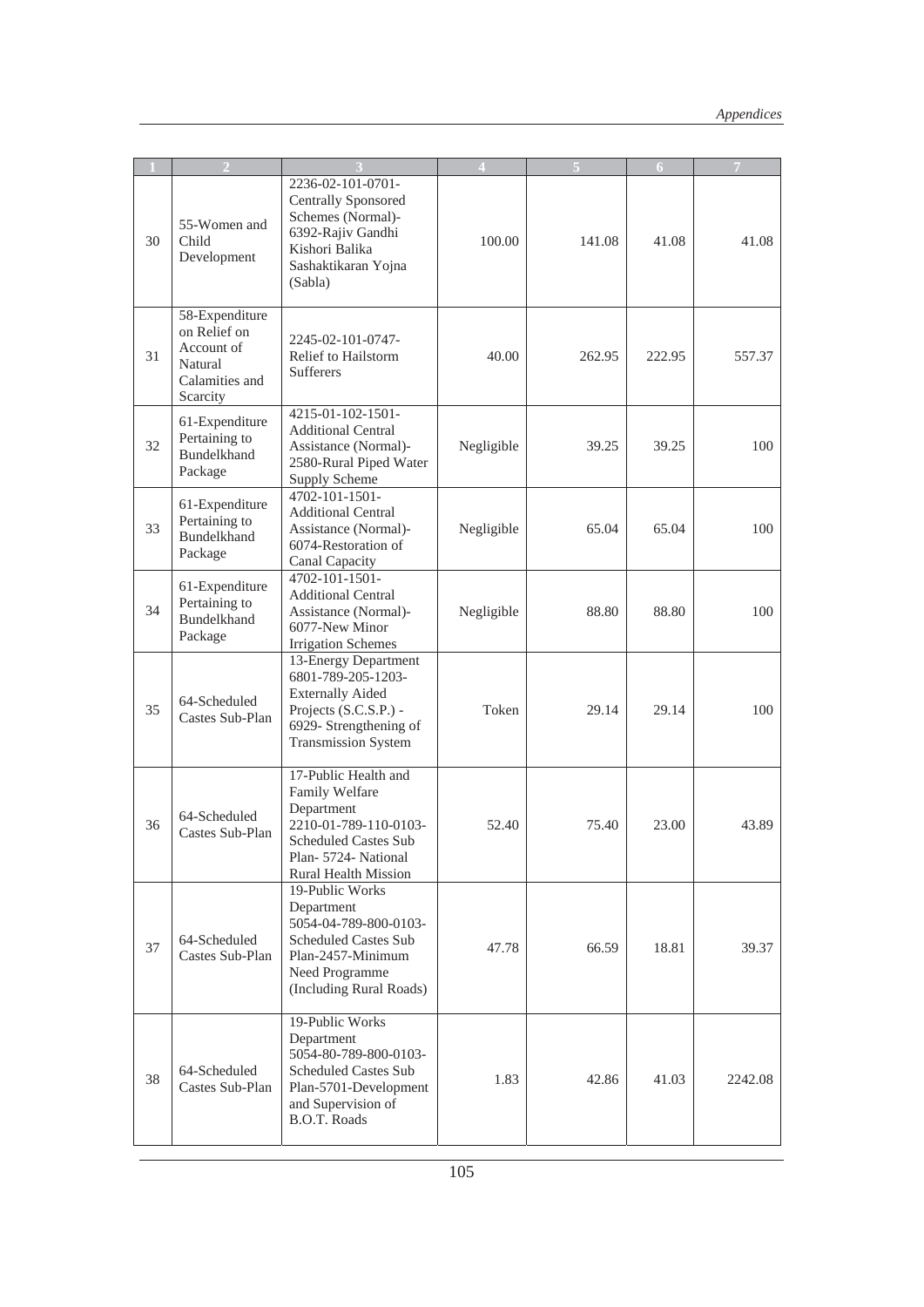|    |                                                                                       |                                                                                                                                                                     |            |        | 6      |         |
|----|---------------------------------------------------------------------------------------|---------------------------------------------------------------------------------------------------------------------------------------------------------------------|------------|--------|--------|---------|
| 30 | 55-Women and<br>Child<br>Development                                                  | 2236-02-101-0701-<br><b>Centrally Sponsored</b><br>Schemes (Normal)-<br>6392-Rajiv Gandhi<br>Kishori Balika<br>Sashaktikaran Yojna<br>(Sabla)                       | 100.00     | 141.08 | 41.08  | 41.08   |
| 31 | 58-Expenditure<br>on Relief on<br>Account of<br>Natural<br>Calamities and<br>Scarcity | 2245-02-101-0747-<br>Relief to Hailstorm<br><b>Sufferers</b>                                                                                                        | 40.00      | 262.95 | 222.95 | 557.37  |
| 32 | 61-Expenditure<br>Pertaining to<br><b>Bundelkhand</b><br>Package                      | 4215-01-102-1501-<br><b>Additional Central</b><br>Assistance (Normal)-<br>2580-Rural Piped Water<br>Supply Scheme                                                   | Negligible | 39.25  | 39.25  | 100     |
| 33 | 61-Expenditure<br>Pertaining to<br><b>Bundelkhand</b><br>Package                      | $4702 - 101 - 1501 -$<br><b>Additional Central</b><br>Assistance (Normal)-<br>6074-Restoration of<br>Canal Capacity                                                 | Negligible | 65.04  | 65.04  | 100     |
| 34 | 61-Expenditure<br>Pertaining to<br><b>Bundelkhand</b><br>Package                      | 4702-101-1501-<br><b>Additional Central</b><br>Assistance (Normal)-<br>6077-New Minor<br><b>Irrigation Schemes</b>                                                  | Negligible | 88.80  | 88.80  | 100     |
| 35 | 64-Scheduled<br>Castes Sub-Plan                                                       | 13-Energy Department<br>6801-789-205-1203-<br><b>Externally Aided</b><br>Projects (S.C.S.P.) -<br>6929- Strengthening of<br>Transmission System                     | Token      | 29.14  | 29.14  | 100     |
| 36 | 64-Scheduled<br>Castes Sub-Plan                                                       | 17-Public Health and<br>Family Welfare<br>Department<br>2210-01-789-110-0103-<br><b>Scheduled Castes Sub</b><br>Plan- 5724- National<br><b>Rural Health Mission</b> | 52.40      | 75.40  | 23.00  | 43.89   |
| 37 | 64-Scheduled<br>Castes Sub-Plan                                                       | 19-Public Works<br>Department<br>5054-04-789-800-0103-<br><b>Scheduled Castes Sub</b><br>Plan-2457-Minimum<br>Need Programme<br>(Including Rural Roads)             | 47.78      | 66.59  | 18.81  | 39.37   |
| 38 | 64-Scheduled<br>Castes Sub-Plan                                                       | 19-Public Works<br>Department<br>5054-80-789-800-0103-<br><b>Scheduled Castes Sub</b><br>Plan-5701-Development<br>and Supervision of<br><b>B.O.T. Roads</b>         | 1.83       | 42.86  | 41.03  | 2242.08 |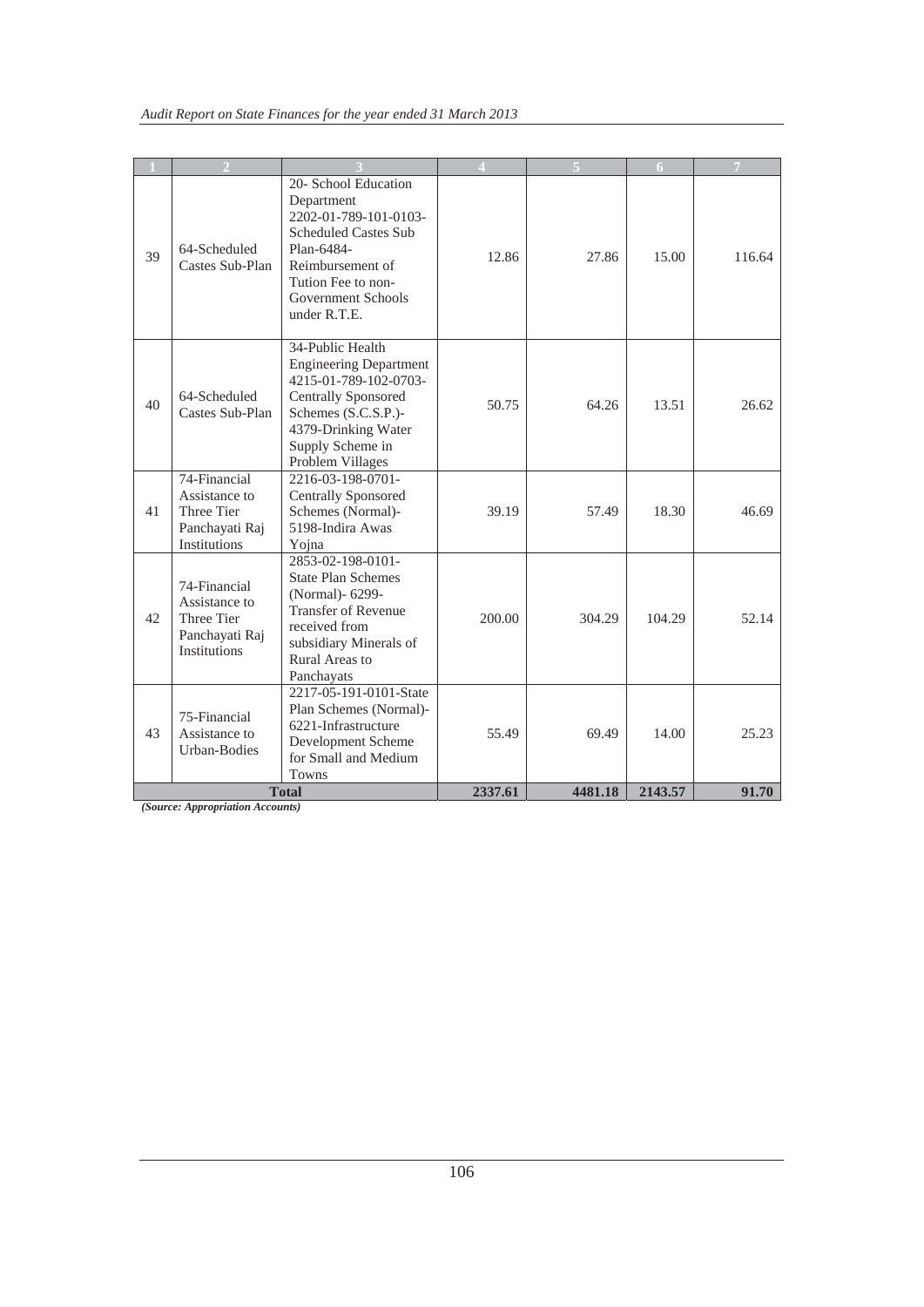|    |                                                                               |                                                                                                                                                                                                |         |         | 6       |        |
|----|-------------------------------------------------------------------------------|------------------------------------------------------------------------------------------------------------------------------------------------------------------------------------------------|---------|---------|---------|--------|
| 39 | 64-Scheduled<br>Castes Sub-Plan                                               | 20- School Education<br>Department<br>2202-01-789-101-0103-<br><b>Scheduled Castes Sub</b><br>Plan-6484-<br>Reimbursement of<br>Tution Fee to non-<br>Government Schools<br>under R.T.E.       | 12.86   | 27.86   | 15.00   | 116.64 |
| 40 | 64-Scheduled<br>Castes Sub-Plan                                               | 34-Public Health<br><b>Engineering Department</b><br>4215-01-789-102-0703-<br><b>Centrally Sponsored</b><br>Schemes (S.C.S.P.)-<br>4379-Drinking Water<br>Supply Scheme in<br>Problem Villages | 50.75   | 64.26   | 13.51   | 26.62  |
| 41 | 74-Financial<br>Assistance to<br>Three Tier<br>Panchayati Raj<br>Institutions | 2216-03-198-0701-<br><b>Centrally Sponsored</b><br>Schemes (Normal)-<br>5198-Indira Awas<br>Yojna                                                                                              | 39.19   | 57.49   | 18.30   | 46.69  |
| 42 | 74-Financial<br>Assistance to<br>Three Tier<br>Panchayati Raj<br>Institutions | 2853-02-198-0101-<br><b>State Plan Schemes</b><br>(Normal)- 6299-<br><b>Transfer of Revenue</b><br>received from<br>subsidiary Minerals of<br>Rural Areas to<br>Panchayats                     | 200.00  | 304.29  | 104.29  | 52.14  |
| 43 | 75-Financial<br>Assistance to<br>Urban-Bodies                                 | 2217-05-191-0101-State<br>Plan Schemes (Normal)-<br>6221-Infrastructure<br>Development Scheme<br>for Small and Medium<br><b>Towns</b>                                                          | 55.49   | 69.49   | 14.00   | 25.23  |
|    |                                                                               | <b>Total</b>                                                                                                                                                                                   | 2337.61 | 4481.18 | 2143.57 | 91.70  |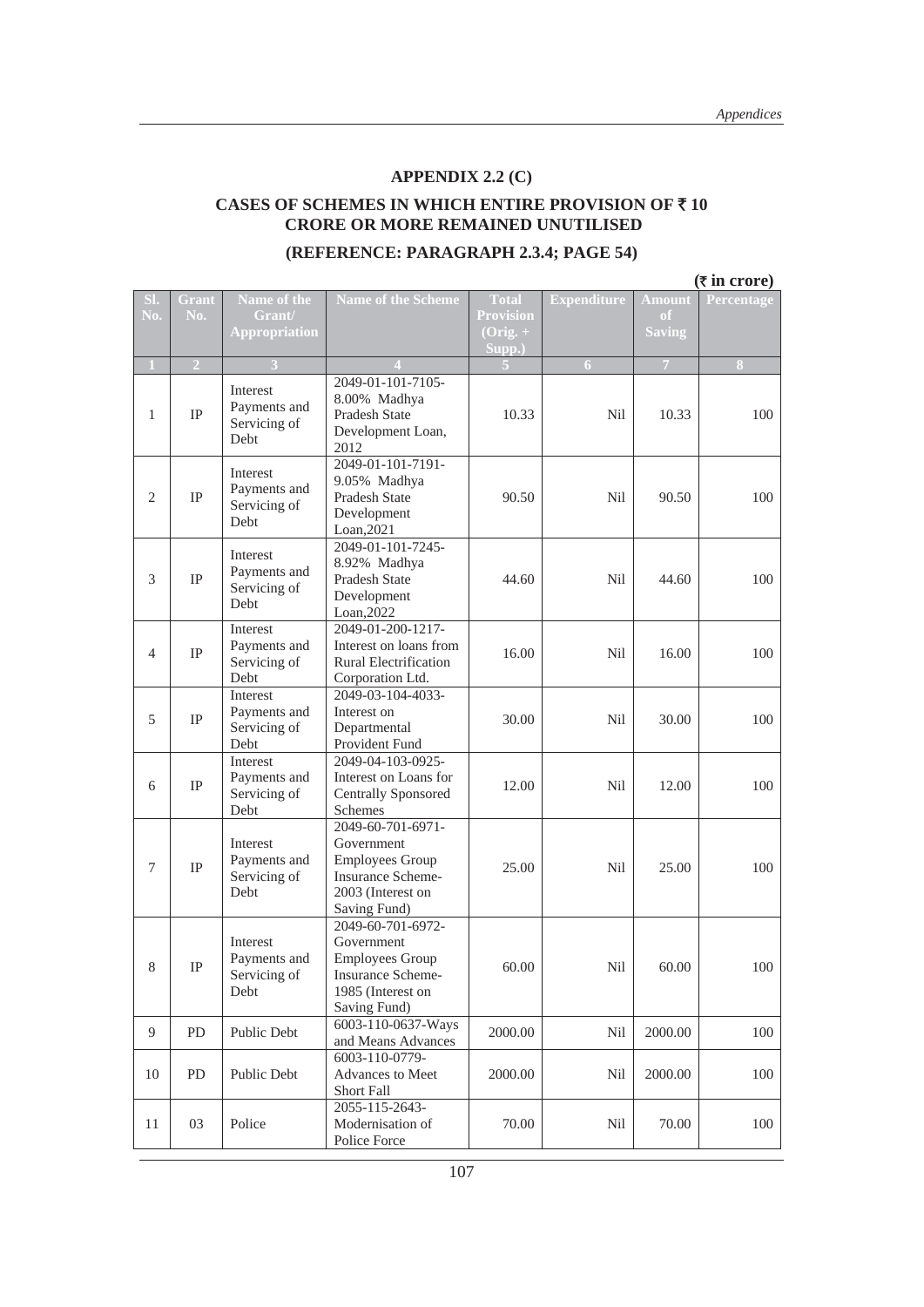#### **APPENDIX 2.2 (C)**

#### **CASES OF SCHEMES IN WHICH ENTIRE PROVISION OF** ` **10 CRORE OR MORE REMAINED UNUTILISED**

#### **(REFERENCE: PARAGRAPH 2.3.4; PAGE 54)**

|              | $(5$ in crore) |                                                  |                                                                                                                            |                                  |                    |                                |                  |
|--------------|----------------|--------------------------------------------------|----------------------------------------------------------------------------------------------------------------------------|----------------------------------|--------------------|--------------------------------|------------------|
| SI.<br>No.   | Grant<br>No.   | Name of the<br>Grant/                            | <b>Name of the Scheme</b>                                                                                                  | <b>Total</b><br><b>Provision</b> | <b>Expenditure</b> | <b>Amount</b><br><sub>of</sub> | Percentage       |
|              |                | <b>Appropriation</b>                             |                                                                                                                            | $(Orig. + )$<br>Supp.)           |                    | <b>Saving</b>                  |                  |
| $\mathbf{1}$ | $\overline{2}$ |                                                  |                                                                                                                            |                                  | $\boldsymbol{6}$   | $\overline{7}$                 | $\boldsymbol{8}$ |
| $\mathbf{1}$ | IP             | Interest<br>Payments and<br>Servicing of<br>Debt | 2049-01-101-7105-<br>8.00% Madhya<br>Pradesh State<br>Development Loan,<br>2012                                            | 10.33                            | Nil                | 10.33                          | 100              |
| 2            | <b>IP</b>      | Interest<br>Payments and<br>Servicing of<br>Debt | 2049-01-101-7191-<br>9.05% Madhya<br><b>Pradesh State</b><br>Development<br>Loan, 2021                                     | 90.50                            | Nil                | 90.50                          | 100              |
| 3            | IP             | Interest<br>Payments and<br>Servicing of<br>Debt | 2049-01-101-7245-<br>8.92% Madhya<br>Pradesh State<br>Development<br>Loan, 2022                                            | 44.60                            | Nil                | 44.60                          | 100              |
| 4            | IP             | Interest<br>Payments and<br>Servicing of<br>Debt | 2049-01-200-1217-<br>Interest on loans from<br><b>Rural Electrification</b><br>Corporation Ltd.                            | 16.00                            | Nil                | 16.00                          | 100              |
| 5            | IP             | Interest<br>Payments and<br>Servicing of<br>Debt | 2049-03-104-4033-<br>Interest on<br>Departmental<br>Provident Fund                                                         | 30.00                            | Nil                | 30.00                          | 100              |
| 6            | IP             | Interest<br>Payments and<br>Servicing of<br>Debt | 2049-04-103-0925-<br>Interest on Loans for<br><b>Centrally Sponsored</b><br><b>Schemes</b>                                 | 12.00                            | Nil                | 12.00                          | 100              |
| 7            | IP             | Interest<br>Payments and<br>Servicing of<br>Debt | 2049-60-701-6971-<br>Government<br><b>Employees Group</b><br><b>Insurance Scheme-</b><br>2003 (Interest on<br>Saving Fund) | 25.00                            | Nil                | 25.00                          | 100              |
| 8            | $\rm IP$       | Interest<br>Payments and<br>Servicing of<br>Debt | 2049-60-701-6972-<br>Government<br><b>Employees Group</b><br>Insurance Scheme-<br>1985 (Interest on<br>Saving Fund)        | 60.00                            | Nil                | 60.00                          | 100              |
| 9            | PD             | Public Debt                                      | 6003-110-0637-Ways<br>and Means Advances                                                                                   | 2000.00                          | Nil                | 2000.00                        | 100              |
| 10           | PD             | Public Debt                                      | 6003-110-0779-<br>Advances to Meet<br>Short Fall                                                                           | 2000.00                          | Nil                | 2000.00                        | 100              |
| 11           | 03             | Police                                           | 2055-115-2643-<br>Modernisation of<br>Police Force                                                                         | 70.00                            | Nil                | 70.00                          | 100              |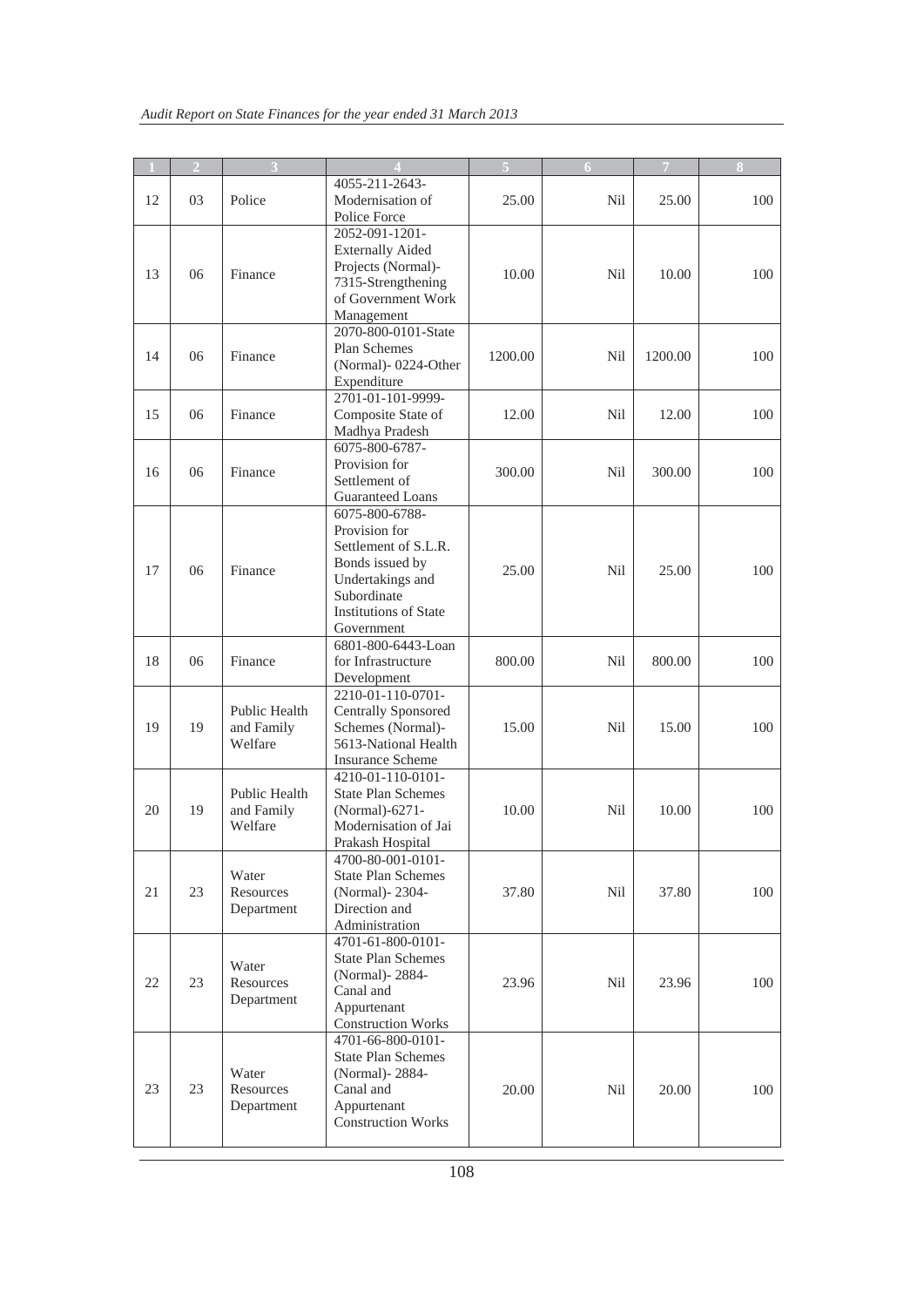|    | $\overline{2}$ |                                        |                                                |         | 6          | $\overline{7}$ |     |
|----|----------------|----------------------------------------|------------------------------------------------|---------|------------|----------------|-----|
|    |                |                                        | 4055-211-2643-                                 |         |            |                |     |
| 12 | 03             | Police                                 | Modernisation of                               | 25.00   | Nil        | 25.00          | 100 |
|    |                |                                        | Police Force                                   |         |            |                |     |
|    |                |                                        | 2052-091-1201-                                 |         |            |                |     |
|    |                |                                        | <b>Externally Aided</b>                        |         |            |                |     |
|    |                |                                        | Projects (Normal)-                             |         |            |                |     |
| 13 | 06             | Finance                                | 7315-Strengthening                             | 10.00   | Nil        | 10.00          | 100 |
|    |                |                                        | of Government Work                             |         |            |                |     |
|    |                |                                        | Management                                     |         |            |                |     |
|    |                |                                        | 2070-800-0101-State                            |         |            |                |     |
| 14 | 06             | Finance                                | Plan Schemes                                   | 1200.00 | <b>Nil</b> | 1200.00        | 100 |
|    |                |                                        | (Normal)-0224-Other                            |         |            |                |     |
|    |                |                                        | Expenditure                                    |         |            |                |     |
|    |                |                                        | 2701-01-101-9999-                              |         |            |                |     |
| 15 | 06             | Finance                                | Composite State of                             | 12.00   | Nil        | 12.00          | 100 |
|    |                |                                        | Madhya Pradesh                                 |         |            |                |     |
|    |                |                                        | 6075-800-6787-                                 |         |            |                |     |
| 16 | 06             | Finance                                | Provision for                                  | 300.00  | Nil        | 300.00         | 100 |
|    |                |                                        | Settlement of<br><b>Guaranteed Loans</b>       |         |            |                |     |
|    |                |                                        | 6075-800-6788-                                 |         |            |                |     |
|    |                |                                        | Provision for                                  |         |            |                |     |
|    |                |                                        | Settlement of S.L.R.                           |         |            |                |     |
|    |                | Finance                                | Bonds issued by                                |         |            |                |     |
| 17 | 06             |                                        | Undertakings and                               | 25.00   | Nil        | 25.00          | 100 |
|    |                |                                        | Subordinate                                    |         |            |                |     |
|    |                |                                        | <b>Institutions of State</b>                   |         |            |                |     |
|    |                |                                        | Government                                     |         |            |                |     |
|    |                |                                        | 6801-800-6443-Loan                             |         |            |                |     |
| 18 | 06             | Finance                                | for Infrastructure                             | 800.00  | Nil        | 800.00         | 100 |
|    |                |                                        | Development                                    |         |            |                |     |
|    |                |                                        | 2210-01-110-0701-                              |         |            |                |     |
|    |                | Public Health<br>and Family<br>Welfare | <b>Centrally Sponsored</b>                     |         |            |                |     |
| 19 | 19             |                                        | Schemes (Normal)-                              | 15.00   | Nil        | 15.00          | 100 |
|    |                |                                        | 5613-National Health                           |         |            |                |     |
|    |                |                                        | <b>Insurance Scheme</b><br>4210-01-110-0101-   |         |            |                |     |
|    |                | <b>Public Health</b>                   | <b>State Plan Schemes</b>                      |         |            |                |     |
| 20 | 19             | and Family                             | (Normal)-6271-                                 | 10.00   | Nil        | 10.00          | 100 |
|    |                | Welfare                                | Modernisation of Jai                           |         |            |                |     |
|    |                |                                        | Prakash Hospital                               |         |            |                |     |
|    |                |                                        | 4700-80-001-0101-                              |         |            |                |     |
|    |                | Water                                  | <b>State Plan Schemes</b>                      |         |            |                |     |
| 21 | 23             | Resources                              | (Normal) - 2304 -                              | 37.80   | <b>Nil</b> | 37.80          | 100 |
|    |                | Department                             | Direction and                                  |         |            |                |     |
|    |                |                                        | Administration                                 |         |            |                |     |
|    |                |                                        | 4701-61-800-0101-                              |         |            |                |     |
|    |                | Water                                  | <b>State Plan Schemes</b>                      |         |            |                |     |
| 22 | 23             | Resources                              | (Normal)-2884-                                 | 23.96   | Nil        | 23.96          | 100 |
|    |                | Department                             | Canal and                                      |         |            |                |     |
|    |                |                                        | Appurtenant                                    |         |            |                |     |
|    |                |                                        | <b>Construction Works</b><br>4701-66-800-0101- |         |            |                |     |
|    |                |                                        | <b>State Plan Schemes</b>                      |         |            |                |     |
|    |                | Water                                  | (Normal)-2884-                                 |         |            |                |     |
| 23 | 23             | Resources                              | Canal and                                      | 20.00   | Nil        | 20.00          | 100 |
|    |                | Department                             | Appurtenant                                    |         |            |                |     |
|    |                |                                        | <b>Construction Works</b>                      |         |            |                |     |
|    |                |                                        |                                                |         |            |                |     |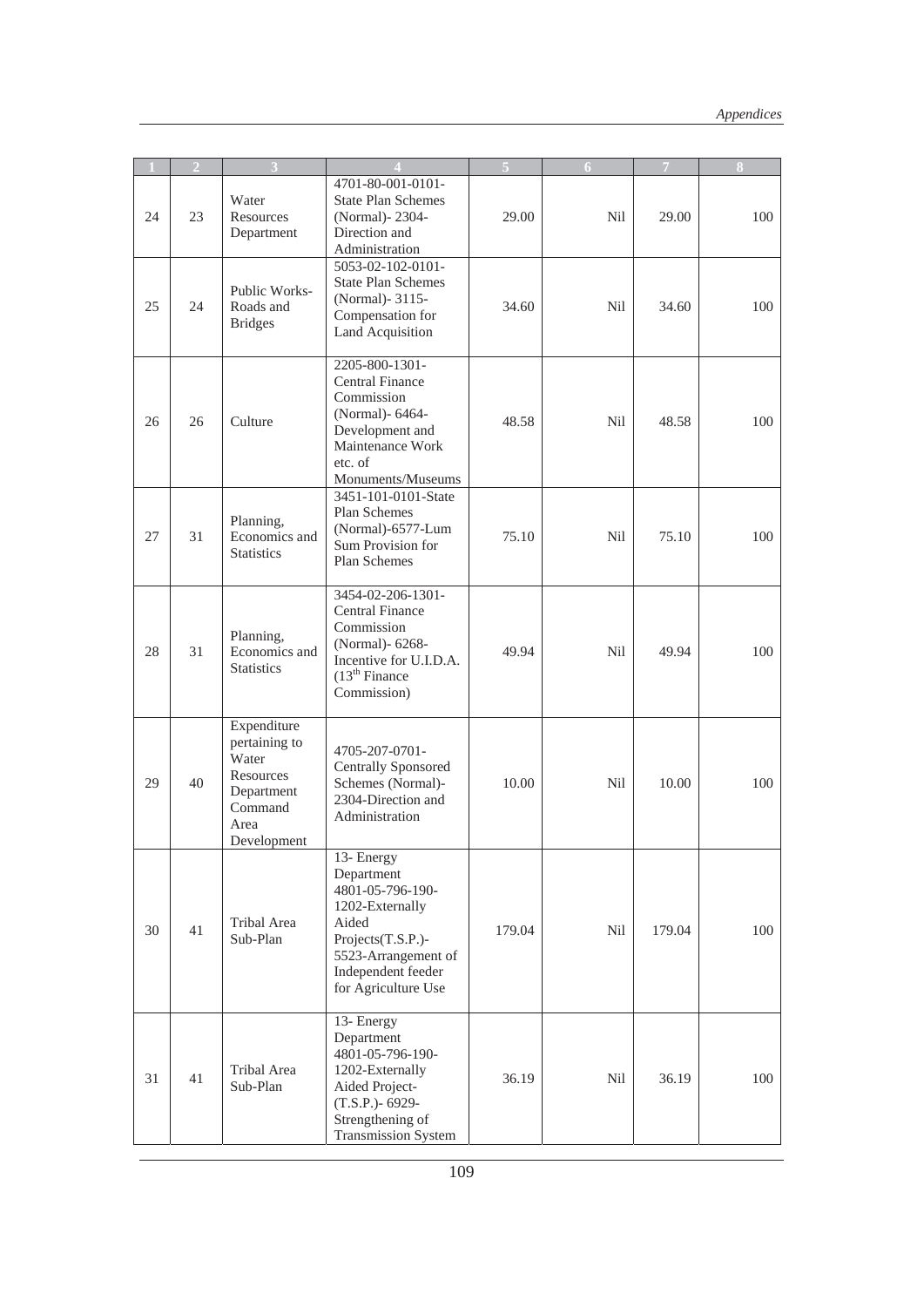|    | $\overline{2}$ |                                                                                                    |                                                                                                                                                                   |        | 6   | 7      | 8   |
|----|----------------|----------------------------------------------------------------------------------------------------|-------------------------------------------------------------------------------------------------------------------------------------------------------------------|--------|-----|--------|-----|
| 24 | 23             | Water<br>Resources<br>Department                                                                   | 4701-80-001-0101-<br><b>State Plan Schemes</b><br>(Normal) - 2304 -<br>Direction and<br>Administration                                                            | 29.00  | Nil | 29.00  | 100 |
| 25 | 24             | Public Works-<br>Roads and<br><b>Bridges</b>                                                       | 5053-02-102-0101-<br><b>State Plan Schemes</b><br>(Normal) - 3115 -<br>Compensation for<br>Land Acquisition                                                       | 34.60  | Nil | 34.60  | 100 |
| 26 | 26             | Culture                                                                                            | 2205-800-1301-<br><b>Central Finance</b><br>Commission<br>(Normal)- 6464-<br>Development and<br>Maintenance Work<br>etc. of<br>Monuments/Museums                  | 48.58  | Nil | 48.58  | 100 |
| 27 | 31             | Planning,<br>Economics and<br><b>Statistics</b>                                                    | 3451-101-0101-State<br>Plan Schemes<br>(Normal)-6577-Lum<br>Sum Provision for<br>Plan Schemes                                                                     | 75.10  | Nil | 75.10  | 100 |
| 28 | 31             | Planning,<br>Economics and<br><b>Statistics</b>                                                    | 3454-02-206-1301-<br><b>Central Finance</b><br>Commission<br>(Normal)- 6268-<br>Incentive for U.I.D.A.<br>$(13th$ Finance<br>Commission)                          | 49.94  | Nil | 49.94  | 100 |
| 29 | 40             | Expenditure<br>pertaining to<br>Water<br>Resources<br>Department<br>Command<br>Area<br>Development | 4705-207-0701-<br><b>Centrally Sponsored</b><br>Schemes (Normal)-<br>2304-Direction and<br>Administration                                                         | 10.00  | Nil | 10.00  | 100 |
| 30 | 41             | Tribal Area<br>Sub-Plan                                                                            | 13- Energy<br>Department<br>4801-05-796-190-<br>1202-Externally<br>Aided<br>Projects(T.S.P.)-<br>5523-Arrangement of<br>Independent feeder<br>for Agriculture Use | 179.04 | Nil | 179.04 | 100 |
| 31 | 41             | Tribal Area<br>Sub-Plan                                                                            | 13- Energy<br>Department<br>4801-05-796-190-<br>1202-Externally<br>Aided Project-<br>(T.S.P.)- 6929-<br>Strengthening of<br><b>Transmission System</b>            | 36.19  | Nil | 36.19  | 100 |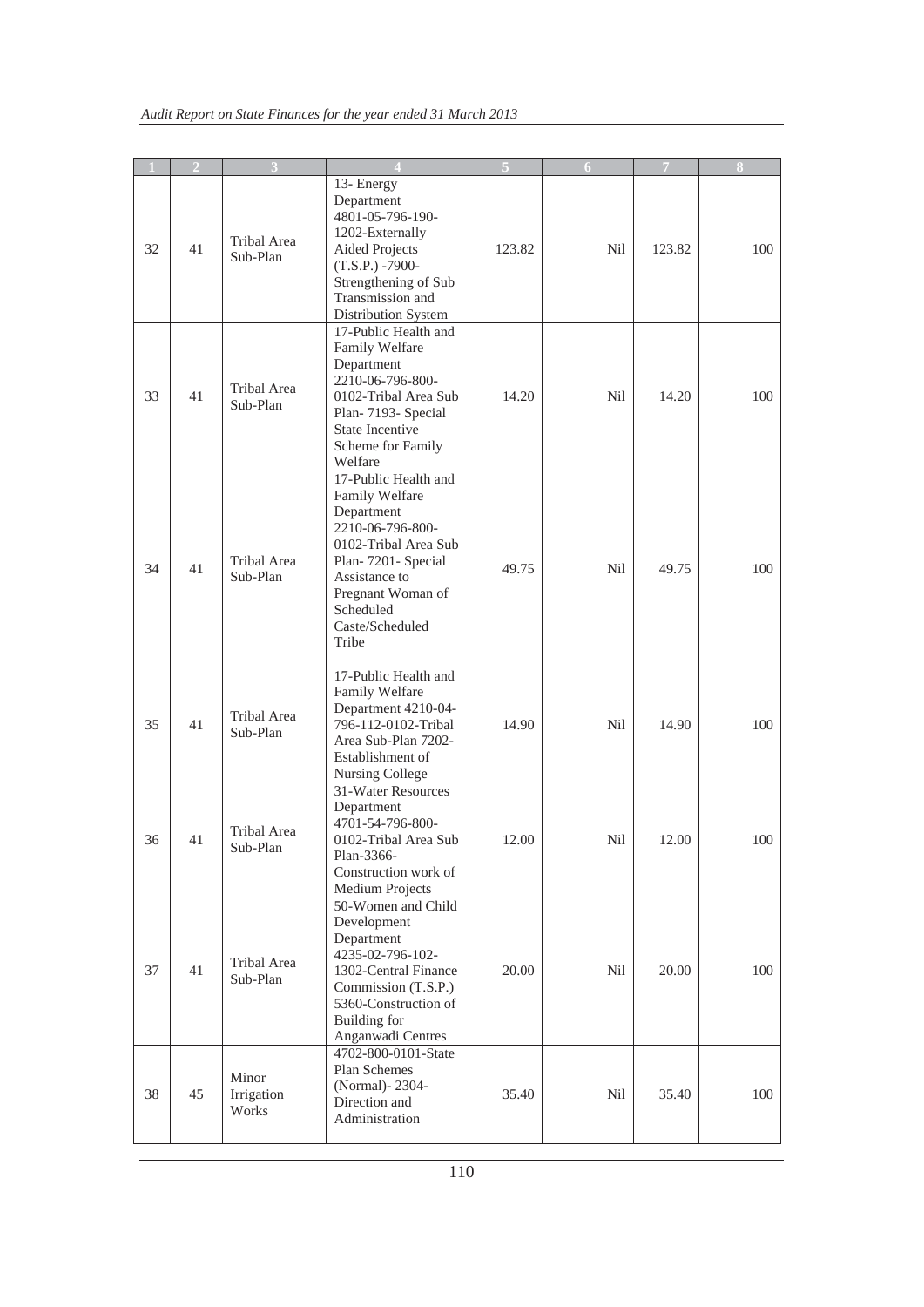|    | $\overline{2}$ | 3                              | $\Delta$                                                                                                                                                                                              |        | 6          | 7      | 8   |
|----|----------------|--------------------------------|-------------------------------------------------------------------------------------------------------------------------------------------------------------------------------------------------------|--------|------------|--------|-----|
| 32 | 41             | Tribal Area<br>Sub-Plan        | 13- Energy<br>Department<br>4801-05-796-190-<br>1202-Externally<br><b>Aided Projects</b><br>$(T.S.P.) -7900 -$<br>Strengthening of Sub<br>Transmission and<br>Distribution System                     | 123.82 | Nil        | 123.82 | 100 |
| 33 | 41             | Tribal Area<br>Sub-Plan        | 17-Public Health and<br>Family Welfare<br>Department<br>2210-06-796-800-<br>0102-Tribal Area Sub<br>Plan-7193- Special<br><b>State Incentive</b><br>Scheme for Family<br>Welfare                      | 14.20  | Nil        | 14.20  | 100 |
| 34 | 41             | Tribal Area<br>Sub-Plan        | 17-Public Health and<br>Family Welfare<br>Department<br>2210-06-796-800-<br>0102-Tribal Area Sub<br>Plan-7201- Special<br>Assistance to<br>Pregnant Woman of<br>Scheduled<br>Caste/Scheduled<br>Tribe | 49.75  | Nil        | 49.75  | 100 |
| 35 | 41             | <b>Tribal Area</b><br>Sub-Plan | 17-Public Health and<br>Family Welfare<br>Department 4210-04-<br>796-112-0102-Tribal<br>Area Sub-Plan 7202-<br>Establishment of<br>Nursing College                                                    | 14.90  | Nil        | 14.90  | 100 |
| 36 | 41             | Tribal Area<br>Sub-Plan        | 31-Water Resources<br>Department<br>4701-54-796-800-<br>0102-Tribal Area Sub<br>Plan-3366-<br>Construction work of<br>Medium Projects                                                                 | 12.00  | <b>Nil</b> | 12.00  | 100 |
| 37 | 41             | Tribal Area<br>Sub-Plan        | 50-Women and Child<br>Development<br>Department<br>4235-02-796-102-<br>1302-Central Finance<br>Commission (T.S.P.)<br>5360-Construction of<br><b>Building</b> for<br>Anganwadi Centres                | 20.00  | Nil        | 20.00  | 100 |
| 38 | 45             | Minor<br>Irrigation<br>Works   | 4702-800-0101-State<br>Plan Schemes<br>(Normal)-2304-<br>Direction and<br>Administration                                                                                                              | 35.40  | <b>Nil</b> | 35.40  | 100 |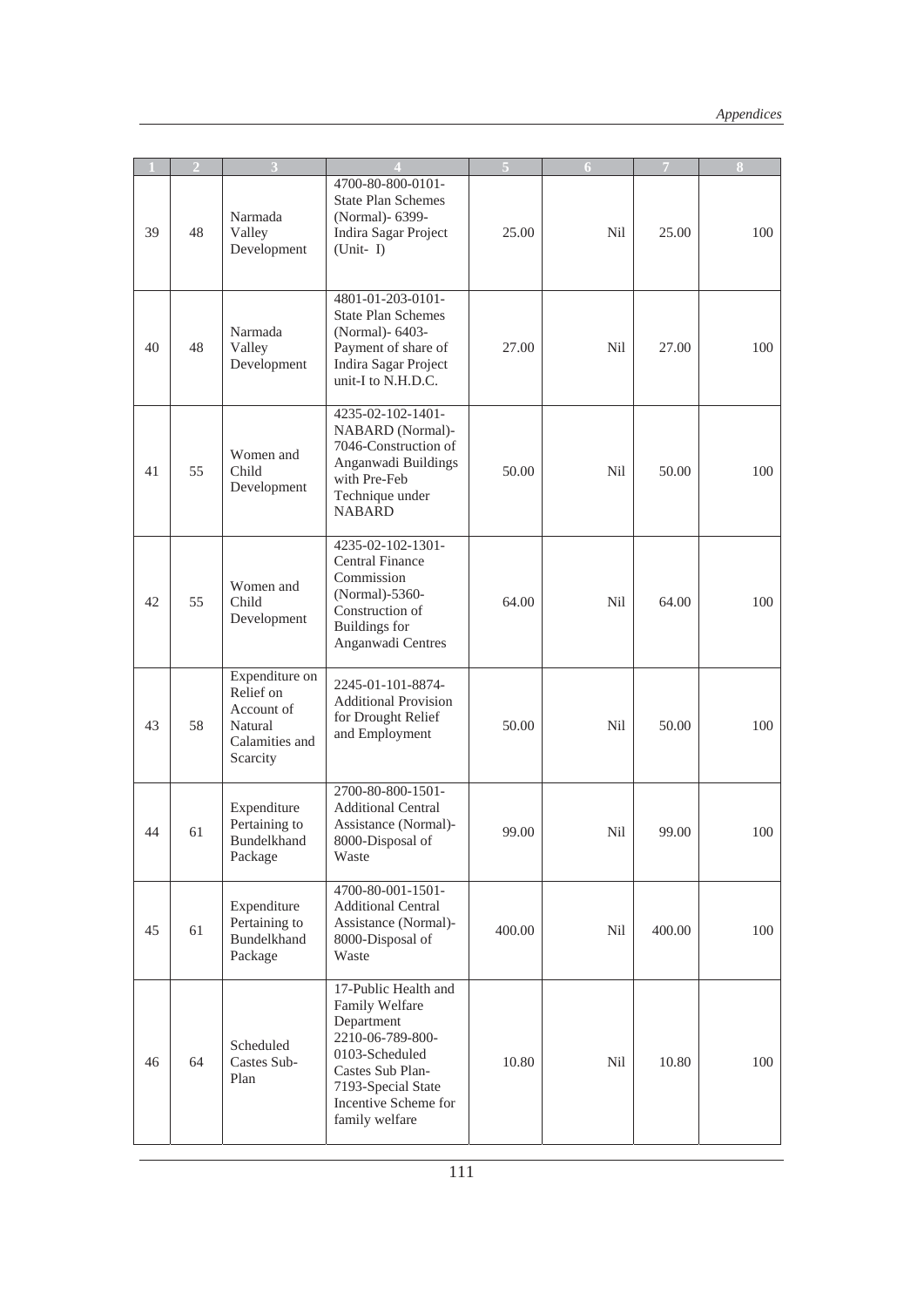|    | $\overline{2}$ | 3                                                                                  |                                                                                                                                                                                |        | 6          | $\overline{7}$ | 8   |
|----|----------------|------------------------------------------------------------------------------------|--------------------------------------------------------------------------------------------------------------------------------------------------------------------------------|--------|------------|----------------|-----|
| 39 | 48             | Narmada<br>Valley<br>Development                                                   | 4700-80-800-0101-<br><b>State Plan Schemes</b><br>(Normal)- 6399-<br>Indira Sagar Project<br>$(Unit - I)$                                                                      | 25.00  | Nil        | 25.00          | 100 |
| 40 | 48             | Narmada<br>Valley<br>Development                                                   | 4801-01-203-0101-<br><b>State Plan Schemes</b><br>(Normal)- 6403-<br>Payment of share of<br>Indira Sagar Project<br>unit-I to N.H.D.C.                                         | 27.00  | Nil        | 27.00          | 100 |
| 41 | 55             | Women and<br>Child<br>Development                                                  | 4235-02-102-1401-<br>NABARD (Normal)-<br>7046-Construction of<br>Anganwadi Buildings<br>with Pre-Feb<br>Technique under<br><b>NABARD</b>                                       | 50.00  | Nil        | 50.00          | 100 |
| 42 | 55             | Women and<br>Child<br>Development                                                  | 4235-02-102-1301-<br><b>Central Finance</b><br>Commission<br>(Normal)-5360-<br>Construction of<br><b>Buildings</b> for<br>Anganwadi Centres                                    | 64.00  | Nil        | 64.00          | 100 |
| 43 | 58             | Expenditure on<br>Relief on<br>Account of<br>Natural<br>Calamities and<br>Scarcity | 2245-01-101-8874-<br><b>Additional Provision</b><br>for Drought Relief<br>and Employment                                                                                       | 50.00  | Nil        | 50.00          | 100 |
| 44 | 61             | Expenditure<br>Pertaining to<br>Bundelkhand<br>Package                             | 2700-80-800-1501-<br><b>Additional Central</b><br>Assistance (Normal)-<br>8000-Disposal of<br>Waste                                                                            | 99.00  | Nil        | 99.00          | 100 |
| 45 | 61             | Expenditure<br>Pertaining to<br>Bundelkhand<br>Package                             | 4700-80-001-1501-<br><b>Additional Central</b><br>Assistance (Normal)-<br>8000-Disposal of<br>Waste                                                                            | 400.00 | <b>Nil</b> | 400.00         | 100 |
| 46 | 64             | Scheduled<br>Castes Sub-<br>Plan                                                   | 17-Public Health and<br>Family Welfare<br>Department<br>2210-06-789-800-<br>0103-Scheduled<br>Castes Sub Plan-<br>7193-Special State<br>Incentive Scheme for<br>family welfare | 10.80  | Nil        | 10.80          | 100 |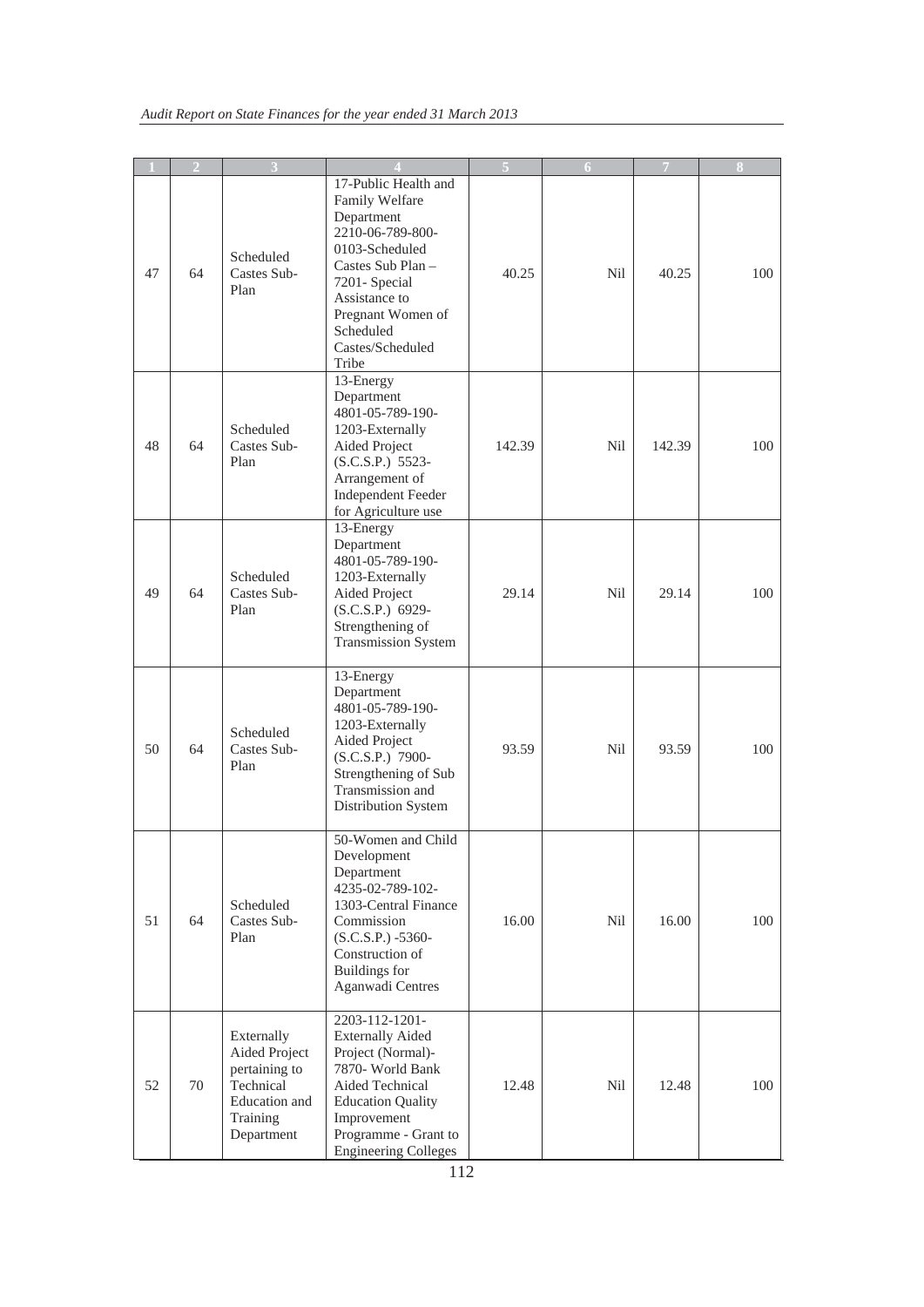|    | $\overline{2}$ |                                                                                                      |                                                                                                                                                                                                                  | 5      | 6          | 7      | 8   |
|----|----------------|------------------------------------------------------------------------------------------------------|------------------------------------------------------------------------------------------------------------------------------------------------------------------------------------------------------------------|--------|------------|--------|-----|
| 47 | 64             | Scheduled<br>Castes Sub-<br>Plan                                                                     | 17-Public Health and<br>Family Welfare<br>Department<br>2210-06-789-800-<br>0103-Scheduled<br>Castes Sub Plan -<br>7201- Special<br>Assistance to<br>Pregnant Women of<br>Scheduled<br>Castes/Scheduled<br>Tribe | 40.25  | Nil        | 40.25  | 100 |
| 48 | 64             | Scheduled<br>Castes Sub-<br>Plan                                                                     | 13-Energy<br>Department<br>4801-05-789-190-<br>1203-Externally<br>Aided Project<br>(S.C.S.P.) 5523-<br>Arrangement of<br>Independent Feeder<br>for Agriculture use                                               | 142.39 | <b>Nil</b> | 142.39 | 100 |
| 49 | 64             | Scheduled<br>Castes Sub-<br>Plan                                                                     | 13-Energy<br>Department<br>4801-05-789-190-<br>1203-Externally<br>Aided Project<br>(S.C.S.P.) 6929-<br>Strengthening of<br><b>Transmission System</b>                                                            | 29.14  | Nil        | 29.14  | 100 |
| 50 | 64             | Scheduled<br>Castes Sub-<br>Plan                                                                     | 13-Energy<br>Department<br>4801-05-789-190-<br>1203-Externally<br>Aided Project<br>(S.C.S.P.) 7900-<br>Strengthening of Sub<br>Transmission and<br>Distribution System                                           | 93.59  | Nil        | 93.59  | 100 |
| 51 | 64             | Scheduled<br>Castes Sub-<br>Plan                                                                     | 50-Women and Child<br>Development<br>Department<br>4235-02-789-102-<br>1303-Central Finance<br>Commission<br>$(S.C.S.P.) -5360-$<br>Construction of<br><b>Buildings</b> for<br>Aganwadi Centres                  | 16.00  | Nil        | 16.00  | 100 |
| 52 | 70             | Externally<br>Aided Project<br>pertaining to<br>Technical<br>Education and<br>Training<br>Department | 2203-112-1201-<br><b>Externally Aided</b><br>Project (Normal)-<br>7870- World Bank<br>Aided Technical<br><b>Education Quality</b><br>Improvement<br>Programme - Grant to<br><b>Engineering Colleges</b>          | 12.48  | Nil        | 12.48  | 100 |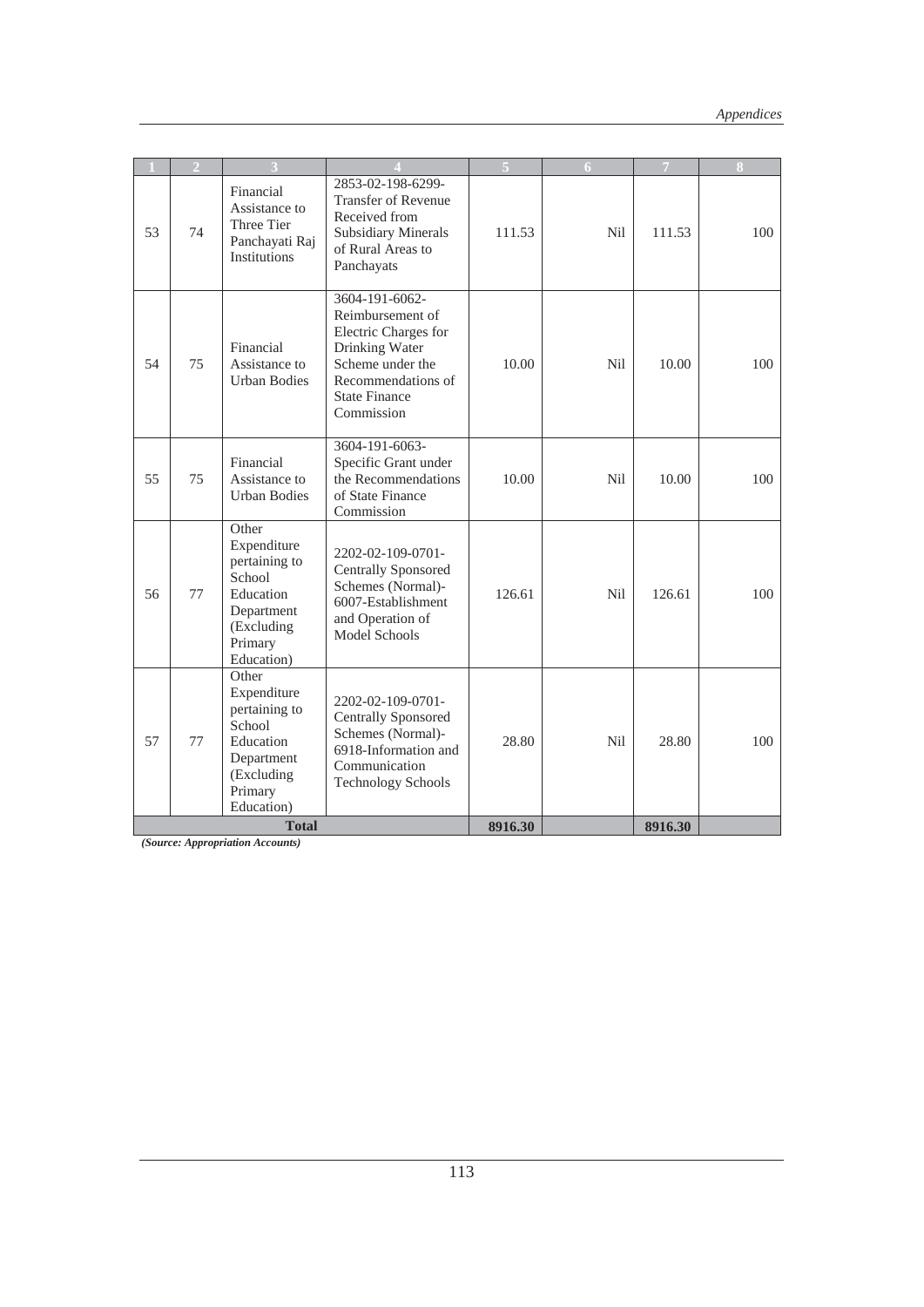|    |    |                                                                                                                   |                                                                                                                                                              |         | 6                |         |     |
|----|----|-------------------------------------------------------------------------------------------------------------------|--------------------------------------------------------------------------------------------------------------------------------------------------------------|---------|------------------|---------|-----|
| 53 | 74 | Financial<br>Assistance to<br>Three Tier<br>Panchayati Raj<br>Institutions                                        | 2853-02-198-6299-<br><b>Transfer of Revenue</b><br>Received from<br><b>Subsidiary Minerals</b><br>of Rural Areas to<br>Panchayats                            | 111.53  | N <sub>i</sub> l | 111.53  | 100 |
| 54 | 75 | Financial<br>Assistance to<br><b>Urban Bodies</b>                                                                 | 3604-191-6062-<br>Reimbursement of<br>Electric Charges for<br>Drinking Water<br>Scheme under the<br>Recommendations of<br><b>State Finance</b><br>Commission | 10.00   | Nil              | 10.00   | 100 |
| 55 | 75 | Financial<br>Assistance to<br><b>Urban Bodies</b>                                                                 | 3604-191-6063-<br>Specific Grant under<br>the Recommendations<br>of State Finance<br>Commission                                                              | 10.00   | Nil              | 10.00   | 100 |
| 56 | 77 | Other<br>Expenditure<br>pertaining to<br>School<br>Education<br>Department<br>(Excluding<br>Primary<br>Education) | 2202-02-109-0701-<br><b>Centrally Sponsored</b><br>Schemes (Normal)-<br>6007-Establishment<br>and Operation of<br><b>Model Schools</b>                       | 126.61  | Nil              | 126.61  | 100 |
| 57 | 77 | Other<br>Expenditure<br>pertaining to<br>School<br>Education<br>Department<br>(Excluding<br>Primary<br>Education) | 2202-02-109-0701-<br><b>Centrally Sponsored</b><br>Schemes (Normal)-<br>6918-Information and<br>Communication<br><b>Technology Schools</b>                   | 28.80   | Nil              | 28.80   | 100 |
|    |    | <b>Total</b>                                                                                                      |                                                                                                                                                              | 8916.30 |                  | 8916.30 |     |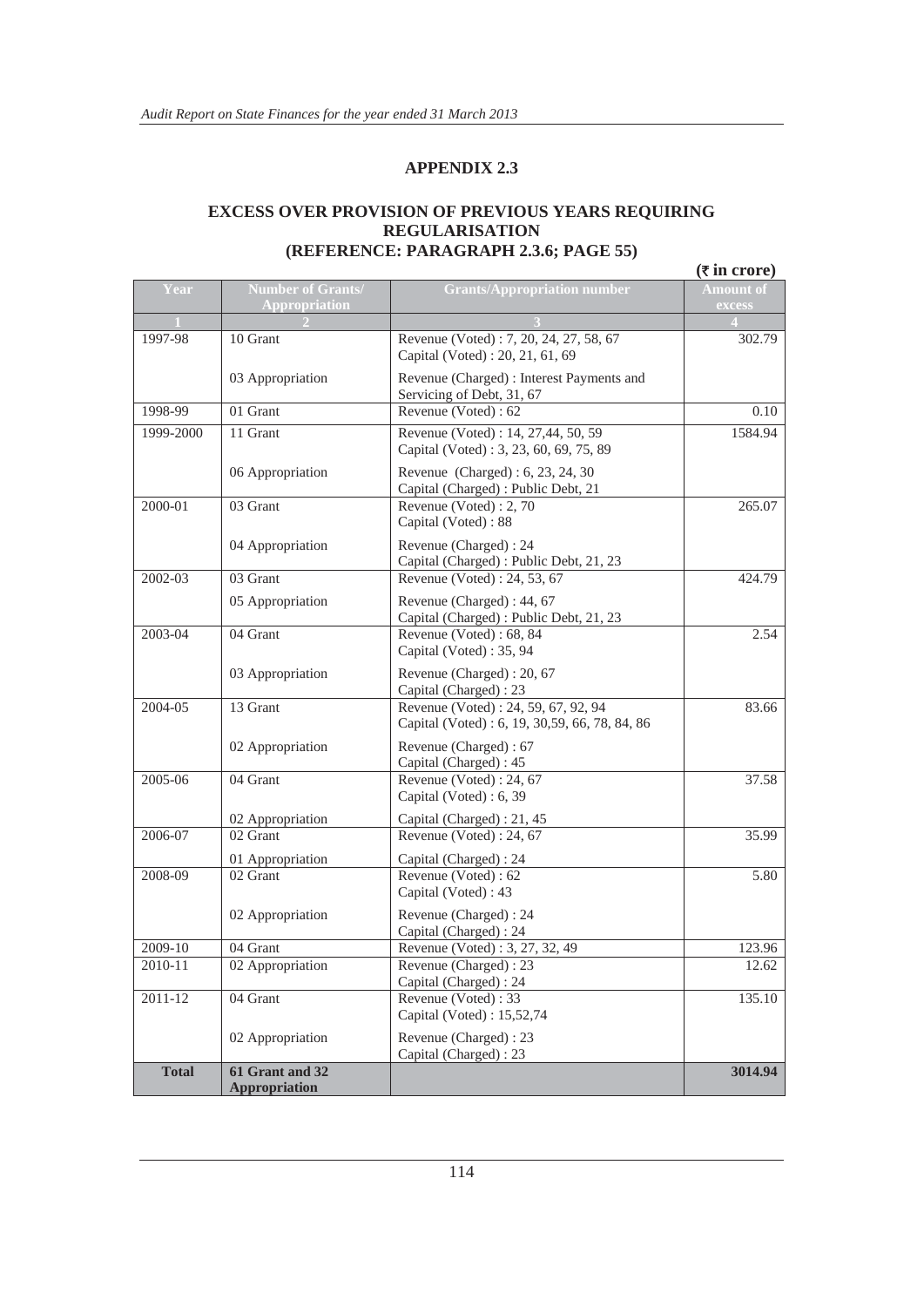#### **EXCESS OVER PROVISION OF PREVIOUS YEARS REQUIRING REGULARISATION (REFERENCE: PARAGRAPH 2.3.6; PAGE 55)**

|              |                                                  |                                                                                       | $(\overline{\tau}$ in crore) |
|--------------|--------------------------------------------------|---------------------------------------------------------------------------------------|------------------------------|
| Year         | <b>Number of Grants/</b><br><b>Appropriation</b> | <b>Grants/Appropriation number</b>                                                    | <b>Amount of</b><br>excess   |
|              |                                                  |                                                                                       |                              |
| 1997-98      | 10 Grant                                         | Revenue (Voted): 7, 20, 24, 27, 58, 67<br>Capital (Voted): 20, 21, 61, 69             | 302.79                       |
|              | 03 Appropriation                                 | Revenue (Charged) : Interest Payments and<br>Servicing of Debt, 31, 67                |                              |
| 1998-99      | 01 Grant                                         | Revenue (Voted): 62                                                                   | 0.10                         |
| 1999-2000    | 11 Grant                                         | Revenue (Voted): 14, 27,44, 50, 59<br>Capital (Voted): 3, 23, 60, 69, 75, 89          | 1584.94                      |
|              | 06 Appropriation                                 | Revenue (Charged): 6, 23, 24, 30<br>Capital (Charged) : Public Debt, 21               |                              |
| 2000-01      | 03 Grant                                         | Revenue (Voted): 2, 70<br>Capital (Voted): 88                                         | 265.07                       |
|              | 04 Appropriation                                 | Revenue (Charged) : 24<br>Capital (Charged): Public Debt, 21, 23                      |                              |
| 2002-03      | 03 Grant                                         | Revenue (Voted): 24, 53, 67                                                           | 424.79                       |
|              | 05 Appropriation                                 | Revenue (Charged) : 44, 67<br>Capital (Charged): Public Debt, 21, 23                  |                              |
| 2003-04      | 04 Grant                                         | Revenue (Voted): 68, 84<br>Capital (Voted): 35, 94                                    | 2.54                         |
|              | 03 Appropriation                                 | Revenue (Charged) : 20, 67<br>Capital (Charged): 23                                   |                              |
| 2004-05      | 13 Grant                                         | Revenue (Voted): 24, 59, 67, 92, 94<br>Capital (Voted): 6, 19, 30, 59, 66, 78, 84, 86 | 83.66                        |
|              | 02 Appropriation                                 | Revenue (Charged) : 67<br>Capital (Charged): 45                                       |                              |
| 2005-06      | $\overline{0}4$ Grant                            | Revenue (Voted): 24, 67<br>Capital (Voted): 6, 39                                     | 37.58                        |
|              | 02 Appropriation                                 | Capital (Charged): 21, 45                                                             |                              |
| 2006-07      | 02 Grant                                         | Revenue (Voted): 24, 67                                                               | 35.99                        |
|              | 01 Appropriation                                 | Capital (Charged) : 24                                                                |                              |
| 2008-09      | 02 Grant                                         | Revenue (Voted): 62<br>Capital (Voted): 43                                            | 5.80                         |
|              | 02 Appropriation                                 | Revenue (Charged) : 24<br>Capital (Charged): 24                                       |                              |
| 2009-10      | 04 Grant                                         | Revenue (Voted) : 3, 27, 32, 49                                                       | 123.96                       |
| 2010-11      | 02 Appropriation                                 | Revenue (Charged): 23<br>Capital (Charged): 24                                        | 12.62                        |
| 2011-12      | 04 Grant                                         | Revenue (Voted): 33<br>Capital (Voted): 15,52,74                                      | 135.10                       |
|              | 02 Appropriation                                 | Revenue (Charged) : 23<br>Capital (Charged): 23                                       |                              |
| <b>Total</b> | 61 Grant and 32<br><b>Appropriation</b>          |                                                                                       | 3014.94                      |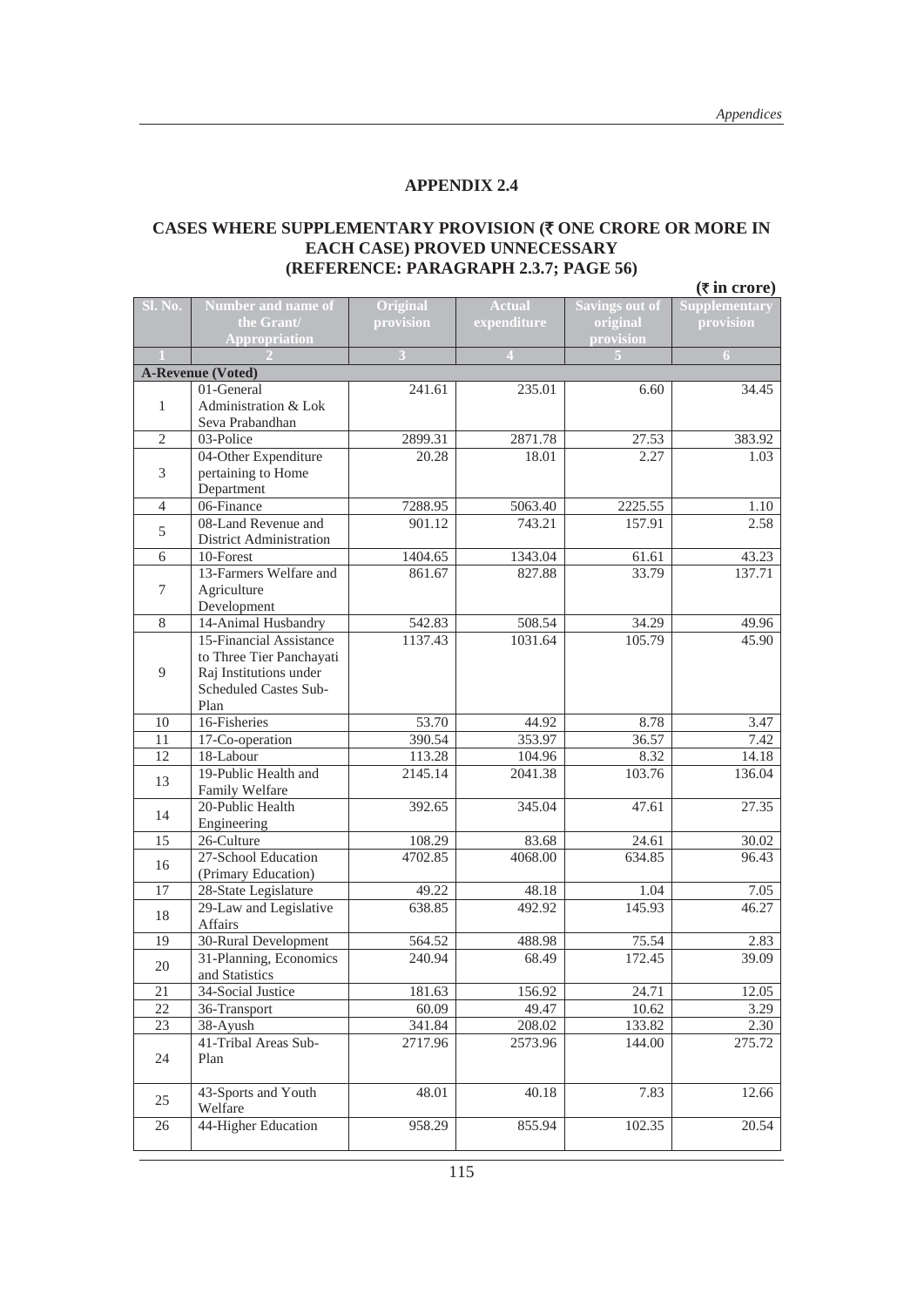#### **CASES WHERE SUPPLEMENTARY PROVISION (**` **ONE CRORE OR MORE IN EACH CASE) PROVED UNNECESSARY (REFERENCE: PARAGRAPH 2.3.7; PAGE 56)**

|                  | $(\overline{\tau}$ in crore)                   |                   |                          |                       |                |  |  |
|------------------|------------------------------------------------|-------------------|--------------------------|-----------------------|----------------|--|--|
| Sl. No.          | Number and name of                             | Original          | <b>Actual</b>            | <b>Savings out of</b> | Supplementary  |  |  |
|                  | the Grant/                                     | provision         | expenditure              | original              | provision      |  |  |
|                  | <b>Appropriation</b>                           | $\overline{3}$    | $\boldsymbol{\varDelta}$ | provision             | $\overline{6}$ |  |  |
|                  | <b>A-Revenue (Voted)</b>                       |                   |                          |                       |                |  |  |
|                  | 01-General                                     | 241.61            | 235.01                   | 6.60                  | 34.45          |  |  |
| $\mathbf{1}$     | Administration & Lok                           |                   |                          |                       |                |  |  |
|                  | Seva Prabandhan                                |                   |                          |                       |                |  |  |
| $\mathfrak{2}$   | 03-Police                                      | 2899.31           | 2871.78                  | 27.53                 | 383.92         |  |  |
|                  | 04-Other Expenditure                           | 20.28             | 18.01                    | 2.27                  | 1.03           |  |  |
| 3                | pertaining to Home                             |                   |                          |                       |                |  |  |
|                  | Department                                     |                   |                          |                       |                |  |  |
| $\overline{4}$   | 06-Finance                                     | 7288.95           | 5063.40                  | 2225.55               | 1.10           |  |  |
| 5                | 08-Land Revenue and                            | 901.12            | 743.21                   | 157.91                | 2.58           |  |  |
|                  | District Administration                        |                   |                          |                       |                |  |  |
| 6                | 10-Forest                                      | 1404.65           | 1343.04                  | 61.61                 | 43.23          |  |  |
|                  | 13-Farmers Welfare and                         | 861.67            | 827.88                   | 33.79                 | 137.71         |  |  |
| $\boldsymbol{7}$ | Agriculture                                    |                   |                          |                       |                |  |  |
|                  | Development                                    |                   |                          |                       |                |  |  |
| 8                | 14-Animal Husbandry<br>15-Financial Assistance | 542.83<br>1137.43 | 508.54<br>1031.64        | 34.29<br>105.79       | 49.96<br>45.90 |  |  |
|                  | to Three Tier Panchayati                       |                   |                          |                       |                |  |  |
| 9                | Raj Institutions under                         |                   |                          |                       |                |  |  |
|                  | Scheduled Castes Sub-                          |                   |                          |                       |                |  |  |
|                  | Plan                                           |                   |                          |                       |                |  |  |
| 10               | 16-Fisheries                                   | 53.70             | 44.92                    | 8.78                  | 3.47           |  |  |
| 11               | 17-Co-operation                                | 390.54            | 353.97                   | 36.57                 | 7.42           |  |  |
| 12               | 18-Labour                                      | 113.28            | 104.96                   | 8.32                  | 14.18          |  |  |
| 13               | 19-Public Health and                           | 2145.14           | 2041.38                  | 103.76                | 136.04         |  |  |
|                  | Family Welfare                                 |                   |                          |                       |                |  |  |
| 14               | 20-Public Health                               | 392.65            | 345.04                   | 47.61                 | 27.35          |  |  |
|                  | Engineering                                    |                   |                          |                       |                |  |  |
| 15               | 26-Culture                                     | 108.29            | 83.68                    | 24.61                 | 30.02          |  |  |
| 16               | 27-School Education                            | 4702.85           | 4068.00                  | 634.85                | 96.43          |  |  |
| 17               | (Primary Education)                            |                   |                          |                       |                |  |  |
|                  | 28-State Legislature<br>29-Law and Legislative | 49.22<br>638.85   | 48.18<br>492.92          | 1.04<br>145.93        | 7.05<br>46.27  |  |  |
| 18               | Affairs                                        |                   |                          |                       |                |  |  |
| 19               | 30-Rural Development                           | 564.52            | 488.98                   | 75.54                 | 2.83           |  |  |
|                  | 31-Planning, Economics                         | 240.94            | 68.49                    | 172.45                | 39.09          |  |  |
| 20               | and Statistics                                 |                   |                          |                       |                |  |  |
| 21               | 34-Social Justice                              | 181.63            | 156.92                   | 24.71                 | 12.05          |  |  |
| 22               | 36-Transport                                   | 60.09             | 49.47                    | 10.62                 | 3.29           |  |  |
| 23               | 38-Ayush                                       | 341.84            | 208.02                   | 133.82                | 2.30           |  |  |
|                  | 41-Tribal Areas Sub-                           | 2717.96           | 2573.96                  | 144.00                | 275.72         |  |  |
| 24               | Plan                                           |                   |                          |                       |                |  |  |
|                  |                                                |                   |                          |                       |                |  |  |
| 25               | 43-Sports and Youth                            | 48.01             | 40.18                    | 7.83                  | 12.66          |  |  |
|                  | Welfare                                        |                   |                          |                       |                |  |  |
| 26               | 44-Higher Education                            | 958.29            | 855.94                   | 102.35                | 20.54          |  |  |
|                  |                                                |                   |                          |                       |                |  |  |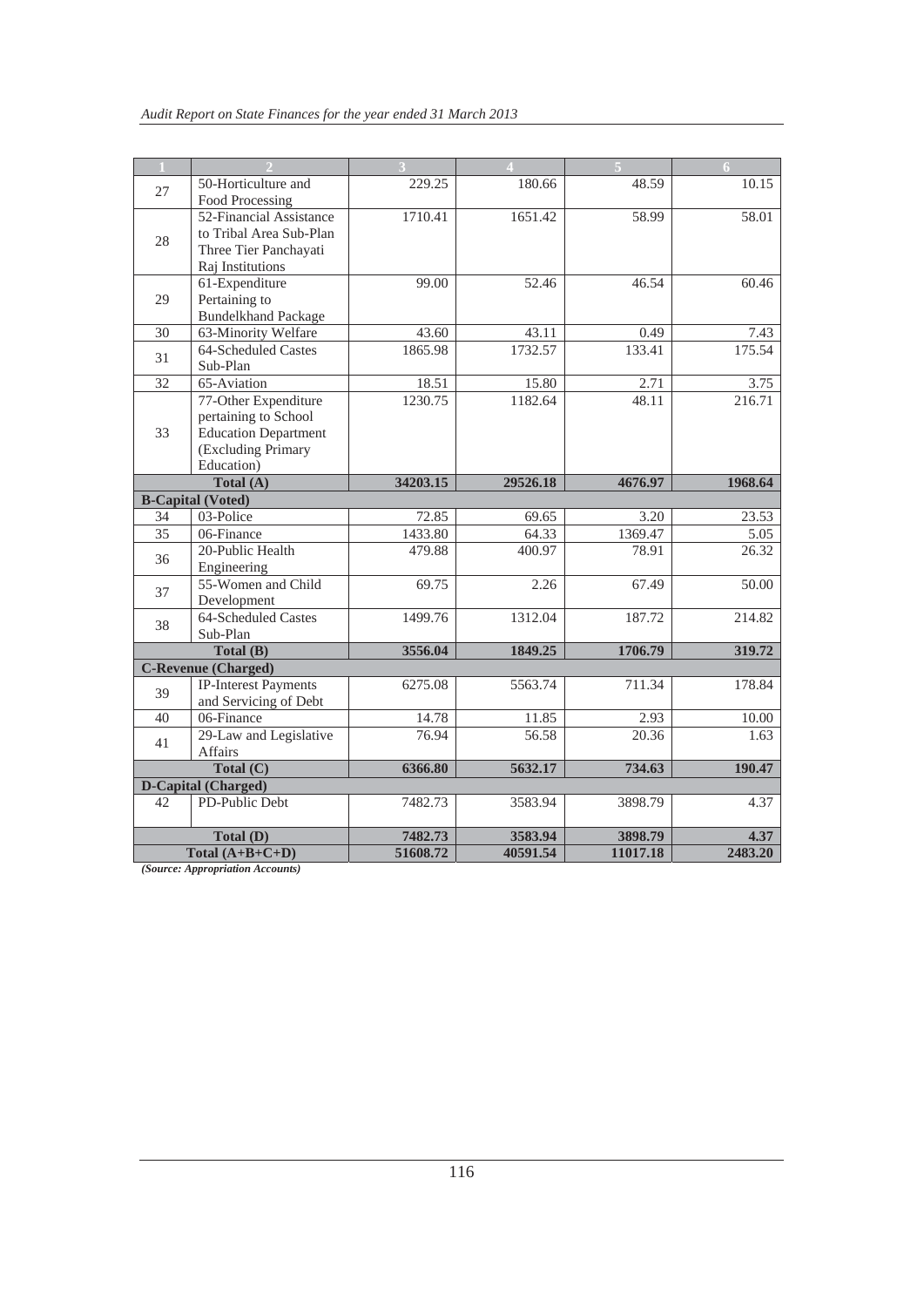|           |                                       |          | $\blacktriangle$ |          | 6       |
|-----------|---------------------------------------|----------|------------------|----------|---------|
| 27        | 50-Horticulture and                   | 229.25   | 180.66           | 48.59    | 10.15   |
|           | Food Processing                       |          |                  |          |         |
|           | 52-Financial Assistance               | 1710.41  | 1651.42          | 58.99    | 58.01   |
| 28        | to Tribal Area Sub-Plan               |          |                  |          |         |
|           | Three Tier Panchayati                 |          |                  |          |         |
|           | Raj Institutions                      |          |                  |          |         |
|           | 61-Expenditure                        | 99.00    | 52.46            | 46.54    | 60.46   |
| 29        | Pertaining to                         |          |                  |          |         |
|           | <b>Bundelkhand Package</b>            |          |                  |          |         |
| 30        | 63-Minority Welfare                   | 43.60    | 43.11            | 0.49     | 7.43    |
| 31        | 64-Scheduled Castes                   | 1865.98  | 1732.57          | 133.41   | 175.54  |
|           | Sub-Plan                              |          |                  |          |         |
| 32        | 65-Aviation                           | 18.51    | 15.80            | 2.71     | 3.75    |
|           | 77-Other Expenditure                  | 1230.75  | 1182.64          | 48.11    | 216.71  |
|           | pertaining to School                  |          |                  |          |         |
| 33        | <b>Education Department</b>           |          |                  |          |         |
|           | (Excluding Primary                    |          |                  |          |         |
|           | Education)                            |          |                  |          |         |
|           | Total (A)                             | 34203.15 | 29526.18         | 4676.97  | 1968.64 |
| 34        | <b>B-Capital (Voted)</b><br>03-Police | 72.85    | 69.65            | 3.20     | 23.53   |
|           |                                       |          |                  |          |         |
| 35        | 06-Finance<br>20-Public Health        | 1433.80  | 64.33            | 1369.47  | 5.05    |
| 36        |                                       | 479.88   | 400.97           | 78.91    | 26.32   |
|           | Engineering<br>55-Women and Child     | 69.75    | 2.26             | 67.49    | 50.00   |
| 37        | Development                           |          |                  |          |         |
|           | 64-Scheduled Castes                   | 1499.76  | 1312.04          | 187.72   | 214.82  |
| 38        | Sub-Plan                              |          |                  |          |         |
|           | Total (B)                             | 3556.04  | 1849.25          | 1706.79  | 319.72  |
|           | <b>C-Revenue (Charged)</b>            |          |                  |          |         |
|           | <b>IP-Interest Payments</b>           | 6275.08  | 5563.74          | 711.34   | 178.84  |
| 39        | and Servicing of Debt                 |          |                  |          |         |
| 40        | 06-Finance                            | 14.78    | 11.85            | 2.93     | 10.00   |
|           | 29-Law and Legislative                | 76.94    | 56.58            | 20.36    | 1.63    |
| 41        | <b>Affairs</b>                        |          |                  |          |         |
| Total (C) |                                       | 6366.80  | 5632.17          | 734.63   | 190.47  |
|           | D-Capital (Charged)                   |          |                  |          |         |
| 42        | PD-Public Debt                        | 7482.73  | 3583.94          | 3898.79  | 4.37    |
|           |                                       |          |                  |          |         |
|           | Total (D)                             | 7482.73  | 3583.94          | 3898.79  | 4.37    |
|           | Total $(A+B+C+D)$                     | 51608.72 | 40591.54         | 11017.18 | 2483.20 |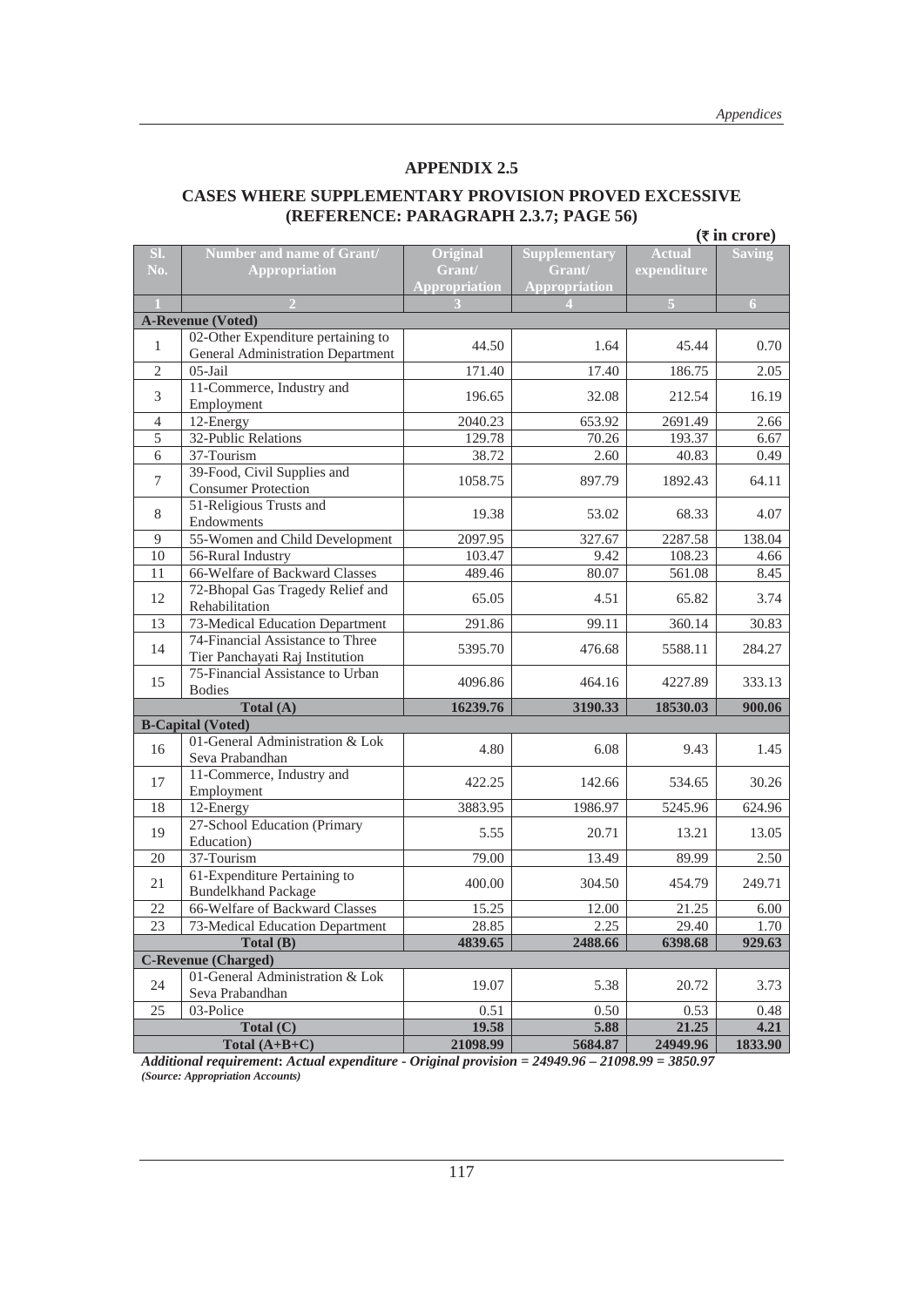#### **CASES WHERE SUPPLEMENTARY PROVISION PROVED EXCESSIVE (REFERENCE: PARAGRAPH 2.3.7; PAGE 56)**   $(\bar{\tau}$  in crore)

| SI.            |                                                                                | Original             |                      | <b>Actual</b> | $($ un croic) |
|----------------|--------------------------------------------------------------------------------|----------------------|----------------------|---------------|---------------|
|                | Number and name of Grant/                                                      |                      | <b>Supplementary</b> |               | <b>Saving</b> |
| No.            | <b>Appropriation</b>                                                           | Grant/               | Grant/               | expenditure   |               |
|                |                                                                                | <b>Appropriation</b> | Appropriation        |               |               |
|                |                                                                                |                      |                      | 5             | 6             |
|                | <b>A-Revenue (Voted)</b>                                                       |                      |                      |               |               |
| $\mathbf{1}$   | 02-Other Expenditure pertaining to<br><b>General Administration Department</b> | 44.50                | 1.64                 | 45.44         | 0.70          |
| $\overline{2}$ | $05$ -Jail                                                                     | 171.40               | 17.40                | 186.75        | 2.05          |
| 3              | 11-Commerce, Industry and<br>Employment                                        | 196.65               | 32.08                | 212.54        | 16.19         |
| 4              | 12-Energy                                                                      | 2040.23              | 653.92               | 2691.49       | 2.66          |
| 5              | 32-Public Relations                                                            | 129.78               | 70.26                | 193.37        | 6.67          |
| 6              | 37-Tourism                                                                     | 38.72                | 2.60                 | 40.83         | 0.49          |
| $\overline{7}$ | 39-Food, Civil Supplies and<br><b>Consumer Protection</b>                      | 1058.75              | 897.79               | 1892.43       | 64.11         |
| 8              | 51-Religious Trusts and<br>Endowments                                          | 19.38                | 53.02                | 68.33         | 4.07          |
| 9              | 55-Women and Child Development                                                 | 2097.95              | 327.67               | 2287.58       | 138.04        |
| 10             | 56-Rural Industry                                                              | 103.47               | 9.42                 | 108.23        | 4.66          |
| 11             | 66-Welfare of Backward Classes                                                 | 489.46               | 80.07                | 561.08        | 8.45          |
| 12             | 72-Bhopal Gas Tragedy Relief and<br>Rehabilitation                             | 65.05                | 4.51                 | 65.82         | 3.74          |
| 13             | 73-Medical Education Department                                                | 291.86               | 99.11                | 360.14        | 30.83         |
| 14             | 74-Financial Assistance to Three<br>Tier Panchayati Raj Institution            | 5395.70              | 476.68               | 5588.11       | 284.27        |
| 15             | 75-Financial Assistance to Urban                                               | 4096.86              | 464.16               | 4227.89       | 333.13        |
|                | <b>Bodies</b>                                                                  |                      |                      |               |               |
|                | Total (A)                                                                      | 16239.76             | 3190.33              | 18530.03      | 900.06        |
|                | <b>B-Capital (Voted)</b>                                                       |                      |                      |               |               |
| 16             | 01-General Administration & Lok<br>Seva Prabandhan                             | 4.80                 | 6.08                 | 9.43          | 1.45          |
| 17             | 11-Commerce, Industry and<br>Employment                                        | 422.25               | 142.66               | 534.65        | 30.26         |
| 18             | 12-Energy                                                                      | 3883.95              | 1986.97              | 5245.96       | 624.96        |
| 19             | 27-School Education (Primary<br>Education)                                     | 5.55                 | 20.71                | 13.21         | 13.05         |
| 20             | 37-Tourism                                                                     | 79.00                | 13.49                | 89.99         | 2.50          |
|                | 61-Expenditure Pertaining to                                                   |                      |                      |               |               |
| 21             | <b>Bundelkhand Package</b>                                                     | 400.00               | 304.50               | 454.79        | 249.71        |
| 22             | 66-Welfare of Backward Classes                                                 | 15.25                | 12.00                | 21.25         | 6.00          |
| 23             | 73-Medical Education Department                                                | 28.85                | 2.25                 | 29.40         | $1.70\,$      |
|                | Total (B)                                                                      | 4839.65              | 2488.66              | 6398.68       | 929.63        |
|                | <b>C-Revenue (Charged)</b>                                                     |                      |                      |               |               |
| 24             | 01-General Administration & Lok<br>Seva Prabandhan                             | 19.07                | 5.38                 | 20.72         | 3.73          |
| 25             | 03-Police                                                                      | 0.51                 | 0.50                 | 0.53          | 0.48          |
|                | Total $(C)$                                                                    | 19.58                | 5.88                 | 21.25         | 4.21          |
|                | Total $(A+B+C)$                                                                | 21098.99             | 5684.87              | 24949.96      | 1833.90       |

*Additional requirement***:** *Actual expenditure* **-** *Original provision* **=** *24949.96* **–** *21098.99* **=** *3850.97 (Source: Appropriation Accounts)*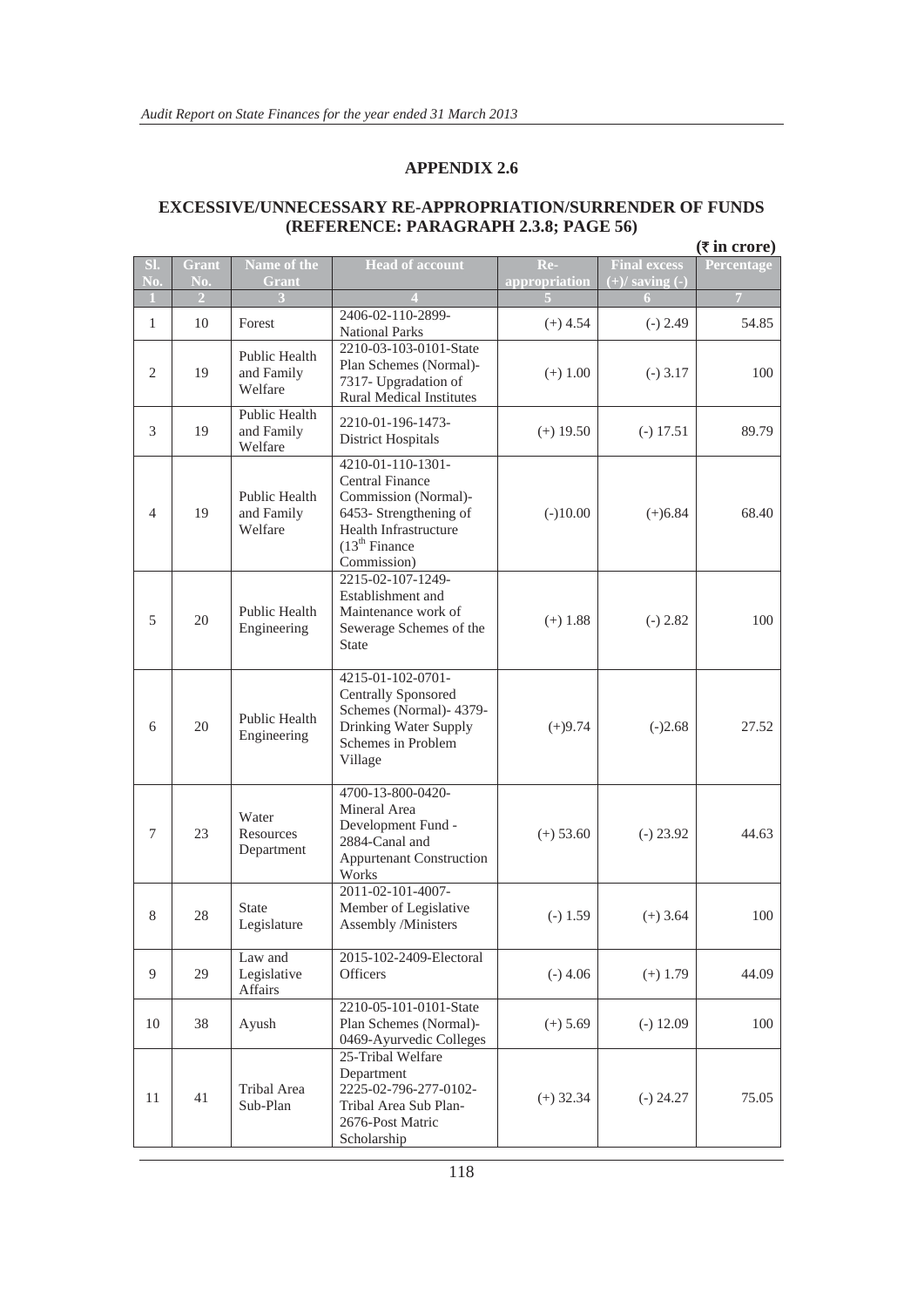|                |                     |                                        |                                                                                                                                                                     |                      |                                            | $(\overline{\tau}$ in crore) |
|----------------|---------------------|----------------------------------------|---------------------------------------------------------------------------------------------------------------------------------------------------------------------|----------------------|--------------------------------------------|------------------------------|
| SI.<br>No.     | <b>Grant</b><br>No. | Name of the<br><b>Grant</b>            | <b>Head of account</b>                                                                                                                                              | Re-<br>appropriation | <b>Final excess</b><br>$(+)/$ saving $(-)$ | Percentage                   |
| 1              | $\overline{2}$      |                                        |                                                                                                                                                                     |                      |                                            | $\overline{7}$               |
| $\mathbf{1}$   | 10                  | Forest                                 | 2406-02-110-2899-<br><b>National Parks</b>                                                                                                                          | $(+)$ 4.54           | $(-) 2.49$                                 | 54.85                        |
| $\overline{2}$ | 19                  | Public Health<br>and Family<br>Welfare | 2210-03-103-0101-State<br>Plan Schemes (Normal)-<br>7317- Upgradation of<br><b>Rural Medical Institutes</b>                                                         | $(+)$ 1.00           | $(-)$ 3.17                                 | 100                          |
| 3              | 19                  | Public Health<br>and Family<br>Welfare | 2210-01-196-1473-<br><b>District Hospitals</b>                                                                                                                      | $(+)$ 19.50          | $(-) 17.51$                                | 89.79                        |
| $\overline{4}$ | 19                  | Public Health<br>and Family<br>Welfare | 4210-01-110-1301-<br><b>Central Finance</b><br>Commission (Normal)-<br>6453- Strengthening of<br>Health Infrastructure<br>(13 <sup>th</sup> Finance)<br>Commission) | $(-)10.00$           | $(+)6.84$                                  | 68.40                        |
| 5              | 20                  | Public Health<br>Engineering           | 2215-02-107-1249-<br>Establishment and<br>Maintenance work of<br>Sewerage Schemes of the<br><b>State</b>                                                            | $(+)$ 1.88           | $(-) 2.82$                                 | 100                          |
| 6              | 20                  | Public Health<br>Engineering           | 4215-01-102-0701-<br><b>Centrally Sponsored</b><br>Schemes (Normal)- 4379-<br>Drinking Water Supply<br>Schemes in Problem<br>Village                                | $(+)9.74$            | $(-)2.68$                                  | 27.52                        |
| 7              | 23                  | Water<br>Resources<br>Department       | 4700-13-800-0420-<br>Mineral Area<br>Development Fund -<br>2884-Canal and<br><b>Appurtenant Construction</b><br>Works                                               | $(+) 53.60$          | $(-) 23.92$                                | 44.63                        |
| 8              | 28                  | <b>State</b><br>Legislature            | 2011-02-101-4007-<br>Member of Legislative<br>Assembly /Ministers                                                                                                   | $(-) 1.59$           | $(+)$ 3.64                                 | 100                          |
| 9              | 29                  | Law and<br>Legislative<br>Affairs      | 2015-102-2409-Electoral<br><b>Officers</b>                                                                                                                          | $(-)$ 4.06           | $(+)$ 1.79                                 | 44.09                        |
| 10             | 38                  | Ayush                                  | 2210-05-101-0101-State<br>Plan Schemes (Normal)-<br>0469-Ayurvedic Colleges                                                                                         | $(+) 5.69$           | $(-) 12.09$                                | 100                          |
| 11             | 41                  | Tribal Area<br>Sub-Plan                | 25-Tribal Welfare<br>Department<br>2225-02-796-277-0102-<br>Tribal Area Sub Plan-<br>2676-Post Matric<br>Scholarship                                                | $(+)$ 32.34          | $(-) 24.27$                                | 75.05                        |

#### **EXCESSIVE/UNNECESSARY RE-APPROPRIATION/SURRENDER OF FUNDS (REFERENCE: PARAGRAPH 2.3.8; PAGE 56)**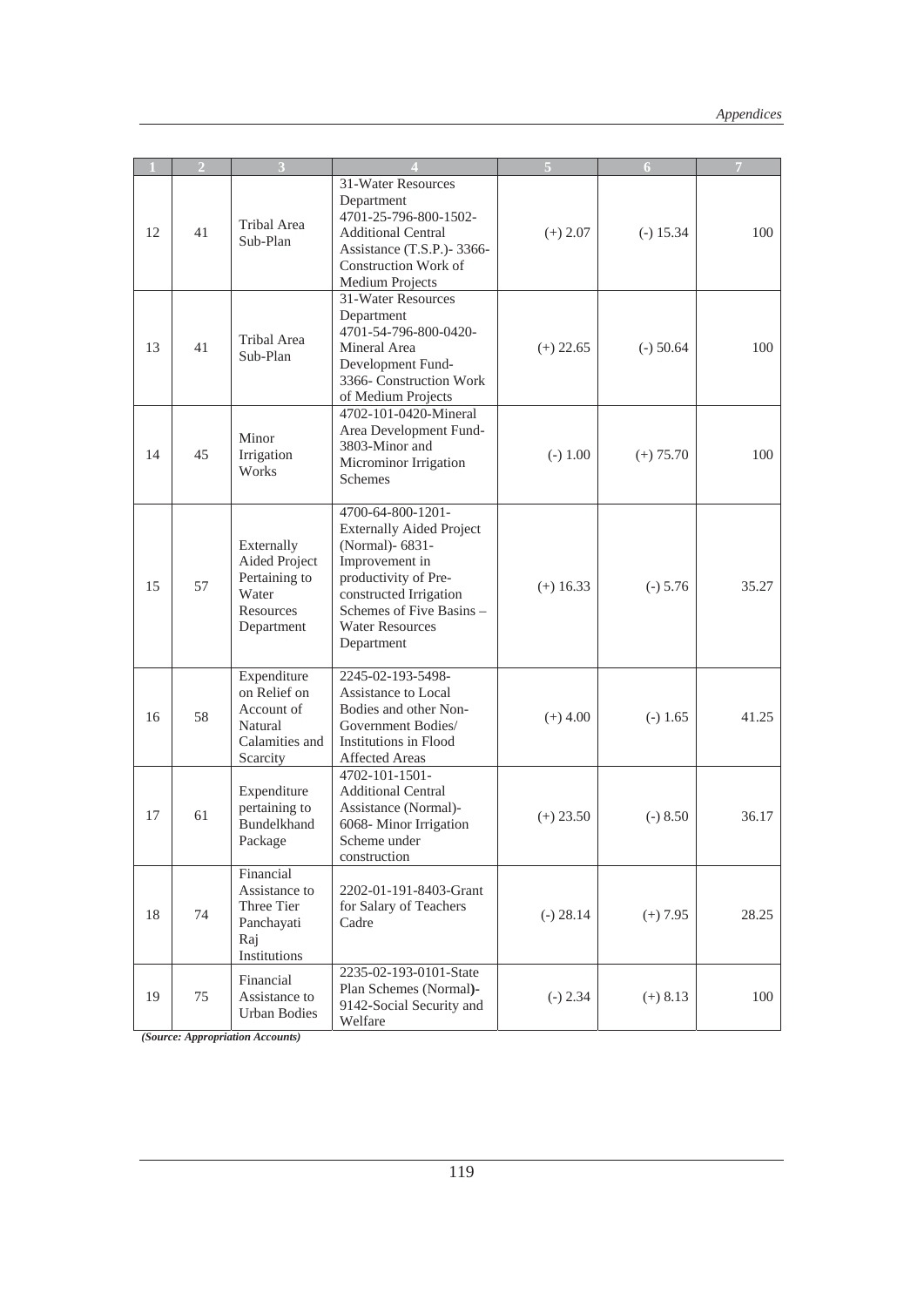|    | $\overline{2}$ |                                                                                    |                                                                                                                                                                                                                 |             | 6           | 7     |
|----|----------------|------------------------------------------------------------------------------------|-----------------------------------------------------------------------------------------------------------------------------------------------------------------------------------------------------------------|-------------|-------------|-------|
| 12 | 41             | <b>Tribal Area</b><br>Sub-Plan                                                     | 31-Water Resources<br>Department<br>4701-25-796-800-1502-<br><b>Additional Central</b><br>Assistance (T.S.P.)-3366-<br><b>Construction Work of</b><br>Medium Projects                                           | $(+) 2.07$  | $(-) 15.34$ | 100   |
| 13 | 41             | Tribal Area<br>Sub-Plan                                                            | 31-Water Resources<br>Department<br>4701-54-796-800-0420-<br>Mineral Area<br>Development Fund-<br>3366- Construction Work<br>of Medium Projects                                                                 | $(+)$ 22.65 | $(-)$ 50.64 | 100   |
| 14 | 45             | Minor<br>Irrigation<br>Works                                                       | 4702-101-0420-Mineral<br>Area Development Fund-<br>3803-Minor and<br>Microminor Irrigation<br>Schemes                                                                                                           | $(-) 1.00$  | $(+) 75.70$ | 100   |
| 15 | 57             | Externally<br>Aided Project<br>Pertaining to<br>Water<br>Resources<br>Department   | 4700-64-800-1201-<br><b>Externally Aided Project</b><br>(Normal)- 6831-<br>Improvement in<br>productivity of Pre-<br>constructed Irrigation<br>Schemes of Five Basins -<br><b>Water Resources</b><br>Department | $(+)$ 16.33 | $(-) 5.76$  | 35.27 |
| 16 | 58             | Expenditure<br>on Relief on<br>Account of<br>Natural<br>Calamities and<br>Scarcity | 2245-02-193-5498-<br>Assistance to Local<br>Bodies and other Non-<br>Government Bodies/<br>Institutions in Flood<br><b>Affected Areas</b>                                                                       | $(+)$ 4.00  | $(-) 1.65$  | 41.25 |
| 17 | 61             | Expenditure<br>pertaining to<br>Bundelkhand<br>Package                             | 4702-101-1501-<br><b>Additional Central</b><br>Assistance (Normal)-<br>6068-Minor Irrigation<br>Scheme under<br>construction                                                                                    | $(+) 23.50$ | $(-) 8.50$  | 36.17 |
| 18 | 74             | Financial<br>Assistance to<br>Three Tier<br>Panchayati<br>Raj<br>Institutions      | 2202-01-191-8403-Grant<br>for Salary of Teachers<br>Cadre                                                                                                                                                       | $(-) 28.14$ | $(+) 7.95$  | 28.25 |
| 19 | 75             | Financial<br>Assistance to<br><b>Urban Bodies</b>                                  | 2235-02-193-0101-State<br>Plan Schemes (Normal)-<br>9142-Social Security and<br>Welfare                                                                                                                         | $(-) 2.34$  | $(+) 8.13$  | 100   |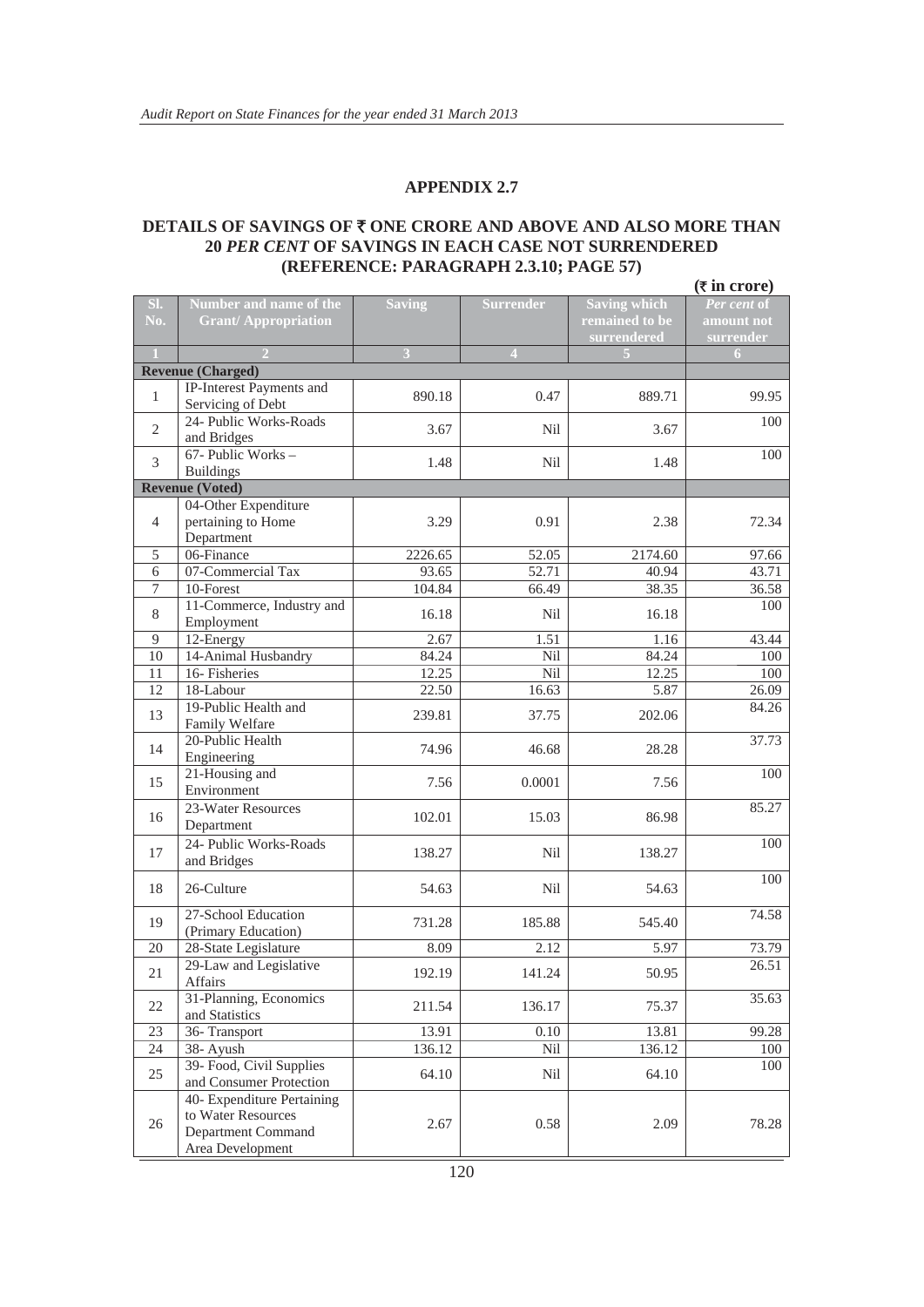#### **DETAILS OF SAVINGS OF ₹ ONE CRORE AND ABOVE AND ALSO MORE THAN 20** *PER CENT* **OF SAVINGS IN EACH CASE NOT SURRENDERED (REFERENCE: PARAGRAPH 2.3.10; PAGE 57)**

|                |                                                |               |                  |                     | $(\overline{\tau}$ in crore) |
|----------------|------------------------------------------------|---------------|------------------|---------------------|------------------------------|
| SI.            | Number and name of the                         | <b>Saving</b> | <b>Surrender</b> | <b>Saving which</b> | Per cent of                  |
| No.            | <b>Grant/Appropriation</b>                     |               |                  | remained to be      | amount not                   |
|                |                                                |               |                  | surrendered         | surrender                    |
|                |                                                | 3             | $\overline{4}$   |                     | 6                            |
|                | <b>Revenue (Charged)</b>                       |               |                  |                     |                              |
| $\mathbf{1}$   | IP-Interest Payments and<br>Servicing of Debt  | 890.18        | 0.47             | 889.71              | 99.95                        |
|                | 24- Public Works-Roads                         |               |                  |                     | 100                          |
| 2              | and Bridges                                    | 3.67          | Nil              | 3.67                |                              |
| 3              | $67$ - Public Works -                          | 1.48          | Nil              | 1.48                | 100                          |
|                | <b>Buildings</b>                               |               |                  |                     |                              |
|                | <b>Revenue (Voted)</b>                         |               |                  |                     |                              |
| $\overline{4}$ | 04-Other Expenditure<br>pertaining to Home     | 3.29          | 0.91             | 2.38                | 72.34                        |
|                | Department                                     |               |                  |                     |                              |
| 5              | 06-Finance                                     | 2226.65       | 52.05            | 2174.60             | 97.66                        |
| 6              | 07-Commercial Tax                              | 93.65         | 52.71            | 40.94               | 43.71                        |
| 7              | 10-Forest                                      | 104.84        | 66.49            | 38.35               | 36.58                        |
| 8              | 11-Commerce, Industry and<br>Employment        | 16.18         | Nil              | 16.18               | 100                          |
| 9              | 12-Energy                                      | 2.67          | 1.51             | 1.16                | 43.44                        |
| 10             | 14-Animal Husbandry                            | 84.24         | Nil              | 84.24               | 100                          |
| 11             | 16- Fisheries                                  | 12.25         | Nil              | 12.25               | 100                          |
| 12             | 18-Labour                                      | 22.50         | 16.63            | 5.87                | 26.09                        |
| 13             | 19-Public Health and                           | 239.81        | 37.75            | 202.06              | 84.26                        |
|                | Family Welfare<br>20-Public Health             |               |                  |                     | 37.73                        |
| 14             | Engineering                                    | 74.96         | 46.68            | 28.28               |                              |
| 15             | 21-Housing and<br>Environment                  | 7.56          | 0.0001           | 7.56                | 100                          |
|                | 23-Water Resources                             |               |                  |                     | 85.27                        |
| 16             | Department                                     | 102.01        | 15.03            | 86.98               |                              |
| 17             | 24- Public Works-Roads                         | 138.27        | Nil              | 138.27              | 100                          |
|                | and Bridges                                    |               |                  |                     |                              |
| 18             | 26-Culture                                     | 54.63         | Nil              | 54.63               | 100                          |
| 19             | 27-School Education                            | 731.28        | 185.88           | 545.40              | 74.58                        |
| 20             | (Primary Education)                            | 8.09          | 2.12             | 5.97                | 73.79                        |
|                | 28-State Legislature<br>29-Law and Legislative |               |                  |                     | 26.51                        |
| 21             | Affairs                                        | 192.19        | 141.24           | 50.95               |                              |
| 22             | 31-Planning, Economics<br>and Statistics       | 211.54        | 136.17           | 75.37               | 35.63                        |
| 23             | 36- Transport                                  | 13.91         | 0.10             | 13.81               | 99.28                        |
| 24             | 38- Ayush                                      | 136.12        | Nil              | 136.12              | 100                          |
|                | 39- Food, Civil Supplies                       |               |                  |                     | 100                          |
| 25             | and Consumer Protection                        | 64.10         | Nil              | 64.10               |                              |
|                | 40- Expenditure Pertaining                     |               |                  |                     |                              |
| 26             | to Water Resources                             | 2.67          | 0.58             | 2.09                | 78.28                        |
|                | Department Command                             |               |                  |                     |                              |
|                | Area Development                               |               |                  |                     |                              |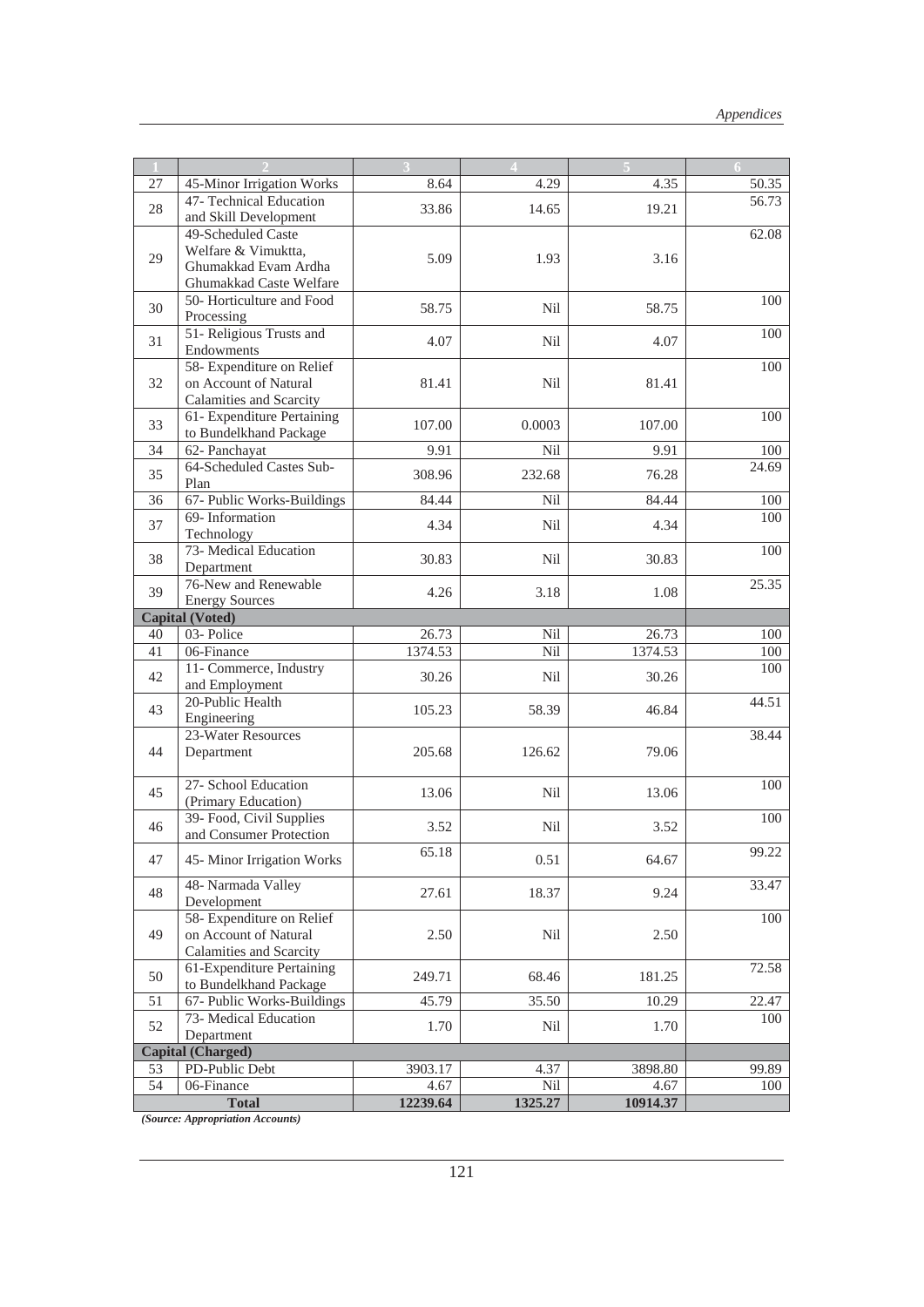|                        |                                                                                              |          |            |          | 6     |  |
|------------------------|----------------------------------------------------------------------------------------------|----------|------------|----------|-------|--|
| 27                     | 45-Minor Irrigation Works                                                                    | 8.64     | 4.29       | 4.35     | 50.35 |  |
| 28                     | 47- Technical Education<br>and Skill Development                                             | 33.86    | 14.65      | 19.21    | 56.73 |  |
| 29                     | 49-Scheduled Caste<br>Welfare & Vimuktta,<br>Ghumakkad Evam Ardha<br>Ghumakkad Caste Welfare | 5.09     | 1.93       | 3.16     | 62.08 |  |
| 30                     | 50- Horticulture and Food<br>Processing                                                      | 58.75    | Nil        | 58.75    | 100   |  |
| 31                     | 51- Religious Trusts and<br>Endowments                                                       | 4.07     | Nil        | 4.07     | 100   |  |
| 32                     | 58- Expenditure on Relief<br>on Account of Natural<br>Calamities and Scarcity                | 81.41    | <b>Nil</b> | 81.41    | 100   |  |
| 33                     | 61- Expenditure Pertaining<br>to Bundelkhand Package                                         | 107.00   | 0.0003     | 107.00   | 100   |  |
| 34                     | 62- Panchayat                                                                                | 9.91     | Nil        | 9.91     | 100   |  |
| 35                     | 64-Scheduled Castes Sub-<br>Plan                                                             | 308.96   | 232.68     | 76.28    | 24.69 |  |
| 36                     | 67- Public Works-Buildings                                                                   | 84.44    | Nil        | 84.44    | 100   |  |
| 37                     | 69-Information<br>Technology                                                                 | 4.34     | Nil        | 4.34     | 100   |  |
| 38                     | 73- Medical Education<br>Department                                                          | 30.83    | Nil        | 30.83    | 100   |  |
| 39                     | 76-New and Renewable<br><b>Energy Sources</b>                                                | 4.26     | 3.18       | 1.08     | 25.35 |  |
| <b>Capital (Voted)</b> |                                                                                              |          |            |          |       |  |
| 40                     | 03-Police                                                                                    | 26.73    | Nil        | 26.73    | 100   |  |
| 41                     | 06-Finance                                                                                   | 1374.53  | Nil        | 1374.53  | 100   |  |
| 42                     | 11- Commerce, Industry<br>and Employment                                                     | 30.26    | <b>Nil</b> | 30.26    | 100   |  |
| 43                     | 20-Public Health<br>Engineering                                                              | 105.23   | 58.39      | 46.84    | 44.51 |  |
| 44                     | 23-Water Resources<br>Department                                                             | 205.68   | 126.62     | 79.06    | 38.44 |  |
| 45                     | 27- School Education<br>(Primary Education)                                                  | 13.06    | Nil        | 13.06    | 100   |  |
| 46                     | 39- Food, Civil Supplies<br>and Consumer Protection                                          | 3.52     | Nil        | 3.52     | 100   |  |
| 47                     | 45-Minor Irrigation Works                                                                    | 65.18    | 0.51       | 64.67    | 99.22 |  |
| 48                     | 48- Narmada Valley<br>Development                                                            | 27.61    | 18.37      | 9.24     | 33.47 |  |
| 49                     | 58- Expenditure on Relief<br>on Account of Natural<br>Calamities and Scarcity                | 2.50     | Nil        | 2.50     | 100   |  |
| 50                     | 61-Expenditure Pertaining<br>to Bundelkhand Package                                          | 249.71   | 68.46      | 181.25   | 72.58 |  |
| 51                     | 67- Public Works-Buildings                                                                   | 45.79    | 35.50      | 10.29    | 22.47 |  |
| 52                     | 73- Medical Education<br>Department                                                          | 1.70     | Nil        | 1.70     | 100   |  |
|                        | <b>Capital (Charged)</b>                                                                     |          |            |          |       |  |
| 53                     | PD-Public Debt                                                                               | 3903.17  | 4.37       | 3898.80  | 99.89 |  |
| 54                     | 06-Finance                                                                                   | 4.67     | Nil        | 4.67     | 100   |  |
|                        | <b>Total</b>                                                                                 | 12239.64 | 1325.27    | 10914.37 |       |  |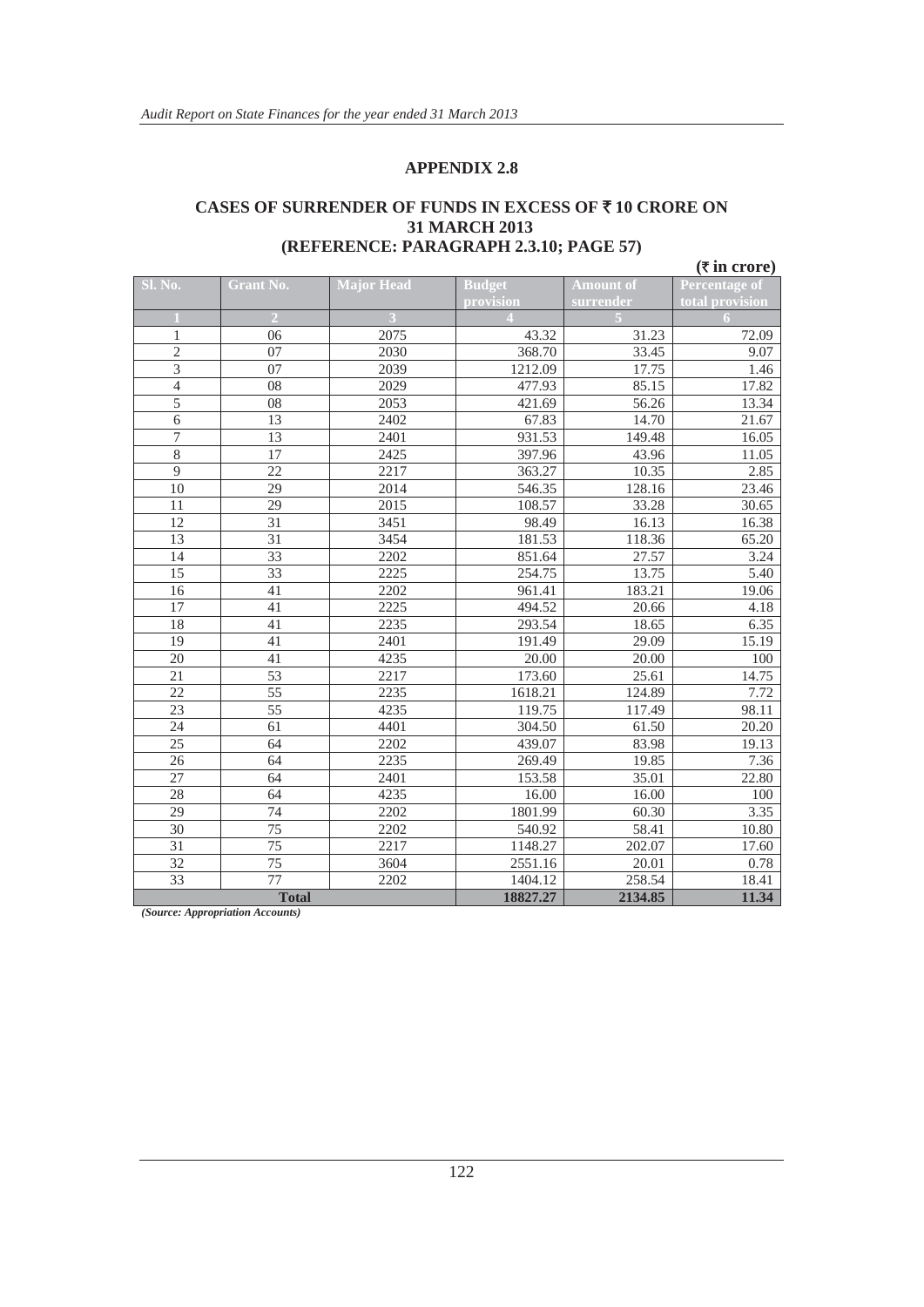#### **CASES OF SURRENDER OF FUNDS IN EXCESS OF** ` **10 CRORE ON 31 MARCH 2013 (REFERENCE: PARAGRAPH 2.3.10; PAGE 57)**

|                 |                  |                   |               |                  | $(\overline{\tau}$ in crore) |
|-----------------|------------------|-------------------|---------------|------------------|------------------------------|
| <b>Sl. No.</b>  | <b>Grant No.</b> | <b>Major Head</b> | <b>Budget</b> | <b>Amount of</b> | Percentage of                |
|                 |                  |                   | provision     | surrender        | total provision              |
|                 | $\overline{2}$   |                   |               |                  | 6                            |
| $\mathbf{1}$    | 06               | 2075              | 43.32         | 31.23            | 72.09                        |
| $\overline{c}$  | 07               | 2030              | 368.70        | 33.45            | 9.07                         |
| $\overline{3}$  | 07               | 2039              | 1212.09       | 17.75            | 1.46                         |
| $\overline{4}$  | 08               | 2029              | 477.93        | 85.15            | 17.82                        |
| $\overline{5}$  | 08               | 2053              | 421.69        | 56.26            | 13.34                        |
| $\overline{6}$  | 13               | 2402              | 67.83         | 14.70            | 21.67                        |
| $\overline{7}$  | 13               | 2401              | 931.53        | 149.48           | 16.05                        |
| $\overline{8}$  | 17               | 2425              | 397.96        | 43.96            | 11.05                        |
| $\overline{9}$  | $\overline{22}$  | 2217              | 363.27        | 10.35            | 2.85                         |
| 10              | 29               | 2014              | 546.35        | 128.16           | 23.46                        |
| 11              | 29               | 2015              | 108.57        | 33.28            | 30.65                        |
| $\overline{12}$ | 31               | 3451              | 98.49         | 16.13            | 16.38                        |
| 13              | 31               | 3454              | 181.53        | 118.36           | 65.20                        |
| 14              | 33               | 2202              | 851.64        | 27.57            | 3.24                         |
| 15              | 33               | 2225              | 254.75        | 13.75            | 5.40                         |
| $\overline{16}$ | 41               | 2202              | 961.41        | 183.21           | 19.06                        |
| 17              | 41               | 2225              | 494.52        | 20.66            | 4.18                         |
| 18              | 41               | 2235              | 293.54        | 18.65            | 6.35                         |
| 19              | 41               | 2401              | 191.49        | 29.09            | 15.19                        |
| 20              | 41               | 4235              | 20.00         | 20.00            | 100                          |
| 21              | 53               | 2217              | 173.60        | 25.61            | 14.75                        |
| 22              | 55               | 2235              | 1618.21       | 124.89           | 7.72                         |
| 23              | 55               | 4235              | 119.75        | 117.49           | 98.11                        |
| 24              | 61               | 4401              | 304.50        | 61.50            | 20.20                        |
| 25              | 64               | 2202              | 439.07        | 83.98            | 19.13                        |
| 26              | 64               | 2235              | 269.49        | 19.85            | 7.36                         |
| 27              | 64               | 2401              | 153.58        | 35.01            | 22.80                        |
| 28              | 64               | 4235              | 16.00         | 16.00            | 100                          |
| 29              | 74               | 2202              | 1801.99       | 60.30            | 3.35                         |
| 30              | 75               | 2202              | 540.92        | 58.41            | 10.80                        |
| 31              | 75               | 2217              | 1148.27       | 202.07           | 17.60                        |
| 32              | 75               | 3604              | 2551.16       | 20.01            | 0.78                         |
| $\overline{33}$ | $\overline{77}$  | 2202              | 1404.12       | 258.54           | 18.41                        |
|                 | <b>Total</b>     |                   | 18827.27      | 2134.85          | 11.34                        |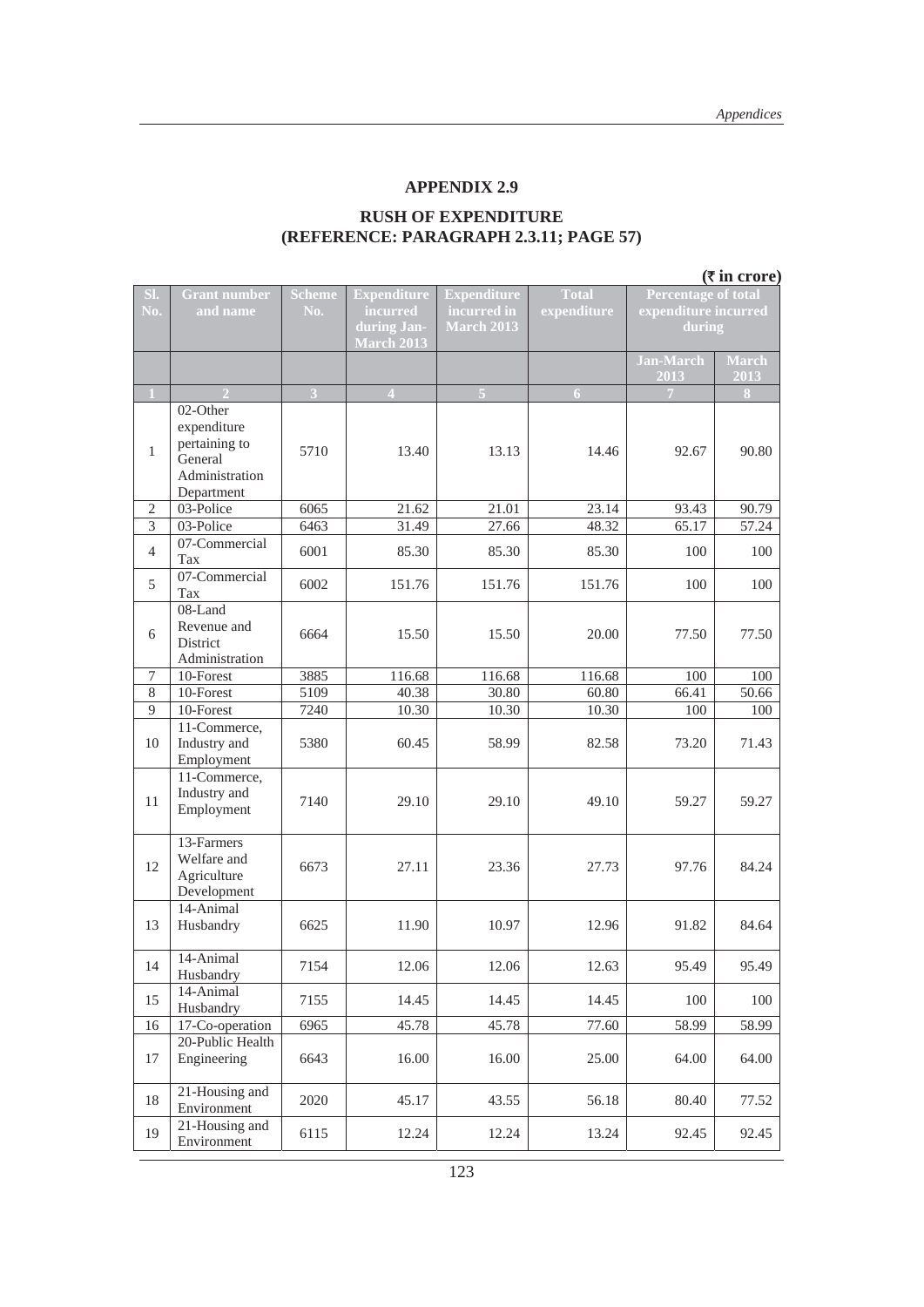#### **RUSH OF EXPENDITURE (REFERENCE: PARAGRAPH 2.3.11; PAGE 57)**

|                |                                                                                     |                      |                                                                    |                                                        |                             |                                                              | $(\overline{\tau}$ in crore) |
|----------------|-------------------------------------------------------------------------------------|----------------------|--------------------------------------------------------------------|--------------------------------------------------------|-----------------------------|--------------------------------------------------------------|------------------------------|
| SI.<br>No.     | <b>Grant number</b><br>and name                                                     | <b>Scheme</b><br>No. | <b>Expenditure</b><br>incurred<br>during Jan-<br><b>March 2013</b> | <b>Expenditure</b><br>incurred in<br><b>March 2013</b> | <b>Total</b><br>expenditure | <b>Percentage of total</b><br>expenditure incurred<br>during |                              |
|                |                                                                                     |                      |                                                                    |                                                        |                             | <b>Jan-March</b><br>2013                                     | <b>March</b><br>2013         |
|                |                                                                                     | 3                    | $\overline{4}$                                                     |                                                        | 6.                          |                                                              | 8                            |
| $\mathbf{1}$   | 02-Other<br>expenditure<br>pertaining to<br>General<br>Administration<br>Department | 5710                 | 13.40                                                              | 13.13                                                  | 14.46                       | 92.67                                                        | 90.80                        |
| $\overline{2}$ | 03-Police                                                                           | 6065                 | 21.62                                                              | 21.01                                                  | 23.14                       | 93.43                                                        | 90.79                        |
| $\overline{3}$ | 03-Police                                                                           | 6463                 | 31.49                                                              | 27.66                                                  | 48.32                       | 65.17                                                        | 57.24                        |
| $\overline{4}$ | 07-Commercial<br>Tax                                                                | 6001                 | 85.30                                                              | 85.30                                                  | 85.30                       | 100                                                          | 100                          |
| 5              | 07-Commercial<br>Tax                                                                | 6002                 | 151.76                                                             | 151.76                                                 | 151.76                      | 100                                                          | 100                          |
| 6              | 08-Land<br>Revenue and<br>District<br>Administration                                | 6664                 | 15.50                                                              | 15.50                                                  | 20.00                       | 77.50                                                        | 77.50                        |
| $\tau$         | 10-Forest                                                                           | 3885                 | 116.68                                                             | 116.68                                                 | 116.68                      | 100                                                          | 100                          |
| 8              | 10-Forest                                                                           | 5109                 | 40.38                                                              | 30.80                                                  | 60.80                       | 66.41                                                        | 50.66                        |
| 9              | 10-Forest                                                                           | 7240                 | 10.30                                                              | 10.30                                                  | 10.30                       | 100                                                          | 100                          |
| 10             | 11-Commerce,<br>Industry and<br>Employment                                          | 5380                 | 60.45                                                              | 58.99                                                  | 82.58                       | 73.20                                                        | 71.43                        |
| 11             | 11-Commerce,<br>Industry and<br>Employment                                          | 7140                 | 29.10                                                              | 29.10                                                  | 49.10                       | 59.27                                                        | 59.27                        |
| 12             | 13-Farmers<br>Welfare and<br>Agriculture<br>Development                             | 6673                 | 27.11                                                              | 23.36                                                  | 27.73                       | 97.76                                                        | 84.24                        |
| 13             | 14-Animal<br>Husbandry                                                              | 6625                 | 11.90                                                              | 10.97                                                  | 12.96                       | 91.82                                                        | 84.64                        |
| 14             | 14-Animal<br>Husbandry                                                              | 7154                 | 12.06                                                              | 12.06                                                  | 12.63                       | 95.49                                                        | 95.49                        |
| 15             | 14-Animal<br>Husbandry                                                              | 7155                 | 14.45                                                              | 14.45                                                  | 14.45                       | 100                                                          | 100                          |
| 16             | 17-Co-operation                                                                     | 6965                 | 45.78                                                              | 45.78                                                  | 77.60                       | $\frac{1}{58.99}$                                            | 58.99                        |
| 17             | 20-Public Health<br>Engineering                                                     | 6643                 | 16.00                                                              | 16.00                                                  | 25.00                       | 64.00                                                        | 64.00                        |
| 18             | 21-Housing and<br>Environment                                                       | 2020                 | 45.17                                                              | 43.55                                                  | 56.18                       | 80.40                                                        | 77.52                        |
| 19             | 21-Housing and<br>Environment                                                       | 6115                 | 12.24                                                              | 12.24                                                  | 13.24                       | 92.45                                                        | 92.45                        |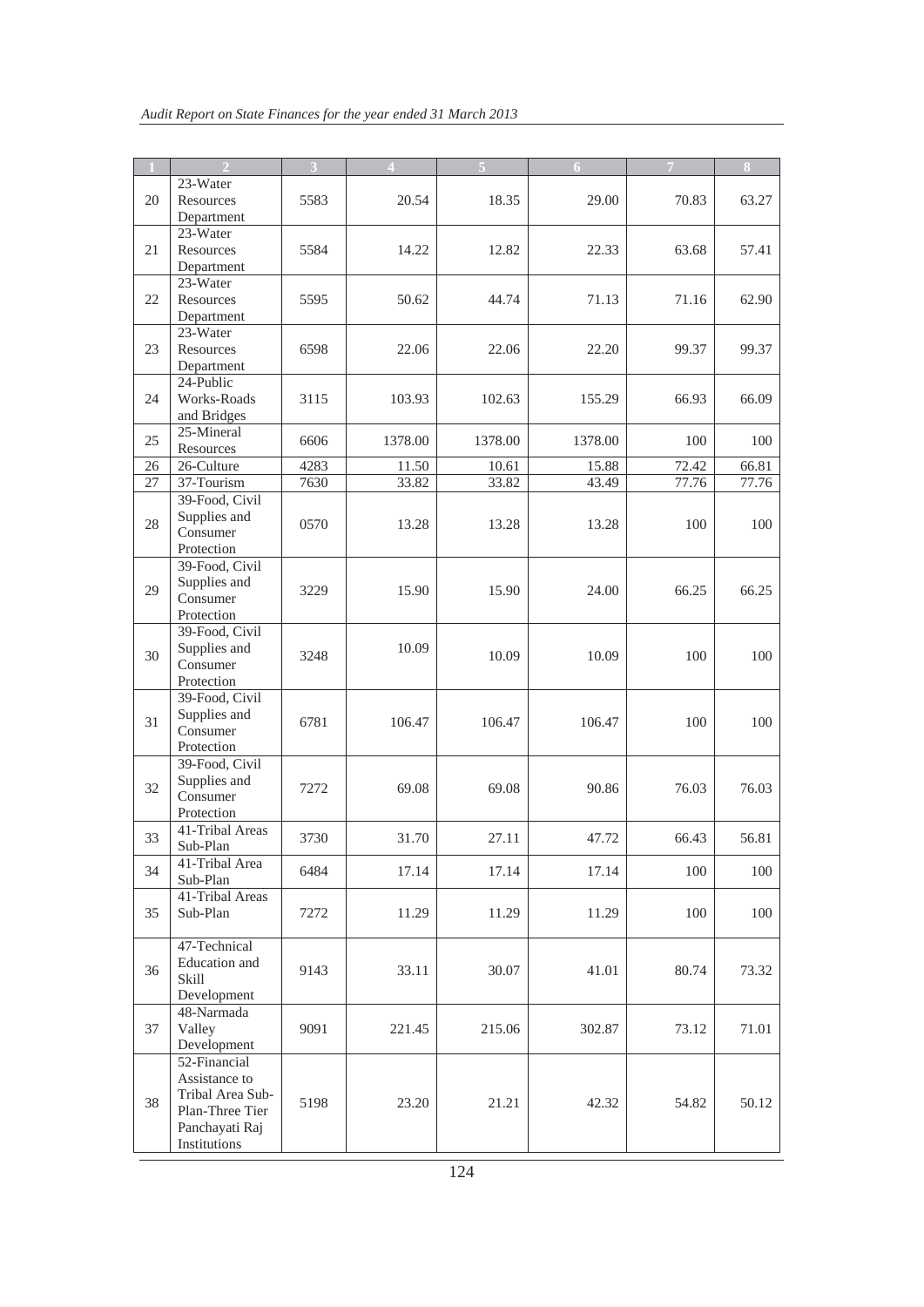|    |                  | 3    | $\overline{4}$ |         | 6       | $\overline{7}$ | $\overline{\mathbf{8}}$ |
|----|------------------|------|----------------|---------|---------|----------------|-------------------------|
|    | 23-Water         |      |                |         |         |                |                         |
| 20 | Resources        | 5583 | 20.54          | 18.35   | 29.00   | 70.83          | 63.27                   |
|    | Department       |      |                |         |         |                |                         |
|    | 23-Water         |      |                |         |         |                |                         |
| 21 | Resources        | 5584 | 14.22          | 12.82   | 22.33   | 63.68          | 57.41                   |
|    |                  |      |                |         |         |                |                         |
|    | Department       |      |                |         |         |                |                         |
|    | 23-Water         |      |                |         |         |                |                         |
| 22 | Resources        | 5595 | 50.62          | 44.74   | 71.13   | 71.16          | 62.90                   |
|    | Department       |      |                |         |         |                |                         |
|    | 23-Water         |      |                |         |         |                |                         |
| 23 | Resources        | 6598 | 22.06          | 22.06   | 22.20   | 99.37          | 99.37                   |
|    | Department       |      |                |         |         |                |                         |
|    | 24-Public        |      |                |         |         |                |                         |
| 24 | Works-Roads      | 3115 | 103.93         | 102.63  | 155.29  | 66.93          | 66.09                   |
|    | and Bridges      |      |                |         |         |                |                         |
|    | 25-Mineral       |      |                |         |         |                |                         |
| 25 | Resources        | 6606 | 1378.00        | 1378.00 | 1378.00 | 100            | 100                     |
|    | 26-Culture       |      |                | 10.61   |         | 72.42          |                         |
| 26 |                  | 4283 | 11.50          |         | 15.88   |                | 66.81                   |
| 27 | 37-Tourism       | 7630 | 33.82          | 33.82   | 43.49   | 77.76          | 77.76                   |
|    | 39-Food, Civil   |      |                |         |         |                |                         |
| 28 | Supplies and     | 0570 | 13.28          | 13.28   | 13.28   | 100            | 100                     |
|    | Consumer         |      |                |         |         |                |                         |
|    | Protection       |      |                |         |         |                |                         |
|    | 39-Food, Civil   |      |                |         |         |                |                         |
|    | Supplies and     |      |                |         |         |                |                         |
| 29 | Consumer         | 3229 | 15.90          | 15.90   | 24.00   | 66.25          | 66.25                   |
|    | Protection       |      |                |         |         |                |                         |
|    | 39-Food, Civil   |      |                |         |         |                |                         |
|    |                  |      | 10.09          |         |         |                |                         |
| 30 | Supplies and     | 3248 |                | 10.09   | 10.09   | 100            | 100                     |
|    | Consumer         |      |                |         |         |                |                         |
|    | Protection       |      |                |         |         |                |                         |
|    | 39-Food, Civil   |      |                |         |         |                |                         |
| 31 | Supplies and     | 6781 | 106.47         | 106.47  | 106.47  | 100            | 100                     |
|    | Consumer         |      |                |         |         |                |                         |
|    | Protection       |      |                |         |         |                |                         |
|    | 39-Food, Civil   |      |                |         |         |                |                         |
|    | Supplies and     |      |                |         |         |                |                         |
| 32 | Consumer         | 7272 | 69.08          | 69.08   | 90.86   | 76.03          | 76.03                   |
|    | Protection       |      |                |         |         |                |                         |
|    | 41-Tribal Areas  |      |                |         |         |                |                         |
| 33 | Sub-Plan         | 3730 | 31.70          | 27.11   | 47.72   | 66.43          | 56.81                   |
|    | 41-Tribal Area   |      |                |         |         |                |                         |
| 34 |                  | 6484 | 17.14          | 17.14   | 17.14   | 100            | 100                     |
|    | Sub-Plan         |      |                |         |         |                |                         |
|    | 41-Tribal Areas  |      |                |         |         |                |                         |
| 35 | Sub-Plan         | 7272 | 11.29          | 11.29   | 11.29   | 100            | 100                     |
|    |                  |      |                |         |         |                |                         |
|    | 47-Technical     |      |                |         |         |                |                         |
| 36 | Education and    | 9143 | 33.11          | 30.07   | 41.01   | 80.74          | 73.32                   |
|    | Skill            |      |                |         |         |                |                         |
|    | Development      |      |                |         |         |                |                         |
|    | 48-Narmada       |      |                |         |         |                |                         |
| 37 | Valley           | 9091 | 221.45         | 215.06  | 302.87  | 73.12          | 71.01                   |
|    | Development      |      |                |         |         |                |                         |
|    | 52-Financial     |      |                |         |         |                |                         |
|    |                  |      |                |         |         |                |                         |
|    | Assistance to    |      |                |         |         |                |                         |
| 38 | Tribal Area Sub- | 5198 | 23.20          | 21.21   | 42.32   | 54.82          | 50.12                   |
|    | Plan-Three Tier  |      |                |         |         |                |                         |
|    | Panchayati Raj   |      |                |         |         |                |                         |
|    | Institutions     |      |                |         |         |                |                         |
|    |                  |      |                |         |         |                |                         |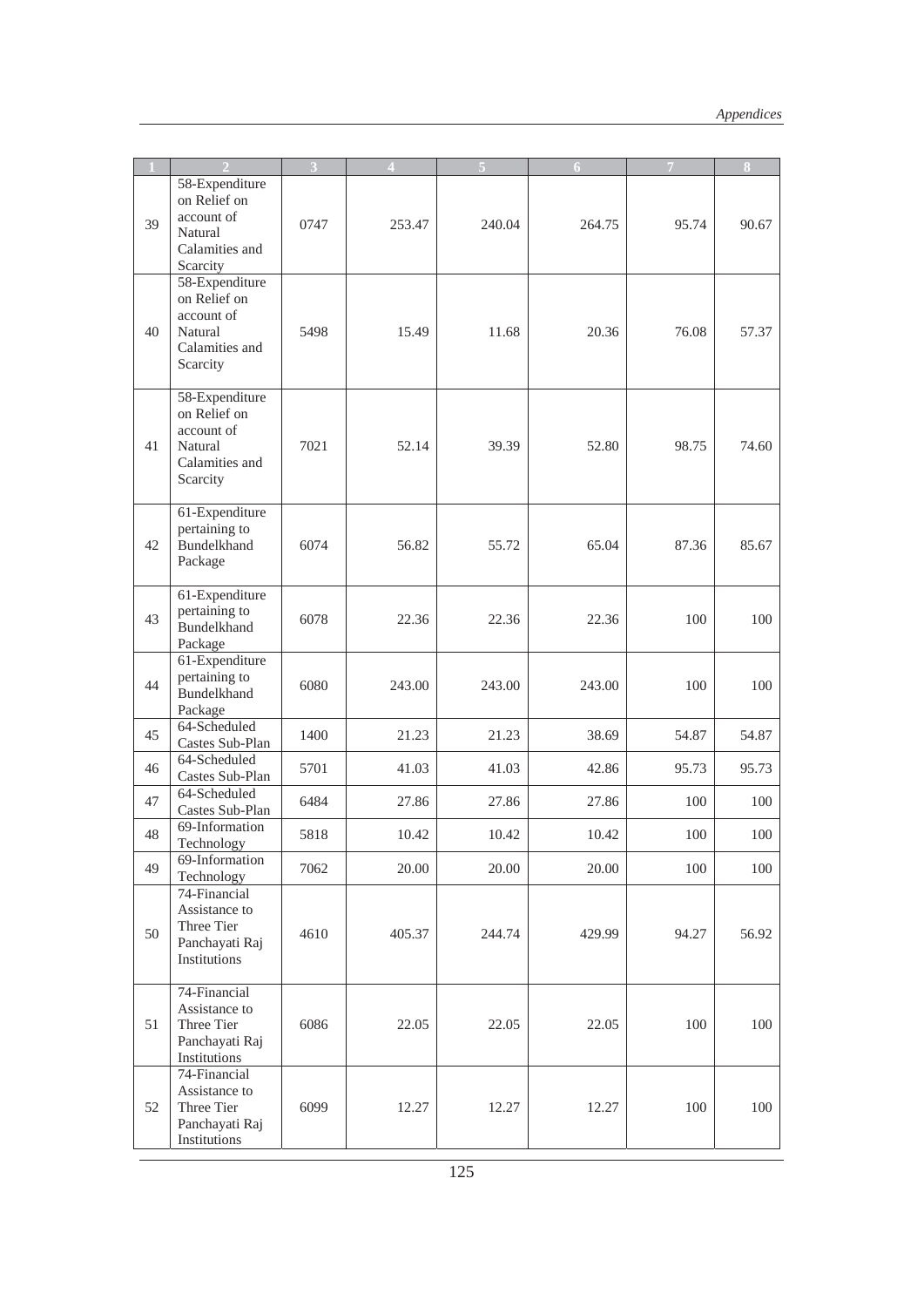|    |                                                                                       | 3    | $\Delta$ |        | 6      |       | 8     |
|----|---------------------------------------------------------------------------------------|------|----------|--------|--------|-------|-------|
| 39 | 58-Expenditure<br>on Relief on<br>account of<br>Natural<br>Calamities and<br>Scarcity | 0747 | 253.47   | 240.04 | 264.75 | 95.74 | 90.67 |
| 40 | 58-Expenditure<br>on Relief on<br>account of<br>Natural<br>Calamities and<br>Scarcity | 5498 | 15.49    | 11.68  | 20.36  | 76.08 | 57.37 |
| 41 | 58-Expenditure<br>on Relief on<br>account of<br>Natural<br>Calamities and<br>Scarcity | 7021 | 52.14    | 39.39  | 52.80  | 98.75 | 74.60 |
| 42 | 61-Expenditure<br>pertaining to<br>Bundelkhand<br>Package                             | 6074 | 56.82    | 55.72  | 65.04  | 87.36 | 85.67 |
| 43 | 61-Expenditure<br>pertaining to<br>Bundelkhand<br>Package                             | 6078 | 22.36    | 22.36  | 22.36  | 100   | 100   |
| 44 | 61-Expenditure<br>pertaining to<br>Bundelkhand<br>Package                             | 6080 | 243.00   | 243.00 | 243.00 | 100   | 100   |
| 45 | 64-Scheduled<br>Castes Sub-Plan                                                       | 1400 | 21.23    | 21.23  | 38.69  | 54.87 | 54.87 |
| 46 | 64-Scheduled<br>Castes Sub-Plan                                                       | 5701 | 41.03    | 41.03  | 42.86  | 95.73 | 95.73 |
| 47 | 64-Scheduled<br>Castes Sub-Plan                                                       | 6484 | 27.86    | 27.86  | 27.86  | 100   | 100   |
| 48 | 69-Information<br>Technology                                                          | 5818 | 10.42    | 10.42  | 10.42  | 100   | 100   |
| 49 | 69-Information<br>Technology                                                          | 7062 | 20.00    | 20.00  | 20.00  | 100   | 100   |
| 50 | 74-Financial<br>Assistance to<br>Three Tier<br>Panchayati Raj<br>Institutions         | 4610 | 405.37   | 244.74 | 429.99 | 94.27 | 56.92 |
| 51 | 74-Financial<br>Assistance to<br>Three Tier<br>Panchayati Raj<br>Institutions         | 6086 | 22.05    | 22.05  | 22.05  | 100   | 100   |
| 52 | 74-Financial<br>Assistance to<br>Three Tier<br>Panchayati Raj<br>Institutions         | 6099 | 12.27    | 12.27  | 12.27  | 100   | 100   |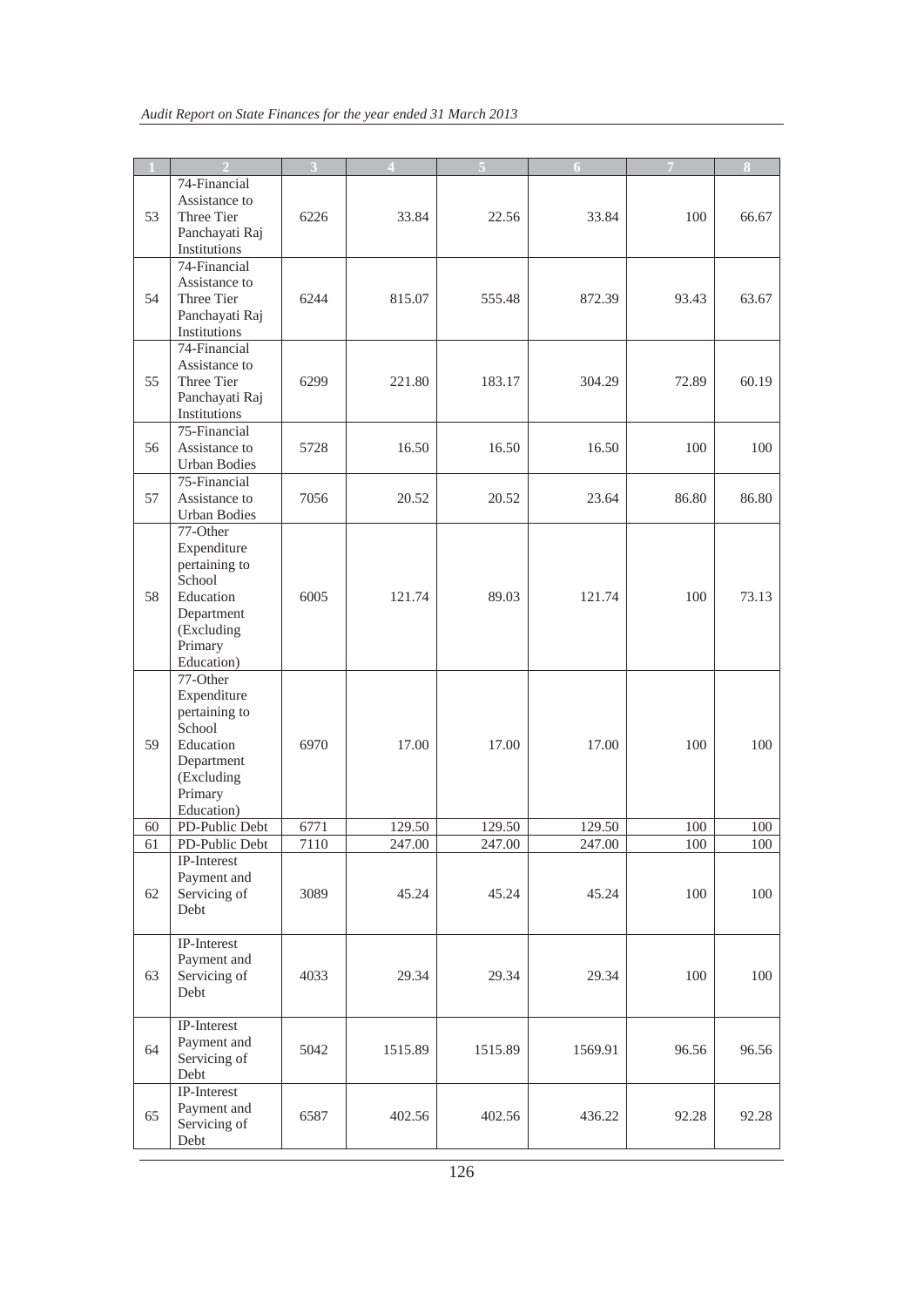|    |                                                                                                                      |      |         |         | $\overline{6}$ | IV.   | 8     |
|----|----------------------------------------------------------------------------------------------------------------------|------|---------|---------|----------------|-------|-------|
| 53 | 74-Financial<br>Assistance to<br>Three Tier                                                                          | 6226 | 33.84   | 22.56   | 33.84          | 100   | 66.67 |
|    | Panchayati Raj<br>Institutions<br>74-Financial                                                                       |      |         |         |                |       |       |
| 54 | Assistance to<br>Three Tier<br>Panchayati Raj<br>Institutions                                                        | 6244 | 815.07  | 555.48  | 872.39         | 93.43 | 63.67 |
| 55 | 74-Financial<br>Assistance to<br>Three Tier<br>Panchayati Raj<br>Institutions                                        | 6299 | 221.80  | 183.17  | 304.29         | 72.89 | 60.19 |
| 56 | 75-Financial<br>Assistance to<br><b>Urban Bodies</b>                                                                 | 5728 | 16.50   | 16.50   | 16.50          | 100   | 100   |
| 57 | 75-Financial<br>Assistance to<br><b>Urban Bodies</b>                                                                 | 7056 | 20.52   | 20.52   | 23.64          | 86.80 | 86.80 |
| 58 | 77-Other<br>Expenditure<br>pertaining to<br>School<br>Education<br>Department<br>(Excluding<br>Primary<br>Education) | 6005 | 121.74  | 89.03   | 121.74         | 100   | 73.13 |
| 59 | 77-Other<br>Expenditure<br>pertaining to<br>School<br>Education<br>Department<br>(Excluding<br>Primary<br>Education) | 6970 | 17.00   | 17.00   | 17.00          | 100   | 100   |
| 60 | PD-Public Debt                                                                                                       | 6771 | 129.50  | 129.50  | 129.50         | 100   | 100   |
| 61 | PD-Public Debt                                                                                                       | 7110 | 247.00  | 247.00  | 247.00         | 100   | 100   |
| 62 | IP-Interest<br>Payment and<br>Servicing of<br>Debt                                                                   | 3089 | 45.24   | 45.24   | 45.24          | 100   | 100   |
| 63 | IP-Interest<br>Payment and<br>Servicing of<br>Debt                                                                   | 4033 | 29.34   | 29.34   | 29.34          | 100   | 100   |
| 64 | IP-Interest<br>Payment and<br>Servicing of<br>Debt                                                                   | 5042 | 1515.89 | 1515.89 | 1569.91        | 96.56 | 96.56 |
| 65 | IP-Interest<br>Payment and<br>Servicing of<br>Debt                                                                   | 6587 | 402.56  | 402.56  | 436.22         | 92.28 | 92.28 |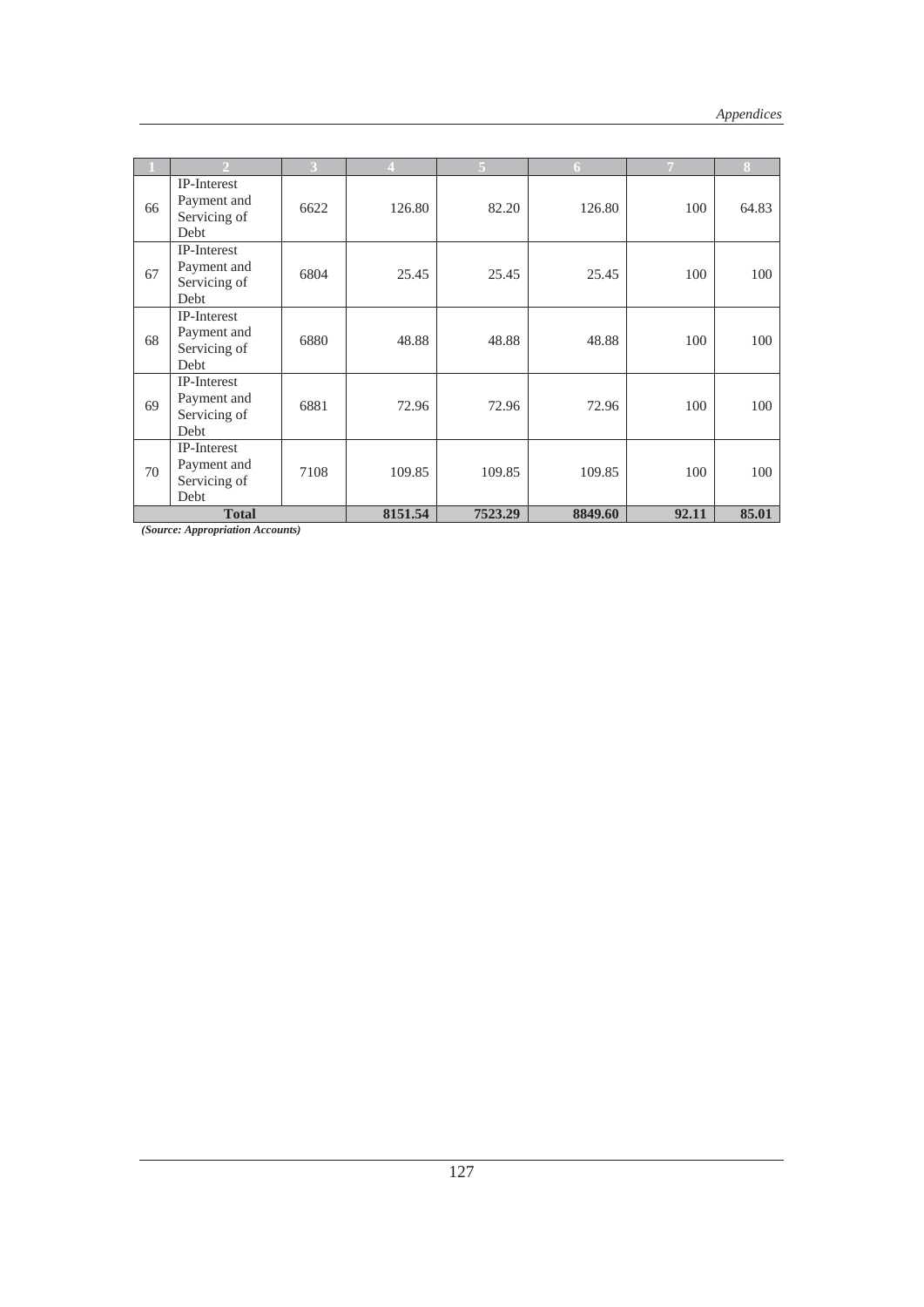|    |                                                           | 3    |         | 5       | 6       |       | 8     |
|----|-----------------------------------------------------------|------|---------|---------|---------|-------|-------|
| 66 | IP-Interest<br>Payment and<br>Servicing of<br>Debt        | 6622 | 126.80  | 82.20   | 126.80  | 100   | 64.83 |
| 67 | IP-Interest<br>Payment and<br>Servicing of<br>Debt        | 6804 | 25.45   | 25.45   | 25.45   | 100   | 100   |
| 68 | <b>IP-Interest</b><br>Payment and<br>Servicing of<br>Debt | 6880 | 48.88   | 48.88   | 48.88   | 100   | 100   |
| 69 | IP-Interest<br>Payment and<br>Servicing of<br>Debt        | 6881 | 72.96   | 72.96   | 72.96   | 100   | 100   |
| 70 | IP-Interest<br>Payment and<br>Servicing of<br>Debt        | 7108 | 109.85  | 109.85  | 109.85  | 100   | 100   |
|    | <b>Total</b>                                              |      | 8151.54 | 7523.29 | 8849.60 | 92.11 | 85.01 |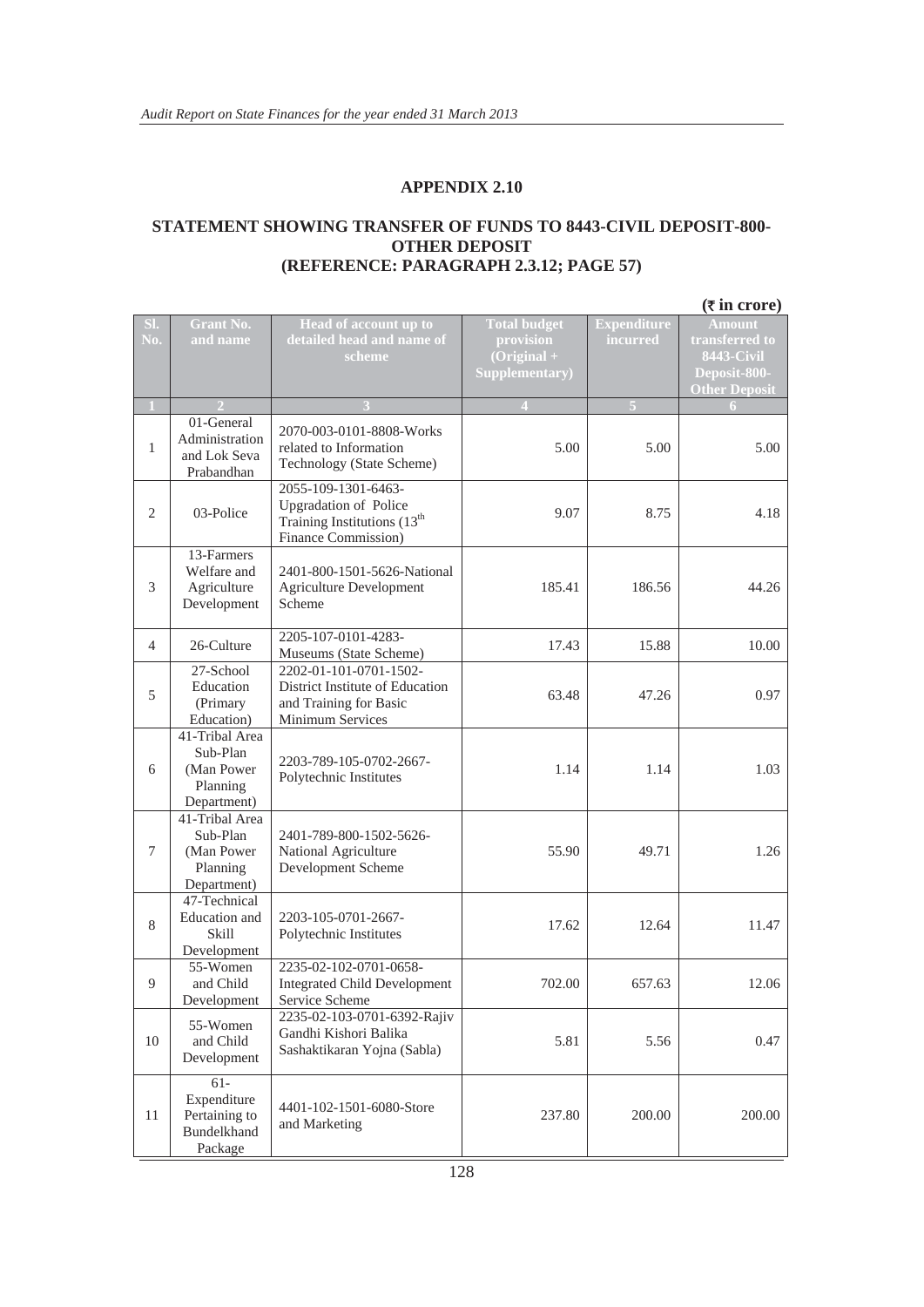#### **STATEMENT SHOWING TRANSFER OF FUNDS TO 8443-CIVIL DEPOSIT-800- OTHER DEPOSIT (REFERENCE: PARAGRAPH 2.3.12; PAGE 57)**

|                |                                                                      |                                                                                                                       |                                                                     |                                | $(\overline{\tau}$ in crore)                                                          |
|----------------|----------------------------------------------------------------------|-----------------------------------------------------------------------------------------------------------------------|---------------------------------------------------------------------|--------------------------------|---------------------------------------------------------------------------------------|
| SI.<br>No.     | <b>Grant No.</b><br>and name                                         | Head of account up to<br>detailed head and name of<br>scheme                                                          | <b>Total budget</b><br>provision<br>$(Original +$<br>Supplementary) | <b>Expenditure</b><br>incurred | Amount<br>transferred to<br><b>8443-Civil</b><br>Deposit-800-<br><b>Other Deposit</b> |
| $\mathbf{1}$   |                                                                      |                                                                                                                       |                                                                     | $\overline{5}$                 |                                                                                       |
| $\mathbf{1}$   | 01-General<br>Administration<br>and Lok Seva<br>Prabandhan           | 2070-003-0101-8808-Works<br>related to Information<br>Technology (State Scheme)                                       | 5.00                                                                | 5.00                           | 5.00                                                                                  |
| $\overline{2}$ | 03-Police                                                            | 2055-109-1301-6463-<br><b>Upgradation of Police</b><br>Training Institutions (13 <sup>th</sup><br>Finance Commission) | 9.07                                                                | 8.75                           | 4.18                                                                                  |
| 3              | 13-Farmers<br>Welfare and<br>Agriculture<br>Development              | 2401-800-1501-5626-National<br><b>Agriculture Development</b><br>Scheme                                               | 185.41                                                              | 186.56                         | 44.26                                                                                 |
| 4              | 26-Culture                                                           | 2205-107-0101-4283-<br>Museums (State Scheme)                                                                         | 17.43                                                               | 15.88                          | 10.00                                                                                 |
| 5              | 27-School<br>Education<br>(Primary<br>Education)                     | 2202-01-101-0701-1502-<br>District Institute of Education<br>and Training for Basic<br>Minimum Services               | 63.48                                                               | 47.26                          | 0.97                                                                                  |
| 6              | 41-Tribal Area<br>Sub-Plan<br>(Man Power<br>Planning<br>Department)  | 2203-789-105-0702-2667-<br>Polytechnic Institutes                                                                     | 1.14                                                                | 1.14                           | 1.03                                                                                  |
| $\tau$         | 41-Tribal Area<br>Sub-Plan<br>(Man Power)<br>Planning<br>Department) | 2401-789-800-1502-5626-<br>National Agriculture<br>Development Scheme                                                 | 55.90                                                               | 49.71                          | 1.26                                                                                  |
| 8              | 47-Technical<br>Education and<br>Skill<br>Development                | 2203-105-0701-2667-<br>Polytechnic Institutes                                                                         | 17.62                                                               | 12.64                          | 11.47                                                                                 |
| 9              | 55-Women<br>and Child<br>Development                                 | 2235-02-102-0701-0658-<br><b>Integrated Child Development</b><br>Service Scheme                                       | 702.00                                                              | 657.63                         | 12.06                                                                                 |
| $10\,$         | 55-Women<br>and Child<br>Development                                 | 2235-02-103-0701-6392-Rajiv<br>Gandhi Kishori Balika<br>Sashaktikaran Yojna (Sabla)                                   | 5.81                                                                | 5.56                           | 0.47                                                                                  |
| 11             | $61-$<br>Expenditure<br>Pertaining to<br>Bundelkhand<br>Package      | 4401-102-1501-6080-Store<br>and Marketing                                                                             | 237.80                                                              | 200.00                         | 200.00                                                                                |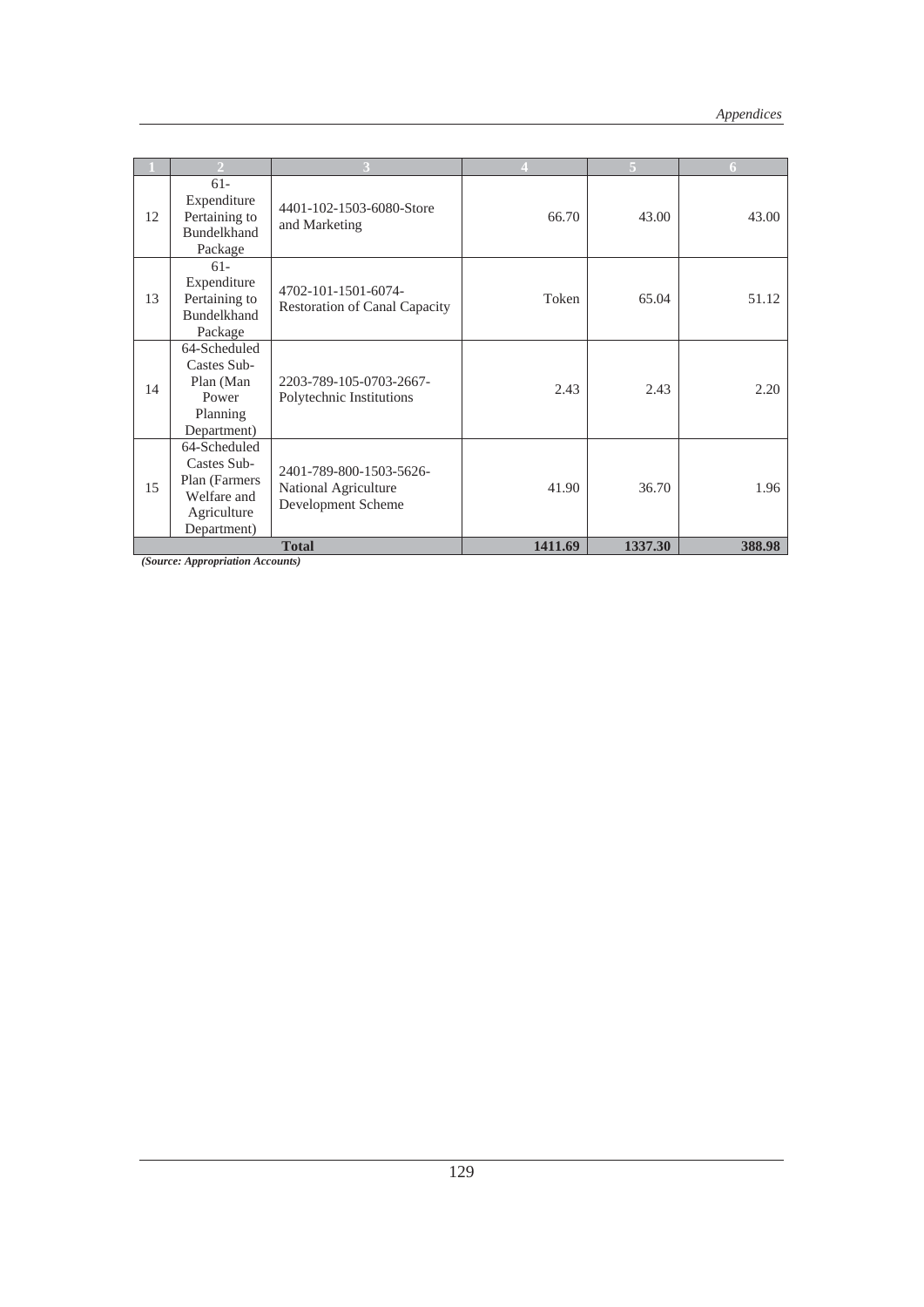|    |                                                                                           |                                                                       |         |         | 6      |
|----|-------------------------------------------------------------------------------------------|-----------------------------------------------------------------------|---------|---------|--------|
| 12 | $61 -$<br>Expenditure<br>Pertaining to<br><b>Bundelkhand</b><br>Package                   | 4401-102-1503-6080-Store<br>and Marketing                             | 66.70   | 43.00   | 43.00  |
| 13 | $61 -$<br>Expenditure<br>Pertaining to<br><b>Bundelkhand</b><br>Package                   | 4702-101-1501-6074-<br><b>Restoration of Canal Capacity</b>           | Token   | 65.04   | 51.12  |
| 14 | 64-Scheduled<br>Castes Sub-<br>Plan (Man<br>Power<br>Planning<br>Department)              | 2203-789-105-0703-2667-<br>Polytechnic Institutions                   | 2.43    | 2.43    | 2.20   |
| 15 | 64-Scheduled<br>Castes Sub-<br>Plan (Farmers<br>Welfare and<br>Agriculture<br>Department) | 2401-789-800-1503-5626-<br>National Agriculture<br>Development Scheme | 41.90   | 36.70   | 1.96   |
|    |                                                                                           | <b>Total</b>                                                          | 1411.69 | 1337.30 | 388.98 |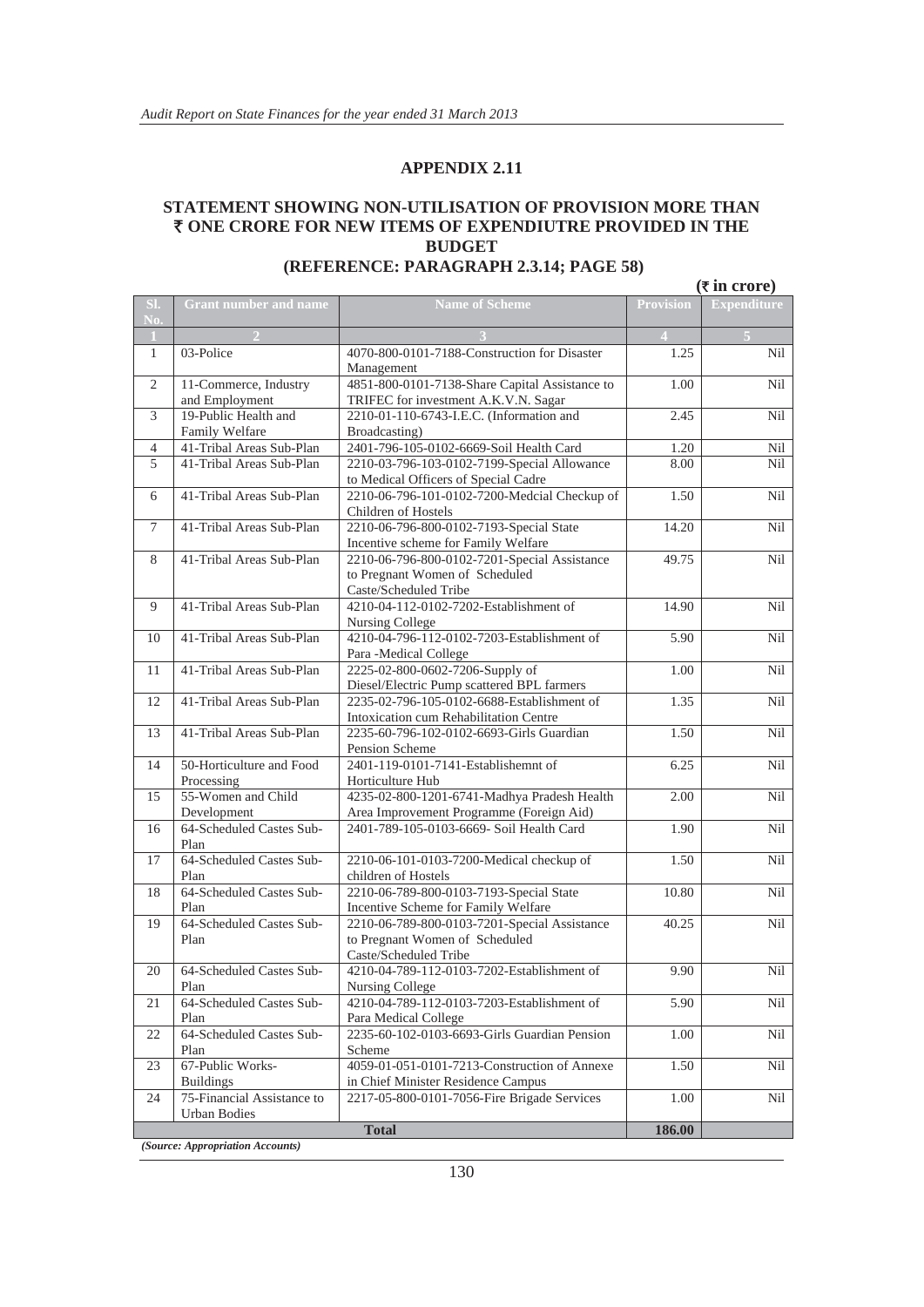#### **STATEMENT SHOWING NON-UTILISATION OF PROVISION MORE THAN**  ` **ONE CRORE FOR NEW ITEMS OF EXPENDIUTRE PROVIDED IN THE BUDGET (REFERENCE: PARAGRAPH 2.3.14; PAGE 58)**

|                |                                                   |                                                                                                         |           | $(\overline{\tau}$ in crore) |
|----------------|---------------------------------------------------|---------------------------------------------------------------------------------------------------------|-----------|------------------------------|
| SI.<br>No.     | <b>Grant number and name</b>                      | <b>Name of Scheme</b>                                                                                   | Provision | <b>Expenditure</b>           |
| $\bf{1}$       |                                                   |                                                                                                         |           |                              |
| $\mathbf{1}$   | $03-Police$                                       | 4070-800-0101-7188-Construction for Disaster<br>Management                                              | 1.25      | Nil                          |
| 2              | 11-Commerce, Industry<br>and Employment           | 4851-800-0101-7138-Share Capital Assistance to<br>TRIFEC for investment A.K.V.N. Sagar                  | 1.00      | Nil                          |
| 3              | 19-Public Health and<br>Family Welfare            | 2210-01-110-6743-I.E.C. (Information and<br>Broadcasting)                                               | 2.45      | Nil                          |
| $\overline{4}$ | 41-Tribal Areas Sub-Plan                          | 2401-796-105-0102-6669-Soil Health Card                                                                 | 1.20      | Nil                          |
| 5              | 41-Tribal Areas Sub-Plan                          | 2210-03-796-103-0102-7199-Special Allowance<br>to Medical Officers of Special Cadre                     | 8.00      | Nil                          |
| 6              | 41-Tribal Areas Sub-Plan                          | 2210-06-796-101-0102-7200-Medcial Checkup of<br>Children of Hostels                                     | 1.50      | Nil                          |
| 7              | 41-Tribal Areas Sub-Plan                          | 2210-06-796-800-0102-7193-Special State<br>Incentive scheme for Family Welfare                          | 14.20     | Nil                          |
| 8              | 41-Tribal Areas Sub-Plan                          | 2210-06-796-800-0102-7201-Special Assistance<br>to Pregnant Women of Scheduled<br>Caste/Scheduled Tribe | 49.75     | Nil                          |
| 9              | 41-Tribal Areas Sub-Plan                          | 4210-04-112-0102-7202-Establishment of<br>Nursing College                                               | 14.90     | Nil                          |
| 10             | 41-Tribal Areas Sub-Plan                          | 4210-04-796-112-0102-7203-Establishment of<br>Para -Medical College                                     | 5.90      | Nil                          |
| 11             | 41-Tribal Areas Sub-Plan                          | 2225-02-800-0602-7206-Supply of<br>Diesel/Electric Pump scattered BPL farmers                           | 1.00      | Nil                          |
| 12             | 41-Tribal Areas Sub-Plan                          | 2235-02-796-105-0102-6688-Establishment of<br>Intoxication cum Rehabilitation Centre                    | 1.35      | Nil                          |
| 13             | 41-Tribal Areas Sub-Plan                          | 2235-60-796-102-0102-6693-Girls Guardian<br>Pension Scheme                                              | 1.50      | Nil                          |
| 14             | 50-Horticulture and Food<br>Processing            | 2401-119-0101-7141-Establishemnt of<br>Horticulture Hub                                                 | 6.25      | Nil                          |
| 15             | 55-Women and Child<br>Development                 | 4235-02-800-1201-6741-Madhya Pradesh Health<br>Area Improvement Programme (Foreign Aid)                 | 2.00      | Nil                          |
| 16             | 64-Scheduled Castes Sub-<br>Plan                  | 2401-789-105-0103-6669- Soil Health Card                                                                | 1.90      | Nil                          |
| 17             | 64-Scheduled Castes Sub-<br>Plan                  | 2210-06-101-0103-7200-Medical checkup of<br>children of Hostels                                         | 1.50      | Nil                          |
| 18             | 64-Scheduled Castes Sub-<br>Plan                  | 2210-06-789-800-0103-7193-Special State<br>Incentive Scheme for Family Welfare                          | 10.80     | Nil                          |
| 19             | 64-Scheduled Castes Sub-<br>Plan                  | 2210-06-789-800-0103-7201-Special Assistance<br>to Pregnant Women of Scheduled<br>Caste/Scheduled Tribe | 40.25     | Nil                          |
| 20             | 64-Scheduled Castes Sub-<br>Plan                  | 4210-04-789-112-0103-7202-Establishment of<br>Nursing College                                           | 9.90      | Nil                          |
| 21             | 64-Scheduled Castes Sub-<br>Plan                  | 4210-04-789-112-0103-7203-Establishment of<br>Para Medical College                                      | 5.90      | Nil                          |
| 22             | 64-Scheduled Castes Sub-<br>Plan                  | 2235-60-102-0103-6693-Girls Guardian Pension<br>Scheme                                                  | 1.00      | Nil                          |
| 23             | 67-Public Works-<br><b>Buildings</b>              | 4059-01-051-0101-7213-Construction of Annexe<br>in Chief Minister Residence Campus                      | 1.50      | Nil                          |
| 24             | 75-Financial Assistance to<br><b>Urban Bodies</b> | 2217-05-800-0101-7056-Fire Brigade Services                                                             | 1.00      | Nil                          |
|                | (Source: Appropriation Accounts)                  | <b>Total</b>                                                                                            | 186.00    |                              |

130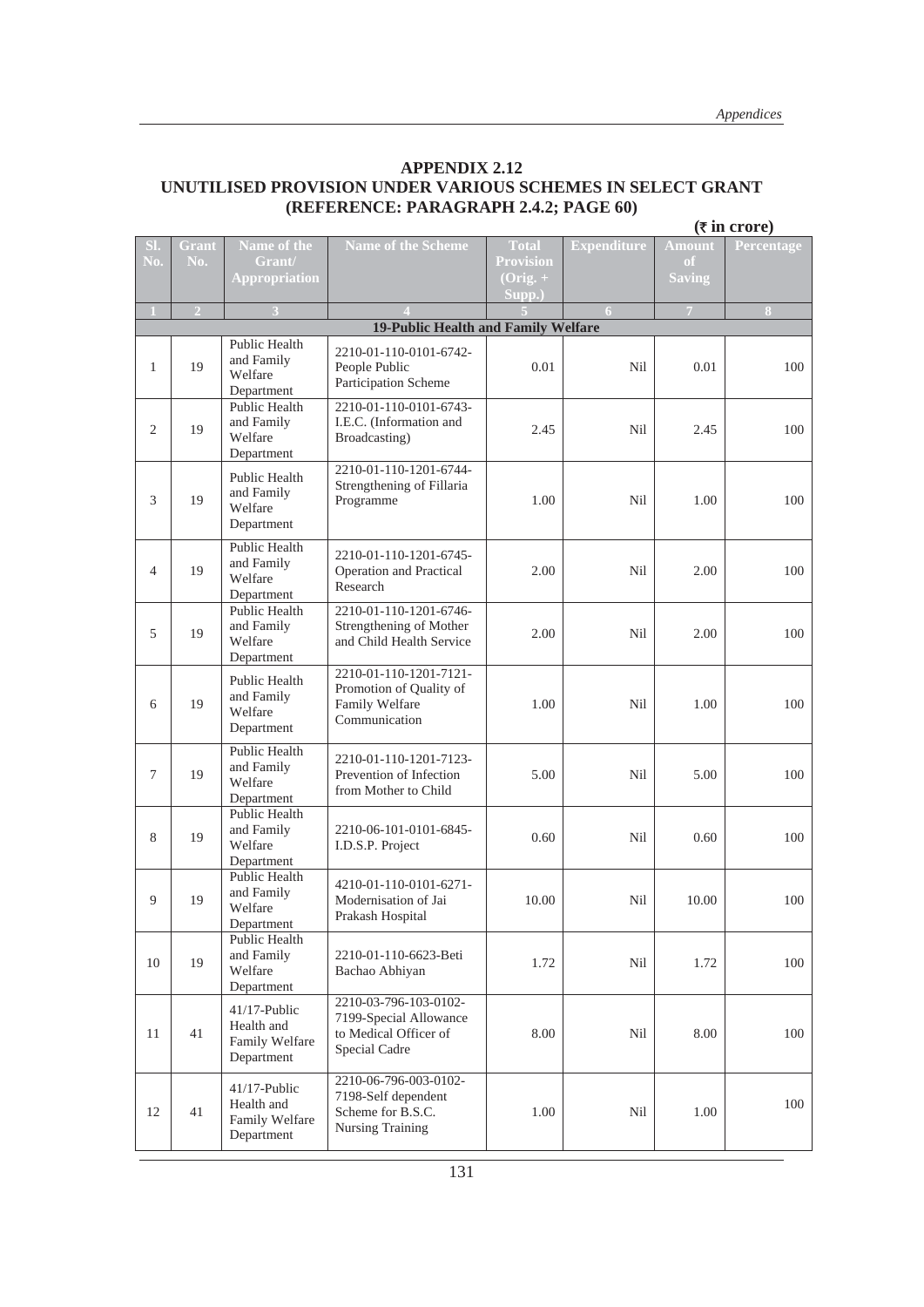#### **APPENDIX 2.12 UNUTILISED PROVISION UNDER VARIOUS SCHEMES IN SELECT GRANT (REFERENCE: PARAGRAPH 2.4.2; PAGE 60)**

|                |                |                               |                                                     |                        |                    |                | $(5 \infty)$   |
|----------------|----------------|-------------------------------|-----------------------------------------------------|------------------------|--------------------|----------------|----------------|
| SI.            | Grant          | Name of the                   | <b>Name of the Scheme</b>                           | <b>Total</b>           | <b>Expenditure</b> | <b>Amount</b>  | Percentage     |
| No.            | No.            | Grant/                        |                                                     | <b>Provision</b>       |                    | <sub>of</sub>  |                |
|                |                | <b>Appropriation</b>          |                                                     | $(Orig. + )$<br>Supp.) |                    | <b>Saving</b>  |                |
| $\mathbf{1}$   | $\overline{2}$ | $\overline{\mathbf{3}}$       |                                                     |                        | 6                  | $\overline{7}$ | 8 <sup>°</sup> |
|                |                |                               | <b>19-Public Health and Family Welfare</b>          |                        |                    |                |                |
|                |                | Public Health                 | 2210-01-110-0101-6742-                              |                        |                    |                |                |
| 1              | 19             | and Family                    | People Public                                       | 0.01                   | Nil                | 0.01           | 100            |
|                |                | Welfare                       | Participation Scheme                                |                        |                    |                |                |
|                |                | Department<br>Public Health   | 2210-01-110-0101-6743-                              |                        |                    |                |                |
|                |                | and Family                    | I.E.C. (Information and                             |                        |                    |                |                |
| 2              | 19             | Welfare                       | Broadcasting)                                       | 2.45                   | Nil                | 2.45           | 100            |
|                |                | Department                    |                                                     |                        |                    |                |                |
|                |                | Public Health                 | 2210-01-110-1201-6744-<br>Strengthening of Fillaria |                        |                    |                |                |
| 3              | 19             | and Family                    | Programme                                           | 1.00                   | Nil                | 1.00           | 100            |
|                |                | Welfare                       |                                                     |                        |                    |                |                |
|                |                | Department                    |                                                     |                        |                    |                |                |
|                |                | Public Health                 | 2210-01-110-1201-6745-                              |                        |                    |                |                |
| $\overline{4}$ | 19             | and Family<br>Welfare         | Operation and Practical                             | 2.00                   | Nil                | 2.00           | 100            |
|                |                | Department                    | Research                                            |                        |                    |                |                |
|                |                | Public Health                 | 2210-01-110-1201-6746-                              |                        |                    |                |                |
| 5              | 19             | and Family<br>Welfare         | Strengthening of Mother                             | 2.00                   | Nil                | 2.00           | 100            |
|                |                | Department                    | and Child Health Service                            |                        |                    |                |                |
|                |                |                               | 2210-01-110-1201-7121-                              |                        |                    |                |                |
|                |                | Public Health<br>and Family   | Promotion of Quality of                             |                        |                    |                |                |
| 6              | 19             | Welfare                       | Family Welfare                                      | 1.00                   | Nil                | 1.00           | 100            |
|                |                | Department                    | Communication                                       |                        |                    |                |                |
|                |                | Public Health                 |                                                     |                        |                    |                |                |
| $\tau$         | 19             | and Family                    | 2210-01-110-1201-7123-<br>Prevention of Infection   | 5.00                   | Nil                | 5.00           | 100            |
|                |                | Welfare                       | from Mother to Child                                |                        |                    |                |                |
|                |                | Department<br>Public Health   |                                                     |                        |                    |                |                |
|                |                | and Family                    | 2210-06-101-0101-6845-                              |                        |                    |                |                |
| 8              | 19             | Welfare                       | I.D.S.P. Project                                    | 0.60                   | Nil                | 0.60           | 100            |
|                |                | Department                    |                                                     |                        |                    |                |                |
|                |                | Public Health<br>and Family   | 4210-01-110-0101-6271-                              |                        |                    |                |                |
| 9              | 19             | Welfare                       | Modernisation of Jai                                | 10.00                  | Nil                | 10.00          | 100            |
|                |                | Department                    | Prakash Hospital                                    |                        |                    |                |                |
|                |                | Public Health                 |                                                     |                        |                    |                |                |
| 10             | 19             | and Family<br>Welfare         | 2210-01-110-6623-Beti                               | 1.72                   | Nil                | 1.72           | 100            |
|                |                | Department                    | Bachao Abhiyan                                      |                        |                    |                |                |
|                |                | $41/17$ -Public               | 2210-03-796-103-0102-                               |                        |                    |                |                |
|                |                | Health and                    | 7199-Special Allowance                              |                        |                    |                |                |
| 11             | 41             | Family Welfare                | to Medical Officer of                               | 8.00                   | Nil                | 8.00           | 100            |
|                |                | Department                    | Special Cadre                                       |                        |                    |                |                |
|                |                |                               | 2210-06-796-003-0102-                               |                        |                    |                |                |
|                |                | $41/17$ -Public<br>Health and | 7198-Self dependent                                 |                        |                    |                | 100            |
| 12             | 41             | Family Welfare                | Scheme for B.S.C.                                   | 1.00                   | Nil                | 1.00           |                |
|                |                | Department                    | Nursing Training                                    |                        |                    |                |                |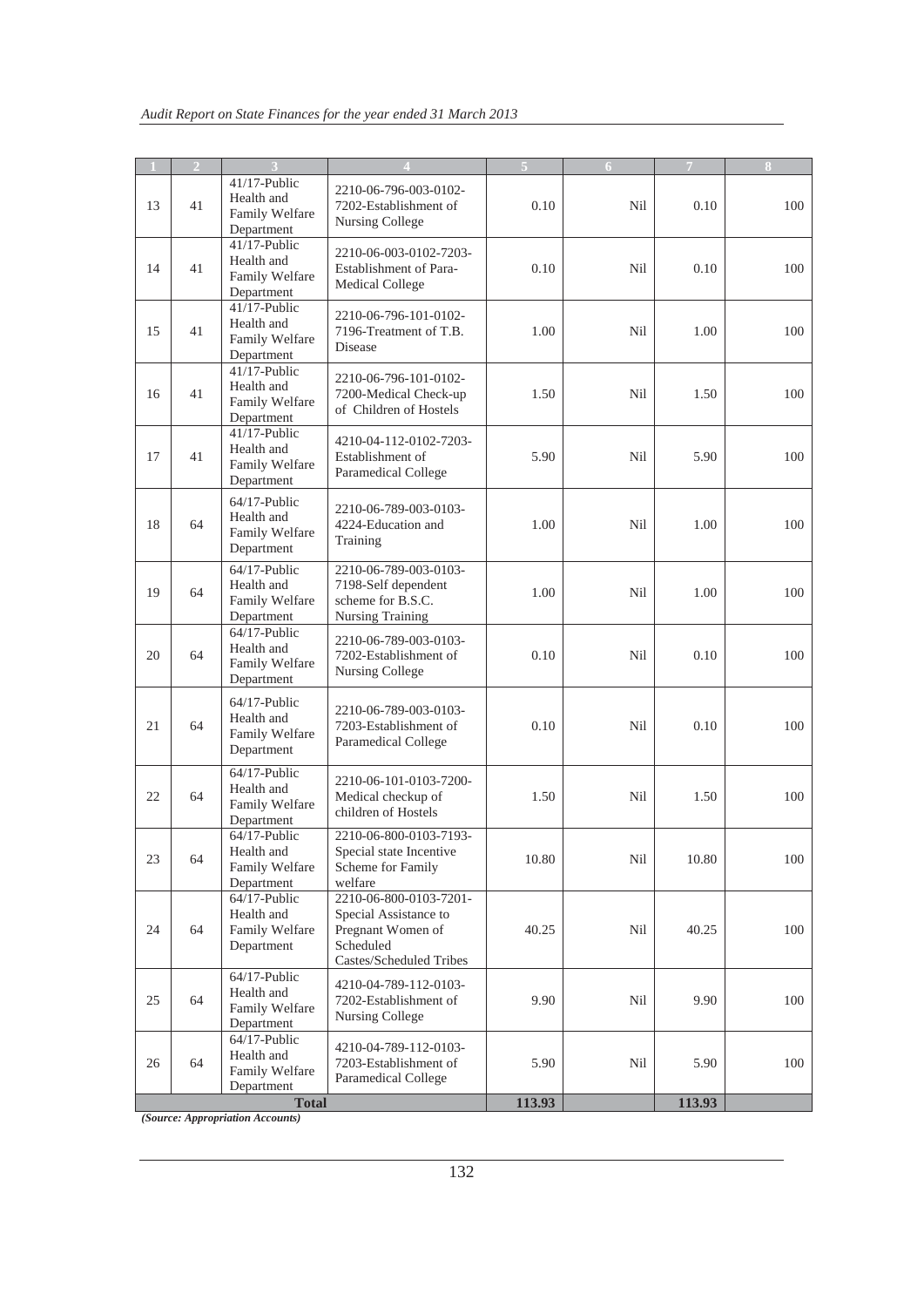| -11 | $\overline{2}$ | 3                                                             |                                                                                                              |        | 6   | $\mathcal{T}$ | 8   |
|-----|----------------|---------------------------------------------------------------|--------------------------------------------------------------------------------------------------------------|--------|-----|---------------|-----|
| 13  | 41             | $41/17$ -Public<br>Health and<br>Family Welfare<br>Department | 2210-06-796-003-0102-<br>7202-Establishment of<br>Nursing College                                            | 0.10   | Nil | 0.10          | 100 |
| 14  | 41             | $41/17$ -Public<br>Health and<br>Family Welfare<br>Department | 2210-06-003-0102-7203-<br>Establishment of Para-<br><b>Medical College</b>                                   | 0.10   | Nil | 0.10          | 100 |
| 15  | 41             | $41/17$ -Public<br>Health and<br>Family Welfare<br>Department | 2210-06-796-101-0102-<br>7196-Treatment of T.B.<br><b>Disease</b>                                            | 1.00   | Nil | 1.00          | 100 |
| 16  | 41             | $41/17$ -Public<br>Health and<br>Family Welfare<br>Department | 2210-06-796-101-0102-<br>7200-Medical Check-up<br>of Children of Hostels                                     | 1.50   | Nil | 1.50          | 100 |
| 17  | 41             | $41/17$ -Public<br>Health and<br>Family Welfare<br>Department | 4210-04-112-0102-7203-<br>Establishment of<br>Paramedical College                                            | 5.90   | Nil | 5.90          | 100 |
| 18  | 64             | $64/17$ -Public<br>Health and<br>Family Welfare<br>Department | 2210-06-789-003-0103-<br>4224-Education and<br>Training                                                      | 1.00   | Nil | 1.00          | 100 |
| 19  | 64             | $64/17$ -Public<br>Health and<br>Family Welfare<br>Department | 2210-06-789-003-0103-<br>7198-Self dependent<br>scheme for B.S.C.<br>Nursing Training                        | 1.00   | Nil | 1.00          | 100 |
| 20  | 64             | $64/17$ -Public<br>Health and<br>Family Welfare<br>Department | 2210-06-789-003-0103-<br>7202-Establishment of<br>Nursing College                                            | 0.10   | Nil | 0.10          | 100 |
| 21  | 64             | $64/17$ -Public<br>Health and<br>Family Welfare<br>Department | 2210-06-789-003-0103-<br>7203-Establishment of<br>Paramedical College                                        | 0.10   | Nil | 0.10          | 100 |
| 22  | 64             | $64/17$ -Public<br>Health and<br>Family Welfare<br>Department | 2210-06-101-0103-7200-<br>Medical checkup of<br>children of Hostels                                          | 1.50   | Nil | 1.50          | 100 |
| 23  | 64             | 64/17-Public<br>Health and<br>Family Welfare<br>Department    | 2210-06-800-0103-7193-<br>Special state Incentive<br>Scheme for Family<br>welfare                            | 10.80  | Nil | 10.80         | 100 |
| 24  | 64             | $64/17$ -Public<br>Health and<br>Family Welfare<br>Department | 2210-06-800-0103-7201-<br>Special Assistance to<br>Pregnant Women of<br>Scheduled<br>Castes/Scheduled Tribes | 40.25  | Nil | 40.25         | 100 |
| 25  | 64             | $64/17$ -Public<br>Health and<br>Family Welfare<br>Department | 4210-04-789-112-0103-<br>7202-Establishment of<br>Nursing College                                            | 9.90   | Nil | 9.90          | 100 |
| 26  | 64             | $64/17$ -Public<br>Health and<br>Family Welfare<br>Department | 4210-04-789-112-0103-<br>7203-Establishment of<br>Paramedical College                                        | 5.90   | Nil | 5.90          | 100 |
|     |                | <b>Total</b>                                                  |                                                                                                              | 113.93 |     | 113.93        |     |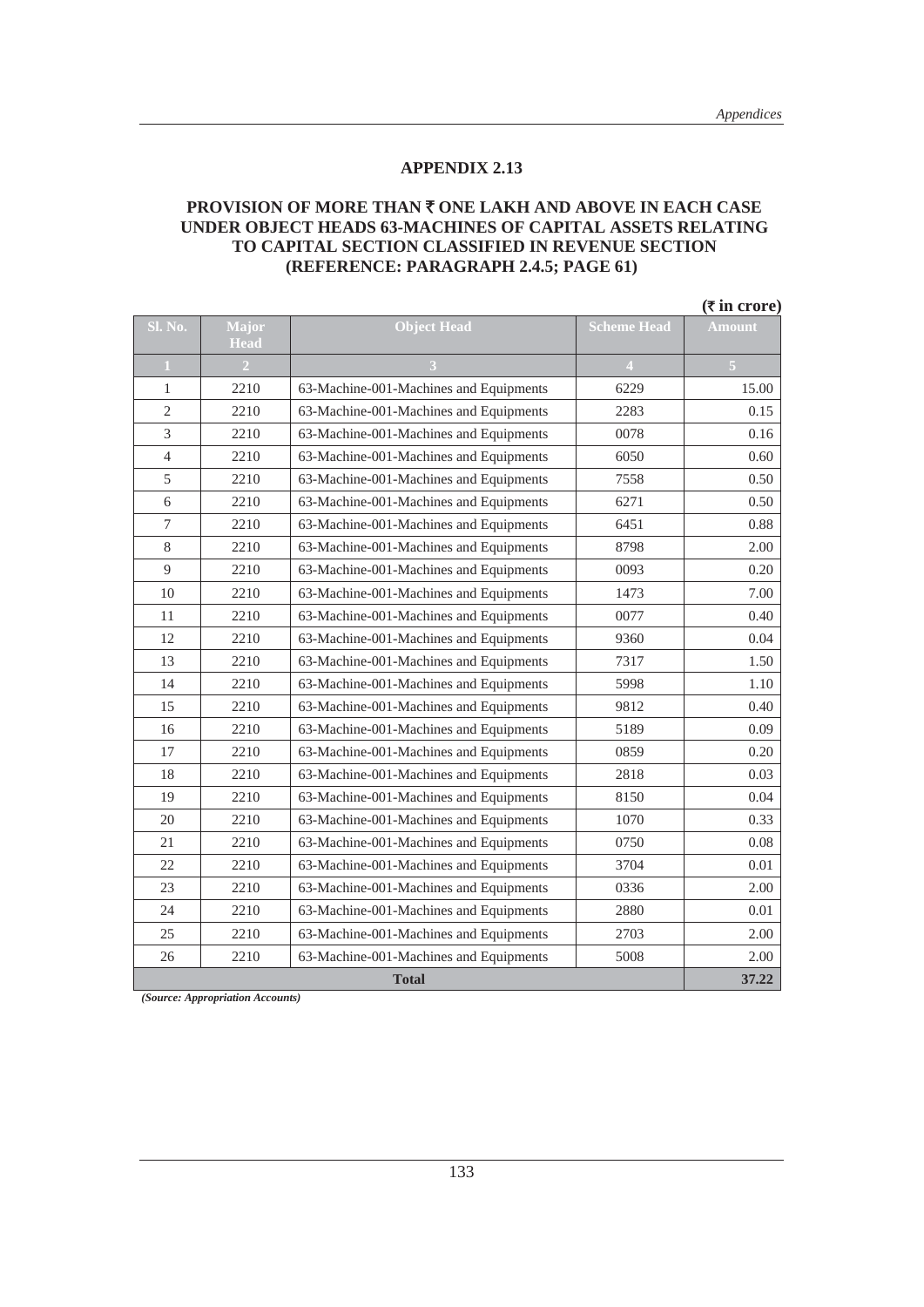#### **PROVISION OF MORE THAN ₹ ONE LAKH AND ABOVE IN EACH CASE UNDER OBJECT HEADS 63-MACHINES OF CAPITAL ASSETS RELATING TO CAPITAL SECTION CLASSIFIED IN REVENUE SECTION (REFERENCE: PARAGRAPH 2.4.5; PAGE 61)**

|                |                      |                                        |                    | $(\overline{\tau}$ in crore) |
|----------------|----------------------|----------------------------------------|--------------------|------------------------------|
| Sl. No.        | Major<br><b>Head</b> | <b>Object Head</b>                     | <b>Scheme Head</b> | <b>Amount</b>                |
| 1              | 2 <sup>1</sup>       |                                        | 4                  |                              |
| 1              | 2210                 | 63-Machine-001-Machines and Equipments | 6229               | 15.00                        |
| $\sqrt{2}$     | 2210                 | 63-Machine-001-Machines and Equipments | 2283               | 0.15                         |
| 3              | 2210                 | 63-Machine-001-Machines and Equipments | 0078               | 0.16                         |
| $\overline{4}$ | 2210                 | 63-Machine-001-Machines and Equipments | 6050               | 0.60                         |
| 5              | 2210                 | 63-Machine-001-Machines and Equipments | 7558               | 0.50                         |
| 6              | 2210                 | 63-Machine-001-Machines and Equipments | 6271               | 0.50                         |
| $\tau$         | 2210                 | 63-Machine-001-Machines and Equipments | 6451               | 0.88                         |
| $8\,$          | 2210                 | 63-Machine-001-Machines and Equipments | 8798               | 2.00                         |
| 9              | 2210                 | 63-Machine-001-Machines and Equipments | 0093               | 0.20                         |
| 10             | 2210                 | 63-Machine-001-Machines and Equipments | 1473               | 7.00                         |
| 11             | 2210                 | 63-Machine-001-Machines and Equipments | 0077               | 0.40                         |
| 12             | 2210                 | 63-Machine-001-Machines and Equipments | 9360               | 0.04                         |
| 13             | 2210                 | 63-Machine-001-Machines and Equipments | 7317               | 1.50                         |
| 14             | 2210                 | 63-Machine-001-Machines and Equipments | 5998               | 1.10                         |
| 15             | 2210                 | 63-Machine-001-Machines and Equipments | 9812               | 0.40                         |
| 16             | 2210                 | 63-Machine-001-Machines and Equipments | 5189               | 0.09                         |
| 17             | 2210                 | 63-Machine-001-Machines and Equipments | 0859               | 0.20                         |
| 18             | 2210                 | 63-Machine-001-Machines and Equipments | 2818               | 0.03                         |
| 19             | 2210                 | 63-Machine-001-Machines and Equipments | 8150               | 0.04                         |
| 20             | 2210                 | 63-Machine-001-Machines and Equipments | 1070               | 0.33                         |
| 21             | 2210                 | 63-Machine-001-Machines and Equipments | 0750               | 0.08                         |
| 22             | 2210                 | 63-Machine-001-Machines and Equipments | 3704               | 0.01                         |
| 23             | 2210                 | 63-Machine-001-Machines and Equipments | 0336               | 2.00                         |
| 24             | 2210                 | 63-Machine-001-Machines and Equipments | 2880               | 0.01                         |
| 25             | 2210                 | 63-Machine-001-Machines and Equipments | 2703               | 2.00                         |
| 26             | 2210                 | 63-Machine-001-Machines and Equipments | 5008               | 2.00                         |
|                |                      | <b>Total</b>                           |                    | 37.22                        |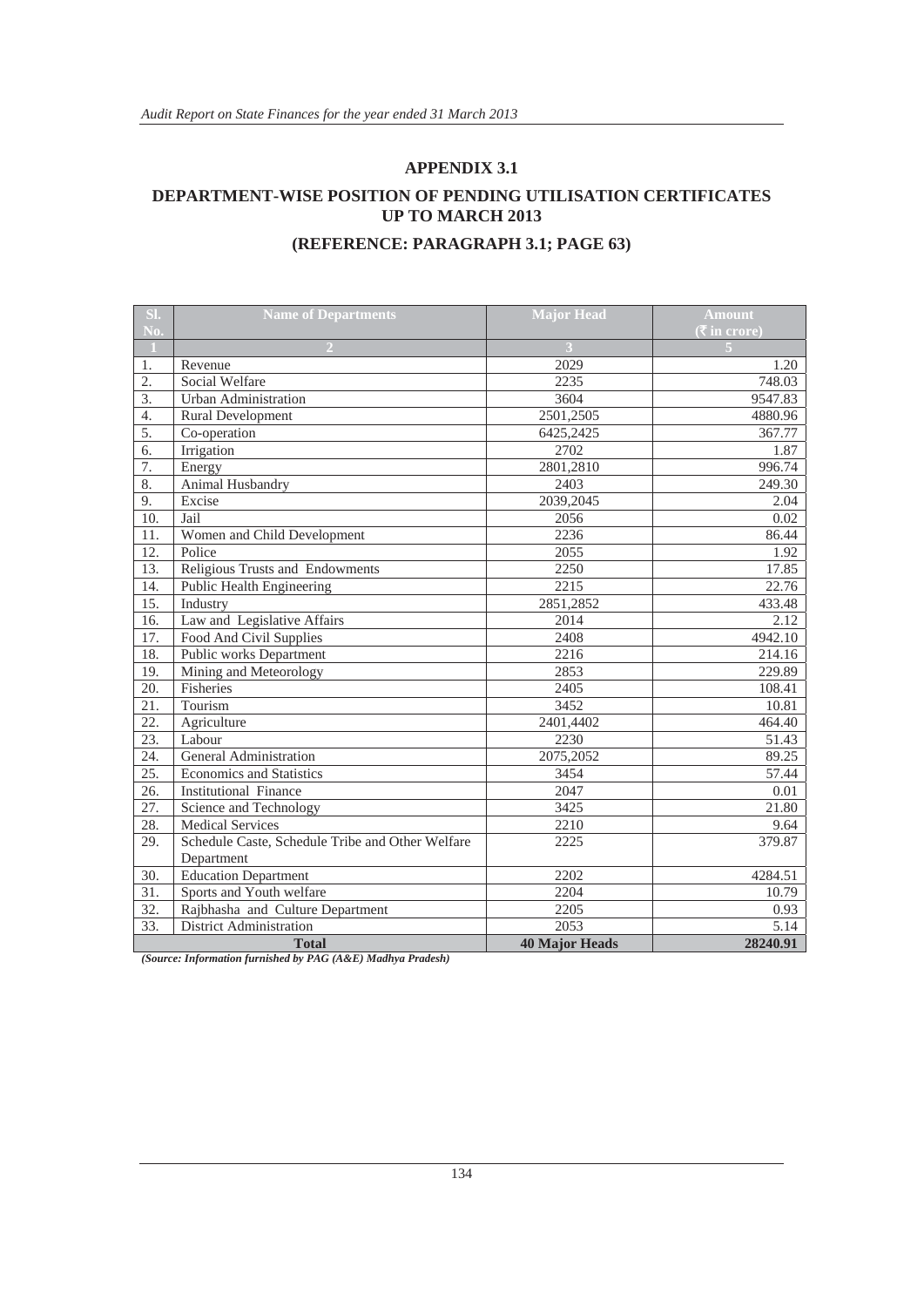#### **DEPARTMENT-WISE POSITION OF PENDING UTILISATION CERTIFICATES UP TO MARCH 2013**

#### **(REFERENCE: PARAGRAPH 3.1; PAGE 63)**

| SI.               | <b>Name of Departments</b>                       | <b>Major Head</b>     | <b>Amount</b> |
|-------------------|--------------------------------------------------|-----------------------|---------------|
| No.               |                                                  |                       | (₹ in crore)  |
| 1.                | Revenue                                          | 2029                  | 1.20          |
| 2.                | Social Welfare                                   | 2235                  | 748.03        |
| 3.                | <b>Urban Administration</b>                      | 3604                  | 9547.83       |
| 4.                | <b>Rural Development</b>                         | 2501,2505             | 4880.96       |
| $\overline{5}$ .  | Co-operation                                     | 6425,2425             | 367.77        |
| 6.                | Irrigation                                       | 2702                  | 1.87          |
| 7.                | Energy                                           | 2801,2810             | 996.74        |
| $\overline{8}$ .  | Animal Husbandry                                 | 2403                  | 249.30        |
| 9.                | Excise                                           | 2039.2045             | 2.04          |
| 10.               | Jail                                             | 2056                  | 0.02          |
| 11.               | Women and Child Development                      | 2236                  | 86.44         |
| $\overline{12}$ . | Police                                           | 2055                  | 1.92          |
| 13.               | Religious Trusts and Endowments                  | 2250                  | 17.85         |
| 14.               | Public Health Engineering                        | 2215                  | 22.76         |
| $\overline{15}$ . | Industry                                         | 2851,2852             | 433.48        |
| 16.               | Law and Legislative Affairs                      | 2014                  | 2.12          |
| 17.               | Food And Civil Supplies                          | 2408                  | 4942.10       |
| 18.               | Public works Department                          | 2216                  | 214.16        |
| 19.               | Mining and Meteorology                           | 2853                  | 229.89        |
| 20.               | Fisheries                                        | 2405                  | 108.41        |
| 21.               | Tourism                                          | 3452                  | 10.81         |
| 22.               | Agriculture                                      | 2401,4402             | 464.40        |
| $\overline{23}$ . | Labour                                           | 2230                  | 51.43         |
| 24.               | General Administration                           | 2075,2052             | 89.25         |
| $\overline{25}$ . | <b>Economics and Statistics</b>                  | 3454                  | 57.44         |
| 26.               | <b>Institutional Finance</b>                     | 2047                  | 0.01          |
| 27.               | Science and Technology                           | 3425                  | 21.80         |
| 28.               | <b>Medical Services</b>                          | 2210                  | 9.64          |
| 29.               | Schedule Caste, Schedule Tribe and Other Welfare | 2225                  | 379.87        |
|                   | Department                                       |                       |               |
| 30.               | <b>Education Department</b>                      | 2202                  | 4284.51       |
| 31.               | Sports and Youth welfare                         | 2204                  | 10.79         |
| 32.               | Rajbhasha and Culture Department                 | 2205                  | 0.93          |
| 33.               | <b>District Administration</b>                   | 2053                  | 5.14          |
|                   | <b>Total</b>                                     | <b>40 Major Heads</b> | 28240.91      |

*(Source: Information furnished by PAG (A&E) Madhya Pradesh)*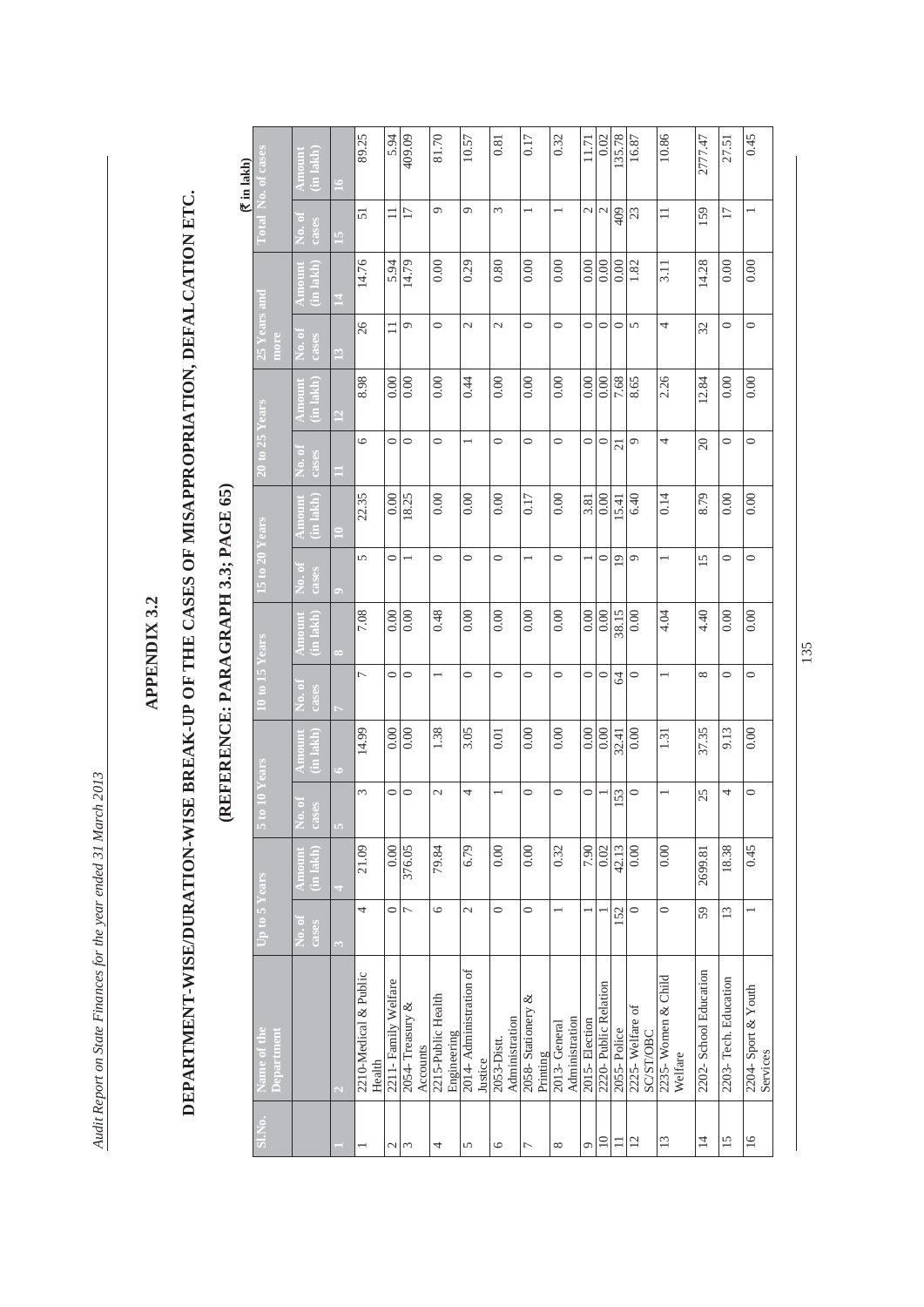Audit Report on State Finances for the year ended 31 March 2013 *Audit Report on State Finances for the year ended 31 March 2013* 

### **APPENDIX 3.2**  APPENDIX 3.2

# DEPARTMENT-WISE/DURATION-WISE BREAK-UP OF THE CASES OF MISAPPROPRIATION, DEFALCATION ETC. **DEPARTMENT-WISE/DURATION-WISE BREAK-UP OF THE CASES OF MISAPPROPRIATION, DEFALCATION ETC.**

## **(REFERENCE: PARAGRAPH 3.3; PAGE 65)**   $\mathbf{D}\mathbf{F}$ N $\cap$ F,  $\mathbf{D}$ A $\mathbf{D}$ A $\cap$ F A $\mathbf{D}$ A $\cap$ F A $\mathbf{F}$ A $\cap$ F तात ता रा

| $($ ₹ in lakh $)$                  |                           | in lakh)                   | $\geq$           | 89.25                           | 5.94                | 409.09                       | 81.70                             | 10.57                             | 0.81                          | 0.17                          | 0.32                           | 11.71          | 0.02                     | 35.78          | 16.87                               | 10.86                         | 2777.47               | 27.51                | 0.45                            |
|------------------------------------|---------------------------|----------------------------|------------------|---------------------------------|---------------------|------------------------------|-----------------------------------|-----------------------------------|-------------------------------|-------------------------------|--------------------------------|----------------|--------------------------|----------------|-------------------------------------|-------------------------------|-----------------------|----------------------|---------------------------------|
|                                    | <b>Cia</b>                | io. oi<br>cases            | $\mathbf{5}$     | $\overline{51}$                 | $\Box$              | $\overline{17}$              | $\sigma$                          | d                                 | 3                             |                               |                                | $\overline{c}$ | $\mathcal{L}$            | 409            | 23                                  | $\equiv$                      | 159                   | $\overline{17}$      |                                 |
|                                    |                           | in lakh                    | 그                | 14.76                           | 5.94                | 14.79                        | 0.00                              | 0.29                              | 0.80                          | 0.00                          | 0.00                           |                | $rac{0.00}{0.00}$        | 0.00           | 1.82                                | $\overline{3.11}$             | 14.28                 | 0.00                 | 0.00                            |
|                                    | more                      | vo. of<br>cases            | $\mathbf{r}$     | 26                              | $\Box$              | G                            | $\circ$                           | $\overline{\mathcal{C}}$          | $\overline{\mathcal{C}}$      | $\circ$                       | $\circ$                        | $\circ$        | 0                        | $\circ$        | 5                                   | 4                             | 32                    | $\circ$              | $\circ$                         |
|                                    |                           | (in lakh                   | $\overline{12}$  | 8.98                            | 0.00                | 0.00                         | 0.00                              | 0.44                              | 0.00                          | 0.00                          | 0.00                           | 0.00           | 0.00                     | 7.68           | 8.65                                | 2.26                          | 12.84                 | 0.00                 | 0.00                            |
|                                    | $20 \text{ to } 25$ )     | To.cl<br>cases             | Ξ                | $\circ$                         | $\circ$             | $\circ$                      | $\circ$                           | $\overline{ }$                    | $\circ$                       | $\circ$                       | $\circ$                        | $\circ$        | $\circ$                  | $\overline{c}$ | O                                   | 4                             | $\overline{c}$        | $\circ$              | $\circ$                         |
|                                    |                           | in lakh                    | Ξ                | 22.35                           | 0.00                | 18.25                        | 0.00                              | 0.00                              | 0.00                          | 0.17                          | 0.00                           | 3.81           | 0.00                     | 5.4            | 6.40                                | 0.14                          | 8.79                  | 0.00                 | 0.00                            |
|                                    | $15$ to 20 Years          | to<br>S<br>cases           | $\bullet$        | 5                               | $\circ$             |                              | $\circ$                           | $\circ$                           | $\circ$                       |                               | $\circ$                        |                | $\circ$                  | Q              | G                                   |                               | 15                    | $\circ$              | $\circ$                         |
|                                    |                           | in lakh                    | $\infty$         | 7.08                            | 0.00                | 0.00                         | 0.48                              | 0.00                              | 0.00                          | 0.00                          | 0.00                           | 0.00           | 0.00                     | 38.15          | 0.00                                | 4.04                          | 4.40                  | 0.00                 | 0.00                            |
|                                    | $0$ to 15 Years           | $\overline{0.01}$<br>cases |                  | $\overline{ }$                  | $\circ$             | $\circ$                      |                                   | $\circ$                           | $\circ$                       | $\circ$                       | $\circ$                        | $\circ$        | $\circ$                  | 2              | $\circ$                             |                               | $\infty$              | $\circ$              | $\circ$                         |
| KEFEKENCE: PAKAGKAPH 3.3; PAGE 63, |                           | in lakh                    | $\bullet$        | 14.99                           | 0.00                | 0.00                         | 1.38                              | 3.05                              | 0.01                          | 0.00                          | 0.00                           | 0.00           | $\frac{0.00}{\sqrt{10}}$ | 32.41          | 0.00                                | 1.31                          | 37.35                 | 9.13                 | 0.00                            |
|                                    | 10 Years<br>n             | 89<br>$\tilde{c}$          | $\mathsf{L}\cap$ | 3                               | $\circ$             | $\circ$                      | $\mathcal{L}$                     | 4                                 |                               | $\circ$                       | $\circ$                        | $\circ$        |                          | 53             | $\circ$                             |                               | 25                    | 4                    | $\circ$                         |
|                                    |                           | (in lakh)<br><b>MOND</b>   | 4                | 21.09                           | $0.00\,$            | 376.05                       | 79.84                             | 6.79                              | 0.00                          | 0.00                          | 0.32                           | 7.90           | 0.02                     | 42.13          | 0.00                                | $0.00\,$                      | 2699.81               | 18.38                | 0.45                            |
|                                    | $Up$ to 5 Years           | No. of<br>cases            | $\omega$         | 4                               | $\circ$             | $\overline{ }$               | $\circ$                           | $\overline{\mathcal{C}}$          | $\circ$                       | $\circ$                       |                                |                |                          | 152            | $\circ$                             | $\circ$                       | 59                    | 13                   |                                 |
|                                    | Name of the<br>Department |                            | $\mathbf{z}$     | 2210-Medical & Public<br>Health | 2211-Family Welfare | 2054- Treasury &<br>Accounts | 2215-Public Health<br>Engineering | 2014-Administration of<br>Justice | Administration<br>2053-Distt. | 2058-Stationery &<br>Printing | Administration<br>2013-General | 2015-Election  | 2220-Public Relation     | 2055-Police    | 2225-Welfare of<br><b>SC/ST/OBC</b> | 2235-Women & Child<br>Welfare | 2202-School Education | 2203-Tech. Education | 2204- Sport & Youth<br>Services |
|                                    | SLS                       |                            |                  |                                 | $\mathcal{L}$       | 3                            | 4                                 | 5                                 | $\circ$                       | $\overline{ }$                | ${}^{\circ}$                   | Q              | $\overline{10}$          | $\Box$         | $\overline{c}$                      | 13                            | $\overline{1}$        | 15                   | 16                              |

135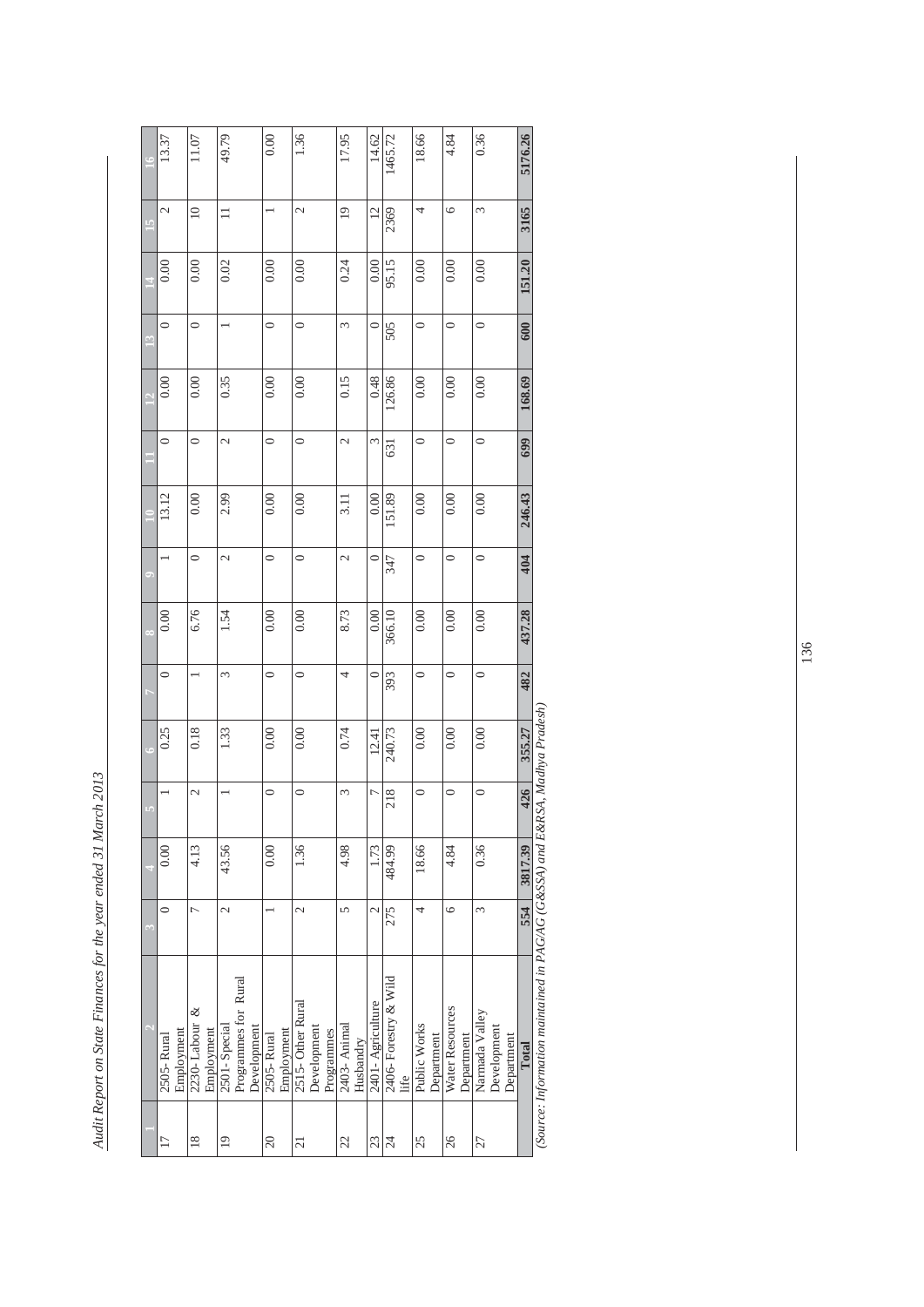Audit Report on State Finances for the year ended 31 March 2013 *Audit Report on State Finances for the year ended 31 March 2013* 

|                | 13.37         |            | 11.07           |            | 49.79                    |                      |             | 0.00       |            | 1.36                     |             |            | 17.95           |           | 14.62            |                       |      | 18.66        |            | 4.84            |            | 0.36           |             |            |         |                                                                              |
|----------------|---------------|------------|-----------------|------------|--------------------------|----------------------|-------------|------------|------------|--------------------------|-------------|------------|-----------------|-----------|------------------|-----------------------|------|--------------|------------|-----------------|------------|----------------|-------------|------------|---------|------------------------------------------------------------------------------|
|                |               |            |                 |            |                          |                      |             |            |            |                          |             |            |                 |           |                  | 1465.72               |      |              |            |                 |            |                |             |            | 5176.26 |                                                                              |
| $\overline{a}$ | $\mathcal{L}$ |            | $\overline{10}$ |            | $\equiv$                 |                      |             |            |            | $\mathcal{L}$            |             |            | $\overline{19}$ |           | $\overline{12}$  | 2369                  |      | 4            |            | $\circ$         |            | 3              |             |            | 3165    |                                                                              |
|                | 0.00          |            | 0.00            |            | 0.02                     |                      |             | 0.00       |            | 0.00                     |             |            | 0.24            |           | 0.00             | 95.15                 |      | 0.00         |            | 0.00            |            | 0.00           |             |            | 151.20  |                                                                              |
| $\mathbb{C}$   | $\circ$       |            | $\circ$         |            |                          |                      |             | $\circ$    |            | $\circ$                  |             |            | 3               |           | $\circ$          | 505                   |      | $\circ$      |            | $\circ$         |            | $\circ$        |             |            | 600     |                                                                              |
|                | 0.00          |            | 0.00            |            | 0.35                     |                      |             | 0.00       |            | 0.00                     |             |            | 0.15            |           | 0.48             | 126.86                |      | 0.00         |            | 0.00            |            | 0.00           |             |            | 168.69  |                                                                              |
|                | $\circ$       |            | $\circ$         |            | $\mathcal{L}$            |                      |             | $\circ$    |            | $\circ$                  |             |            | 2               |           | 3                | 631                   |      | $\circ$      |            | $\circ$         |            | $\circ$        |             |            | 699     |                                                                              |
|                | 13.12         |            | 0.00            |            | 2.99                     |                      |             | 0.00       |            | 0.00                     |             |            | 3.11            |           | 0.00             | 151.89                |      | 0.00         |            | 0.00            |            | 0.00           |             |            | 246.43  |                                                                              |
|                |               |            | $\circ$         |            | $\mathcal{L}$            |                      |             | $\circ$    |            | $\circ$                  |             |            | 2               |           | $\circ$          | 347                   |      | $\circ$      |            | $\circ$         |            | $\circ$        |             |            | 404     |                                                                              |
| ò.             | 0.00          |            | 6.76            |            | 1.54                     |                      |             | 0.00       |            | 0.00                     |             |            | 8.73            |           | 0.00             | 366.10                |      | 0.00         |            | 0.00            |            | 0.00           |             |            | 437.28  |                                                                              |
|                | 0             |            |                 |            | 3                        |                      |             | $\circ$    |            | $\circ$                  |             |            | 4               |           | $\circ$          | 393                   |      | $\circ$      |            | $\circ$         |            | $\circ$        |             |            | 482     |                                                                              |
| Ġ              | 0.25          |            | 0.18            |            | 1.33                     |                      |             | 0.00       |            | 0.00                     |             |            | 0.74            |           | 12.41            | 240.73                |      | 0.00         |            | 0.00            |            | 0.00           |             |            | 355.27  |                                                                              |
|                |               |            | $\mathcal{L}$   |            |                          |                      |             | $\circ$    |            | $\circ$                  |             |            | 3               |           | r                | 218                   |      | $\circ$      |            | $\circ$         |            | $\circ$        |             |            | 426     |                                                                              |
|                | 0.00          |            | 4.13            |            | 43.56                    |                      |             | 0.00       |            | 1.36                     |             |            | 4.98            |           | 1.73             | 484.99                |      | 18.66        |            | 4.84            |            | 0.36           |             |            | 3817.39 |                                                                              |
| $\sim$         | $\circ$       |            | $\overline{C}$  |            | $\overline{\mathcal{C}}$ |                      |             |            |            | $\overline{\mathcal{C}}$ |             |            | $\sqrt{2}$      |           | $\mathcal{L}$    | 275                   |      | 4            |            | $\circ$         |            | 3              |             |            | 554     |                                                                              |
|                | 2505-Rural    | Employment | 2230-Labour &   | Employment | 2501 - Special           | Programmes for Rural | Development | 2505-Rural | Employment | 2515-Other Rural         | Development | Programmes | 2403- Animal    | Husbandry | 2401-Agriculture | 2406- Forestry & Wild | life | Public Works | Department | Water Resources | Department | Narmada Valley | Development | Department | Total   | (Source: Information maintained in PAG/AG (G&SSA) and E&RSA, Madhya Pradesh) |
|                | 17            |            | $\frac{8}{2}$   |            | $\overline{19}$          |                      |             | $\Omega$   |            | 21                       |             |            | 22              |           | 23               | $\overline{24}$       |      | 25           |            | 26              |            | 27             |             |            |         |                                                                              |

 $(u_S)$  $\tilde{t}$  $\frac{1}{2}$  $\bar{\mathsf{c}}$ roful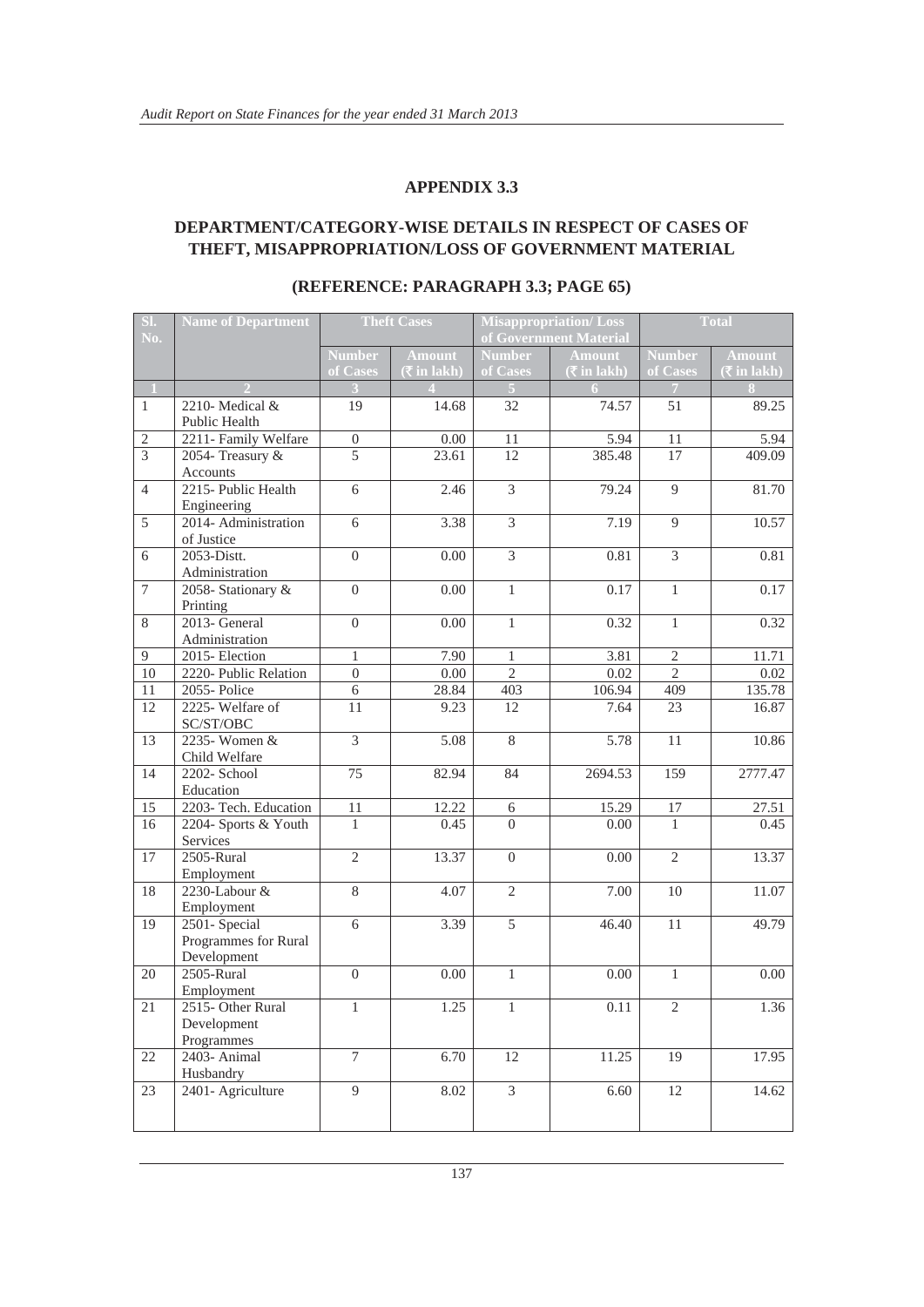#### **DEPARTMENT/CATEGORY-WISE DETAILS IN RESPECT OF CASES OF THEFT, MISAPPROPRIATION/LOSS OF GOVERNMENT MATERIAL**

| SI.<br>No.     | <b>Name of Department</b> | Misappropriation/Loss<br><b>Theft Cases</b><br>of Government Material |                  |                          | <b>Total</b>                       |                |               |  |
|----------------|---------------------------|-----------------------------------------------------------------------|------------------|--------------------------|------------------------------------|----------------|---------------|--|
|                |                           | <b>Number</b>                                                         | <b>Amount</b>    | <b>Number</b>            | <b>Amount</b>                      | <b>Number</b>  | <b>Amount</b> |  |
|                |                           | of Cases                                                              | $($ ₹in lakh $)$ | of Cases                 | $(\bar{\bar{\mathbf{x}}}$ in lakh) | of Cases       | (₹in lakh)    |  |
| $\mathbf{1}$   |                           |                                                                       |                  |                          |                                    | $\overline{7}$ |               |  |
| $\mathbf{1}$   | 2210-Medical &            | 19                                                                    | 14.68            | 32                       | 74.57                              | 51             | 89.25         |  |
|                | <b>Public Health</b>      |                                                                       |                  |                          |                                    |                |               |  |
| $\sqrt{2}$     | 2211- Family Welfare      | $\boldsymbol{0}$                                                      | 0.00             | 11                       | 5.94                               | 11             | 5.94          |  |
| $\overline{3}$ | 2054- Treasury &          | 5                                                                     | 23.61            | 12                       | 385.48                             | 17             | 409.09        |  |
|                | Accounts                  |                                                                       |                  |                          |                                    |                |               |  |
| $\overline{4}$ | 2215- Public Health       | 6                                                                     | 2.46             | $\overline{3}$           | 79.24                              | 9              | 81.70         |  |
|                | Engineering               |                                                                       |                  |                          |                                    |                |               |  |
| 5              | 2014- Administration      | $\overline{6}$                                                        | 3.38             | $\overline{3}$           | 7.19                               | 9              | 10.57         |  |
|                | of Justice                |                                                                       |                  |                          |                                    |                |               |  |
| 6              | $2053$ -Distt.            | $\boldsymbol{0}$                                                      | 0.00             | $\overline{3}$           | 0.81                               | $\overline{3}$ | 0.81          |  |
|                | Administration            |                                                                       |                  |                          |                                    |                |               |  |
| $\overline{7}$ | 2058-Stationary &         | $\Omega$                                                              | 0.00             | $\mathbf{1}$             | 0.17                               | $\mathbf{1}$   | 0.17          |  |
|                | Printing                  |                                                                       |                  |                          |                                    |                |               |  |
| 8              | 2013- General             | $\boldsymbol{0}$                                                      | 0.00             | $\mathbf{1}$             | 0.32                               | $\mathbf{1}$   | 0.32          |  |
|                | Administration            |                                                                       |                  |                          |                                    |                |               |  |
| 9              | 2015-Election             | $\mathbf{1}$                                                          | 7.90             | $\mathbf{1}$             | 3.81                               | $\overline{2}$ | 11.71         |  |
| 10             | 2220- Public Relation     | $\theta$                                                              | 0.00             | $\overline{\mathcal{L}}$ | 0.02                               | $\overline{2}$ | 0.02          |  |
| 11             | 2055-Police               | 6                                                                     | 28.84            | 403                      | 106.94                             | 409            | 135.78        |  |
| 12             | 2225-Welfare of           | 11                                                                    | 9.23             | 12                       | 7.64                               | 23             | 16.87         |  |
| 13             | SC/ST/OBC<br>2235-Women & | $\overline{3}$                                                        | 5.08             | $\overline{8}$           | 5.78                               | 11             | 10.86         |  |
|                | Child Welfare             |                                                                       |                  |                          |                                    |                |               |  |
| 14             | 2202- School              | $\overline{75}$                                                       | 82.94            | 84                       | 2694.53                            | 159            | 2777.47       |  |
|                | Education                 |                                                                       |                  |                          |                                    |                |               |  |
| 15             | 2203- Tech. Education     | 11                                                                    | 12.22            | $\sqrt{6}$               | 15.29                              | $17\,$         | 27.51         |  |
| 16             | 2204- Sports & Youth      | $\mathbf{1}$                                                          | 0.45             | $\Omega$                 | 0.00                               | $\mathbf{1}$   | 0.45          |  |
|                | Services                  |                                                                       |                  |                          |                                    |                |               |  |
| 17             | 2505-Rural                | $\overline{2}$                                                        | 13.37            | $\overline{0}$           | 0.00                               | $\overline{2}$ | 13.37         |  |
|                | Employment                |                                                                       |                  |                          |                                    |                |               |  |
| 18             | 2230-Labour &             | $\overline{8}$                                                        | 4.07             | $\overline{2}$           | 7.00                               | 10             | 11.07         |  |
|                | Employment                |                                                                       |                  |                          |                                    |                |               |  |
| 19             | 2501-Special              | $\overline{6}$                                                        | 3.39             | $\overline{5}$           | 46.40                              | 11             | 49.79         |  |
|                | Programmes for Rural      |                                                                       |                  |                          |                                    |                |               |  |
|                | Development               |                                                                       |                  |                          |                                    |                |               |  |
| 20             | 2505-Rural                | $\boldsymbol{0}$                                                      | 0.00             | $\mathbf{1}$             | 0.00                               | $\mathbf{1}$   | 0.00          |  |
|                | Employment                |                                                                       |                  |                          |                                    |                |               |  |
| $21\,$         | 2515- Other Rural         | $\mathbf{1}$                                                          | 1.25             | $\mathbf{1}$             | 0.11                               | $\sqrt{2}$     | 1.36          |  |
|                | Development               |                                                                       |                  |                          |                                    |                |               |  |
|                | Programmes                |                                                                       |                  |                          |                                    |                |               |  |
| 22             | 2403- Animal              | $\overline{7}$                                                        | 6.70             | 12                       | 11.25                              | 19             | 17.95         |  |
|                | Husbandry                 |                                                                       |                  |                          |                                    |                |               |  |
| 23             | 2401- Agriculture         | $\overline{9}$                                                        | 8.02             | $\overline{3}$           | 6.60                               | $12\,$         | 14.62         |  |
|                |                           |                                                                       |                  |                          |                                    |                |               |  |
|                |                           |                                                                       |                  |                          |                                    |                |               |  |

#### **(REFERENCE: PARAGRAPH 3.3; PAGE 65)**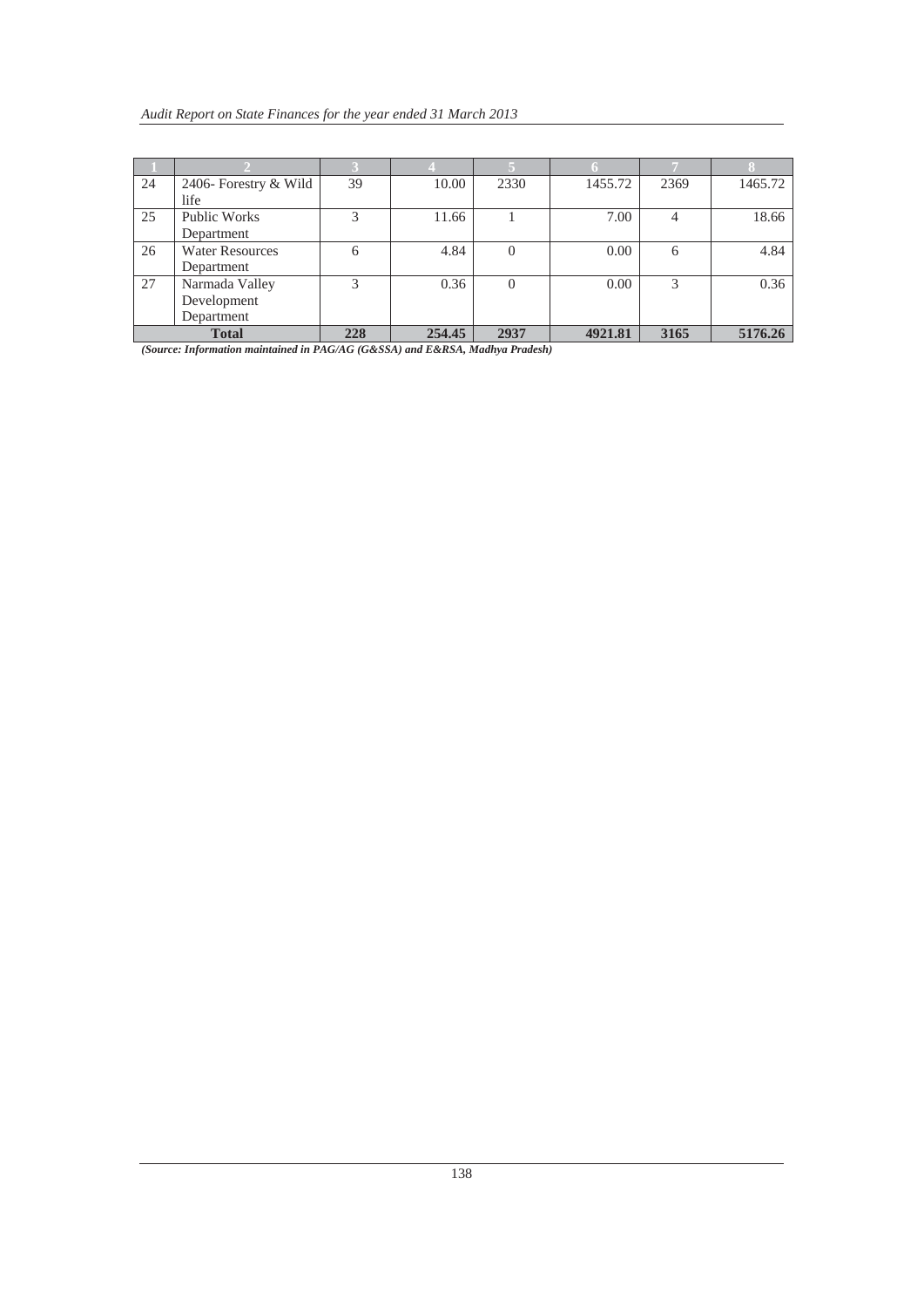| 24 | 2406- Forestry & Wild  | 39  | 10.00  | 2330 | 1455.72 | 2369 | 1465.72 |
|----|------------------------|-----|--------|------|---------|------|---------|
|    | life                   |     |        |      |         |      |         |
| 25 | Public Works           | 3   | 11.66  |      | 7.00    | 4    | 18.66   |
|    | Department             |     |        |      |         |      |         |
| 26 | <b>Water Resources</b> | 6   | 4.84   |      | 0.00    | 6    | 4.84    |
|    | Department             |     |        |      |         |      |         |
| 27 | Narmada Valley         | 3   | 0.36   |      | 0.00    | 3    | 0.36    |
|    | Development            |     |        |      |         |      |         |
|    | Department             |     |        |      |         |      |         |
|    | <b>Total</b>           | 228 | 254.45 | 2937 | 4921.81 | 3165 | 5176.26 |

*(Source: Information maintained in PAG/AG (G&SSA) and E&RSA, Madhya Pradesh)*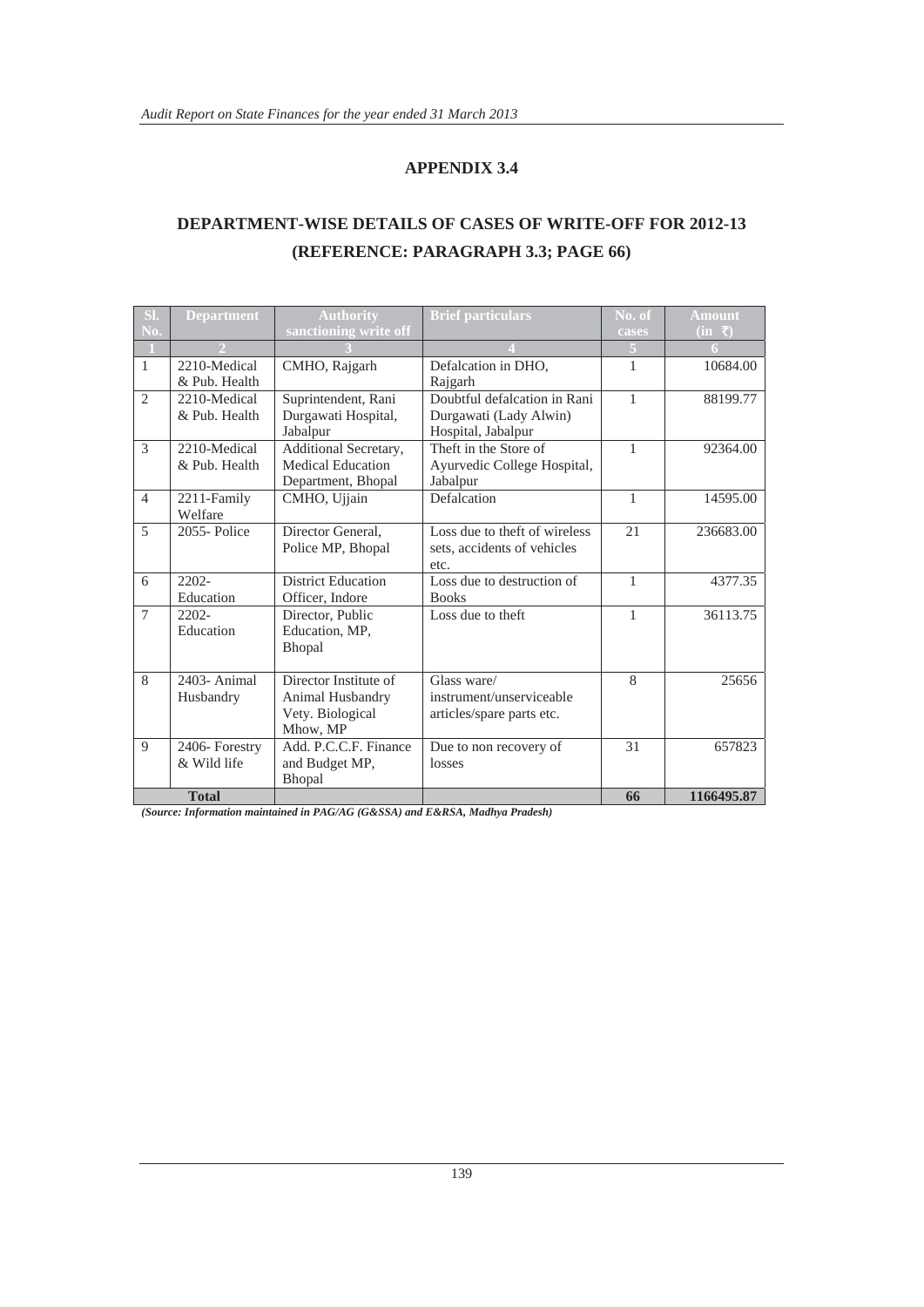#### **DEPARTMENT-WISE DETAILS OF CASES OF WRITE-OFF FOR 2012-13 (REFERENCE: PARAGRAPH 3.3; PAGE 66)**

| SI.              | <b>Department</b> | <b>Authority</b>          | <b>Brief particulars</b>      | No. of       | <b>Amount</b>                                 |
|------------------|-------------------|---------------------------|-------------------------------|--------------|-----------------------------------------------|
| $\overline{N_0}$ |                   | sanctioning write off     |                               | cases        | $(in \space \overline{\mathbf{\mathcal{F}}})$ |
|                  |                   |                           |                               | 5            | 6.                                            |
| $\mathbf{1}$     | 2210-Medical      | CMHO, Rajgarh             | Defalcation in DHO,           | 1            | 10684.00                                      |
|                  | & Pub. Health     |                           | Rajgarh                       |              |                                               |
| $\mathfrak{2}$   | 2210-Medical      | Suprintendent, Rani       | Doubtful defalcation in Rani  | $\mathbf{1}$ | 88199.77                                      |
|                  | & Pub. Health     | Durgawati Hospital,       | Durgawati (Lady Alwin)        |              |                                               |
|                  |                   | Jabalpur                  | Hospital, Jabalpur            |              |                                               |
| $\mathcal{R}$    | 2210-Medical      | Additional Secretary,     | Theft in the Store of         | $\mathbf{1}$ | 92364.00                                      |
|                  | & Pub. Health     | Medical Education         | Ayurvedic College Hospital,   |              |                                               |
|                  |                   | Department, Bhopal        | Jabalpur                      |              |                                               |
| $\overline{4}$   | 2211-Family       | CMHO, Ujjain              | Defalcation                   | $\mathbf{1}$ | 14595.00                                      |
|                  | Welfare           |                           |                               |              |                                               |
| 5                | 2055-Police       | Director General.         | Loss due to theft of wireless | 21           | 236683.00                                     |
|                  |                   | Police MP, Bhopal         | sets, accidents of vehicles   |              |                                               |
|                  |                   |                           | etc.                          |              |                                               |
| 6                | $2202 -$          | <b>District Education</b> | Loss due to destruction of    | $\mathbf{1}$ | 4377.35                                       |
|                  | Education         | Officer, Indore           | <b>Books</b>                  |              |                                               |
| $\overline{7}$   | $2202 -$          | Director, Public          | Loss due to theft             | $\mathbf{1}$ | 36113.75                                      |
|                  | Education         | Education, MP.            |                               |              |                                               |
|                  |                   | Bhopal                    |                               |              |                                               |
|                  |                   |                           |                               |              |                                               |
| 8                | 2403- Animal      | Director Institute of     | Glass ware/                   | 8            | 25656                                         |
|                  | Husbandry         | Animal Husbandry          | instrument/unserviceable      |              |                                               |
|                  |                   | Vety. Biological          | articles/spare parts etc.     |              |                                               |
|                  |                   | Mhow, MP                  |                               |              |                                               |
| 9                | 2406-Forestry     | Add. P.C.C.F. Finance     | Due to non recovery of        | 31           | 657823                                        |
|                  | & Wild life       | and Budget MP,            | losses                        |              |                                               |
|                  |                   | Bhopal                    |                               |              |                                               |
|                  | <b>Total</b>      |                           |                               | 66           | 1166495.87                                    |

*(Source: Information maintained in PAG/AG (G&SSA) and E&RSA, Madhya Pradesh)*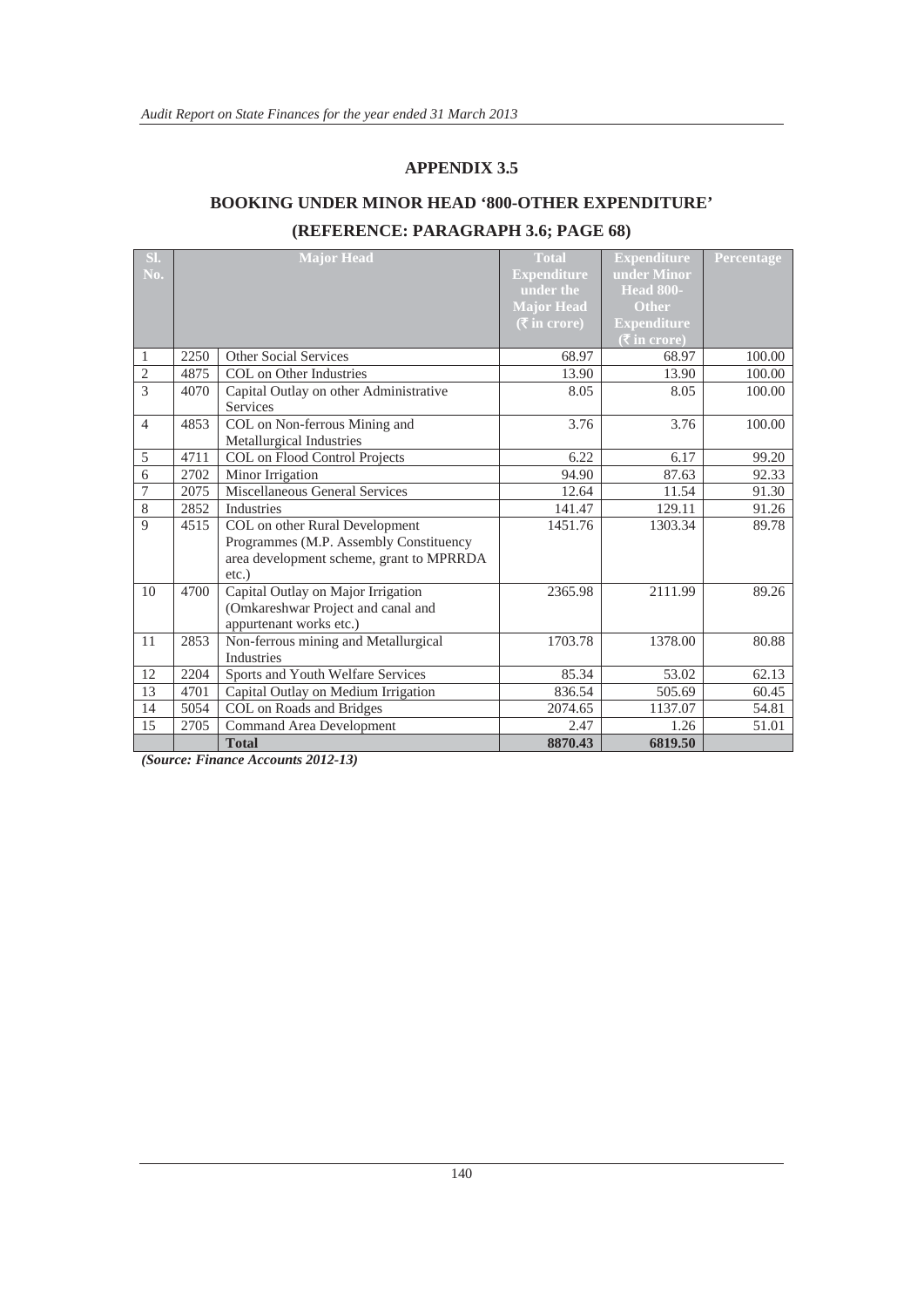#### **BOOKING UNDER MINOR HEAD '800-OTHER EXPENDITURE'**

#### **(REFERENCE: PARAGRAPH 3.6; PAGE 68)**

| SI.            |      | <b>Major Head</b>                        | <b>Total</b>                        | <b>Expenditure</b>                            | Percentage |
|----------------|------|------------------------------------------|-------------------------------------|-----------------------------------------------|------------|
| No.            |      |                                          | <b>Expenditure</b>                  | under Minor                                   |            |
|                |      |                                          | under the                           | <b>Head 800-</b>                              |            |
|                |      |                                          | <b>Major Head</b>                   | Other                                         |            |
|                |      |                                          | $(\bar{\bar{\mathbf{x}}}$ in crore) | <b>Expenditure</b>                            |            |
|                |      |                                          |                                     | $(\overline{\mathbf{\overline{z}}}$ in crore) |            |
| 1              | 2250 | <b>Other Social Services</b>             | 68.97                               | 68.97                                         | 100.00     |
| $\mathfrak{2}$ | 4875 | COL on Other Industries                  | 13.90                               | 13.90                                         | 100.00     |
| 3              | 4070 | Capital Outlay on other Administrative   | 8.05                                | 8.05                                          | 100.00     |
|                |      | Services                                 |                                     |                                               |            |
| $\overline{4}$ | 4853 | COL on Non-ferrous Mining and            | 3.76                                | 3.76                                          | 100.00     |
|                |      | Metallurgical Industries                 |                                     |                                               |            |
| 5              | 4711 | COL on Flood Control Projects            | 6.22                                | 6.17                                          | 99.20      |
| 6              | 2702 | Minor Irrigation                         | 94.90                               | 87.63                                         | 92.33      |
| 7              | 2075 | Miscellaneous General Services           | 12.64                               | 11.54                                         | 91.30      |
| 8              | 2852 | Industries                               | 141.47                              | 129.11                                        | 91.26      |
| 9              | 4515 | COL on other Rural Development           | 1451.76                             | 1303.34                                       | 89.78      |
|                |      | Programmes (M.P. Assembly Constituency   |                                     |                                               |            |
|                |      | area development scheme, grant to MPRRDA |                                     |                                               |            |
|                |      | $etc.$ )                                 |                                     |                                               |            |
| 10             | 4700 | Capital Outlay on Major Irrigation       | 2365.98                             | 2111.99                                       | 89.26      |
|                |      | (Omkareshwar Project and canal and       |                                     |                                               |            |
|                |      | appurtenant works etc.)                  |                                     |                                               |            |
| 11             | 2853 | Non-ferrous mining and Metallurgical     | 1703.78                             | 1378.00                                       | 80.88      |
|                |      | <b>Industries</b>                        |                                     |                                               |            |
| 12             | 2204 | Sports and Youth Welfare Services        | 85.34                               | 53.02                                         | 62.13      |
| 13             | 4701 | Capital Outlay on Medium Irrigation      | 836.54                              | 505.69                                        | 60.45      |
| 14             | 5054 | COL on Roads and Bridges                 | 2074.65                             | 1137.07                                       | 54.81      |
| 15             | 2705 | Command Area Development                 | 2.47                                | 1.26                                          | 51.01      |
|                |      | <b>Total</b>                             | 8870.43                             | 6819.50                                       |            |

*(Source: Finance Accounts 2012-13)*